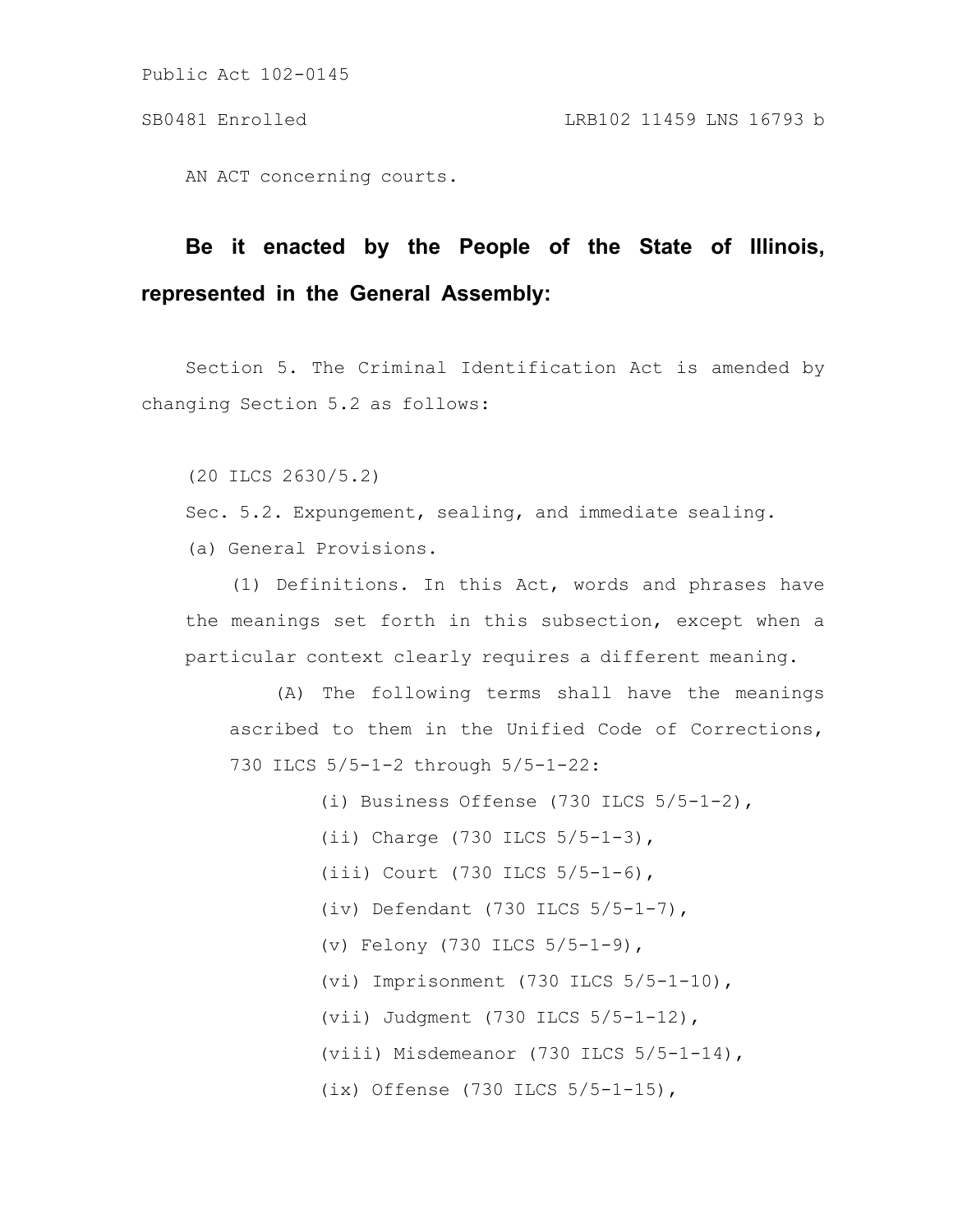AN ACT concerning courts.

# **Be it enacted by the People of the State of Illinois, represented in the General Assembly:**

Section 5. The Criminal Identification Act is amended by changing Section 5.2 as follows:

(20 ILCS 2630/5.2)

Sec. 5.2. Expungement, sealing, and immediate sealing.

(a) General Provisions.

(1) Definitions. In this Act, words and phrases have the meanings set forth in this subsection, except when a particular context clearly requires a different meaning.

(A) The following terms shall have the meanings ascribed to them in the Unified Code of Corrections, 730 ILCS 5/5-1-2 through 5/5-1-22:

(i) Business Offense (730 ILCS 5/5-1-2),

(ii) Charge (730 ILCS 5/5-1-3), (iii) Court (730 ILCS 5/5-1-6), (iv) Defendant (730 ILCS 5/5-1-7), (v) Felony (730 ILCS 5/5-1-9), (vi) Imprisonment (730 ILCS 5/5-1-10), (vii) Judgment (730 ILCS 5/5-1-12), (viii) Misdemeanor (730 ILCS 5/5-1-14),

(ix) Offense (730 ILCS 5/5-1-15),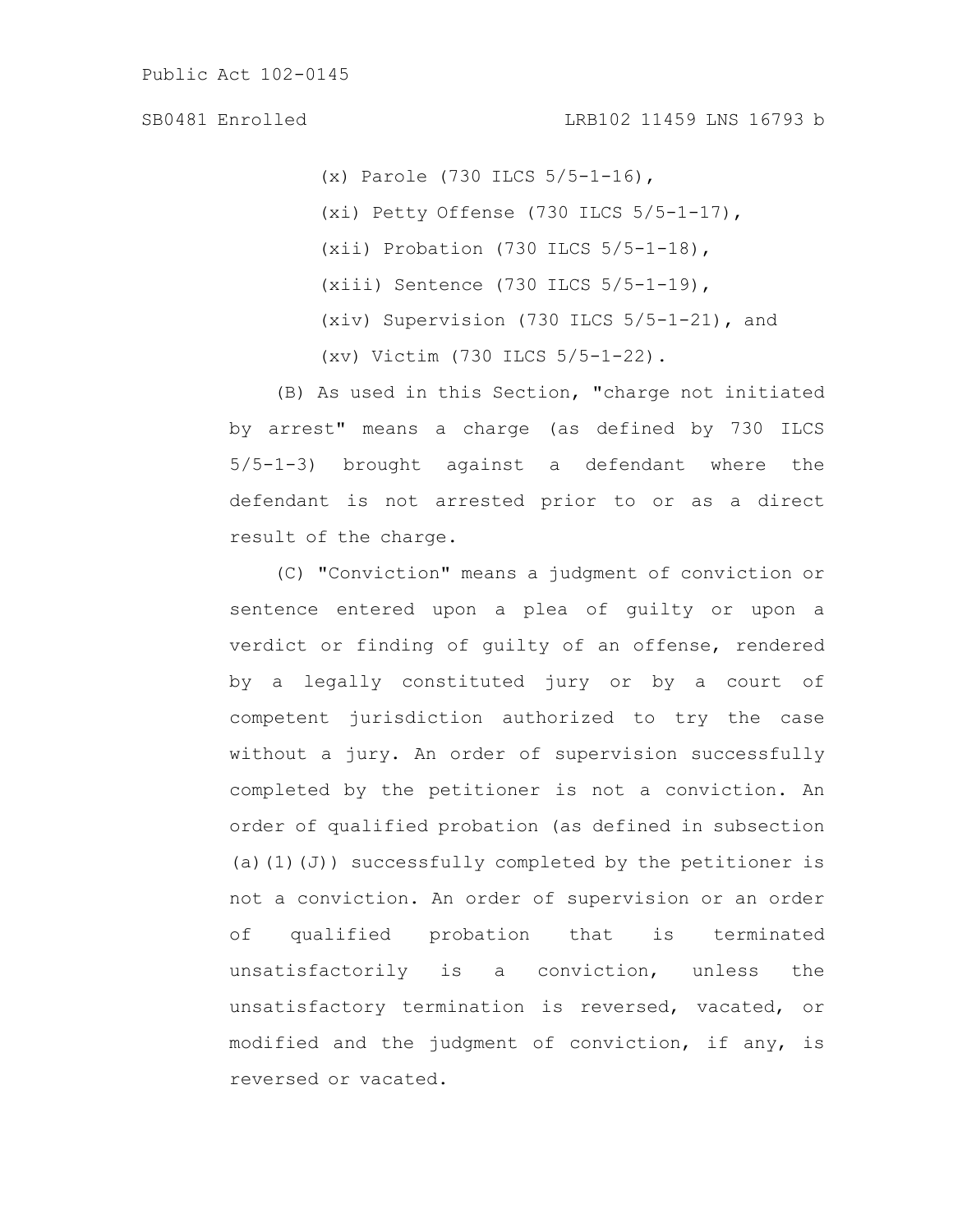(x) Parole (730 ILCS 5/5-1-16), (xi) Petty Offense (730 ILCS 5/5-1-17), (xii) Probation (730 ILCS 5/5-1-18), (xiii) Sentence (730 ILCS 5/5-1-19), (xiv) Supervision (730 ILCS 5/5-1-21), and (xv) Victim (730 ILCS 5/5-1-22).

(B) As used in this Section, "charge not initiated by arrest" means a charge (as defined by 730 ILCS 5/5-1-3) brought against a defendant where the defendant is not arrested prior to or as a direct result of the charge.

(C) "Conviction" means a judgment of conviction or sentence entered upon a plea of guilty or upon a verdict or finding of guilty of an offense, rendered by a legally constituted jury or by a court of competent jurisdiction authorized to try the case without a jury. An order of supervision successfully completed by the petitioner is not a conviction. An order of qualified probation (as defined in subsection (a)(1)(J)) successfully completed by the petitioner is not a conviction. An order of supervision or an order of qualified probation that is terminated unsatisfactorily is a conviction, unless the unsatisfactory termination is reversed, vacated, or modified and the judgment of conviction, if any, is reversed or vacated.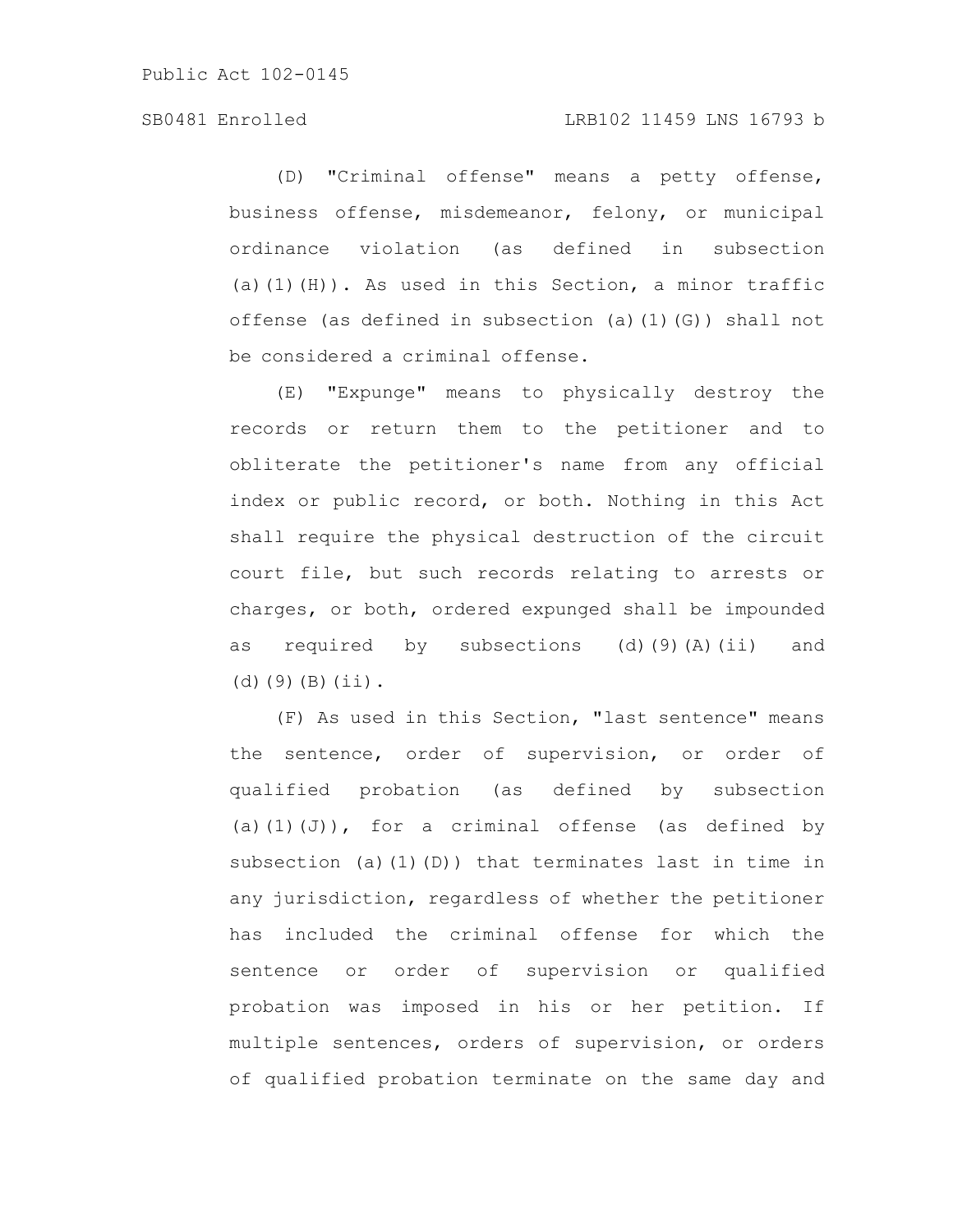(D) "Criminal offense" means a petty offense, business offense, misdemeanor, felony, or municipal ordinance violation (as defined in subsection (a)(1)(H)). As used in this Section, a minor traffic offense (as defined in subsection (a)(1)(G)) shall not be considered a criminal offense.

(E) "Expunge" means to physically destroy the records or return them to the petitioner and to obliterate the petitioner's name from any official index or public record, or both. Nothing in this Act shall require the physical destruction of the circuit court file, but such records relating to arrests or charges, or both, ordered expunged shall be impounded as required by subsections  $(d)$  (9)(A)(ii) and (d)(9)(B)(ii).

(F) As used in this Section, "last sentence" means the sentence, order of supervision, or order of qualified probation (as defined by subsection (a)(1)(J)), for a criminal offense (as defined by subsection (a)(1)(D)) that terminates last in time in any jurisdiction, regardless of whether the petitioner has included the criminal offense for which the sentence or order of supervision or qualified probation was imposed in his or her petition. If multiple sentences, orders of supervision, or orders of qualified probation terminate on the same day and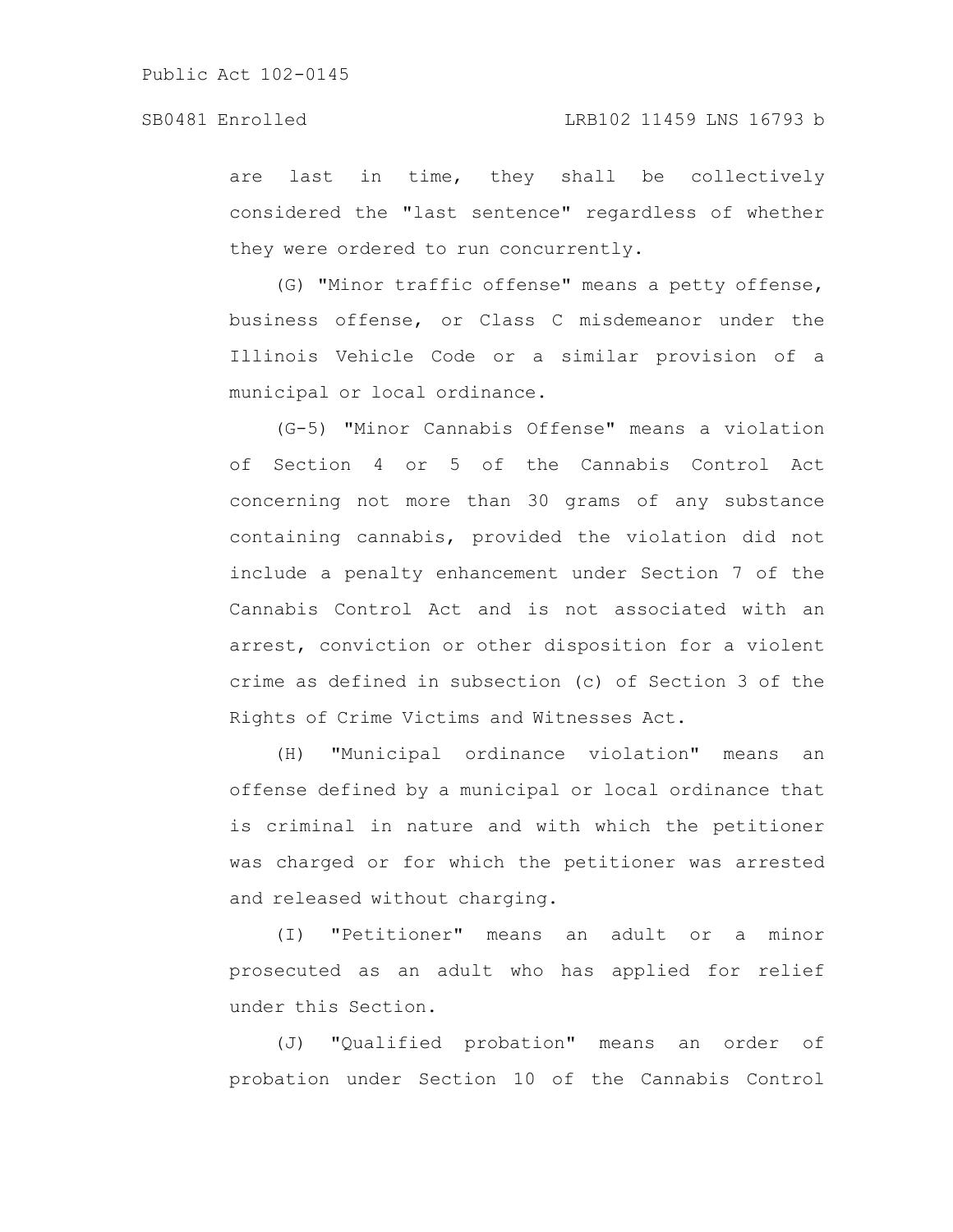are last in time, they shall be collectively considered the "last sentence" regardless of whether they were ordered to run concurrently.

(G) "Minor traffic offense" means a petty offense, business offense, or Class C misdemeanor under the Illinois Vehicle Code or a similar provision of a municipal or local ordinance.

(G-5) "Minor Cannabis Offense" means a violation of Section 4 or 5 of the Cannabis Control Act concerning not more than 30 grams of any substance containing cannabis, provided the violation did not include a penalty enhancement under Section 7 of the Cannabis Control Act and is not associated with an arrest, conviction or other disposition for a violent crime as defined in subsection (c) of Section 3 of the Rights of Crime Victims and Witnesses Act.

(H) "Municipal ordinance violation" means an offense defined by a municipal or local ordinance that is criminal in nature and with which the petitioner was charged or for which the petitioner was arrested and released without charging.

(I) "Petitioner" means an adult or a minor prosecuted as an adult who has applied for relief under this Section.

(J) "Qualified probation" means an order of probation under Section 10 of the Cannabis Control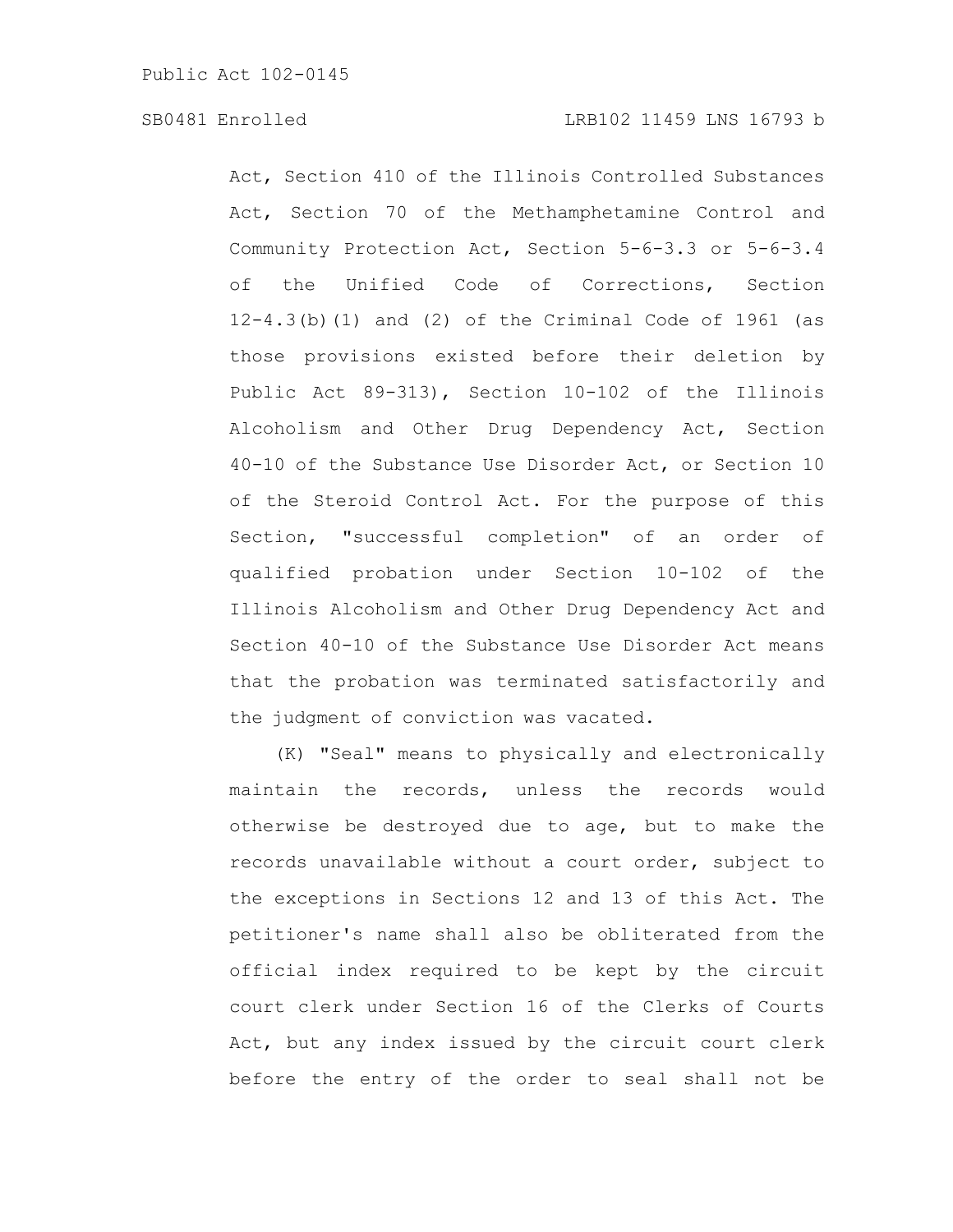Act, Section 410 of the Illinois Controlled Substances Act, Section 70 of the Methamphetamine Control and Community Protection Act, Section 5-6-3.3 or 5-6-3.4 of the Unified Code of Corrections, Section  $12-4.3$  (b)  $(1)$  and  $(2)$  of the Criminal Code of 1961 (as those provisions existed before their deletion by Public Act 89-313), Section 10-102 of the Illinois Alcoholism and Other Drug Dependency Act, Section 40-10 of the Substance Use Disorder Act, or Section 10 of the Steroid Control Act. For the purpose of this Section, "successful completion" of an order of qualified probation under Section 10-102 of the Illinois Alcoholism and Other Drug Dependency Act and Section 40-10 of the Substance Use Disorder Act means that the probation was terminated satisfactorily and the judgment of conviction was vacated.

(K) "Seal" means to physically and electronically maintain the records, unless the records would otherwise be destroyed due to age, but to make the records unavailable without a court order, subject to the exceptions in Sections 12 and 13 of this Act. The petitioner's name shall also be obliterated from the official index required to be kept by the circuit court clerk under Section 16 of the Clerks of Courts Act, but any index issued by the circuit court clerk before the entry of the order to seal shall not be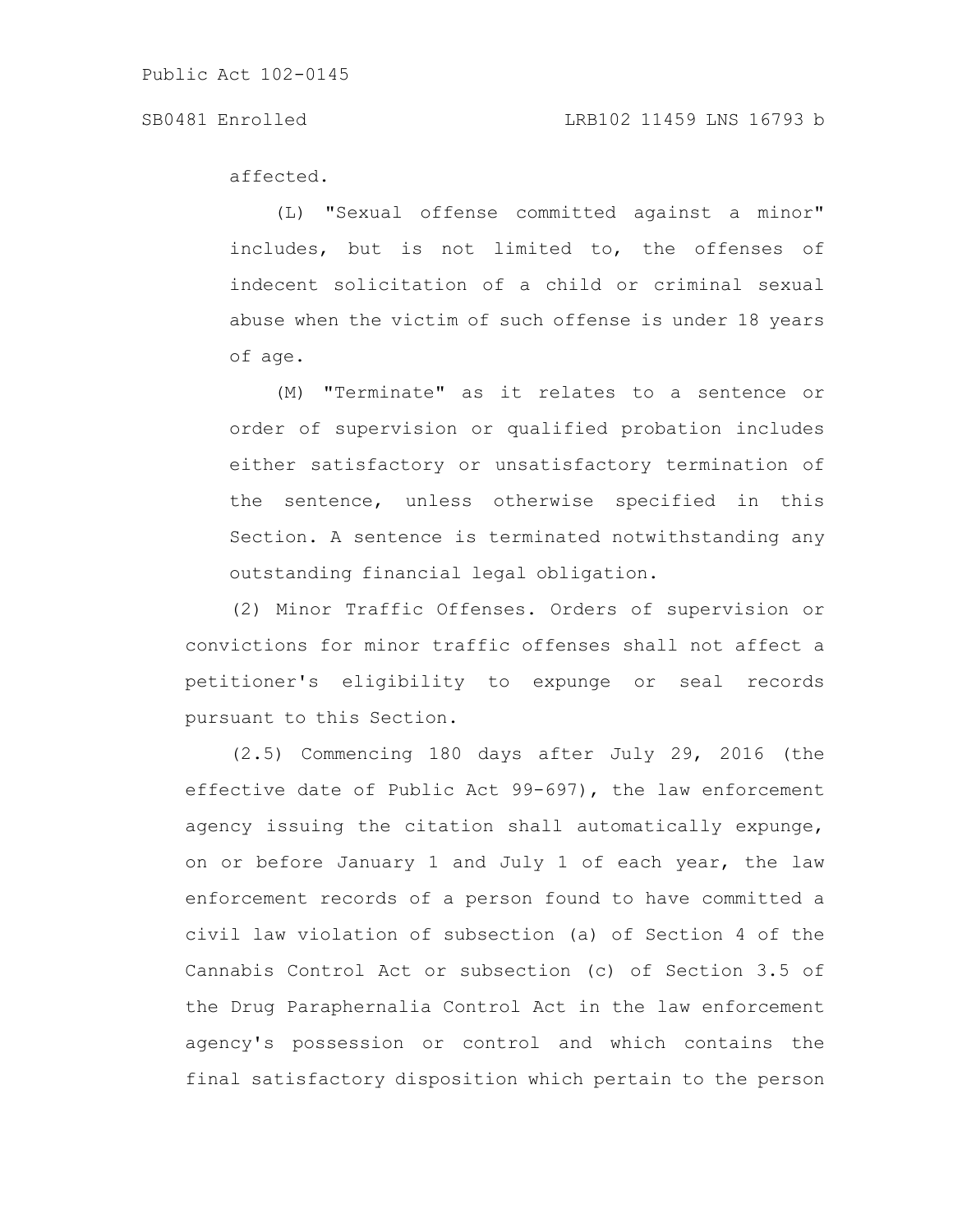affected.

(L) "Sexual offense committed against a minor" includes, but is not limited to, the offenses of indecent solicitation of a child or criminal sexual abuse when the victim of such offense is under 18 years of age.

(M) "Terminate" as it relates to a sentence or order of supervision or qualified probation includes either satisfactory or unsatisfactory termination of the sentence, unless otherwise specified in this Section. A sentence is terminated notwithstanding any outstanding financial legal obligation.

(2) Minor Traffic Offenses. Orders of supervision or convictions for minor traffic offenses shall not affect a petitioner's eligibility to expunge or seal records pursuant to this Section.

(2.5) Commencing 180 days after July 29, 2016 (the effective date of Public Act 99-697), the law enforcement agency issuing the citation shall automatically expunge, on or before January 1 and July 1 of each year, the law enforcement records of a person found to have committed a civil law violation of subsection (a) of Section 4 of the Cannabis Control Act or subsection (c) of Section 3.5 of the Drug Paraphernalia Control Act in the law enforcement agency's possession or control and which contains the final satisfactory disposition which pertain to the person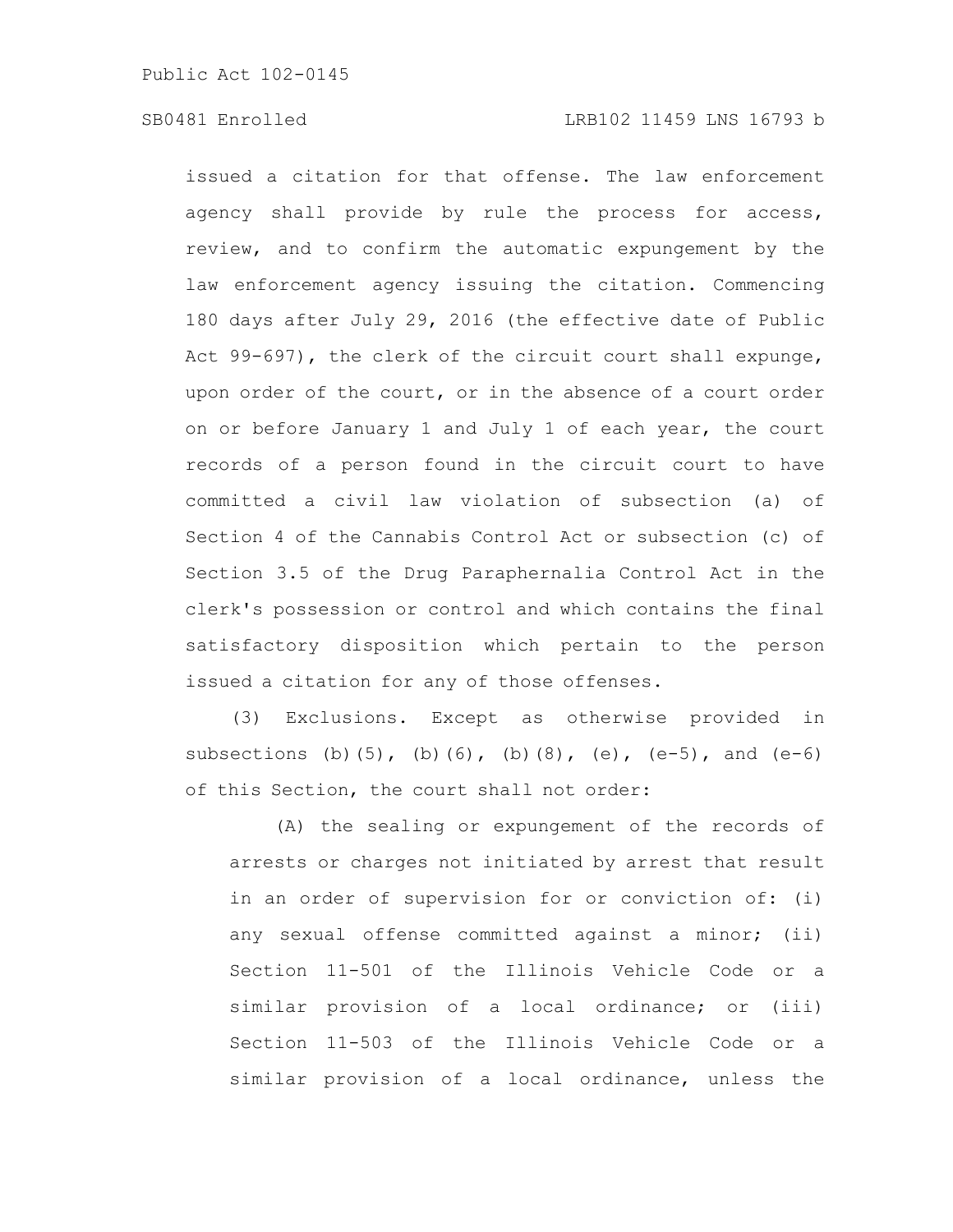issued a citation for that offense. The law enforcement agency shall provide by rule the process for access, review, and to confirm the automatic expungement by the law enforcement agency issuing the citation. Commencing 180 days after July 29, 2016 (the effective date of Public Act 99-697), the clerk of the circuit court shall expunge, upon order of the court, or in the absence of a court order on or before January 1 and July 1 of each year, the court records of a person found in the circuit court to have committed a civil law violation of subsection (a) of Section 4 of the Cannabis Control Act or subsection (c) of Section 3.5 of the Drug Paraphernalia Control Act in the clerk's possession or control and which contains the final satisfactory disposition which pertain to the person issued a citation for any of those offenses.

(3) Exclusions. Except as otherwise provided in subsections (b)(5), (b)(6), (b)(8), (e),  $(e-5)$ , and  $(e-6)$ of this Section, the court shall not order:

(A) the sealing or expungement of the records of arrests or charges not initiated by arrest that result in an order of supervision for or conviction of: (i) any sexual offense committed against a minor; (ii) Section 11-501 of the Illinois Vehicle Code or a similar provision of a local ordinance; or (iii) Section 11-503 of the Illinois Vehicle Code or a similar provision of a local ordinance, unless the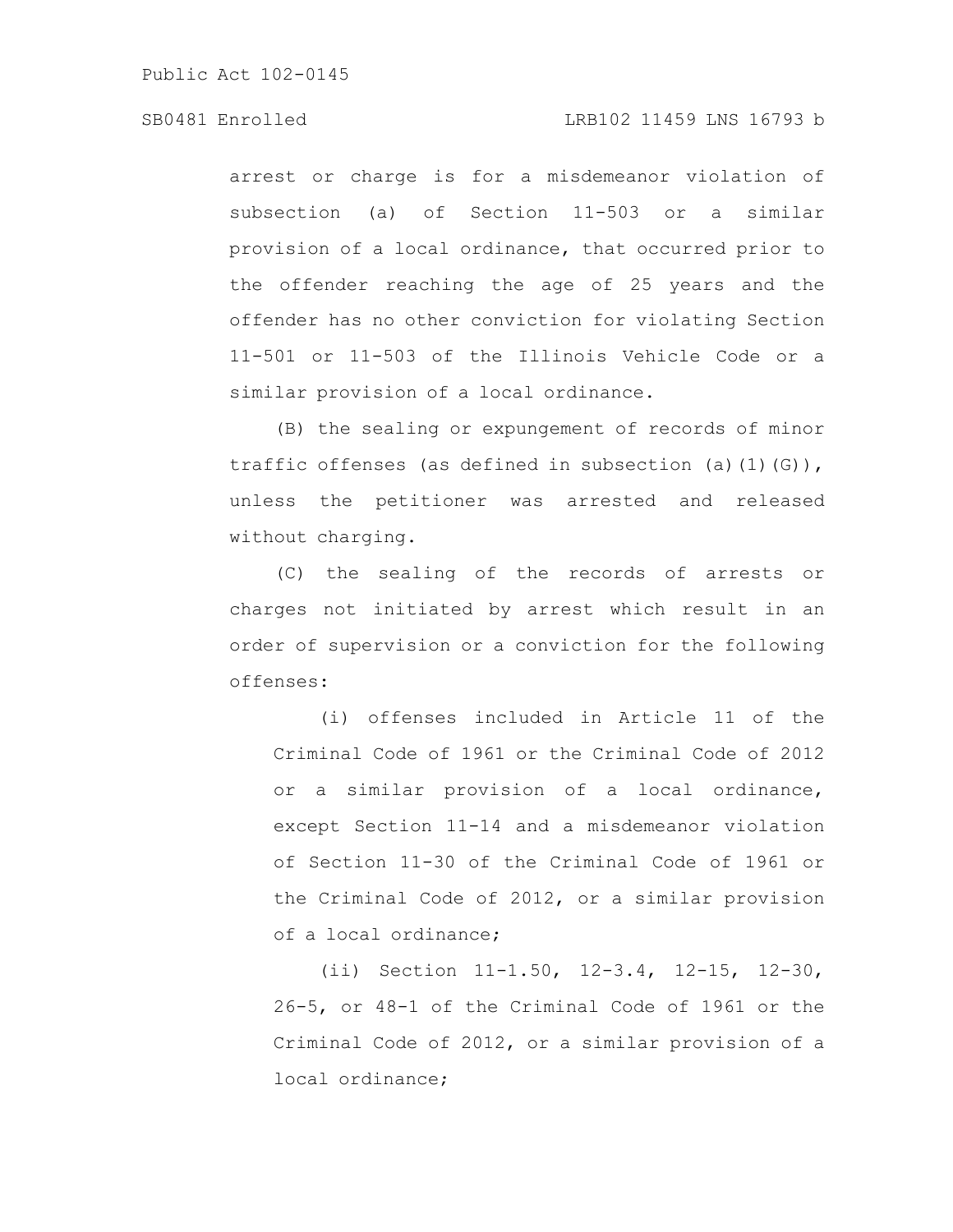arrest or charge is for a misdemeanor violation of subsection (a) of Section 11-503 or a similar provision of a local ordinance, that occurred prior to the offender reaching the age of 25 years and the offender has no other conviction for violating Section 11-501 or 11-503 of the Illinois Vehicle Code or a similar provision of a local ordinance.

(B) the sealing or expungement of records of minor traffic offenses (as defined in subsection (a)(1)(G)), unless the petitioner was arrested and released without charging.

(C) the sealing of the records of arrests or charges not initiated by arrest which result in an order of supervision or a conviction for the following offenses:

(i) offenses included in Article 11 of the Criminal Code of 1961 or the Criminal Code of 2012 or a similar provision of a local ordinance, except Section 11-14 and a misdemeanor violation of Section 11-30 of the Criminal Code of 1961 or the Criminal Code of 2012, or a similar provision of a local ordinance;

(ii) Section 11-1.50, 12-3.4, 12-15, 12-30, 26-5, or 48-1 of the Criminal Code of 1961 or the Criminal Code of 2012, or a similar provision of a local ordinance;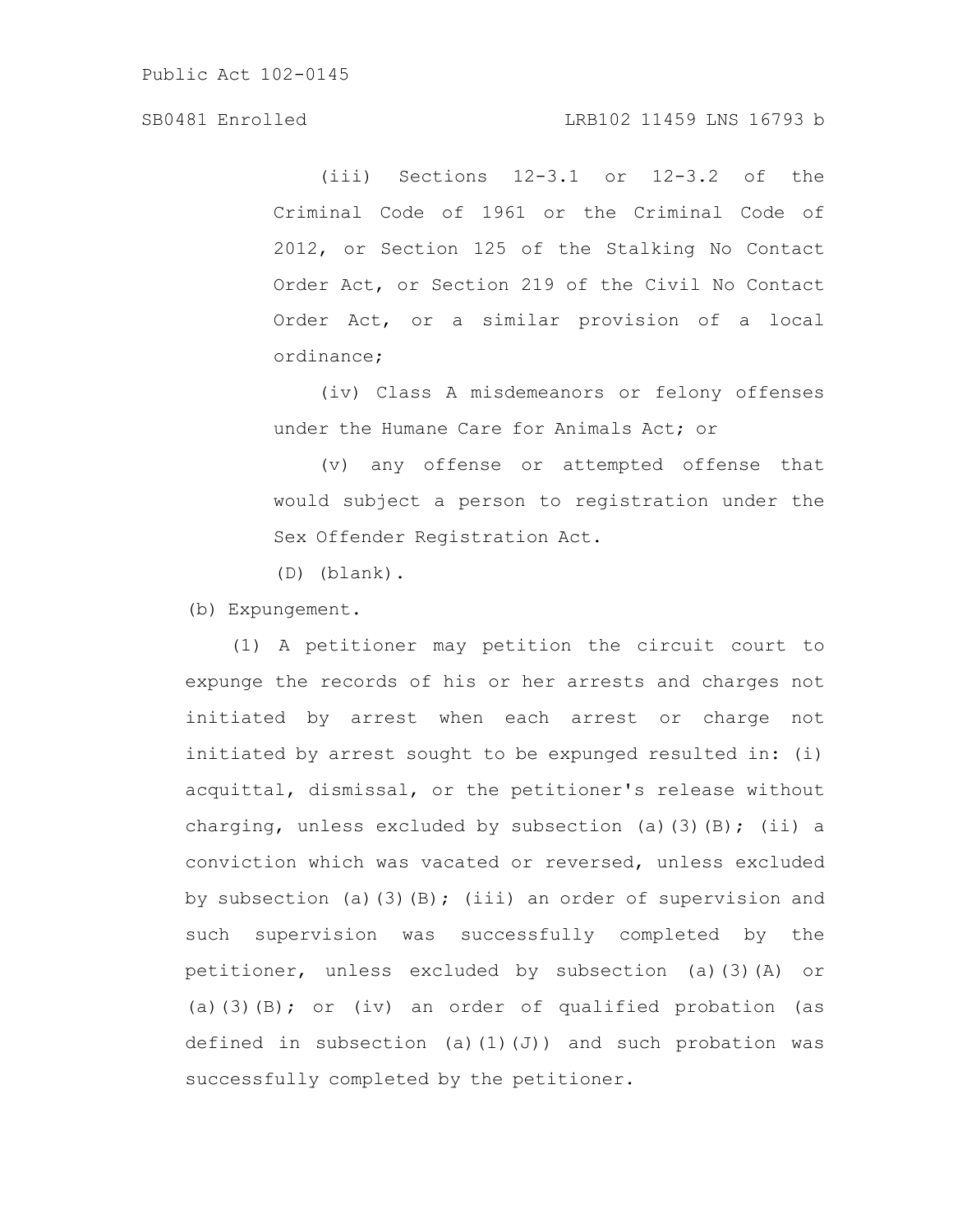(iii) Sections 12-3.1 or 12-3.2 of the Criminal Code of 1961 or the Criminal Code of 2012, or Section 125 of the Stalking No Contact Order Act, or Section 219 of the Civil No Contact Order Act, or a similar provision of a local ordinance;

(iv) Class A misdemeanors or felony offenses under the Humane Care for Animals Act; or

(v) any offense or attempted offense that would subject a person to registration under the Sex Offender Registration Act.

(D) (blank).

(b) Expungement.

(1) A petitioner may petition the circuit court to expunge the records of his or her arrests and charges not initiated by arrest when each arrest or charge not initiated by arrest sought to be expunged resulted in: (i) acquittal, dismissal, or the petitioner's release without charging, unless excluded by subsection (a)(3)(B); (ii) a conviction which was vacated or reversed, unless excluded by subsection (a)(3)(B); (iii) an order of supervision and such supervision was successfully completed by the petitioner, unless excluded by subsection (a)(3)(A) or (a)(3)(B); or (iv) an order of qualified probation (as defined in subsection (a)(1)(J)) and such probation was successfully completed by the petitioner.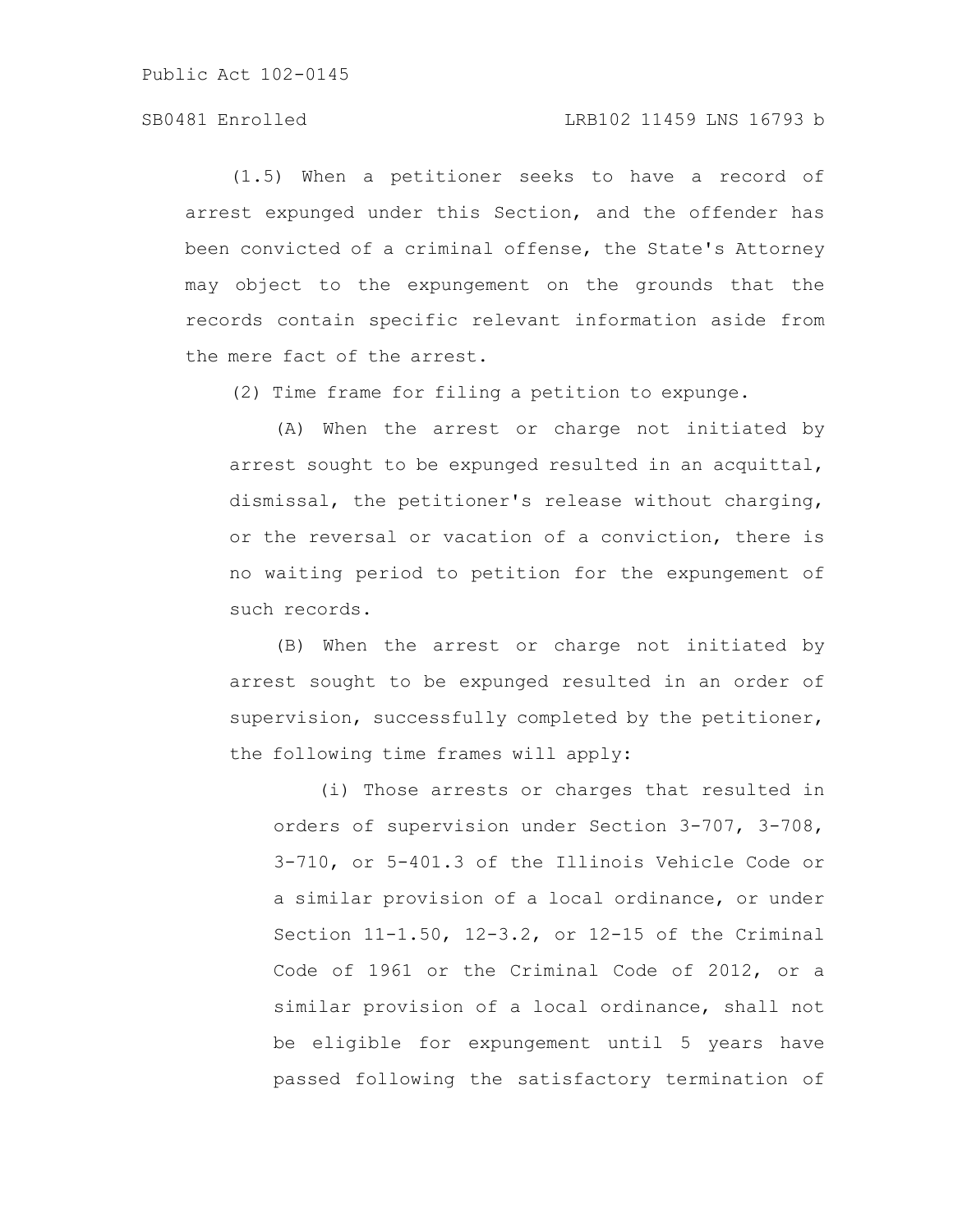### SB0481 Enrolled LRB102 11459 LNS 16793 b

(1.5) When a petitioner seeks to have a record of arrest expunged under this Section, and the offender has been convicted of a criminal offense, the State's Attorney may object to the expungement on the grounds that the records contain specific relevant information aside from the mere fact of the arrest.

(2) Time frame for filing a petition to expunge.

(A) When the arrest or charge not initiated by arrest sought to be expunged resulted in an acquittal, dismissal, the petitioner's release without charging, or the reversal or vacation of a conviction, there is no waiting period to petition for the expungement of such records.

(B) When the arrest or charge not initiated by arrest sought to be expunged resulted in an order of supervision, successfully completed by the petitioner, the following time frames will apply:

(i) Those arrests or charges that resulted in orders of supervision under Section 3-707, 3-708, 3-710, or 5-401.3 of the Illinois Vehicle Code or a similar provision of a local ordinance, or under Section 11-1.50, 12-3.2, or 12-15 of the Criminal Code of 1961 or the Criminal Code of 2012, or a similar provision of a local ordinance, shall not be eligible for expungement until 5 years have passed following the satisfactory termination of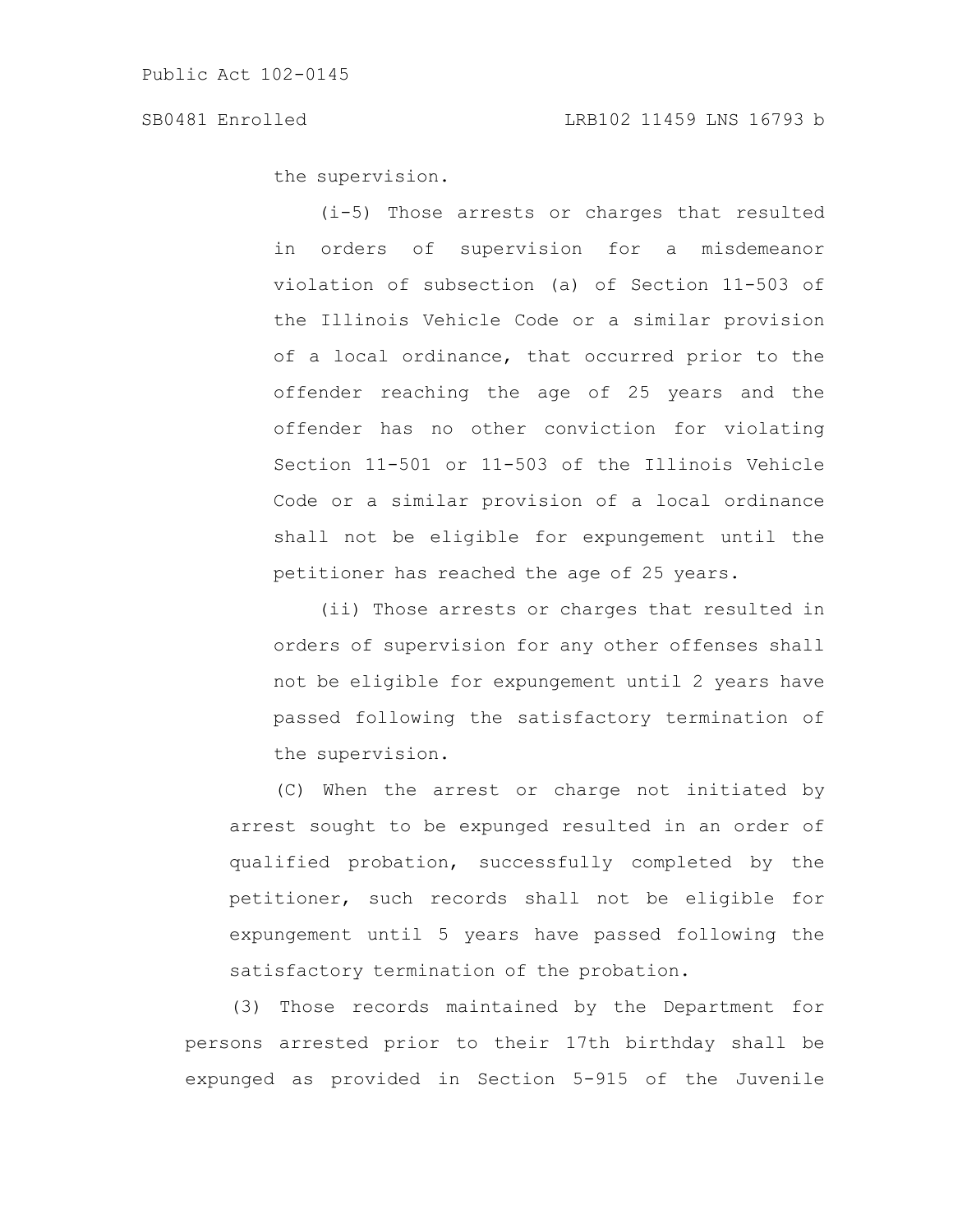the supervision.

(i-5) Those arrests or charges that resulted in orders of supervision for a misdemeanor violation of subsection (a) of Section 11-503 of the Illinois Vehicle Code or a similar provision of a local ordinance, that occurred prior to the offender reaching the age of 25 years and the offender has no other conviction for violating Section 11-501 or 11-503 of the Illinois Vehicle Code or a similar provision of a local ordinance shall not be eligible for expungement until the petitioner has reached the age of 25 years.

(ii) Those arrests or charges that resulted in orders of supervision for any other offenses shall not be eligible for expungement until 2 years have passed following the satisfactory termination of the supervision.

(C) When the arrest or charge not initiated by arrest sought to be expunged resulted in an order of qualified probation, successfully completed by the petitioner, such records shall not be eligible for expungement until 5 years have passed following the satisfactory termination of the probation.

(3) Those records maintained by the Department for persons arrested prior to their 17th birthday shall be expunged as provided in Section 5-915 of the Juvenile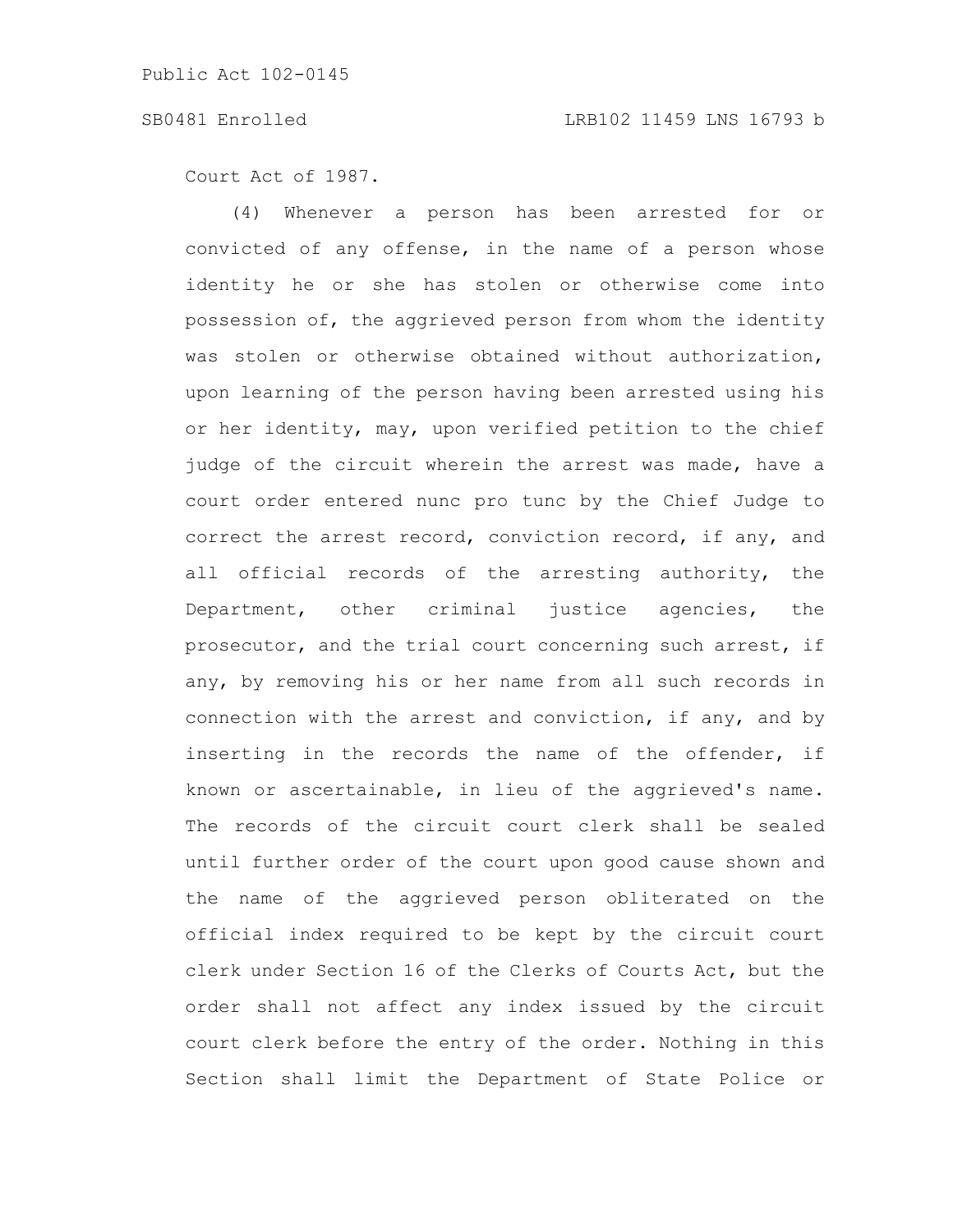Court Act of 1987.

(4) Whenever a person has been arrested for or convicted of any offense, in the name of a person whose identity he or she has stolen or otherwise come into possession of, the aggrieved person from whom the identity was stolen or otherwise obtained without authorization, upon learning of the person having been arrested using his or her identity, may, upon verified petition to the chief judge of the circuit wherein the arrest was made, have a court order entered nunc pro tunc by the Chief Judge to correct the arrest record, conviction record, if any, and all official records of the arresting authority, the Department, other criminal justice agencies, the prosecutor, and the trial court concerning such arrest, if any, by removing his or her name from all such records in connection with the arrest and conviction, if any, and by inserting in the records the name of the offender, if known or ascertainable, in lieu of the aggrieved's name. The records of the circuit court clerk shall be sealed until further order of the court upon good cause shown and the name of the aggrieved person obliterated on the official index required to be kept by the circuit court clerk under Section 16 of the Clerks of Courts Act, but the order shall not affect any index issued by the circuit court clerk before the entry of the order. Nothing in this Section shall limit the Department of State Police or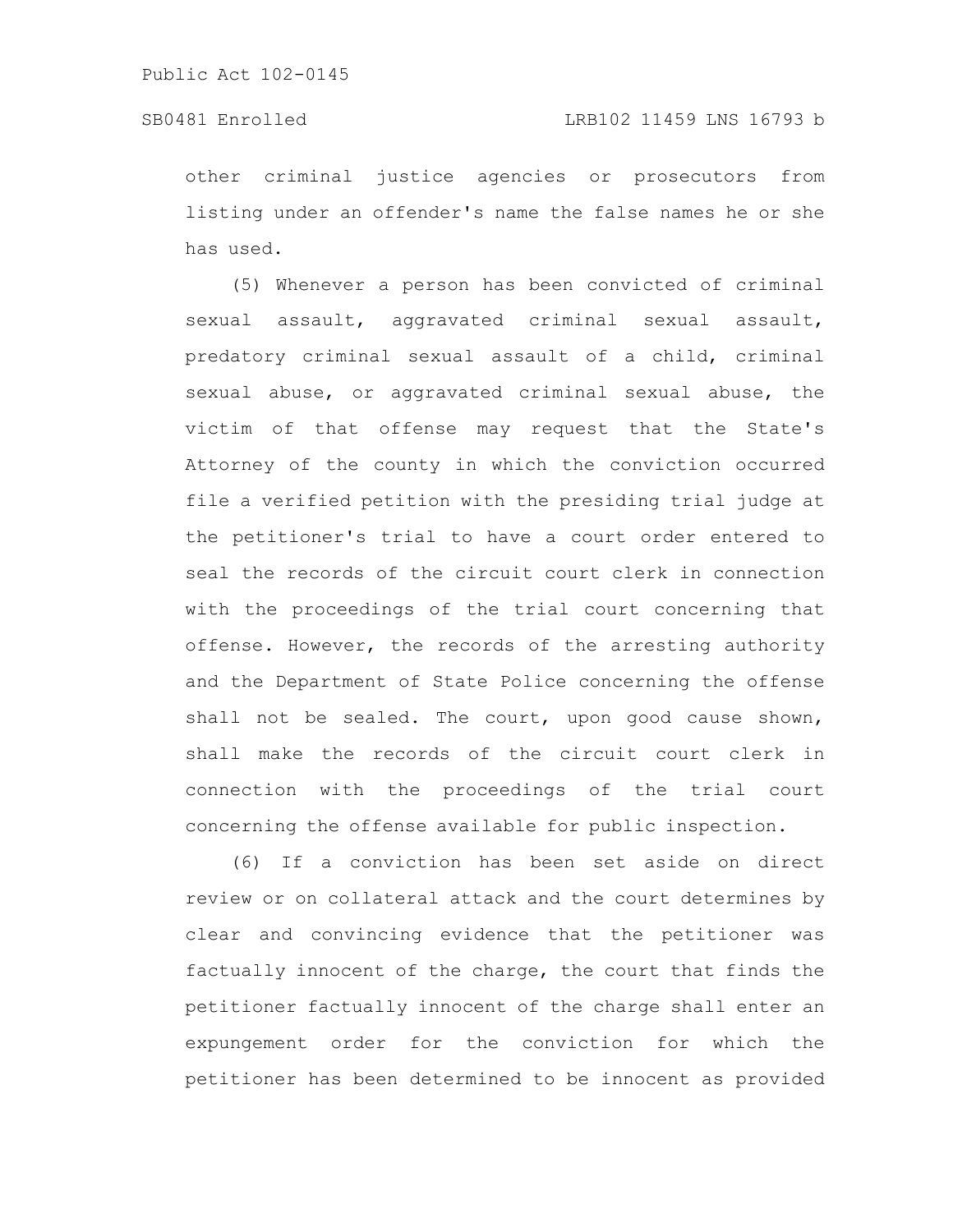other criminal justice agencies or prosecutors from listing under an offender's name the false names he or she has used.

(5) Whenever a person has been convicted of criminal sexual assault, aggravated criminal sexual assault, predatory criminal sexual assault of a child, criminal sexual abuse, or aggravated criminal sexual abuse, the victim of that offense may request that the State's Attorney of the county in which the conviction occurred file a verified petition with the presiding trial judge at the petitioner's trial to have a court order entered to seal the records of the circuit court clerk in connection with the proceedings of the trial court concerning that offense. However, the records of the arresting authority and the Department of State Police concerning the offense shall not be sealed. The court, upon good cause shown, shall make the records of the circuit court clerk in connection with the proceedings of the trial court concerning the offense available for public inspection.

(6) If a conviction has been set aside on direct review or on collateral attack and the court determines by clear and convincing evidence that the petitioner was factually innocent of the charge, the court that finds the petitioner factually innocent of the charge shall enter an expungement order for the conviction for which the petitioner has been determined to be innocent as provided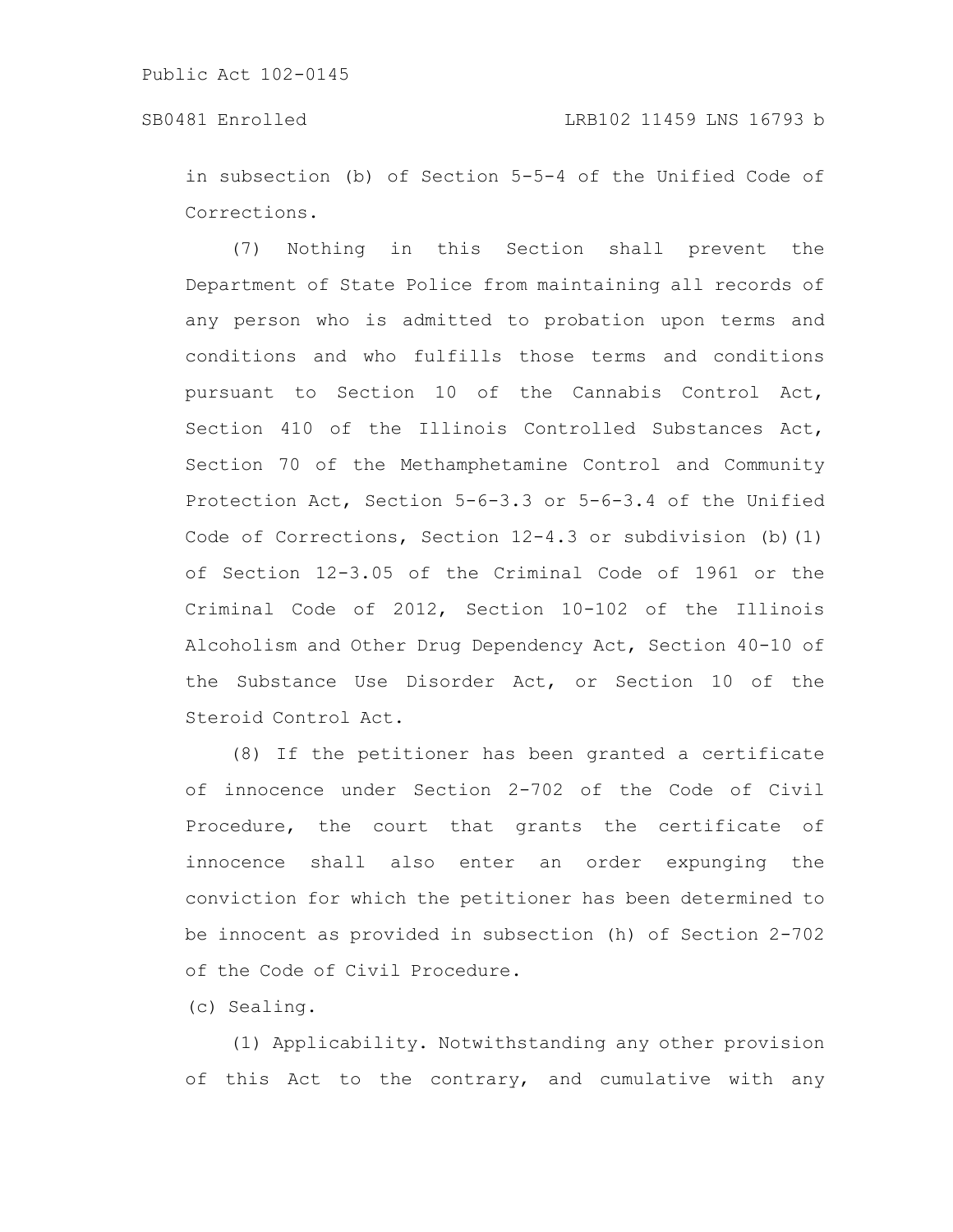in subsection (b) of Section 5-5-4 of the Unified Code of Corrections.

(7) Nothing in this Section shall prevent the Department of State Police from maintaining all records of any person who is admitted to probation upon terms and conditions and who fulfills those terms and conditions pursuant to Section 10 of the Cannabis Control Act, Section 410 of the Illinois Controlled Substances Act, Section 70 of the Methamphetamine Control and Community Protection Act, Section 5-6-3.3 or 5-6-3.4 of the Unified Code of Corrections, Section 12-4.3 or subdivision (b)(1) of Section 12-3.05 of the Criminal Code of 1961 or the Criminal Code of 2012, Section 10-102 of the Illinois Alcoholism and Other Drug Dependency Act, Section 40-10 of the Substance Use Disorder Act, or Section 10 of the Steroid Control Act.

(8) If the petitioner has been granted a certificate of innocence under Section 2-702 of the Code of Civil Procedure, the court that grants the certificate of innocence shall also enter an order expunging the conviction for which the petitioner has been determined to be innocent as provided in subsection (h) of Section 2-702 of the Code of Civil Procedure.

(c) Sealing.

(1) Applicability. Notwithstanding any other provision of this Act to the contrary, and cumulative with any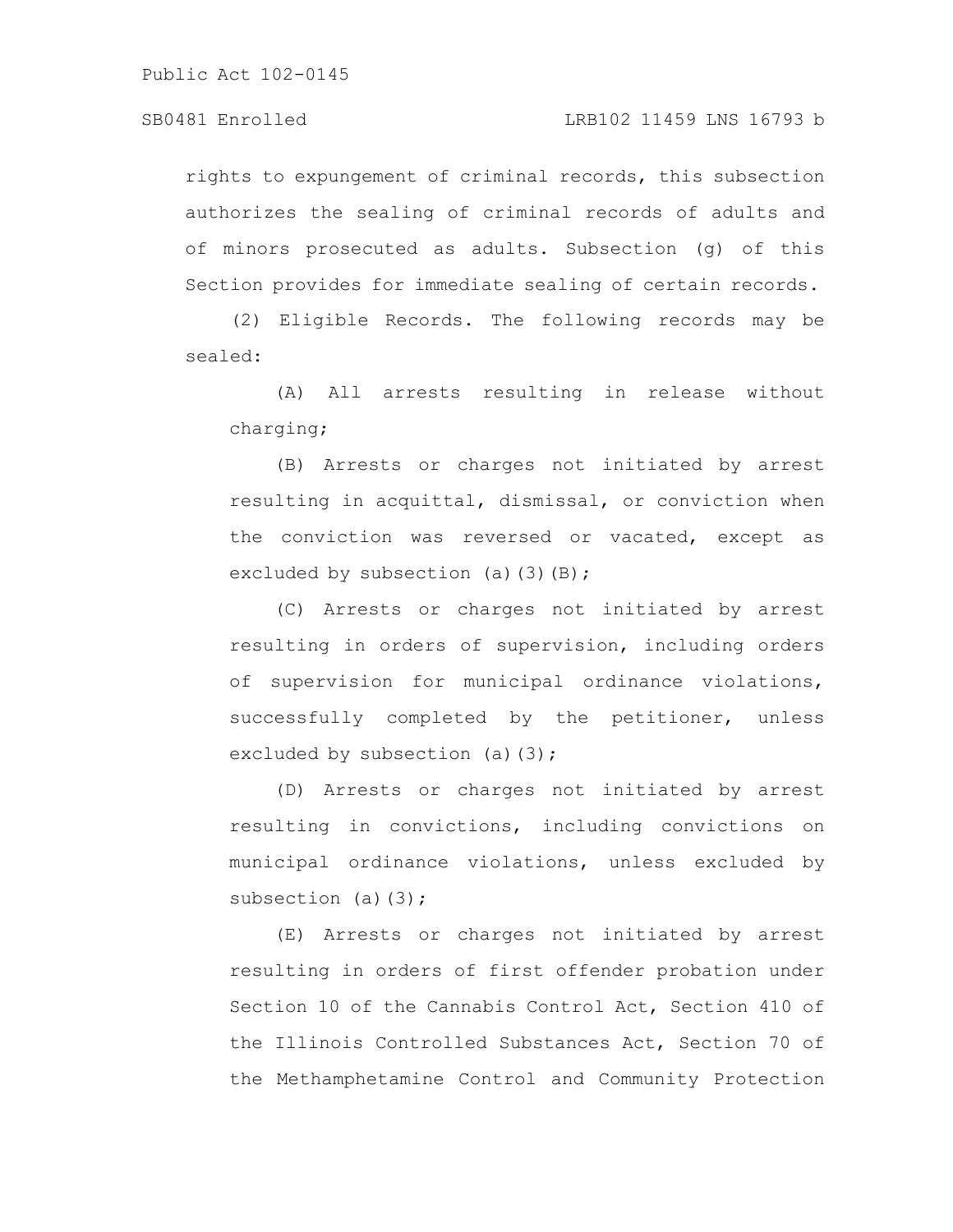# SB0481 Enrolled LRB102 11459 LNS 16793 b

rights to expungement of criminal records, this subsection authorizes the sealing of criminal records of adults and of minors prosecuted as adults. Subsection (g) of this Section provides for immediate sealing of certain records.

(2) Eligible Records. The following records may be sealed:

(A) All arrests resulting in release without charging;

(B) Arrests or charges not initiated by arrest resulting in acquittal, dismissal, or conviction when the conviction was reversed or vacated, except as excluded by subsection (a)(3)(B);

(C) Arrests or charges not initiated by arrest resulting in orders of supervision, including orders of supervision for municipal ordinance violations, successfully completed by the petitioner, unless excluded by subsection (a)(3);

(D) Arrests or charges not initiated by arrest resulting in convictions, including convictions on municipal ordinance violations, unless excluded by subsection (a) $(3)$ ;

(E) Arrests or charges not initiated by arrest resulting in orders of first offender probation under Section 10 of the Cannabis Control Act, Section 410 of the Illinois Controlled Substances Act, Section 70 of the Methamphetamine Control and Community Protection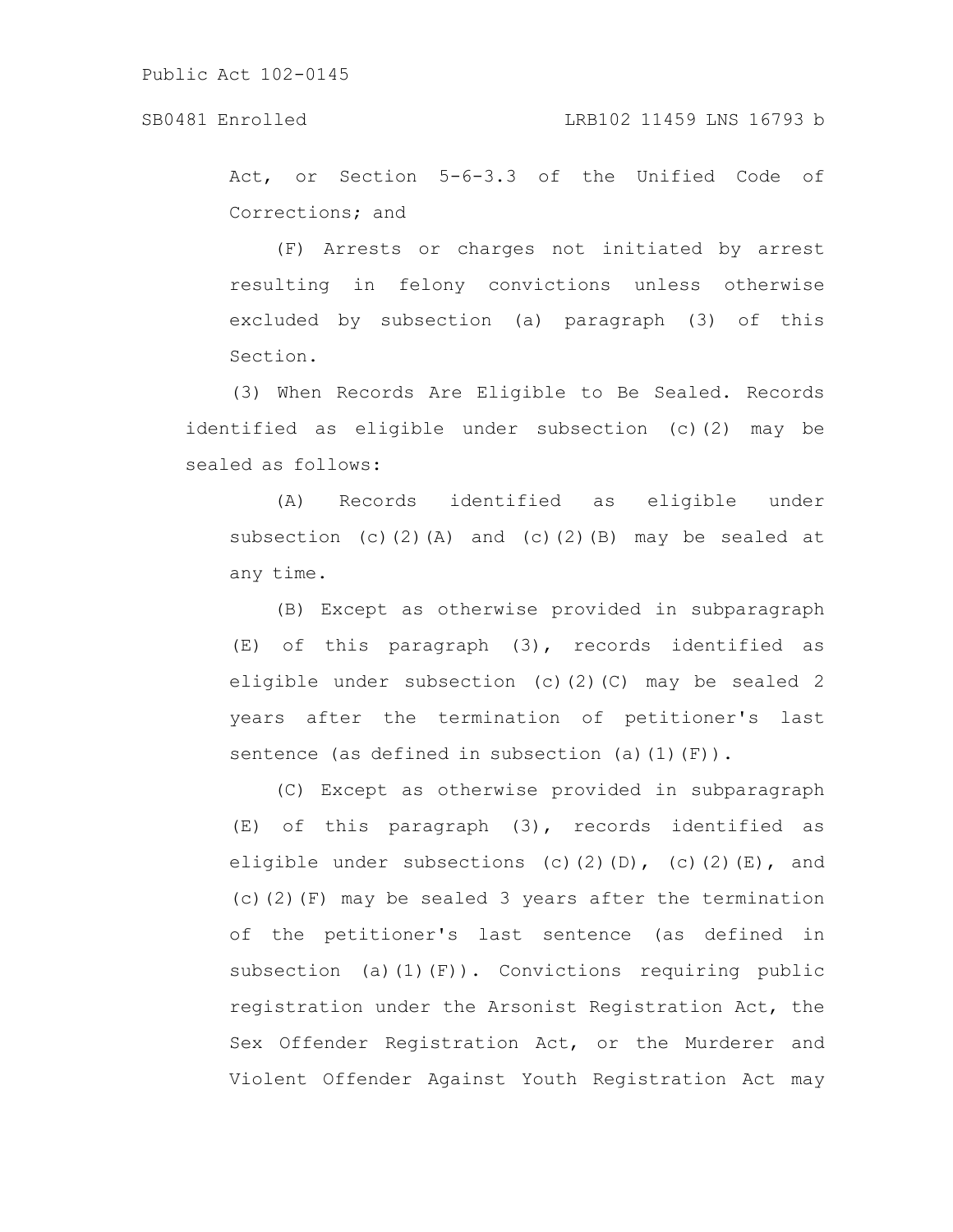Act, or Section 5-6-3.3 of the Unified Code of Corrections; and

(F) Arrests or charges not initiated by arrest resulting in felony convictions unless otherwise excluded by subsection (a) paragraph (3) of this Section.

(3) When Records Are Eligible to Be Sealed. Records identified as eligible under subsection (c)(2) may be sealed as follows:

(A) Records identified as eligible under subsection (c)(2)(A) and (c)(2)(B) may be sealed at any time.

(B) Except as otherwise provided in subparagraph (E) of this paragraph (3), records identified as eligible under subsection (c)(2)(C) may be sealed 2 years after the termination of petitioner's last sentence (as defined in subsection (a) $(1)(F)$ ).

(C) Except as otherwise provided in subparagraph (E) of this paragraph (3), records identified as eligible under subsections (c)(2)(D), (c)(2)(E), and (c)(2)(F) may be sealed 3 years after the termination of the petitioner's last sentence (as defined in subsection (a)(1)(F)). Convictions requiring public registration under the Arsonist Registration Act, the Sex Offender Registration Act, or the Murderer and Violent Offender Against Youth Registration Act may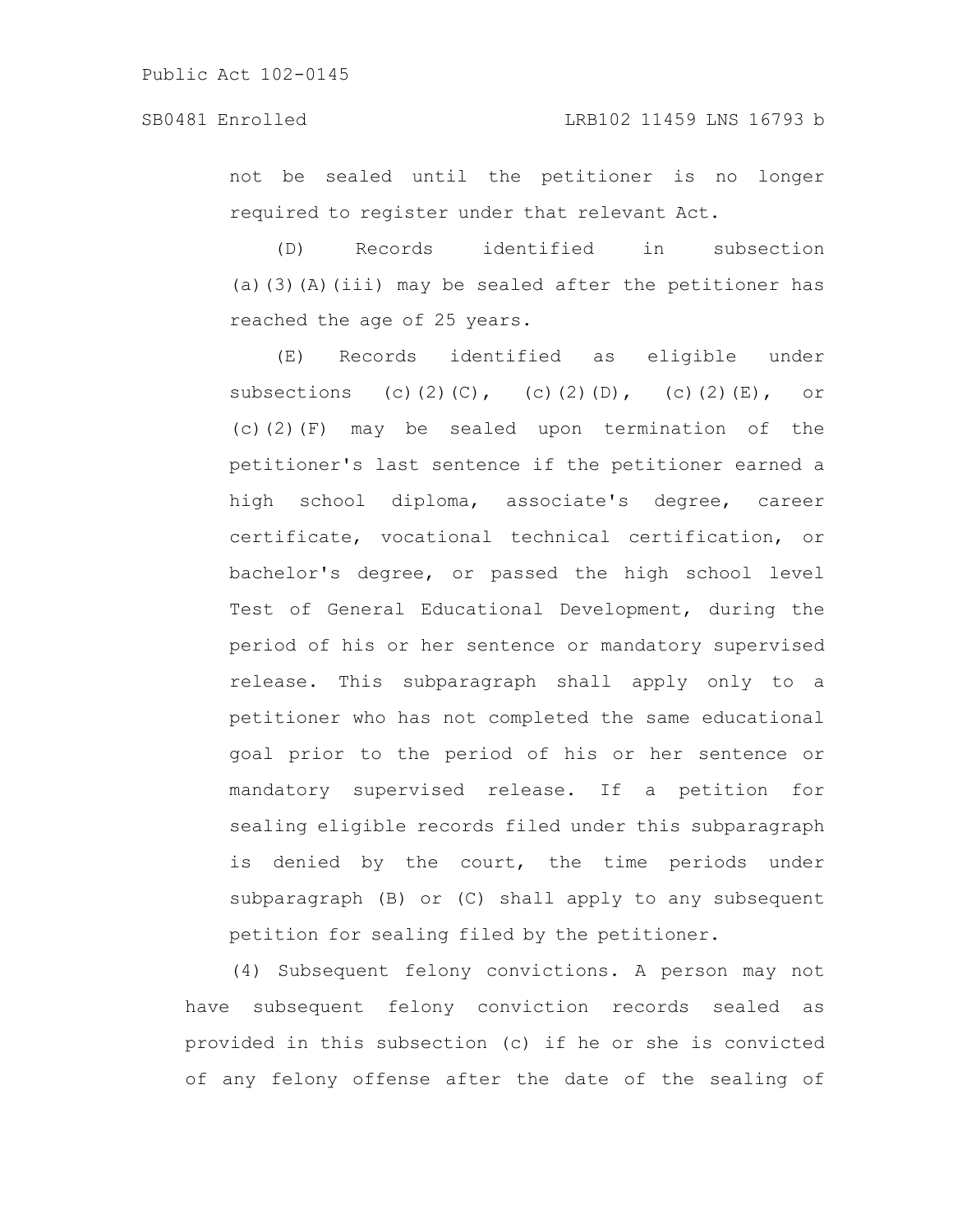not be sealed until the petitioner is no longer required to register under that relevant Act.

(D) Records identified in subsection (a)(3)(A)(iii) may be sealed after the petitioner has reached the age of 25 years.

(E) Records identified as eligible under subsections (c)(2)(C), (c)(2)(D), (c)(2)(E), or (c)(2)(F) may be sealed upon termination of the petitioner's last sentence if the petitioner earned a high school diploma, associate's degree, career certificate, vocational technical certification, or bachelor's degree, or passed the high school level Test of General Educational Development, during the period of his or her sentence or mandatory supervised release. This subparagraph shall apply only to a petitioner who has not completed the same educational goal prior to the period of his or her sentence or mandatory supervised release. If a petition for sealing eligible records filed under this subparagraph is denied by the court, the time periods under subparagraph (B) or (C) shall apply to any subsequent petition for sealing filed by the petitioner.

(4) Subsequent felony convictions. A person may not have subsequent felony conviction records sealed as provided in this subsection (c) if he or she is convicted of any felony offense after the date of the sealing of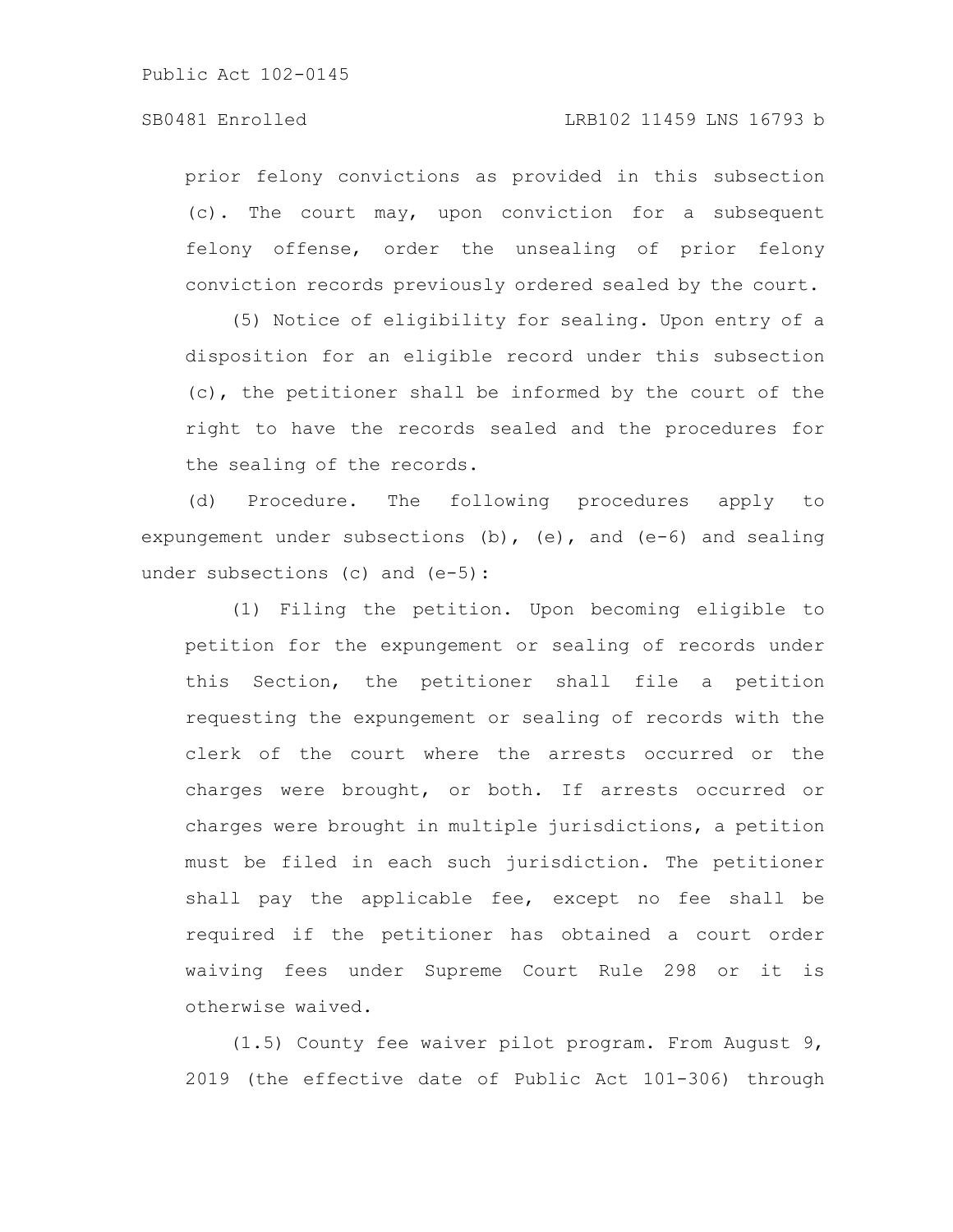# SB0481 Enrolled LRB102 11459 LNS 16793 b

prior felony convictions as provided in this subsection (c). The court may, upon conviction for a subsequent felony offense, order the unsealing of prior felony conviction records previously ordered sealed by the court.

(5) Notice of eligibility for sealing. Upon entry of a disposition for an eligible record under this subsection (c), the petitioner shall be informed by the court of the right to have the records sealed and the procedures for the sealing of the records.

(d) Procedure. The following procedures apply to expungement under subsections (b), (e), and (e-6) and sealing under subsections (c) and (e-5):

(1) Filing the petition. Upon becoming eligible to petition for the expungement or sealing of records under this Section, the petitioner shall file a petition requesting the expungement or sealing of records with the clerk of the court where the arrests occurred or the charges were brought, or both. If arrests occurred or charges were brought in multiple jurisdictions, a petition must be filed in each such jurisdiction. The petitioner shall pay the applicable fee, except no fee shall be required if the petitioner has obtained a court order waiving fees under Supreme Court Rule 298 or it is otherwise waived.

(1.5) County fee waiver pilot program. From August 9, 2019 (the effective date of Public Act 101-306) through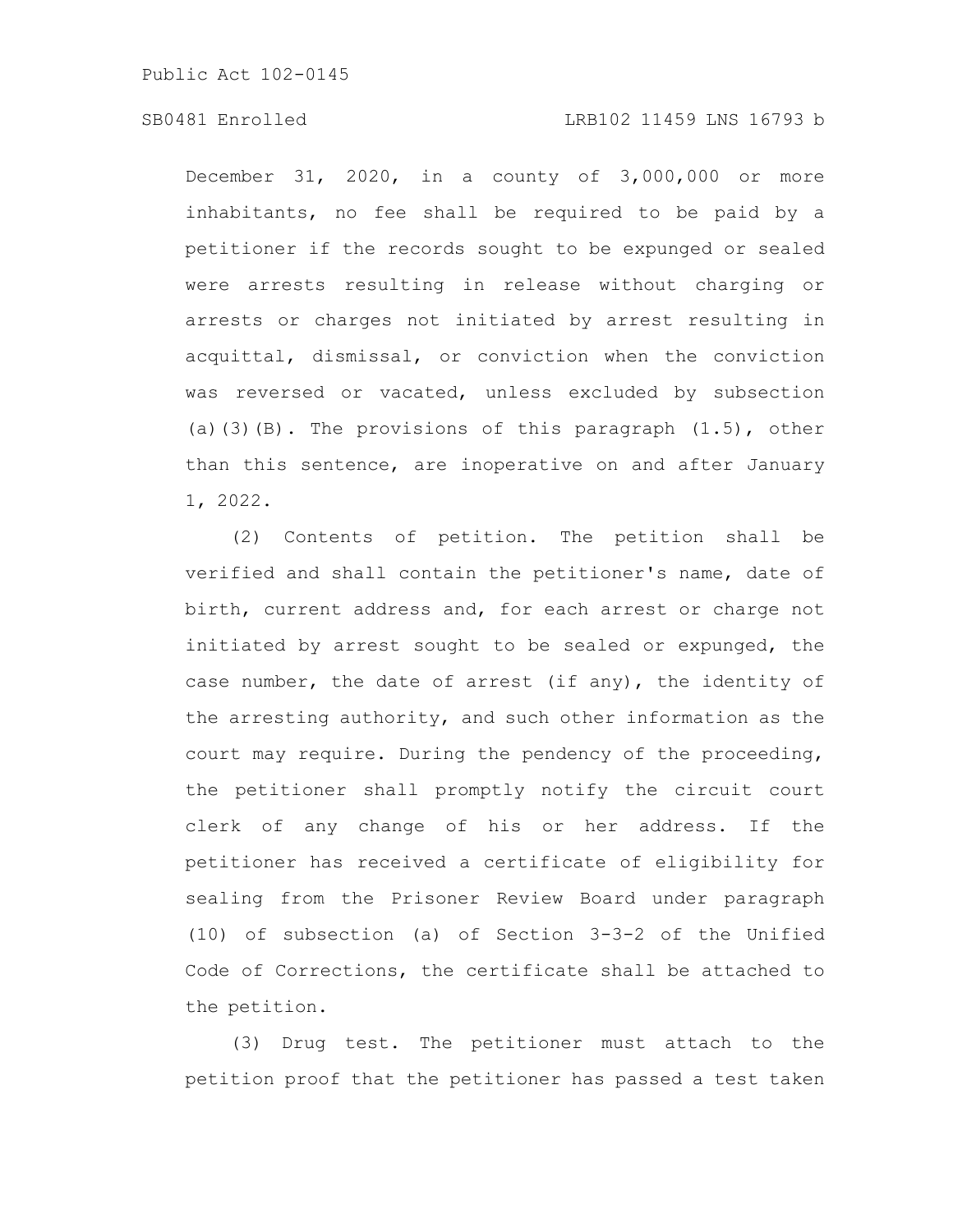# SB0481 Enrolled LRB102 11459 LNS 16793 b

December 31, 2020, in a county of 3,000,000 or more inhabitants, no fee shall be required to be paid by a petitioner if the records sought to be expunged or sealed were arrests resulting in release without charging or arrests or charges not initiated by arrest resulting in acquittal, dismissal, or conviction when the conviction was reversed or vacated, unless excluded by subsection (a)(3)(B). The provisions of this paragraph  $(1.5)$ , other than this sentence, are inoperative on and after January 1, 2022.

(2) Contents of petition. The petition shall be verified and shall contain the petitioner's name, date of birth, current address and, for each arrest or charge not initiated by arrest sought to be sealed or expunged, the case number, the date of arrest (if any), the identity of the arresting authority, and such other information as the court may require. During the pendency of the proceeding, the petitioner shall promptly notify the circuit court clerk of any change of his or her address. If the petitioner has received a certificate of eligibility for sealing from the Prisoner Review Board under paragraph (10) of subsection (a) of Section 3-3-2 of the Unified Code of Corrections, the certificate shall be attached to the petition.

(3) Drug test. The petitioner must attach to the petition proof that the petitioner has passed a test taken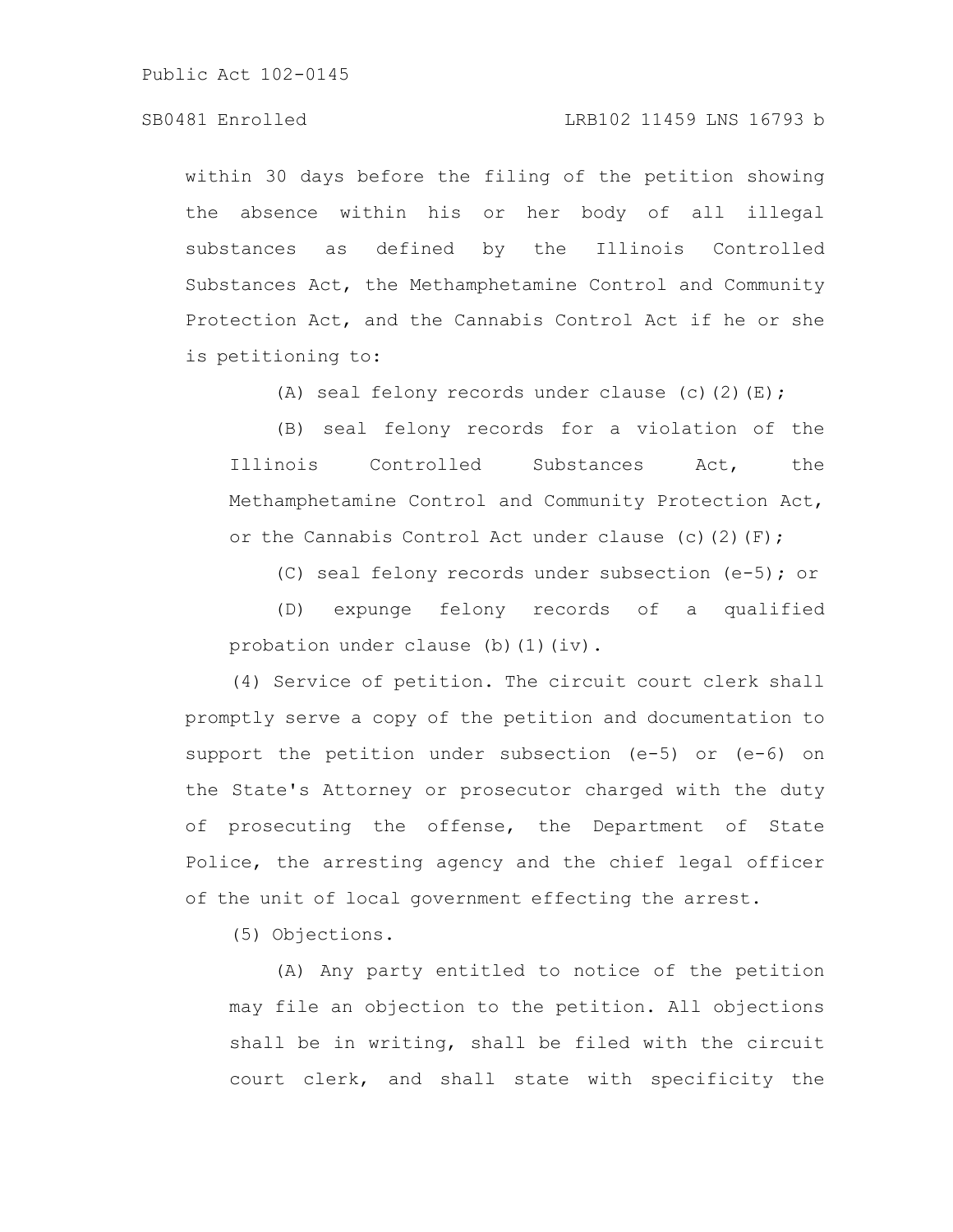within 30 days before the filing of the petition showing the absence within his or her body of all illegal substances as defined by the Illinois Controlled Substances Act, the Methamphetamine Control and Community Protection Act, and the Cannabis Control Act if he or she is petitioning to:

(A) seal felony records under clause (c)(2)(E);

(B) seal felony records for a violation of the Illinois Controlled Substances Act, the Methamphetamine Control and Community Protection Act, or the Cannabis Control Act under clause (c)(2)(F);

(C) seal felony records under subsection (e-5); or

(D) expunge felony records of a qualified probation under clause (b)(1)(iv).

(4) Service of petition. The circuit court clerk shall promptly serve a copy of the petition and documentation to support the petition under subsection (e-5) or (e-6) on the State's Attorney or prosecutor charged with the duty of prosecuting the offense, the Department of State Police, the arresting agency and the chief legal officer of the unit of local government effecting the arrest.

(5) Objections.

(A) Any party entitled to notice of the petition may file an objection to the petition. All objections shall be in writing, shall be filed with the circuit court clerk, and shall state with specificity the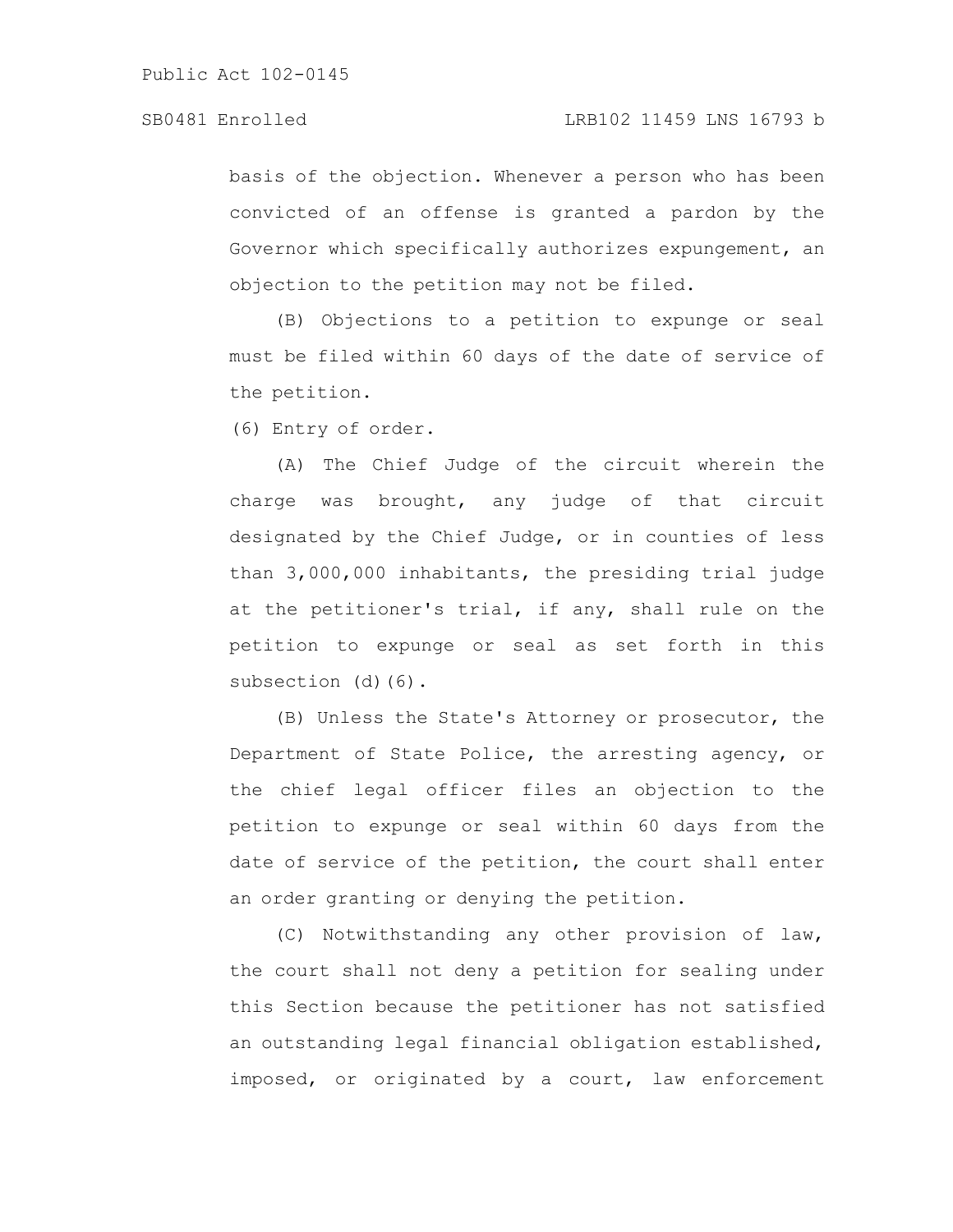basis of the objection. Whenever a person who has been convicted of an offense is granted a pardon by the Governor which specifically authorizes expungement, an objection to the petition may not be filed.

(B) Objections to a petition to expunge or seal must be filed within 60 days of the date of service of the petition.

(6) Entry of order.

(A) The Chief Judge of the circuit wherein the charge was brought, any judge of that circuit designated by the Chief Judge, or in counties of less than 3,000,000 inhabitants, the presiding trial judge at the petitioner's trial, if any, shall rule on the petition to expunge or seal as set forth in this subsection (d)(6).

(B) Unless the State's Attorney or prosecutor, the Department of State Police, the arresting agency, or the chief legal officer files an objection to the petition to expunge or seal within 60 days from the date of service of the petition, the court shall enter an order granting or denying the petition.

(C) Notwithstanding any other provision of law, the court shall not deny a petition for sealing under this Section because the petitioner has not satisfied an outstanding legal financial obligation established, imposed, or originated by a court, law enforcement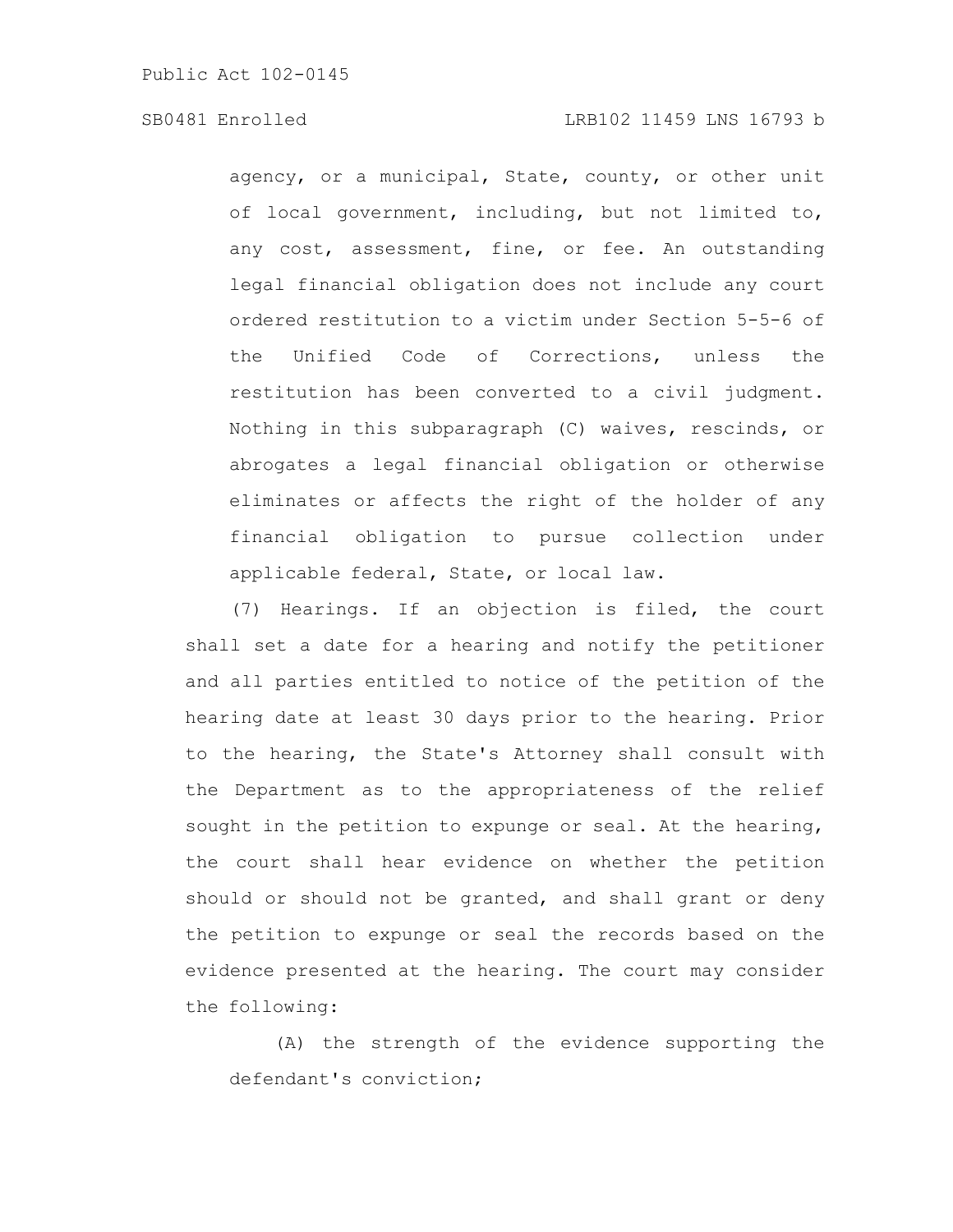agency, or a municipal, State, county, or other unit of local government, including, but not limited to, any cost, assessment, fine, or fee. An outstanding legal financial obligation does not include any court ordered restitution to a victim under Section 5-5-6 of the Unified Code of Corrections, unless the restitution has been converted to a civil judgment. Nothing in this subparagraph (C) waives, rescinds, or abrogates a legal financial obligation or otherwise eliminates or affects the right of the holder of any financial obligation to pursue collection under applicable federal, State, or local law.

(7) Hearings. If an objection is filed, the court shall set a date for a hearing and notify the petitioner and all parties entitled to notice of the petition of the hearing date at least 30 days prior to the hearing. Prior to the hearing, the State's Attorney shall consult with the Department as to the appropriateness of the relief sought in the petition to expunge or seal. At the hearing, the court shall hear evidence on whether the petition should or should not be granted, and shall grant or deny the petition to expunge or seal the records based on the evidence presented at the hearing. The court may consider the following:

(A) the strength of the evidence supporting the defendant's conviction;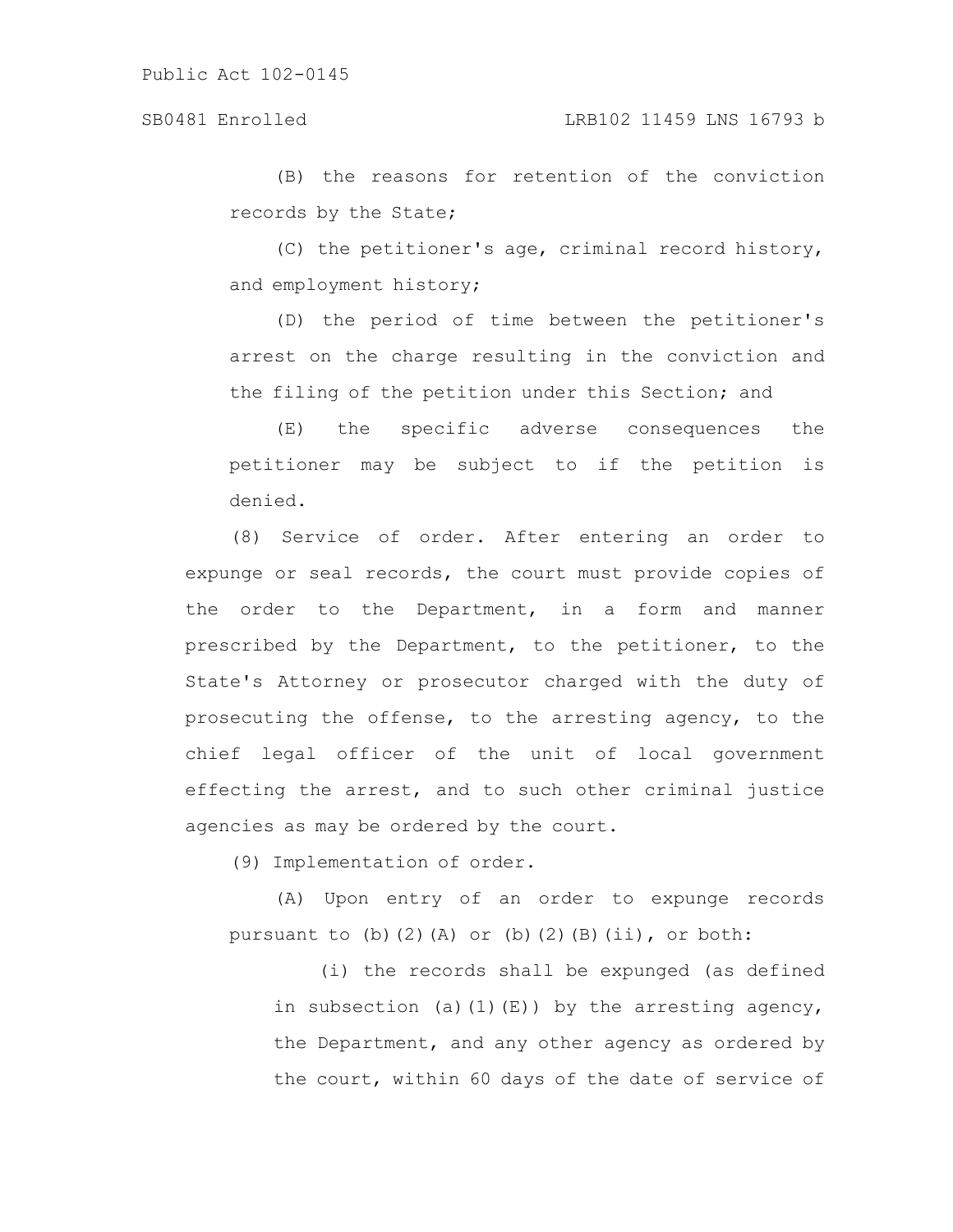(B) the reasons for retention of the conviction records by the State;

(C) the petitioner's age, criminal record history, and employment history;

(D) the period of time between the petitioner's arrest on the charge resulting in the conviction and the filing of the petition under this Section; and

(E) the specific adverse consequences the petitioner may be subject to if the petition is denied.

(8) Service of order. After entering an order to expunge or seal records, the court must provide copies of the order to the Department, in a form and manner prescribed by the Department, to the petitioner, to the State's Attorney or prosecutor charged with the duty of prosecuting the offense, to the arresting agency, to the chief legal officer of the unit of local government effecting the arrest, and to such other criminal justice agencies as may be ordered by the court.

(9) Implementation of order.

(A) Upon entry of an order to expunge records pursuant to  $(b)$   $(2)$   $(A)$  or  $(b)$   $(2)$   $(B)$   $(ii)$ , or both:

(i) the records shall be expunged (as defined in subsection (a)(1)(E)) by the arresting agency, the Department, and any other agency as ordered by the court, within 60 days of the date of service of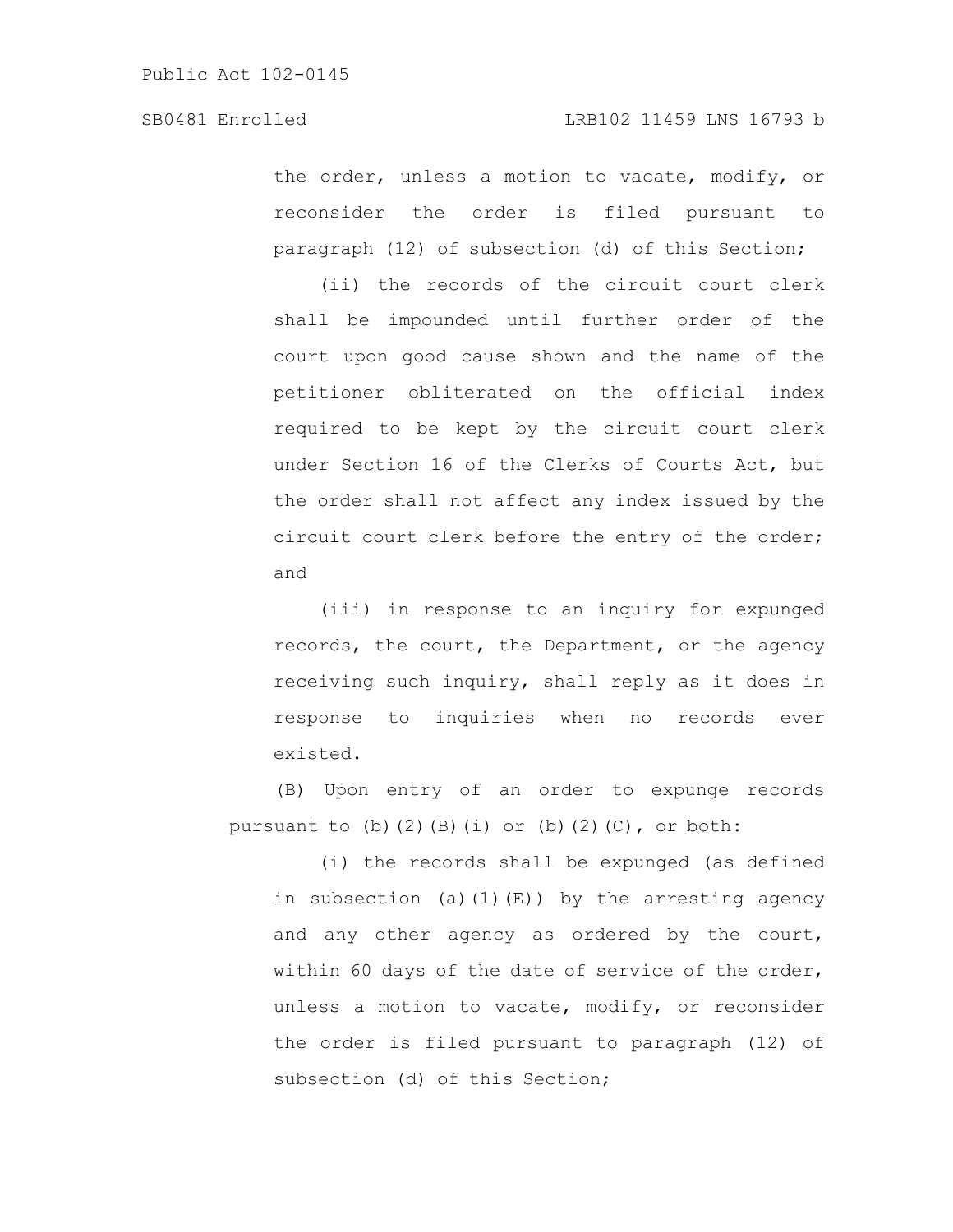the order, unless a motion to vacate, modify, or reconsider the order is filed pursuant to paragraph (12) of subsection (d) of this Section;

(ii) the records of the circuit court clerk shall be impounded until further order of the court upon good cause shown and the name of the petitioner obliterated on the official index required to be kept by the circuit court clerk under Section 16 of the Clerks of Courts Act, but the order shall not affect any index issued by the circuit court clerk before the entry of the order; and

(iii) in response to an inquiry for expunged records, the court, the Department, or the agency receiving such inquiry, shall reply as it does in response to inquiries when no records ever existed.

(B) Upon entry of an order to expunge records pursuant to (b)(2)(B)(i) or (b)(2)(C), or both:

(i) the records shall be expunged (as defined in subsection (a)(1)(E)) by the arresting agency and any other agency as ordered by the court, within 60 days of the date of service of the order, unless a motion to vacate, modify, or reconsider the order is filed pursuant to paragraph (12) of subsection (d) of this Section;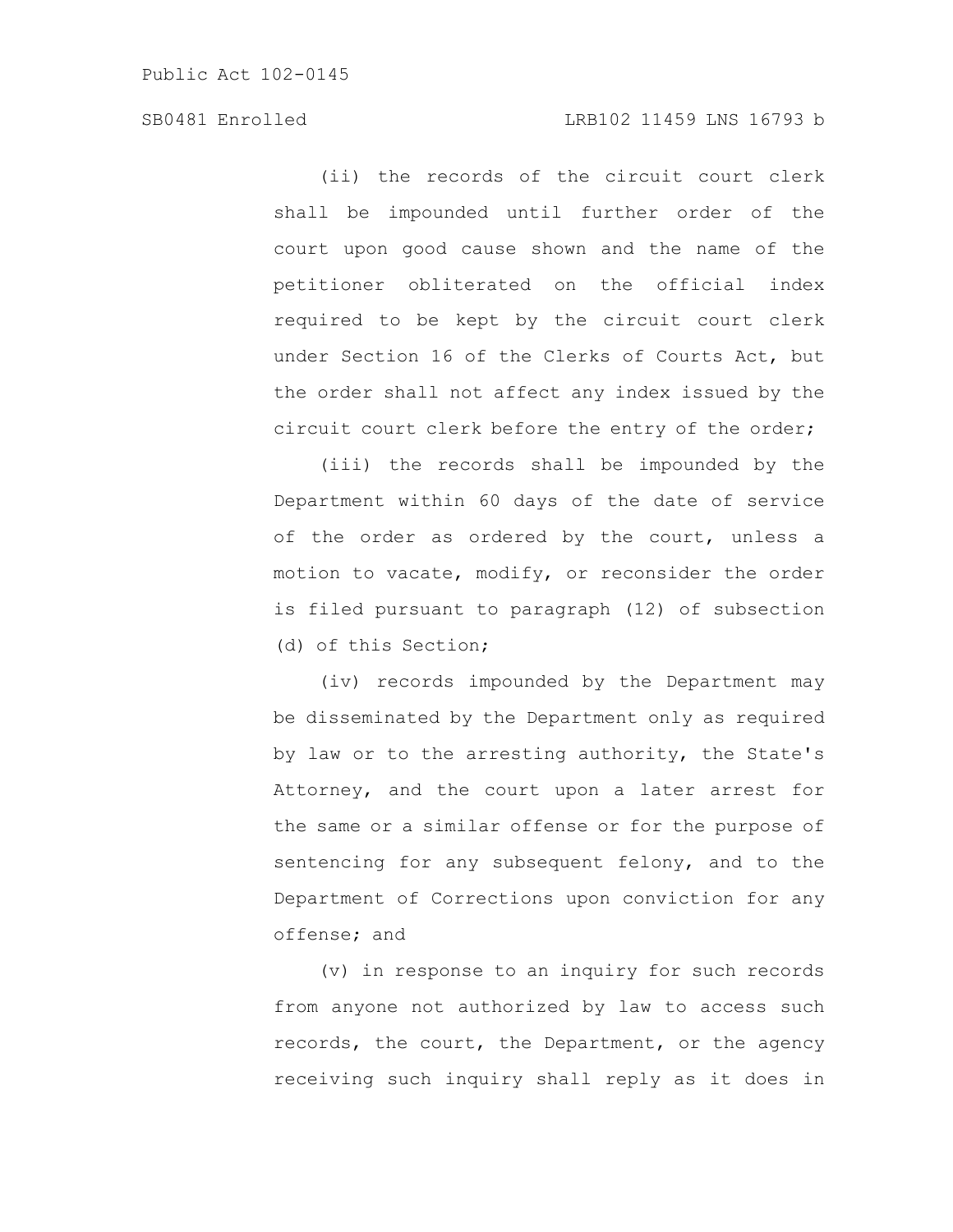(ii) the records of the circuit court clerk shall be impounded until further order of the court upon good cause shown and the name of the petitioner obliterated on the official index required to be kept by the circuit court clerk under Section 16 of the Clerks of Courts Act, but the order shall not affect any index issued by the circuit court clerk before the entry of the order;

(iii) the records shall be impounded by the Department within 60 days of the date of service of the order as ordered by the court, unless a motion to vacate, modify, or reconsider the order is filed pursuant to paragraph (12) of subsection (d) of this Section;

(iv) records impounded by the Department may be disseminated by the Department only as required by law or to the arresting authority, the State's Attorney, and the court upon a later arrest for the same or a similar offense or for the purpose of sentencing for any subsequent felony, and to the Department of Corrections upon conviction for any offense; and

(v) in response to an inquiry for such records from anyone not authorized by law to access such records, the court, the Department, or the agency receiving such inquiry shall reply as it does in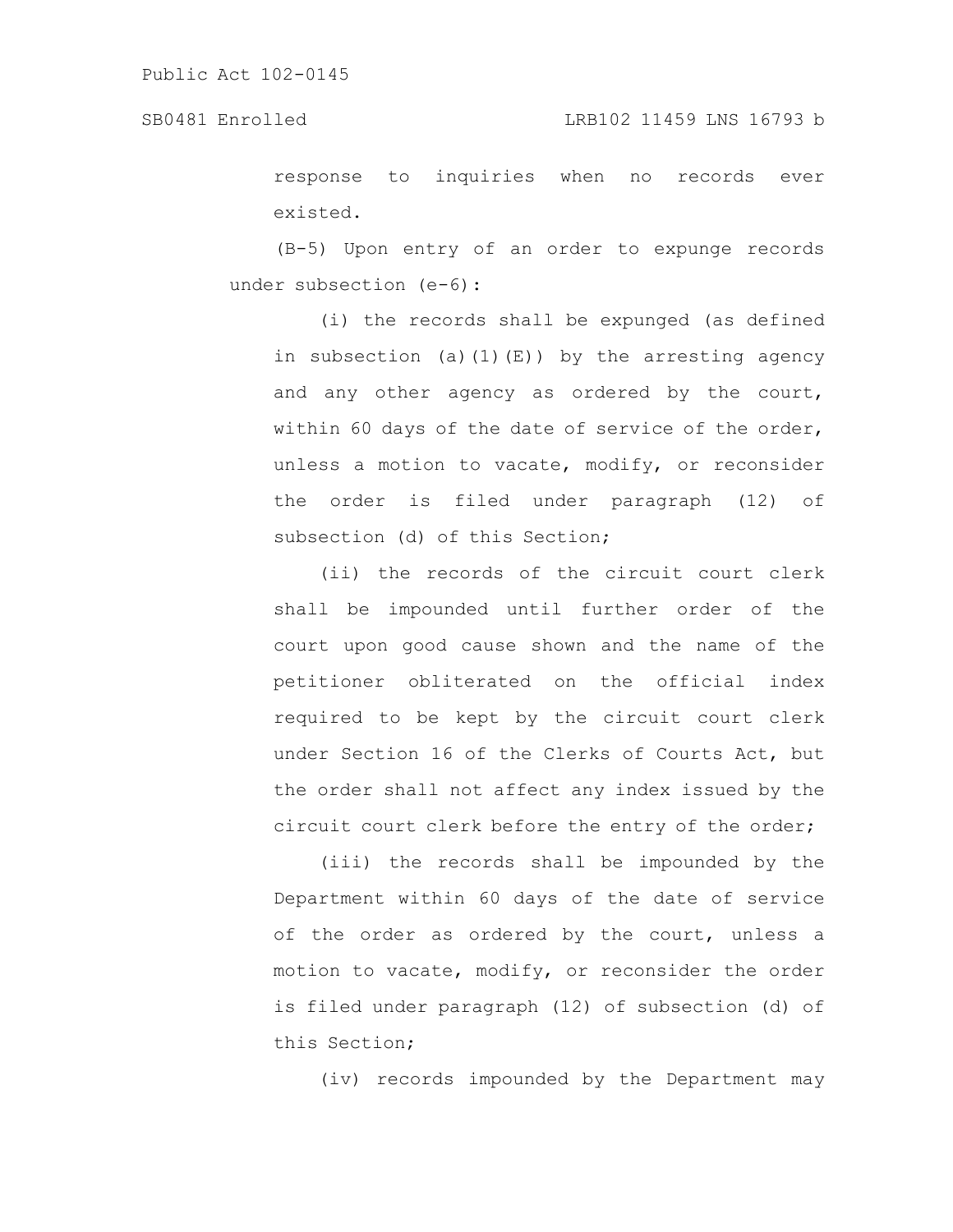response to inquiries when no records ever existed.

(B-5) Upon entry of an order to expunge records under subsection (e-6):

(i) the records shall be expunged (as defined in subsection (a)(1)(E)) by the arresting agency and any other agency as ordered by the court, within 60 days of the date of service of the order, unless a motion to vacate, modify, or reconsider the order is filed under paragraph (12) of subsection (d) of this Section;

(ii) the records of the circuit court clerk shall be impounded until further order of the court upon good cause shown and the name of the petitioner obliterated on the official index required to be kept by the circuit court clerk under Section 16 of the Clerks of Courts Act, but the order shall not affect any index issued by the circuit court clerk before the entry of the order;

(iii) the records shall be impounded by the Department within 60 days of the date of service of the order as ordered by the court, unless a motion to vacate, modify, or reconsider the order is filed under paragraph (12) of subsection (d) of this Section;

(iv) records impounded by the Department may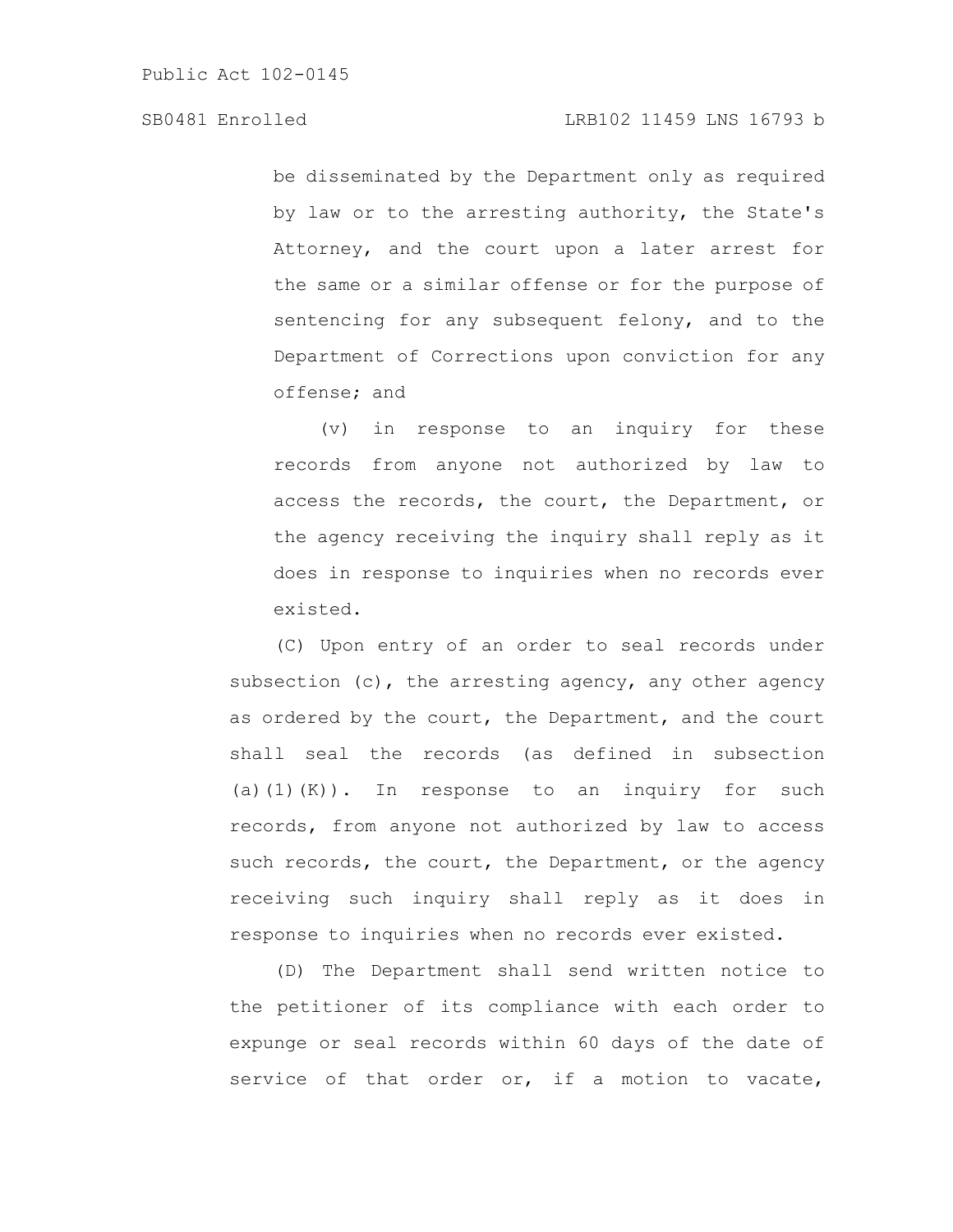be disseminated by the Department only as required by law or to the arresting authority, the State's Attorney, and the court upon a later arrest for the same or a similar offense or for the purpose of sentencing for any subsequent felony, and to the Department of Corrections upon conviction for any offense; and

(v) in response to an inquiry for these records from anyone not authorized by law to access the records, the court, the Department, or the agency receiving the inquiry shall reply as it does in response to inquiries when no records ever existed.

(C) Upon entry of an order to seal records under subsection  $(c)$ , the arresting agency, any other agency as ordered by the court, the Department, and the court shall seal the records (as defined in subsection (a) $(1)(K)$ . In response to an inquiry for such records, from anyone not authorized by law to access such records, the court, the Department, or the agency receiving such inquiry shall reply as it does in response to inquiries when no records ever existed.

(D) The Department shall send written notice to the petitioner of its compliance with each order to expunge or seal records within 60 days of the date of service of that order or, if a motion to vacate,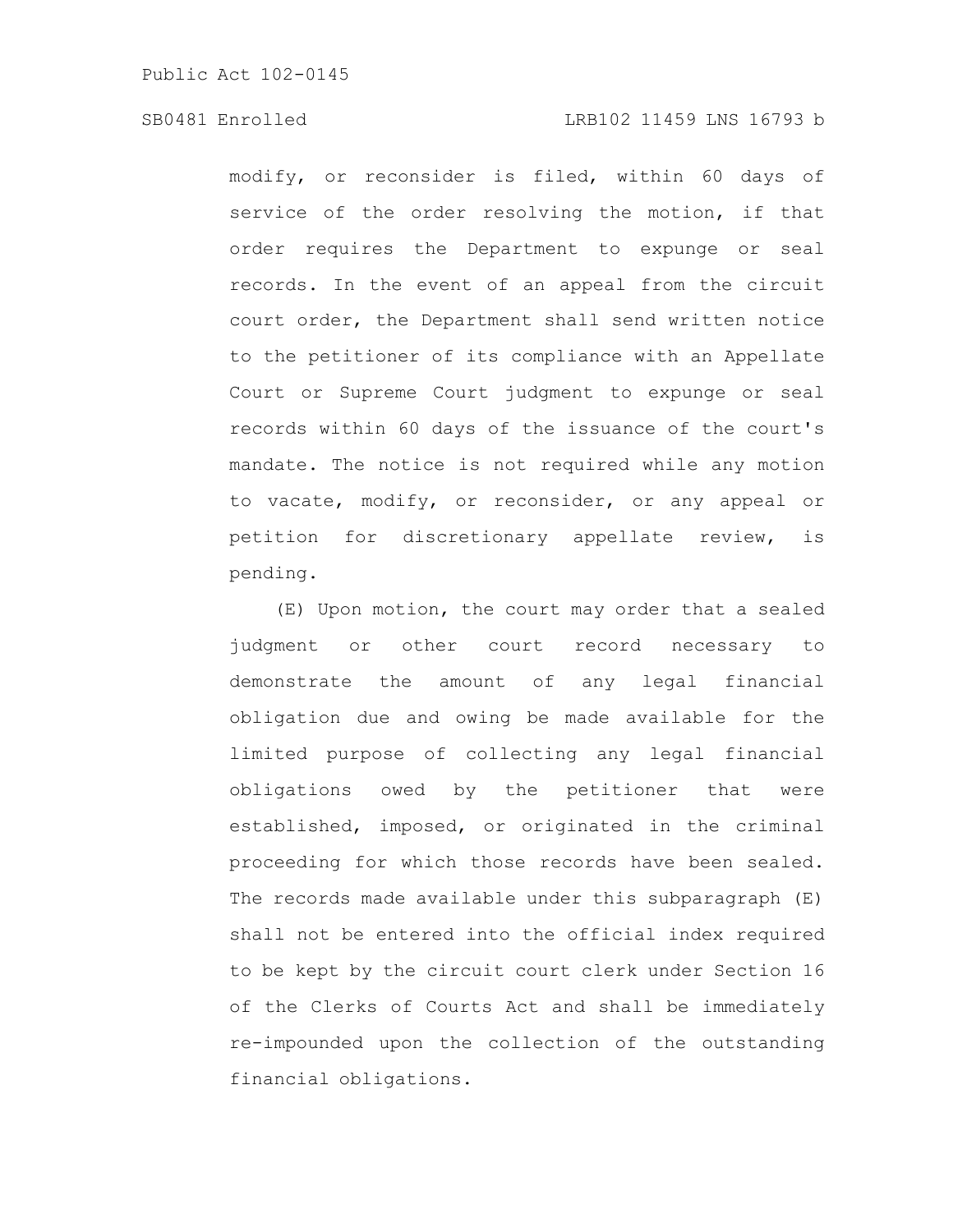modify, or reconsider is filed, within 60 days of service of the order resolving the motion, if that order requires the Department to expunge or seal records. In the event of an appeal from the circuit court order, the Department shall send written notice to the petitioner of its compliance with an Appellate Court or Supreme Court judgment to expunge or seal records within 60 days of the issuance of the court's mandate. The notice is not required while any motion to vacate, modify, or reconsider, or any appeal or petition for discretionary appellate review, is pending.

(E) Upon motion, the court may order that a sealed judgment or other court record necessary to demonstrate the amount of any legal financial obligation due and owing be made available for the limited purpose of collecting any legal financial obligations owed by the petitioner that were established, imposed, or originated in the criminal proceeding for which those records have been sealed. The records made available under this subparagraph (E) shall not be entered into the official index required to be kept by the circuit court clerk under Section 16 of the Clerks of Courts Act and shall be immediately re-impounded upon the collection of the outstanding financial obligations.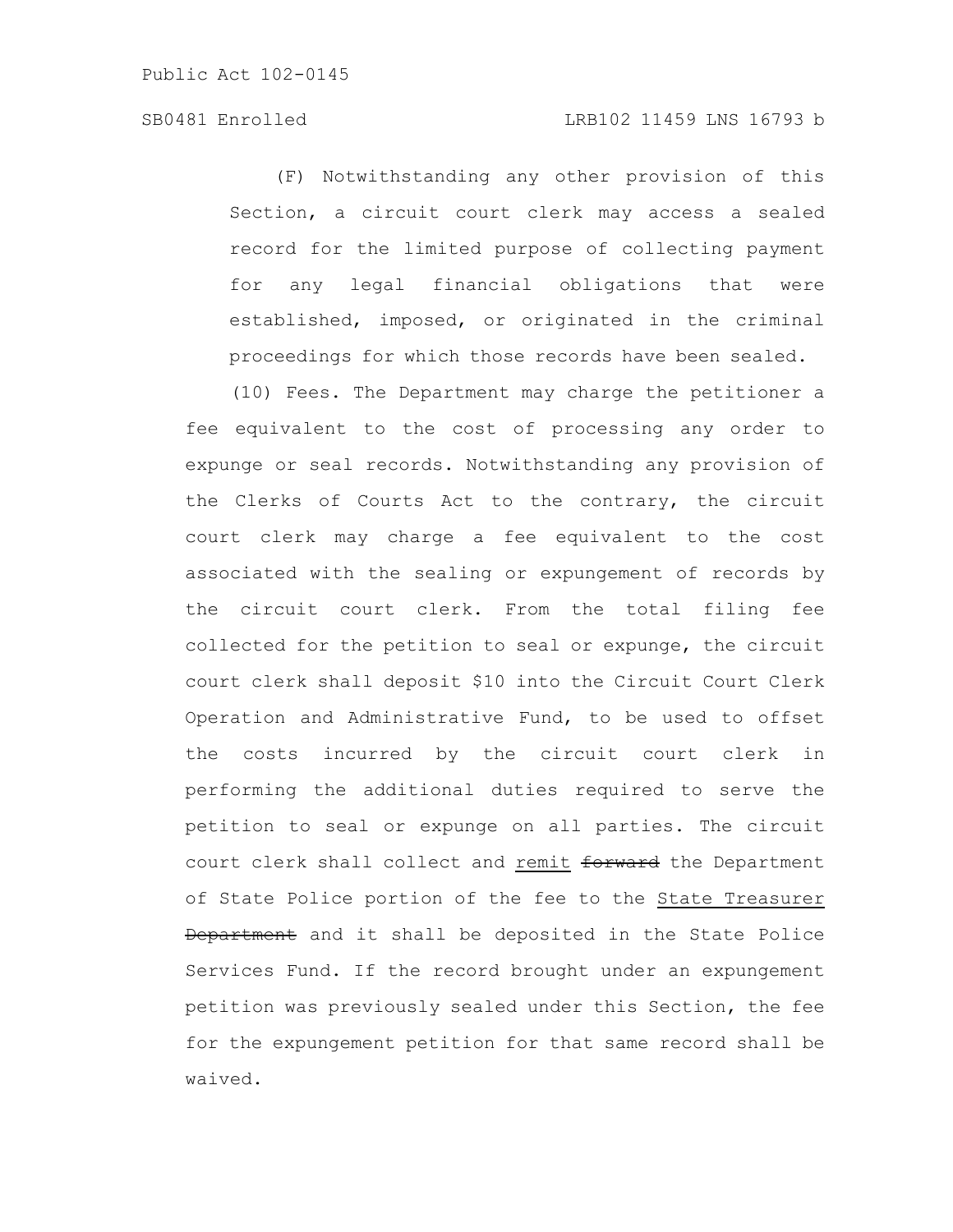(F) Notwithstanding any other provision of this Section, a circuit court clerk may access a sealed record for the limited purpose of collecting payment for any legal financial obligations that were established, imposed, or originated in the criminal proceedings for which those records have been sealed.

(10) Fees. The Department may charge the petitioner a fee equivalent to the cost of processing any order to expunge or seal records. Notwithstanding any provision of the Clerks of Courts Act to the contrary, the circuit court clerk may charge a fee equivalent to the cost associated with the sealing or expungement of records by the circuit court clerk. From the total filing fee collected for the petition to seal or expunge, the circuit court clerk shall deposit \$10 into the Circuit Court Clerk Operation and Administrative Fund, to be used to offset the costs incurred by the circuit court clerk in performing the additional duties required to serve the petition to seal or expunge on all parties. The circuit court clerk shall collect and remit forward the Department of State Police portion of the fee to the State Treasurer Department and it shall be deposited in the State Police Services Fund. If the record brought under an expungement petition was previously sealed under this Section, the fee for the expungement petition for that same record shall be waived.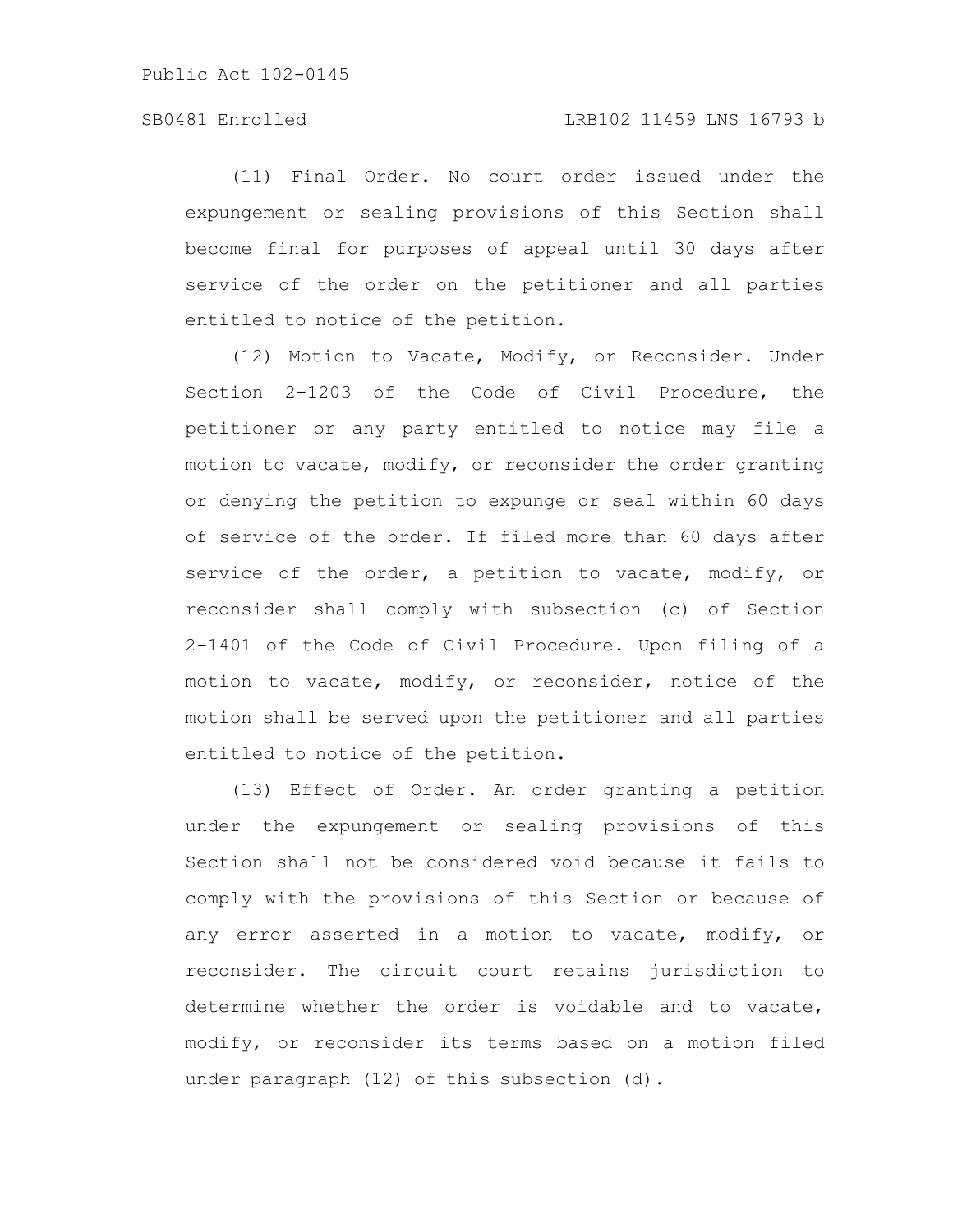# SB0481 Enrolled LRB102 11459 LNS 16793 b

(11) Final Order. No court order issued under the expungement or sealing provisions of this Section shall become final for purposes of appeal until 30 days after service of the order on the petitioner and all parties entitled to notice of the petition.

(12) Motion to Vacate, Modify, or Reconsider. Under Section 2-1203 of the Code of Civil Procedure, the petitioner or any party entitled to notice may file a motion to vacate, modify, or reconsider the order granting or denying the petition to expunge or seal within 60 days of service of the order. If filed more than 60 days after service of the order, a petition to vacate, modify, or reconsider shall comply with subsection (c) of Section 2-1401 of the Code of Civil Procedure. Upon filing of a motion to vacate, modify, or reconsider, notice of the motion shall be served upon the petitioner and all parties entitled to notice of the petition.

(13) Effect of Order. An order granting a petition under the expungement or sealing provisions of this Section shall not be considered void because it fails to comply with the provisions of this Section or because of any error asserted in a motion to vacate, modify, or reconsider. The circuit court retains jurisdiction to determine whether the order is voidable and to vacate, modify, or reconsider its terms based on a motion filed under paragraph (12) of this subsection (d).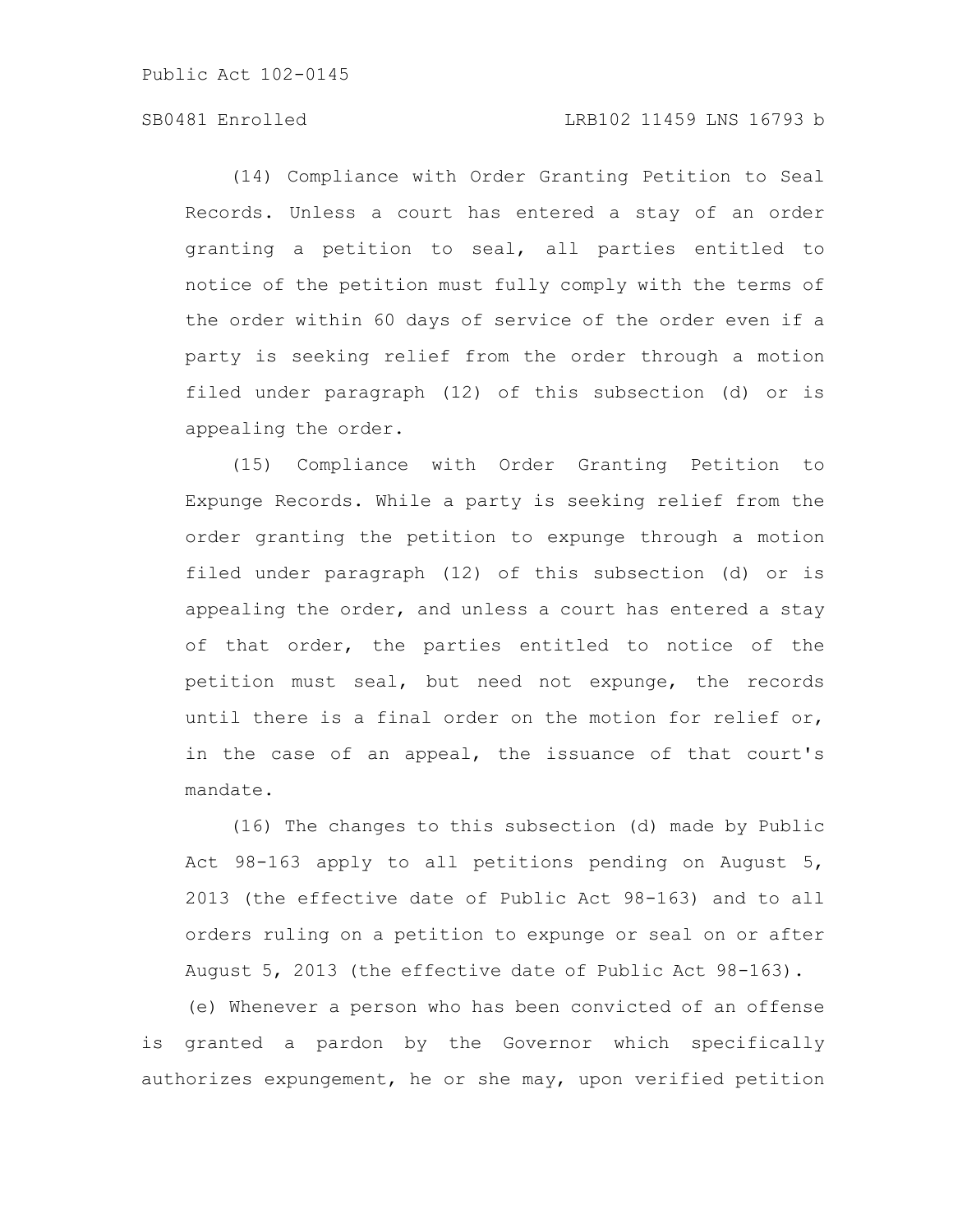# SB0481 Enrolled LRB102 11459 LNS 16793 b

(14) Compliance with Order Granting Petition to Seal Records. Unless a court has entered a stay of an order granting a petition to seal, all parties entitled to notice of the petition must fully comply with the terms of the order within 60 days of service of the order even if a party is seeking relief from the order through a motion filed under paragraph (12) of this subsection (d) or is appealing the order.

(15) Compliance with Order Granting Petition to Expunge Records. While a party is seeking relief from the order granting the petition to expunge through a motion filed under paragraph (12) of this subsection (d) or is appealing the order, and unless a court has entered a stay of that order, the parties entitled to notice of the petition must seal, but need not expunge, the records until there is a final order on the motion for relief or, in the case of an appeal, the issuance of that court's mandate.

(16) The changes to this subsection (d) made by Public Act 98-163 apply to all petitions pending on August 5, 2013 (the effective date of Public Act 98-163) and to all orders ruling on a petition to expunge or seal on or after August 5, 2013 (the effective date of Public Act 98-163).

(e) Whenever a person who has been convicted of an offense is granted a pardon by the Governor which specifically authorizes expungement, he or she may, upon verified petition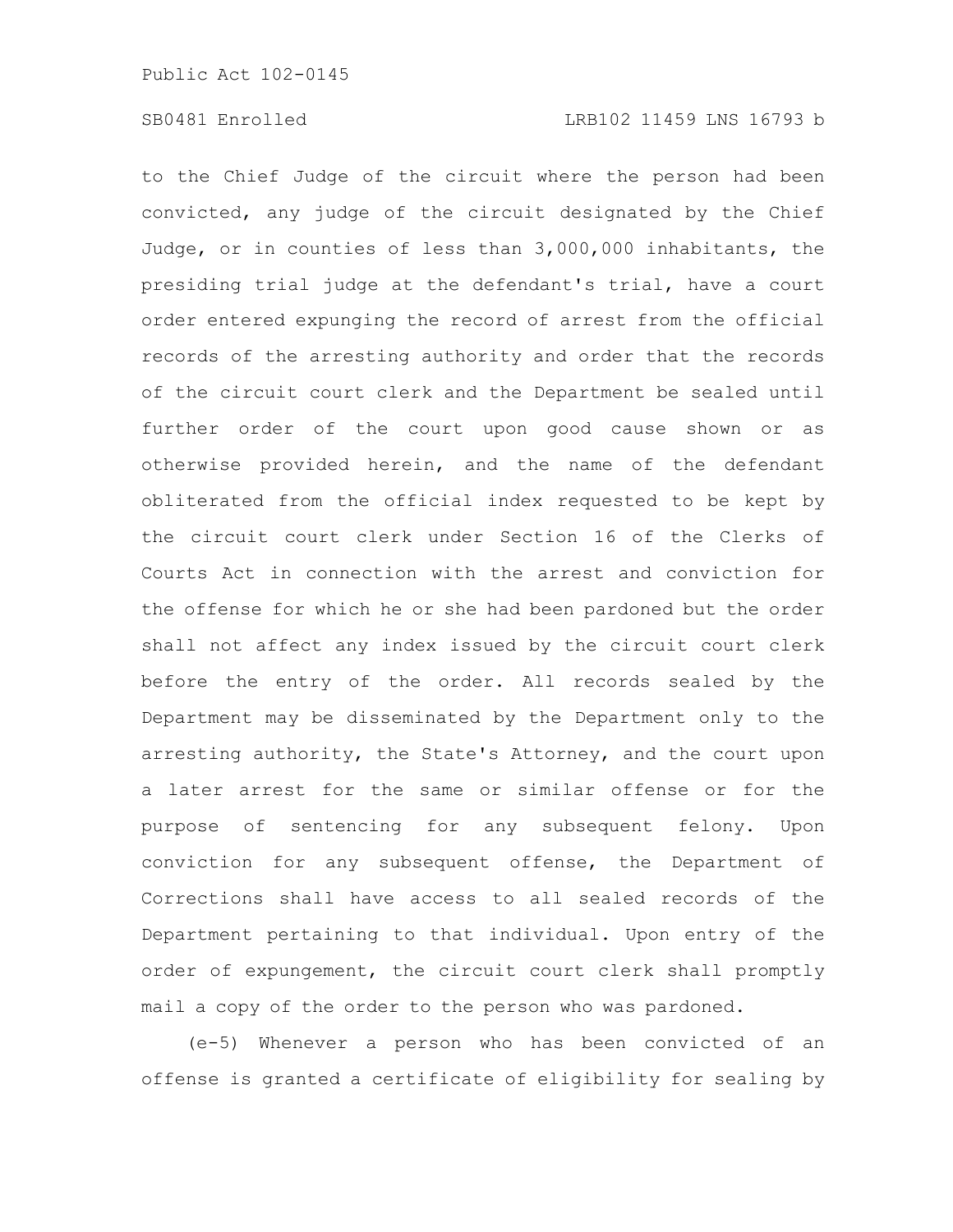to the Chief Judge of the circuit where the person had been convicted, any judge of the circuit designated by the Chief Judge, or in counties of less than 3,000,000 inhabitants, the presiding trial judge at the defendant's trial, have a court order entered expunging the record of arrest from the official records of the arresting authority and order that the records of the circuit court clerk and the Department be sealed until further order of the court upon good cause shown or as otherwise provided herein, and the name of the defendant obliterated from the official index requested to be kept by the circuit court clerk under Section 16 of the Clerks of Courts Act in connection with the arrest and conviction for the offense for which he or she had been pardoned but the order shall not affect any index issued by the circuit court clerk before the entry of the order. All records sealed by the Department may be disseminated by the Department only to the arresting authority, the State's Attorney, and the court upon a later arrest for the same or similar offense or for the purpose of sentencing for any subsequent felony. Upon conviction for any subsequent offense, the Department of Corrections shall have access to all sealed records of the Department pertaining to that individual. Upon entry of the order of expungement, the circuit court clerk shall promptly mail a copy of the order to the person who was pardoned.

(e-5) Whenever a person who has been convicted of an offense is granted a certificate of eligibility for sealing by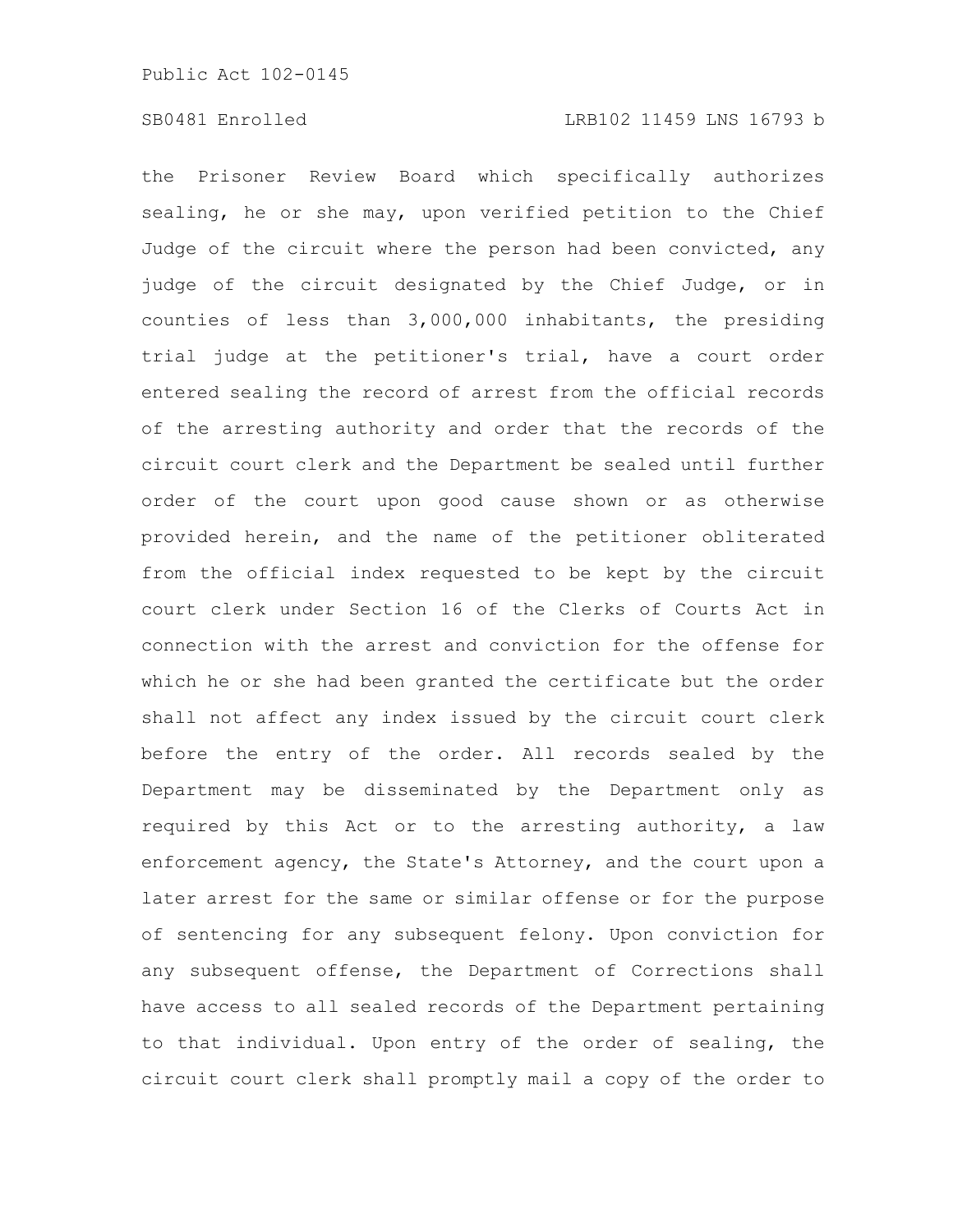the Prisoner Review Board which specifically authorizes sealing, he or she may, upon verified petition to the Chief Judge of the circuit where the person had been convicted, any judge of the circuit designated by the Chief Judge, or in counties of less than 3,000,000 inhabitants, the presiding trial judge at the petitioner's trial, have a court order entered sealing the record of arrest from the official records of the arresting authority and order that the records of the circuit court clerk and the Department be sealed until further order of the court upon good cause shown or as otherwise provided herein, and the name of the petitioner obliterated from the official index requested to be kept by the circuit court clerk under Section 16 of the Clerks of Courts Act in connection with the arrest and conviction for the offense for which he or she had been granted the certificate but the order shall not affect any index issued by the circuit court clerk before the entry of the order. All records sealed by the Department may be disseminated by the Department only as required by this Act or to the arresting authority, a law enforcement agency, the State's Attorney, and the court upon a later arrest for the same or similar offense or for the purpose of sentencing for any subsequent felony. Upon conviction for any subsequent offense, the Department of Corrections shall have access to all sealed records of the Department pertaining to that individual. Upon entry of the order of sealing, the circuit court clerk shall promptly mail a copy of the order to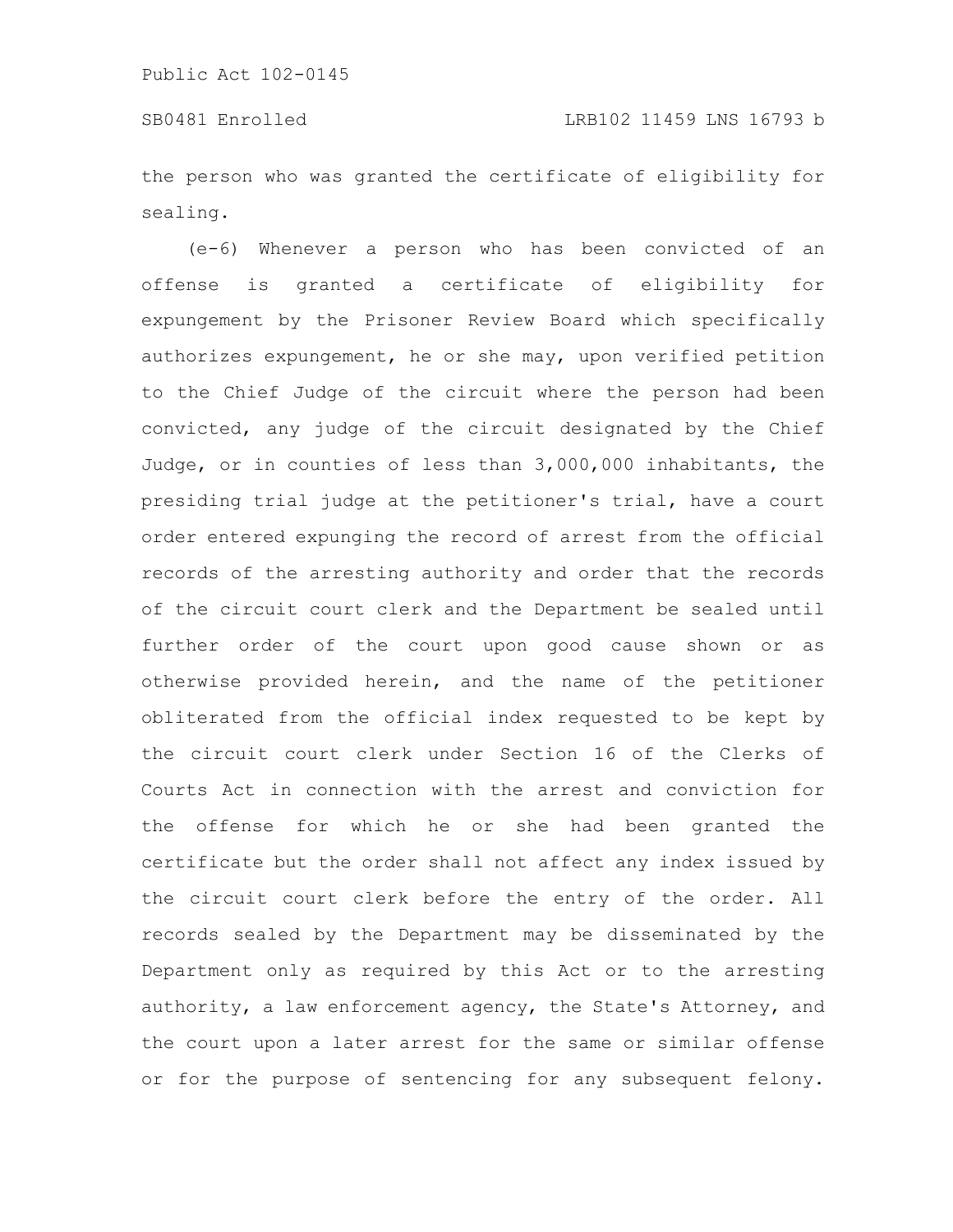the person who was granted the certificate of eligibility for sealing.

(e-6) Whenever a person who has been convicted of an offense is granted a certificate of eligibility for expungement by the Prisoner Review Board which specifically authorizes expungement, he or she may, upon verified petition to the Chief Judge of the circuit where the person had been convicted, any judge of the circuit designated by the Chief Judge, or in counties of less than 3,000,000 inhabitants, the presiding trial judge at the petitioner's trial, have a court order entered expunging the record of arrest from the official records of the arresting authority and order that the records of the circuit court clerk and the Department be sealed until further order of the court upon good cause shown or as otherwise provided herein, and the name of the petitioner obliterated from the official index requested to be kept by the circuit court clerk under Section 16 of the Clerks of Courts Act in connection with the arrest and conviction for the offense for which he or she had been granted the certificate but the order shall not affect any index issued by the circuit court clerk before the entry of the order. All records sealed by the Department may be disseminated by the Department only as required by this Act or to the arresting authority, a law enforcement agency, the State's Attorney, and the court upon a later arrest for the same or similar offense or for the purpose of sentencing for any subsequent felony.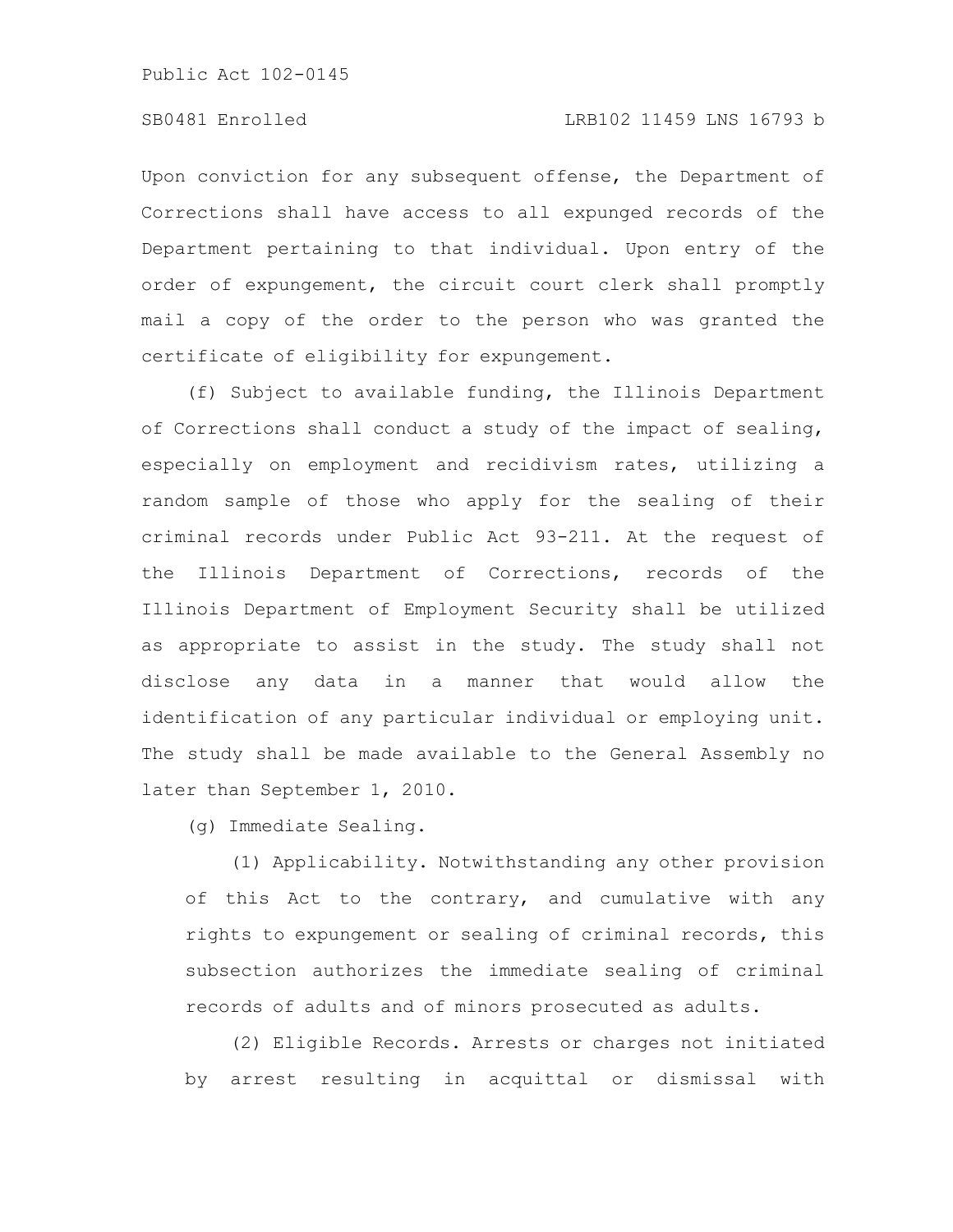Upon conviction for any subsequent offense, the Department of Corrections shall have access to all expunged records of the Department pertaining to that individual. Upon entry of the order of expungement, the circuit court clerk shall promptly mail a copy of the order to the person who was granted the certificate of eligibility for expungement.

(f) Subject to available funding, the Illinois Department of Corrections shall conduct a study of the impact of sealing, especially on employment and recidivism rates, utilizing a random sample of those who apply for the sealing of their criminal records under Public Act 93-211. At the request of the Illinois Department of Corrections, records of the Illinois Department of Employment Security shall be utilized as appropriate to assist in the study. The study shall not disclose any data in a manner that would allow the identification of any particular individual or employing unit. The study shall be made available to the General Assembly no later than September 1, 2010.

(g) Immediate Sealing.

(1) Applicability. Notwithstanding any other provision of this Act to the contrary, and cumulative with any rights to expungement or sealing of criminal records, this subsection authorizes the immediate sealing of criminal records of adults and of minors prosecuted as adults.

(2) Eligible Records. Arrests or charges not initiated by arrest resulting in acquittal or dismissal with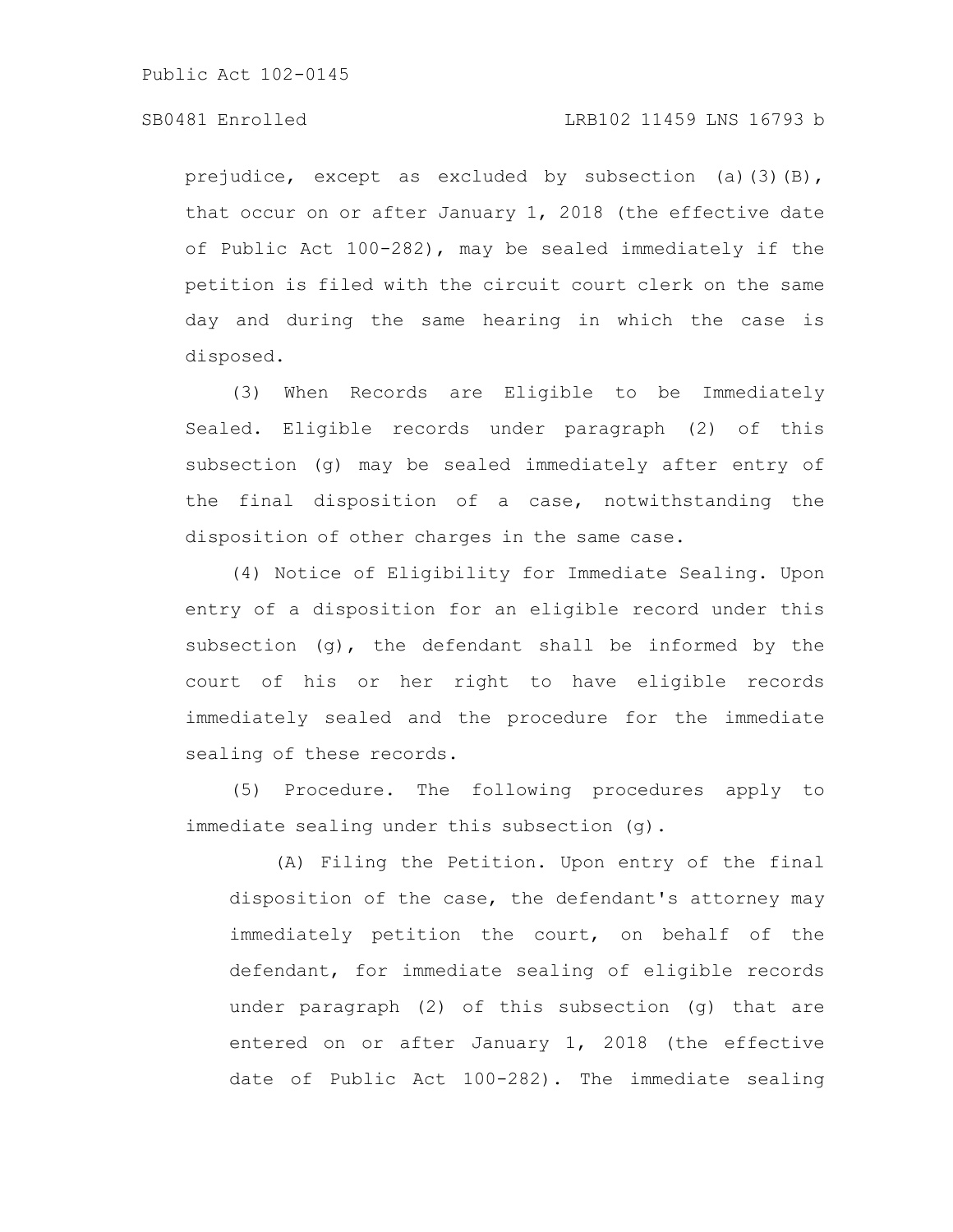# SB0481 Enrolled LRB102 11459 LNS 16793 b

prejudice, except as excluded by subsection (a)(3)(B), that occur on or after January 1, 2018 (the effective date of Public Act 100-282), may be sealed immediately if the petition is filed with the circuit court clerk on the same day and during the same hearing in which the case is disposed.

(3) When Records are Eligible to be Immediately Sealed. Eligible records under paragraph (2) of this subsection (g) may be sealed immediately after entry of the final disposition of a case, notwithstanding the disposition of other charges in the same case.

(4) Notice of Eligibility for Immediate Sealing. Upon entry of a disposition for an eligible record under this subsection (g), the defendant shall be informed by the court of his or her right to have eligible records immediately sealed and the procedure for the immediate sealing of these records.

(5) Procedure. The following procedures apply to immediate sealing under this subsection (g).

(A) Filing the Petition. Upon entry of the final disposition of the case, the defendant's attorney may immediately petition the court, on behalf of the defendant, for immediate sealing of eligible records under paragraph (2) of this subsection (g) that are entered on or after January 1, 2018 (the effective date of Public Act 100-282). The immediate sealing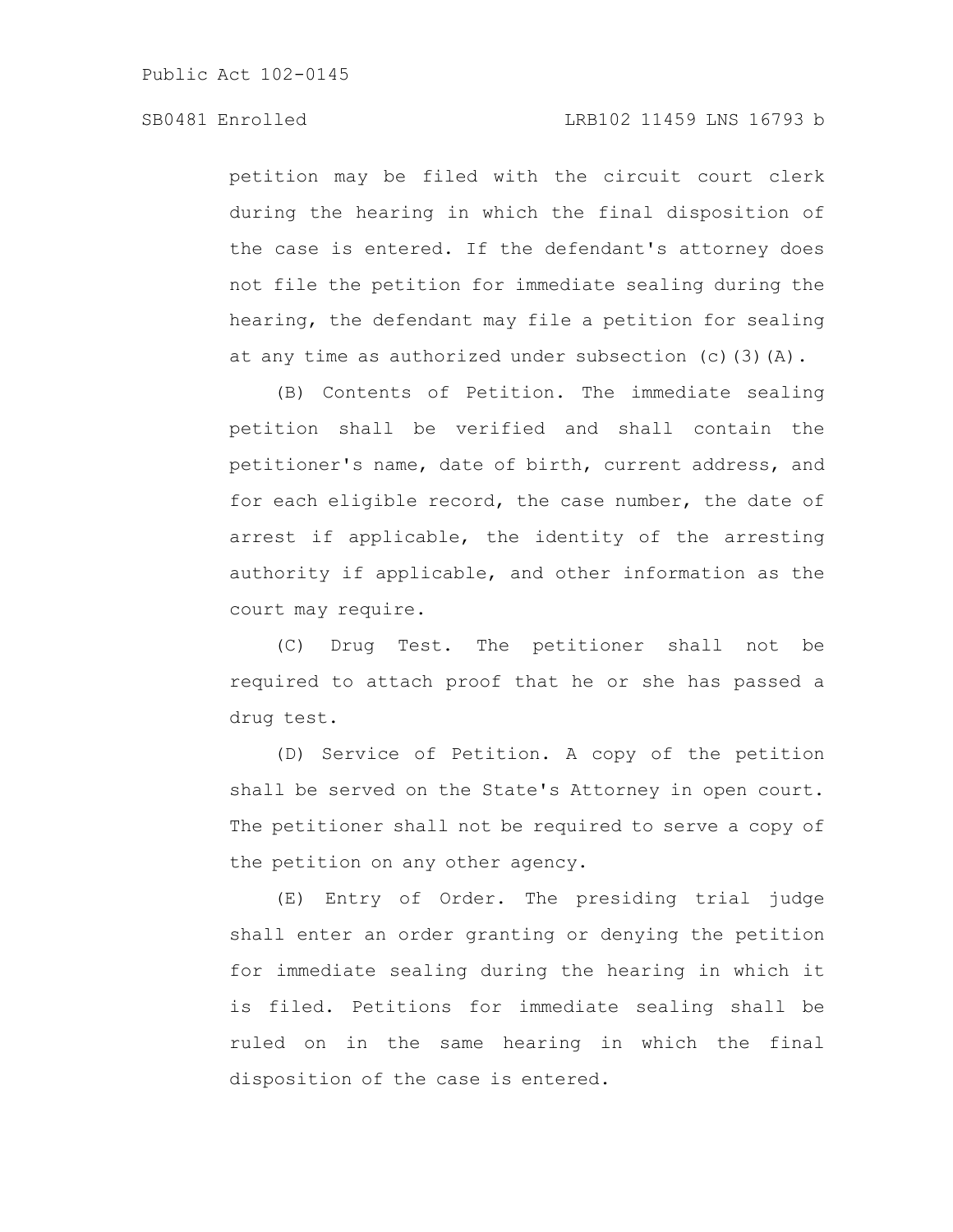# SB0481 Enrolled LRB102 11459 LNS 16793 b

petition may be filed with the circuit court clerk during the hearing in which the final disposition of the case is entered. If the defendant's attorney does not file the petition for immediate sealing during the hearing, the defendant may file a petition for sealing at any time as authorized under subsection (c)(3)(A).

(B) Contents of Petition. The immediate sealing petition shall be verified and shall contain the petitioner's name, date of birth, current address, and for each eligible record, the case number, the date of arrest if applicable, the identity of the arresting authority if applicable, and other information as the court may require.

(C) Drug Test. The petitioner shall not be required to attach proof that he or she has passed a drug test.

(D) Service of Petition. A copy of the petition shall be served on the State's Attorney in open court. The petitioner shall not be required to serve a copy of the petition on any other agency.

(E) Entry of Order. The presiding trial judge shall enter an order granting or denying the petition for immediate sealing during the hearing in which it is filed. Petitions for immediate sealing shall be ruled on in the same hearing in which the final disposition of the case is entered.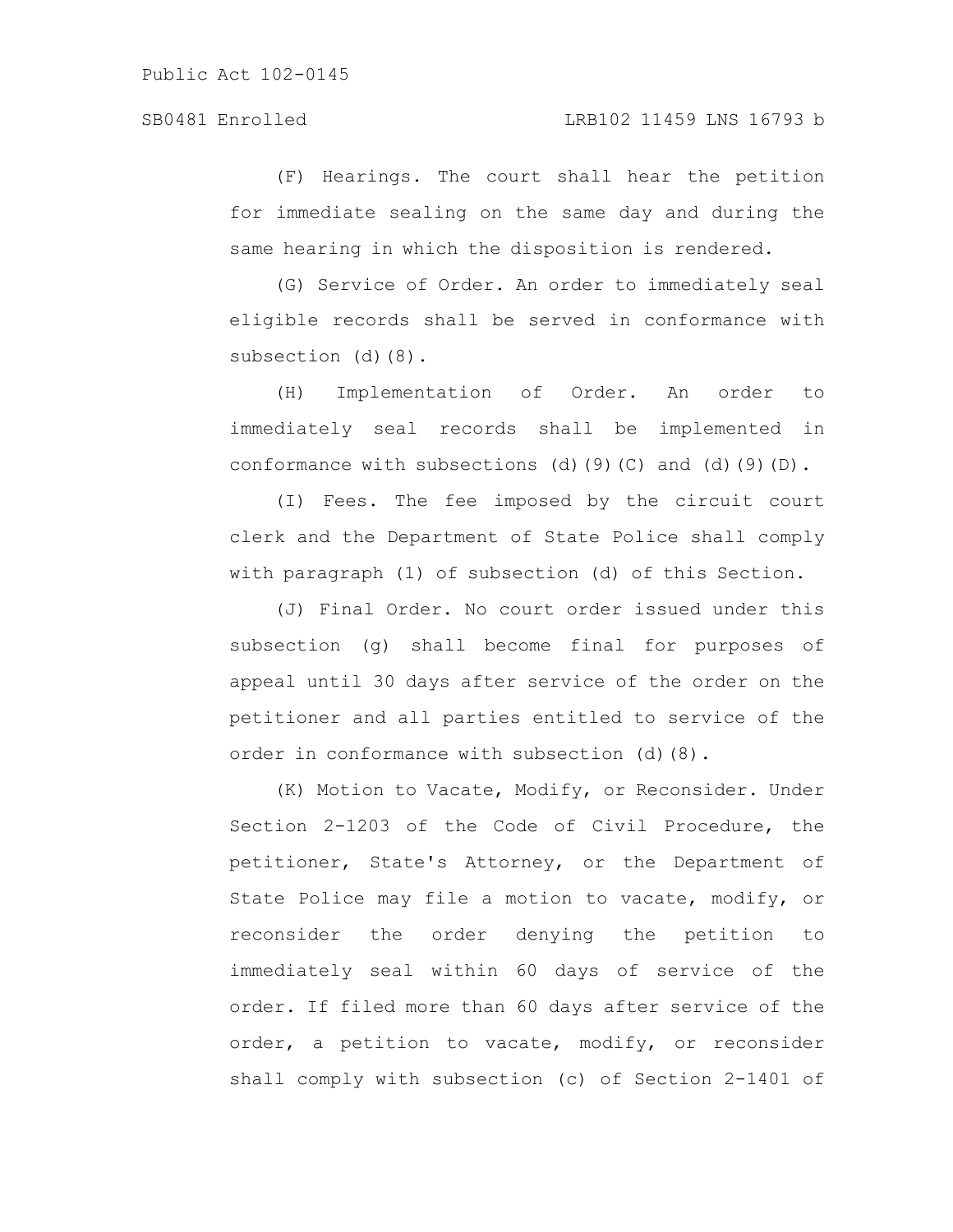(F) Hearings. The court shall hear the petition for immediate sealing on the same day and during the same hearing in which the disposition is rendered.

(G) Service of Order. An order to immediately seal eligible records shall be served in conformance with subsection (d)(8).

(H) Implementation of Order. An order to immediately seal records shall be implemented in conformance with subsections (d)(9)(C) and (d)(9)(D).

(I) Fees. The fee imposed by the circuit court clerk and the Department of State Police shall comply with paragraph (1) of subsection (d) of this Section.

(J) Final Order. No court order issued under this subsection (g) shall become final for purposes of appeal until 30 days after service of the order on the petitioner and all parties entitled to service of the order in conformance with subsection (d)(8).

(K) Motion to Vacate, Modify, or Reconsider. Under Section 2-1203 of the Code of Civil Procedure, the petitioner, State's Attorney, or the Department of State Police may file a motion to vacate, modify, or reconsider the order denying the petition to immediately seal within 60 days of service of the order. If filed more than 60 days after service of the order, a petition to vacate, modify, or reconsider shall comply with subsection (c) of Section 2-1401 of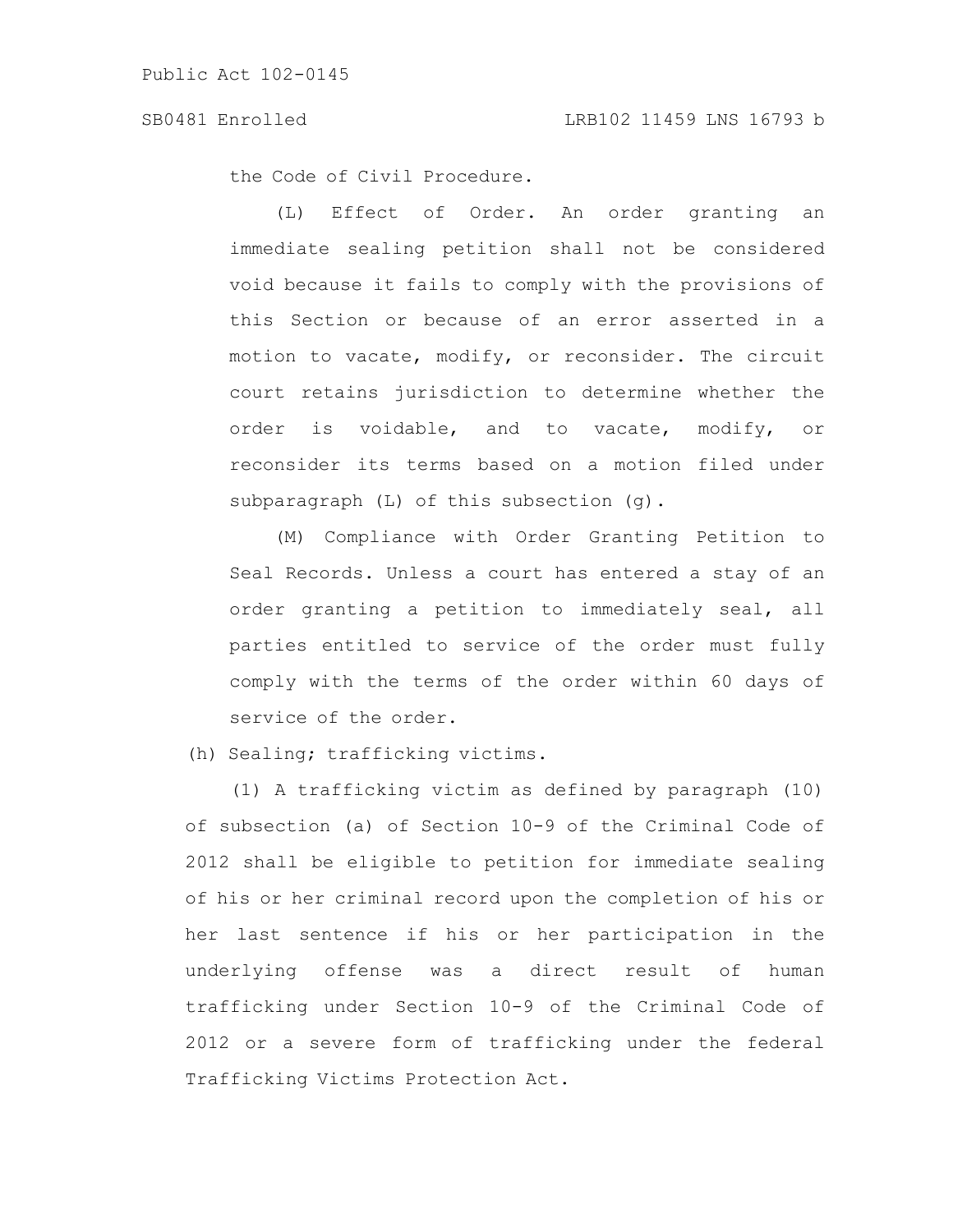the Code of Civil Procedure.

(L) Effect of Order. An order granting an immediate sealing petition shall not be considered void because it fails to comply with the provisions of this Section or because of an error asserted in a motion to vacate, modify, or reconsider. The circuit court retains jurisdiction to determine whether the order is voidable, and to vacate, modify, or reconsider its terms based on a motion filed under subparagraph (L) of this subsection (q).

(M) Compliance with Order Granting Petition to Seal Records. Unless a court has entered a stay of an order granting a petition to immediately seal, all parties entitled to service of the order must fully comply with the terms of the order within 60 days of service of the order.

(h) Sealing; trafficking victims.

(1) A trafficking victim as defined by paragraph (10) of subsection (a) of Section 10-9 of the Criminal Code of 2012 shall be eligible to petition for immediate sealing of his or her criminal record upon the completion of his or her last sentence if his or her participation in the underlying offense was a direct result of human trafficking under Section 10-9 of the Criminal Code of 2012 or a severe form of trafficking under the federal Trafficking Victims Protection Act.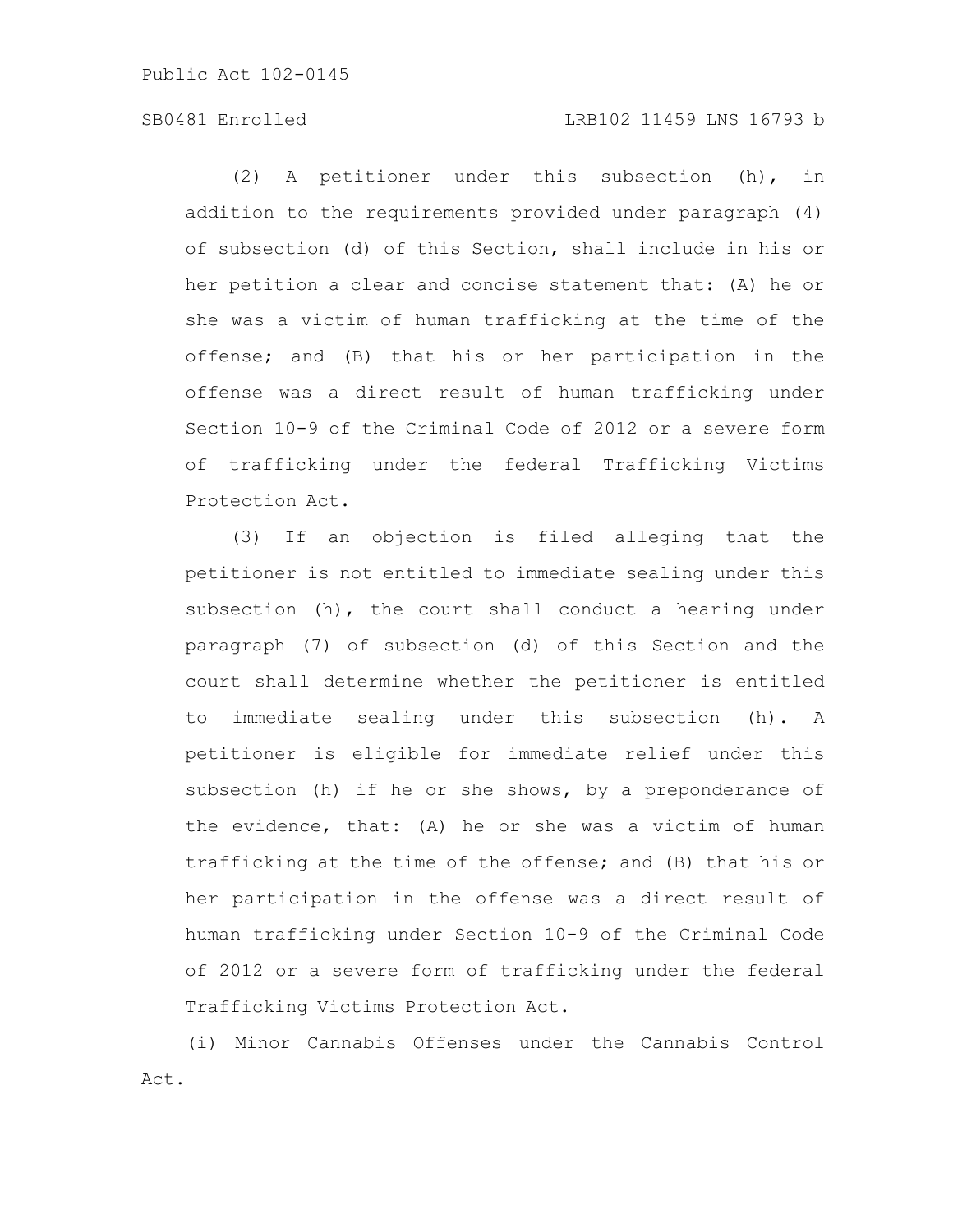### SB0481 Enrolled LRB102 11459 LNS 16793 b

(2) A petitioner under this subsection (h), in addition to the requirements provided under paragraph (4) of subsection (d) of this Section, shall include in his or her petition a clear and concise statement that: (A) he or she was a victim of human trafficking at the time of the offense; and (B) that his or her participation in the offense was a direct result of human trafficking under Section 10-9 of the Criminal Code of 2012 or a severe form of trafficking under the federal Trafficking Victims Protection Act.

(3) If an objection is filed alleging that the petitioner is not entitled to immediate sealing under this subsection (h), the court shall conduct a hearing under paragraph (7) of subsection (d) of this Section and the court shall determine whether the petitioner is entitled to immediate sealing under this subsection (h). A petitioner is eligible for immediate relief under this subsection (h) if he or she shows, by a preponderance of the evidence, that: (A) he or she was a victim of human trafficking at the time of the offense; and (B) that his or her participation in the offense was a direct result of human trafficking under Section 10-9 of the Criminal Code of 2012 or a severe form of trafficking under the federal Trafficking Victims Protection Act.

(i) Minor Cannabis Offenses under the Cannabis Control Act.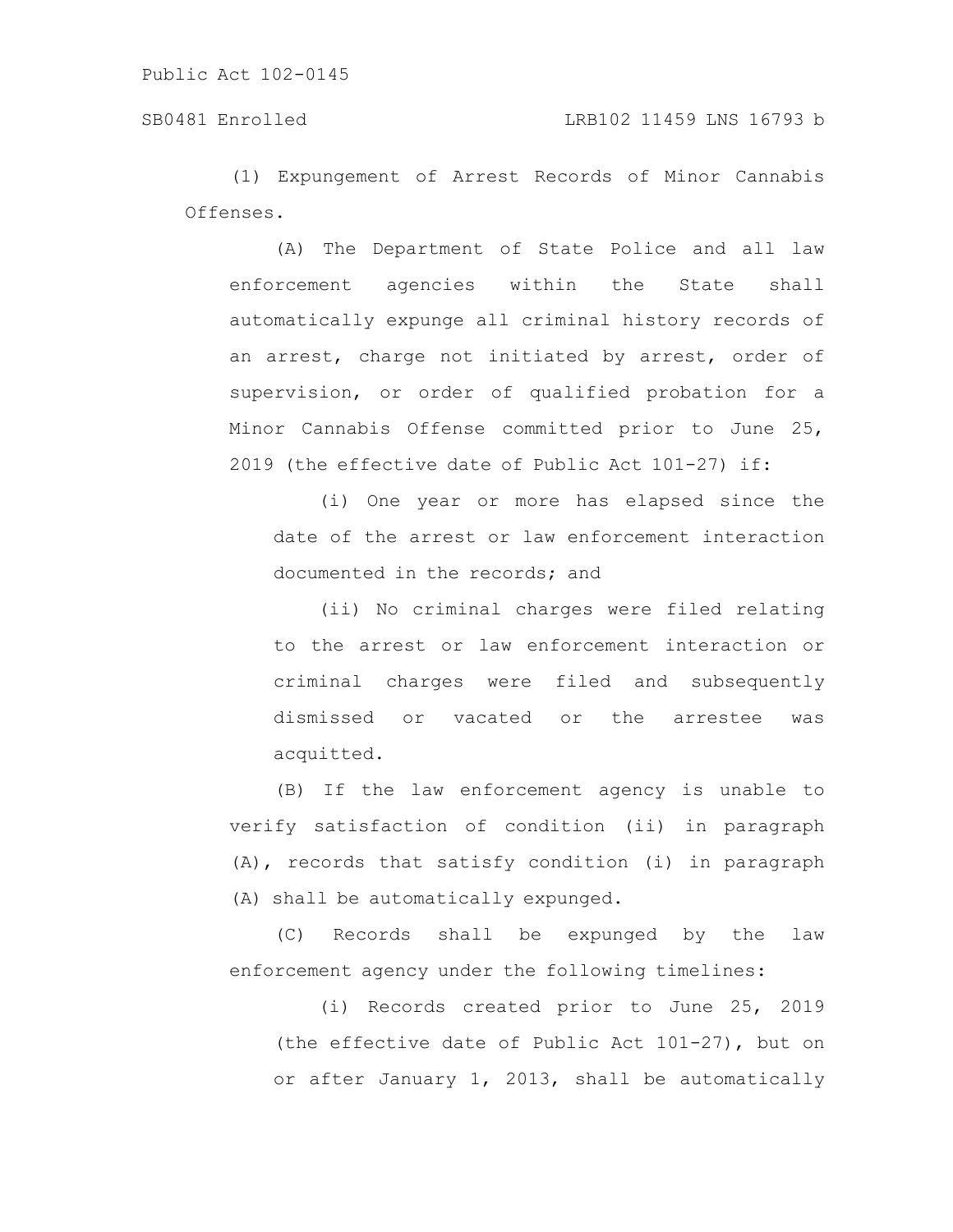# SB0481 Enrolled LRB102 11459 LNS 16793 b

(1) Expungement of Arrest Records of Minor Cannabis Offenses.

(A) The Department of State Police and all law enforcement agencies within the State shall automatically expunge all criminal history records of an arrest, charge not initiated by arrest, order of supervision, or order of qualified probation for a Minor Cannabis Offense committed prior to June 25, 2019 (the effective date of Public Act 101-27) if:

(i) One year or more has elapsed since the date of the arrest or law enforcement interaction documented in the records; and

(ii) No criminal charges were filed relating to the arrest or law enforcement interaction or criminal charges were filed and subsequently dismissed or vacated or the arrestee was acquitted.

(B) If the law enforcement agency is unable to verify satisfaction of condition (ii) in paragraph (A), records that satisfy condition (i) in paragraph (A) shall be automatically expunged.

(C) Records shall be expunged by the law enforcement agency under the following timelines:

(i) Records created prior to June 25, 2019 (the effective date of Public Act 101-27), but on or after January 1, 2013, shall be automatically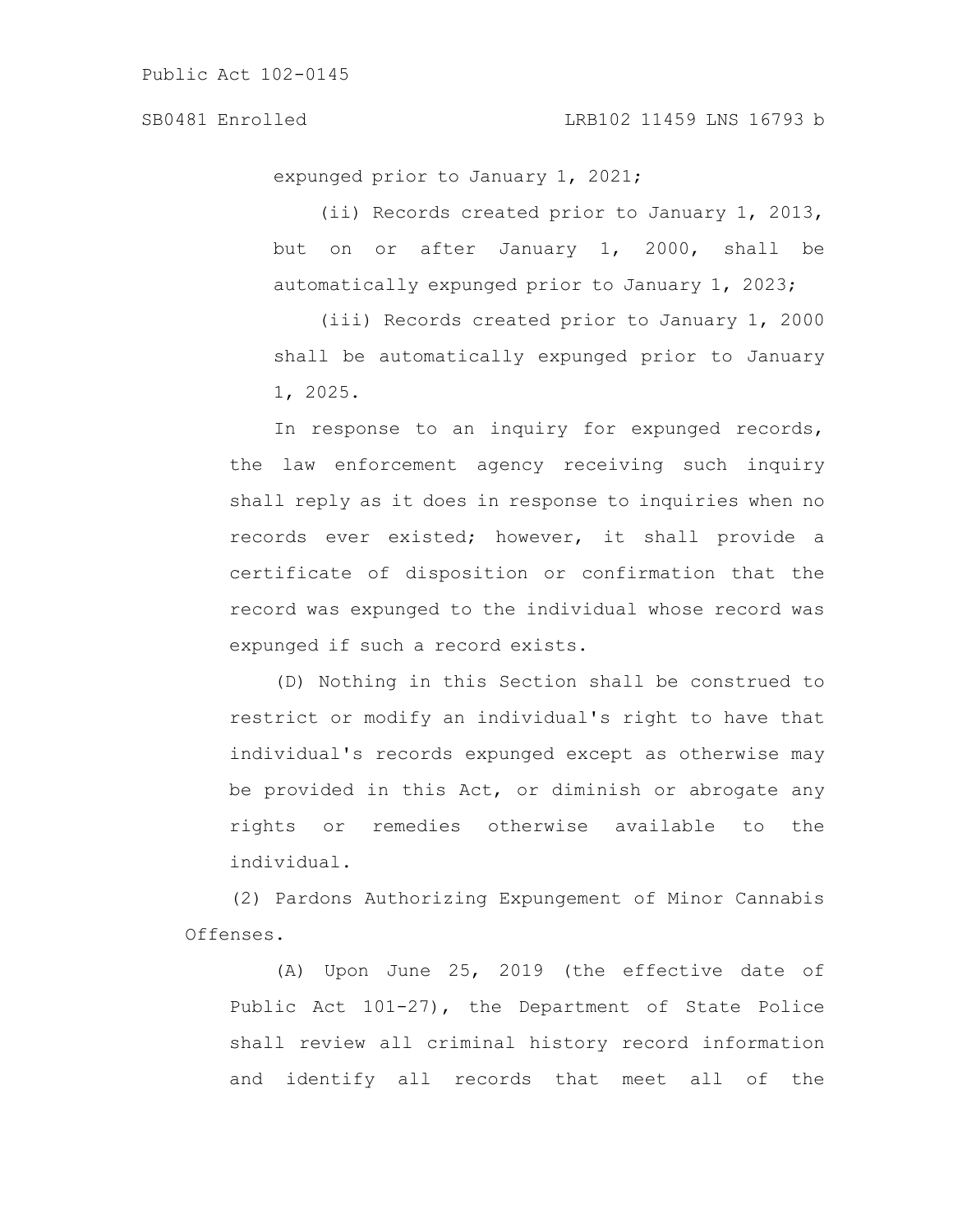expunged prior to January 1, 2021;

(ii) Records created prior to January 1, 2013, but on or after January 1, 2000, shall be automatically expunged prior to January 1, 2023;

(iii) Records created prior to January 1, 2000 shall be automatically expunged prior to January 1, 2025.

In response to an inquiry for expunged records, the law enforcement agency receiving such inquiry shall reply as it does in response to inquiries when no records ever existed; however, it shall provide a certificate of disposition or confirmation that the record was expunged to the individual whose record was expunged if such a record exists.

(D) Nothing in this Section shall be construed to restrict or modify an individual's right to have that individual's records expunged except as otherwise may be provided in this Act, or diminish or abrogate any rights or remedies otherwise available to the individual.

(2) Pardons Authorizing Expungement of Minor Cannabis Offenses.

(A) Upon June 25, 2019 (the effective date of Public Act 101-27), the Department of State Police shall review all criminal history record information and identify all records that meet all of the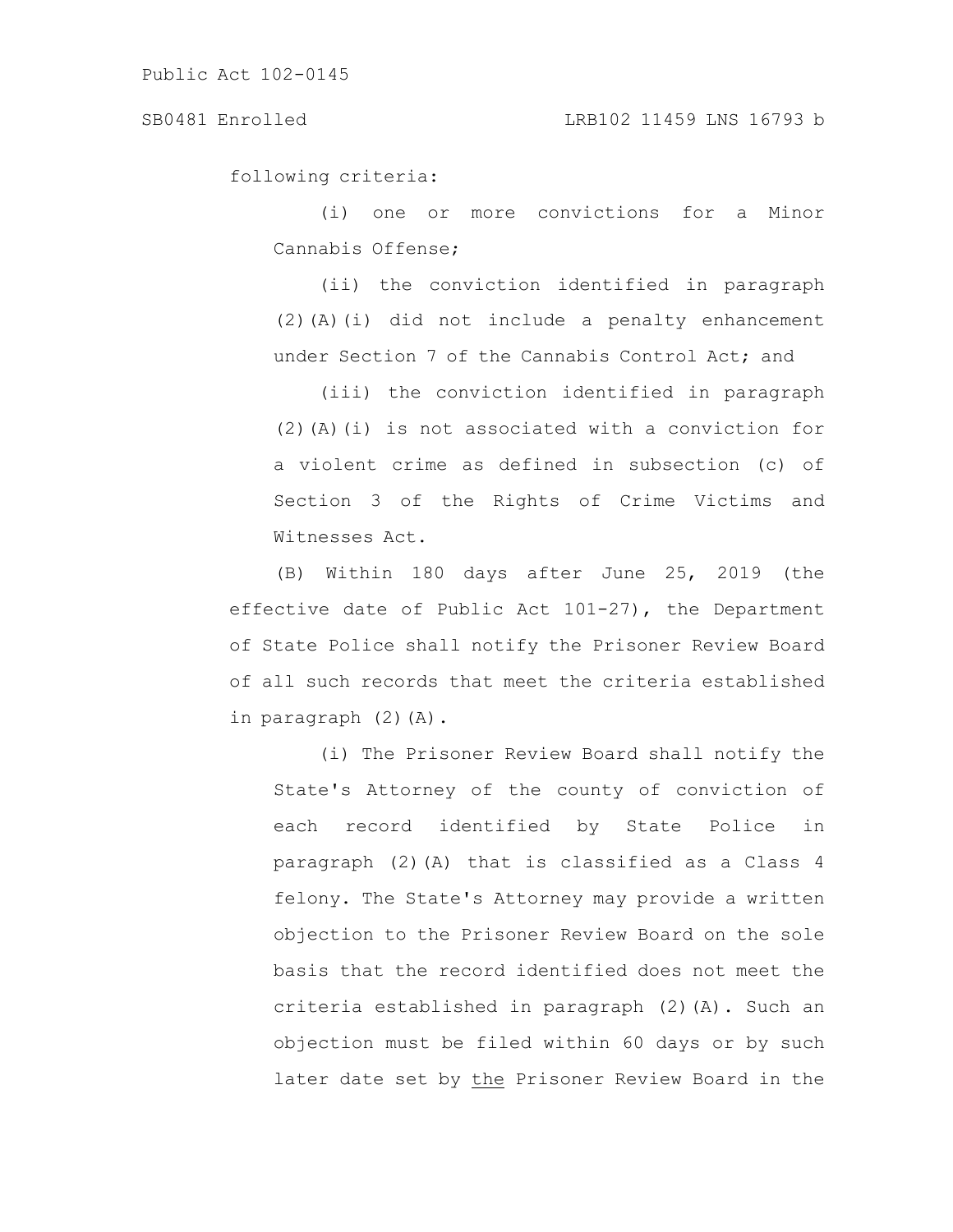following criteria:

(i) one or more convictions for a Minor Cannabis Offense;

(ii) the conviction identified in paragraph (2)(A)(i) did not include a penalty enhancement under Section 7 of the Cannabis Control Act; and

(iii) the conviction identified in paragraph (2)(A)(i) is not associated with a conviction for a violent crime as defined in subsection (c) of Section 3 of the Rights of Crime Victims and Witnesses Act.

(B) Within 180 days after June 25, 2019 (the effective date of Public Act 101-27), the Department of State Police shall notify the Prisoner Review Board of all such records that meet the criteria established in paragraph (2)(A).

(i) The Prisoner Review Board shall notify the State's Attorney of the county of conviction of each record identified by State Police in paragraph (2)(A) that is classified as a Class 4 felony. The State's Attorney may provide a written objection to the Prisoner Review Board on the sole basis that the record identified does not meet the criteria established in paragraph (2)(A). Such an objection must be filed within 60 days or by such later date set by the Prisoner Review Board in the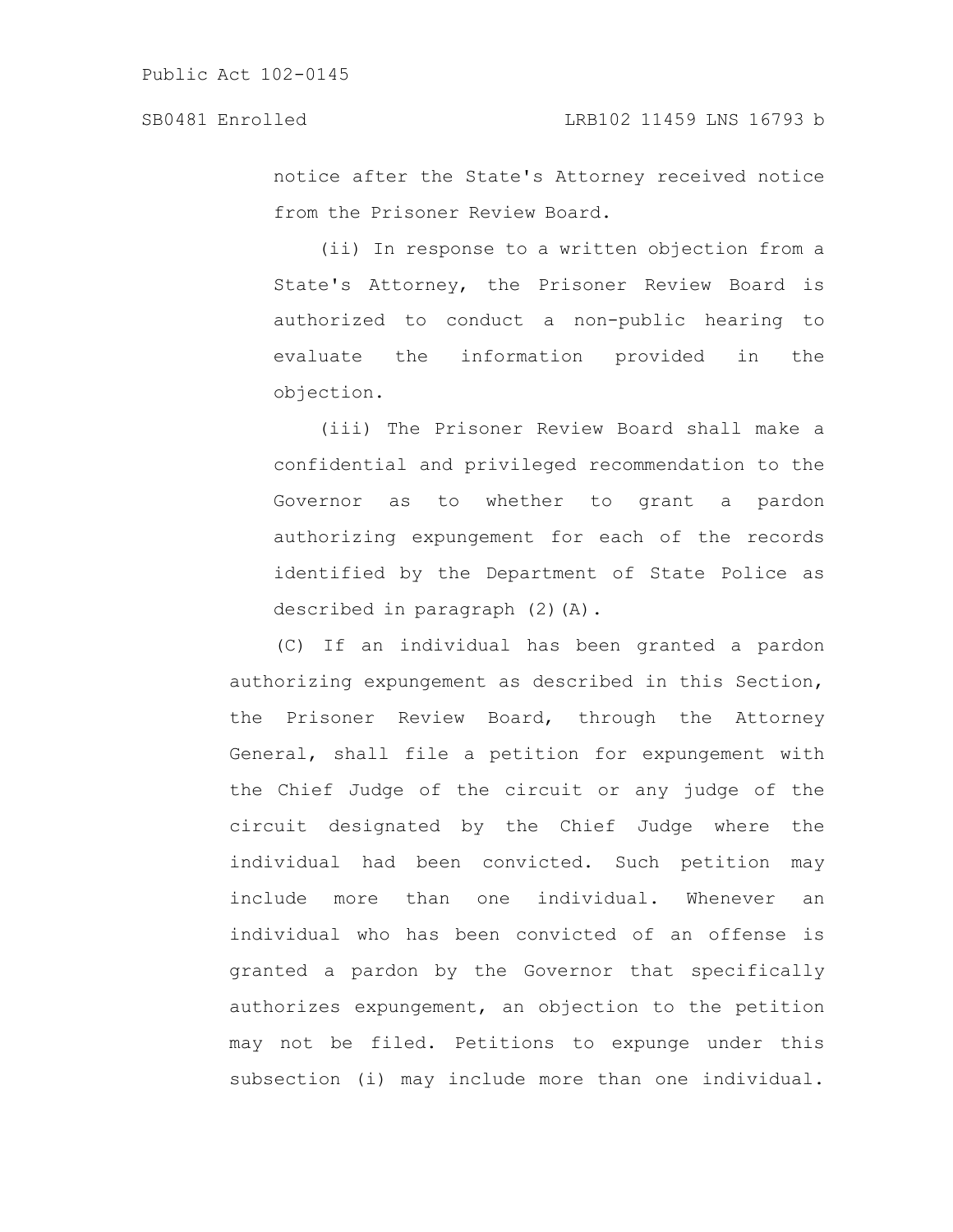notice after the State's Attorney received notice from the Prisoner Review Board.

(ii) In response to a written objection from a State's Attorney, the Prisoner Review Board is authorized to conduct a non-public hearing to evaluate the information provided in the objection.

(iii) The Prisoner Review Board shall make a confidential and privileged recommendation to the Governor as to whether to grant a pardon authorizing expungement for each of the records identified by the Department of State Police as described in paragraph (2)(A).

(C) If an individual has been granted a pardon authorizing expungement as described in this Section, the Prisoner Review Board, through the Attorney General, shall file a petition for expungement with the Chief Judge of the circuit or any judge of the circuit designated by the Chief Judge where the individual had been convicted. Such petition may include more than one individual. Whenever an individual who has been convicted of an offense is granted a pardon by the Governor that specifically authorizes expungement, an objection to the petition may not be filed. Petitions to expunge under this subsection (i) may include more than one individual.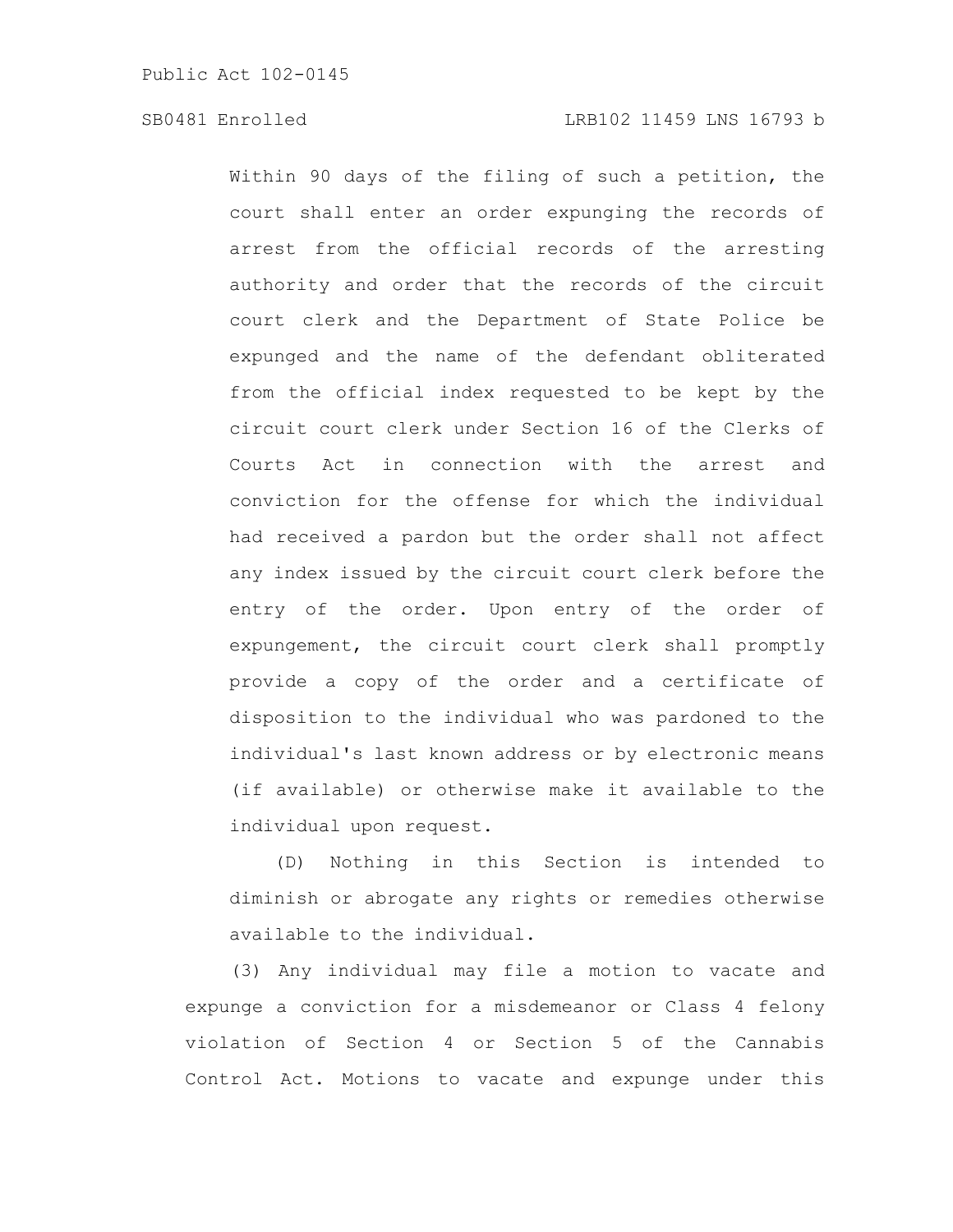Within 90 days of the filing of such a petition, the court shall enter an order expunging the records of arrest from the official records of the arresting authority and order that the records of the circuit court clerk and the Department of State Police be expunged and the name of the defendant obliterated from the official index requested to be kept by the circuit court clerk under Section 16 of the Clerks of Courts Act in connection with the arrest and conviction for the offense for which the individual had received a pardon but the order shall not affect any index issued by the circuit court clerk before the entry of the order. Upon entry of the order of expungement, the circuit court clerk shall promptly provide a copy of the order and a certificate of disposition to the individual who was pardoned to the individual's last known address or by electronic means (if available) or otherwise make it available to the individual upon request.

(D) Nothing in this Section is intended to diminish or abrogate any rights or remedies otherwise available to the individual.

(3) Any individual may file a motion to vacate and expunge a conviction for a misdemeanor or Class 4 felony violation of Section 4 or Section 5 of the Cannabis Control Act. Motions to vacate and expunge under this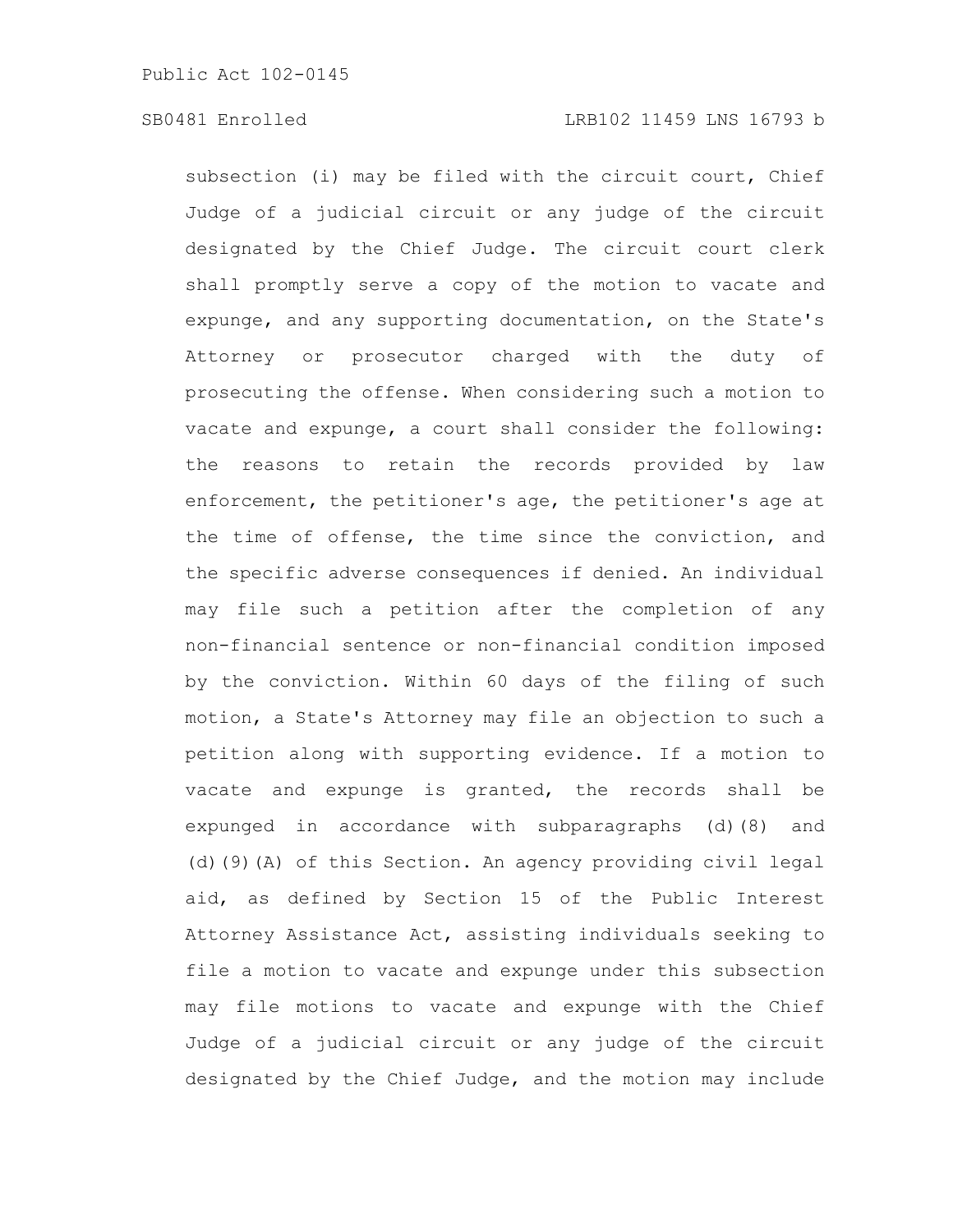subsection (i) may be filed with the circuit court, Chief Judge of a judicial circuit or any judge of the circuit designated by the Chief Judge. The circuit court clerk shall promptly serve a copy of the motion to vacate and expunge, and any supporting documentation, on the State's Attorney or prosecutor charged with the duty of prosecuting the offense. When considering such a motion to vacate and expunge, a court shall consider the following: the reasons to retain the records provided by law enforcement, the petitioner's age, the petitioner's age at the time of offense, the time since the conviction, and the specific adverse consequences if denied. An individual may file such a petition after the completion of any non-financial sentence or non-financial condition imposed by the conviction. Within 60 days of the filing of such motion, a State's Attorney may file an objection to such a petition along with supporting evidence. If a motion to vacate and expunge is granted, the records shall be expunged in accordance with subparagraphs (d)(8) and (d)(9)(A) of this Section. An agency providing civil legal aid, as defined by Section 15 of the Public Interest Attorney Assistance Act, assisting individuals seeking to file a motion to vacate and expunge under this subsection may file motions to vacate and expunge with the Chief Judge of a judicial circuit or any judge of the circuit designated by the Chief Judge, and the motion may include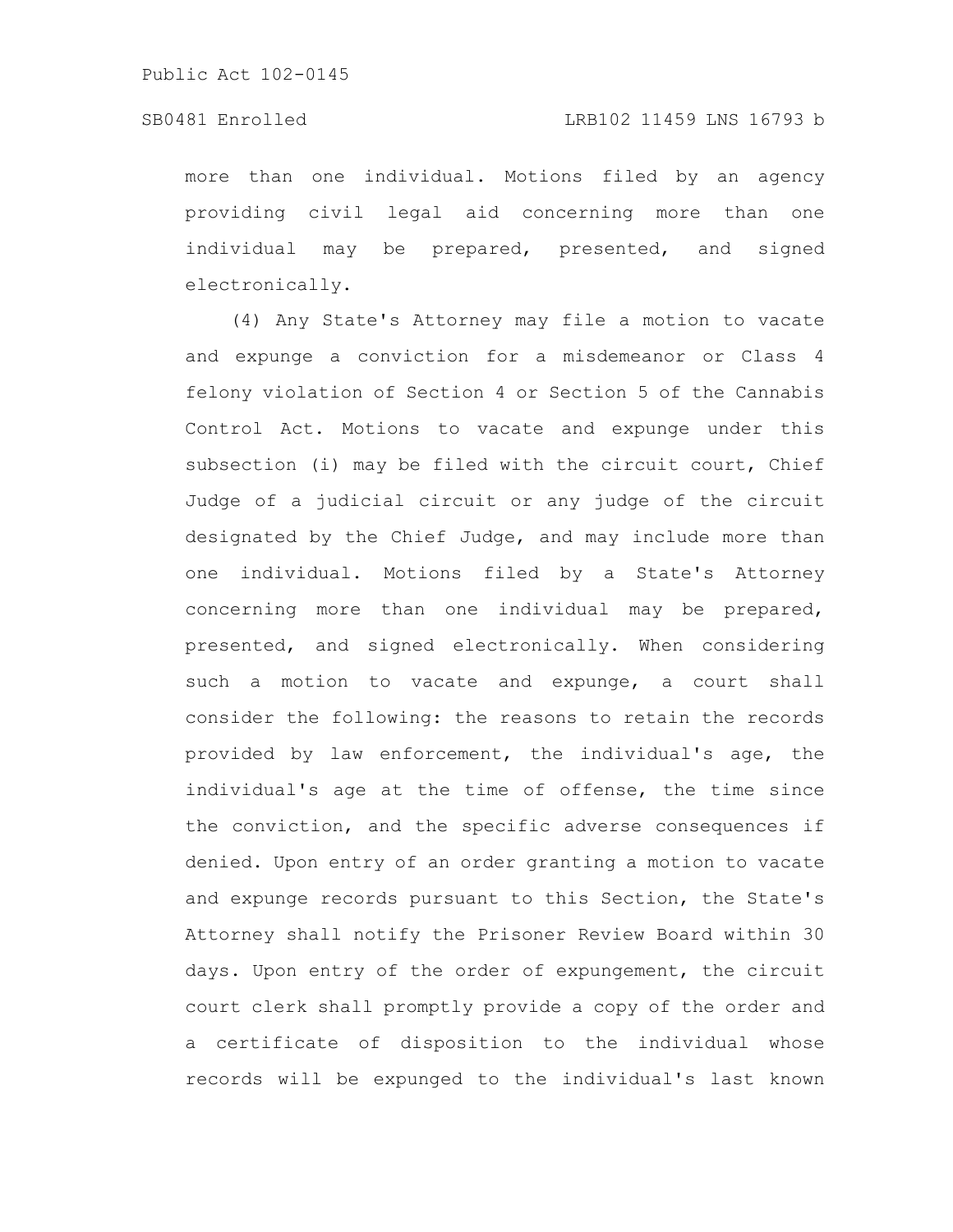more than one individual. Motions filed by an agency providing civil legal aid concerning more than one individual may be prepared, presented, and signed electronically.

(4) Any State's Attorney may file a motion to vacate and expunge a conviction for a misdemeanor or Class 4 felony violation of Section 4 or Section 5 of the Cannabis Control Act. Motions to vacate and expunge under this subsection (i) may be filed with the circuit court, Chief Judge of a judicial circuit or any judge of the circuit designated by the Chief Judge, and may include more than one individual. Motions filed by a State's Attorney concerning more than one individual may be prepared, presented, and signed electronically. When considering such a motion to vacate and expunge, a court shall consider the following: the reasons to retain the records provided by law enforcement, the individual's age, the individual's age at the time of offense, the time since the conviction, and the specific adverse consequences if denied. Upon entry of an order granting a motion to vacate and expunge records pursuant to this Section, the State's Attorney shall notify the Prisoner Review Board within 30 days. Upon entry of the order of expungement, the circuit court clerk shall promptly provide a copy of the order and a certificate of disposition to the individual whose records will be expunged to the individual's last known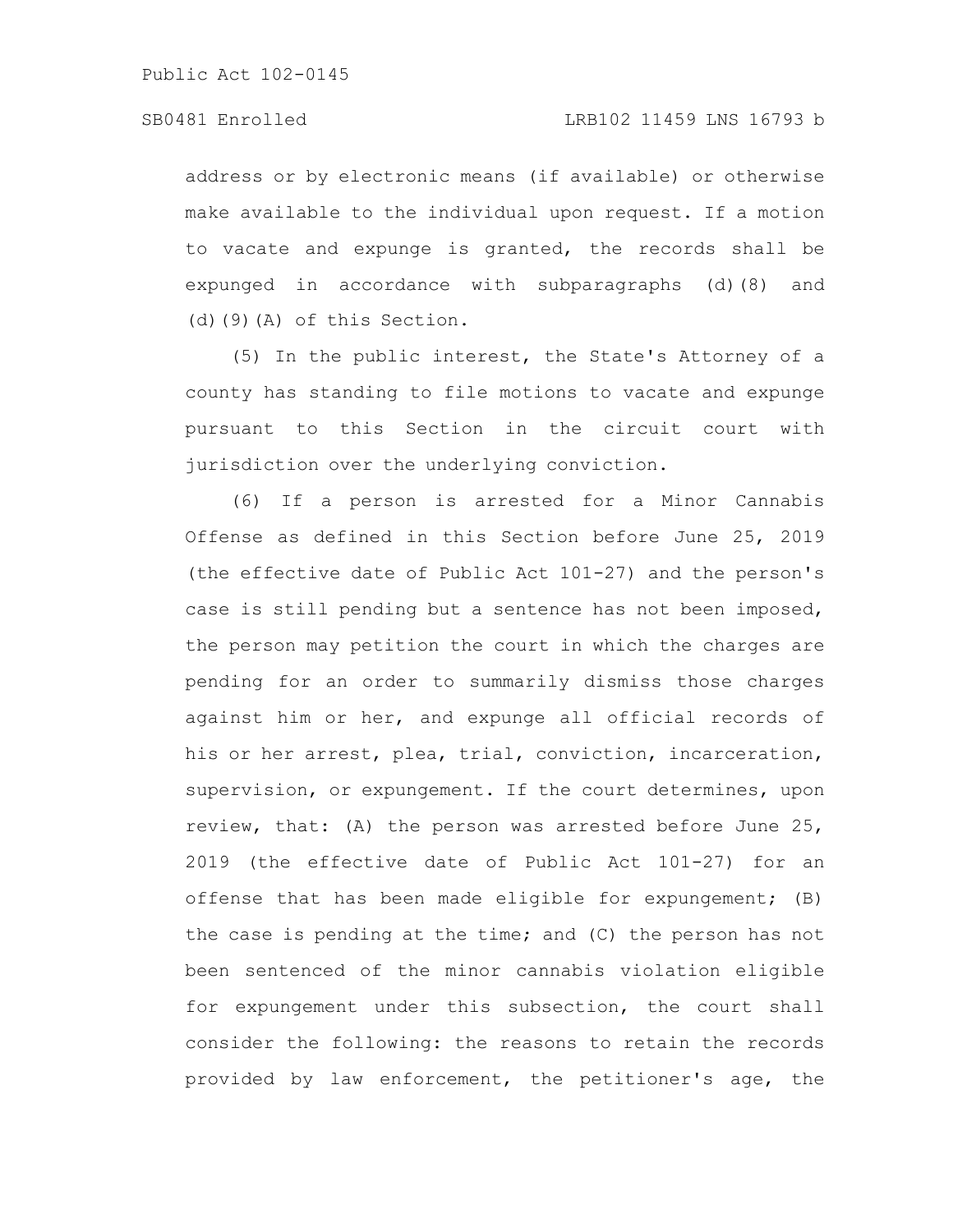address or by electronic means (if available) or otherwise make available to the individual upon request. If a motion to vacate and expunge is granted, the records shall be expunged in accordance with subparagraphs (d)(8) and (d)(9)(A) of this Section.

(5) In the public interest, the State's Attorney of a county has standing to file motions to vacate and expunge pursuant to this Section in the circuit court with jurisdiction over the underlying conviction.

(6) If a person is arrested for a Minor Cannabis Offense as defined in this Section before June 25, 2019 (the effective date of Public Act 101-27) and the person's case is still pending but a sentence has not been imposed, the person may petition the court in which the charges are pending for an order to summarily dismiss those charges against him or her, and expunge all official records of his or her arrest, plea, trial, conviction, incarceration, supervision, or expungement. If the court determines, upon review, that: (A) the person was arrested before June 25, 2019 (the effective date of Public Act 101-27) for an offense that has been made eligible for expungement; (B) the case is pending at the time; and (C) the person has not been sentenced of the minor cannabis violation eligible for expungement under this subsection, the court shall consider the following: the reasons to retain the records provided by law enforcement, the petitioner's age, the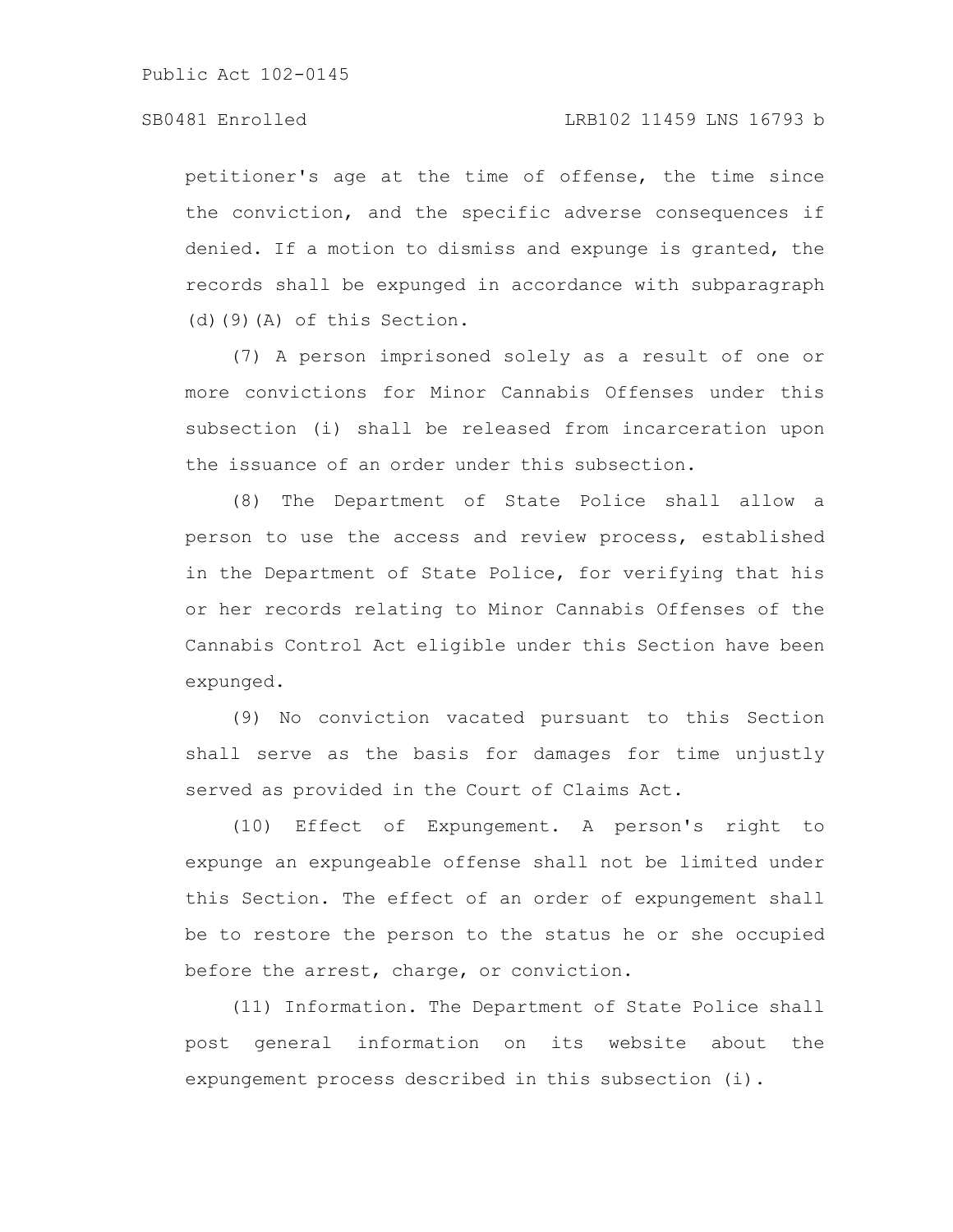petitioner's age at the time of offense, the time since the conviction, and the specific adverse consequences if denied. If a motion to dismiss and expunge is granted, the records shall be expunged in accordance with subparagraph (d)(9)(A) of this Section.

(7) A person imprisoned solely as a result of one or more convictions for Minor Cannabis Offenses under this subsection (i) shall be released from incarceration upon the issuance of an order under this subsection.

(8) The Department of State Police shall allow a person to use the access and review process, established in the Department of State Police, for verifying that his or her records relating to Minor Cannabis Offenses of the Cannabis Control Act eligible under this Section have been expunged.

(9) No conviction vacated pursuant to this Section shall serve as the basis for damages for time unjustly served as provided in the Court of Claims Act.

(10) Effect of Expungement. A person's right to expunge an expungeable offense shall not be limited under this Section. The effect of an order of expungement shall be to restore the person to the status he or she occupied before the arrest, charge, or conviction.

(11) Information. The Department of State Police shall post general information on its website about the expungement process described in this subsection (i).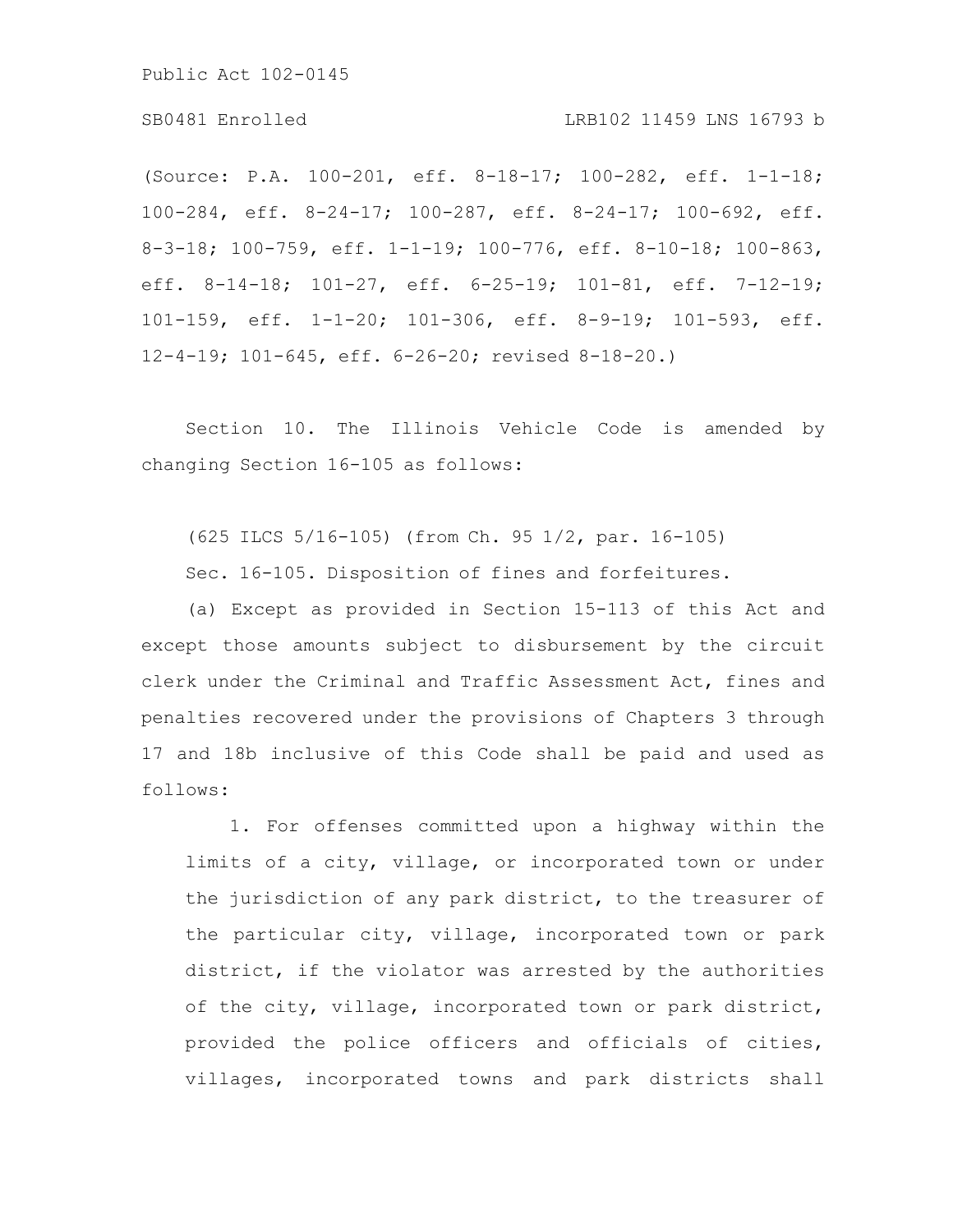(Source: P.A. 100-201, eff. 8-18-17; 100-282, eff. 1-1-18; 100-284, eff. 8-24-17; 100-287, eff. 8-24-17; 100-692, eff. 8-3-18; 100-759, eff. 1-1-19; 100-776, eff. 8-10-18; 100-863, eff. 8-14-18; 101-27, eff. 6-25-19; 101-81, eff. 7-12-19; 101-159, eff. 1-1-20; 101-306, eff. 8-9-19; 101-593, eff. 12-4-19; 101-645, eff. 6-26-20; revised 8-18-20.)

Section 10. The Illinois Vehicle Code is amended by changing Section 16-105 as follows:

(625 ILCS 5/16-105) (from Ch. 95 1/2, par. 16-105)

Sec. 16-105. Disposition of fines and forfeitures.

(a) Except as provided in Section 15-113 of this Act and except those amounts subject to disbursement by the circuit clerk under the Criminal and Traffic Assessment Act, fines and penalties recovered under the provisions of Chapters 3 through 17 and 18b inclusive of this Code shall be paid and used as follows:

1. For offenses committed upon a highway within the limits of a city, village, or incorporated town or under the jurisdiction of any park district, to the treasurer of the particular city, village, incorporated town or park district, if the violator was arrested by the authorities of the city, village, incorporated town or park district, provided the police officers and officials of cities, villages, incorporated towns and park districts shall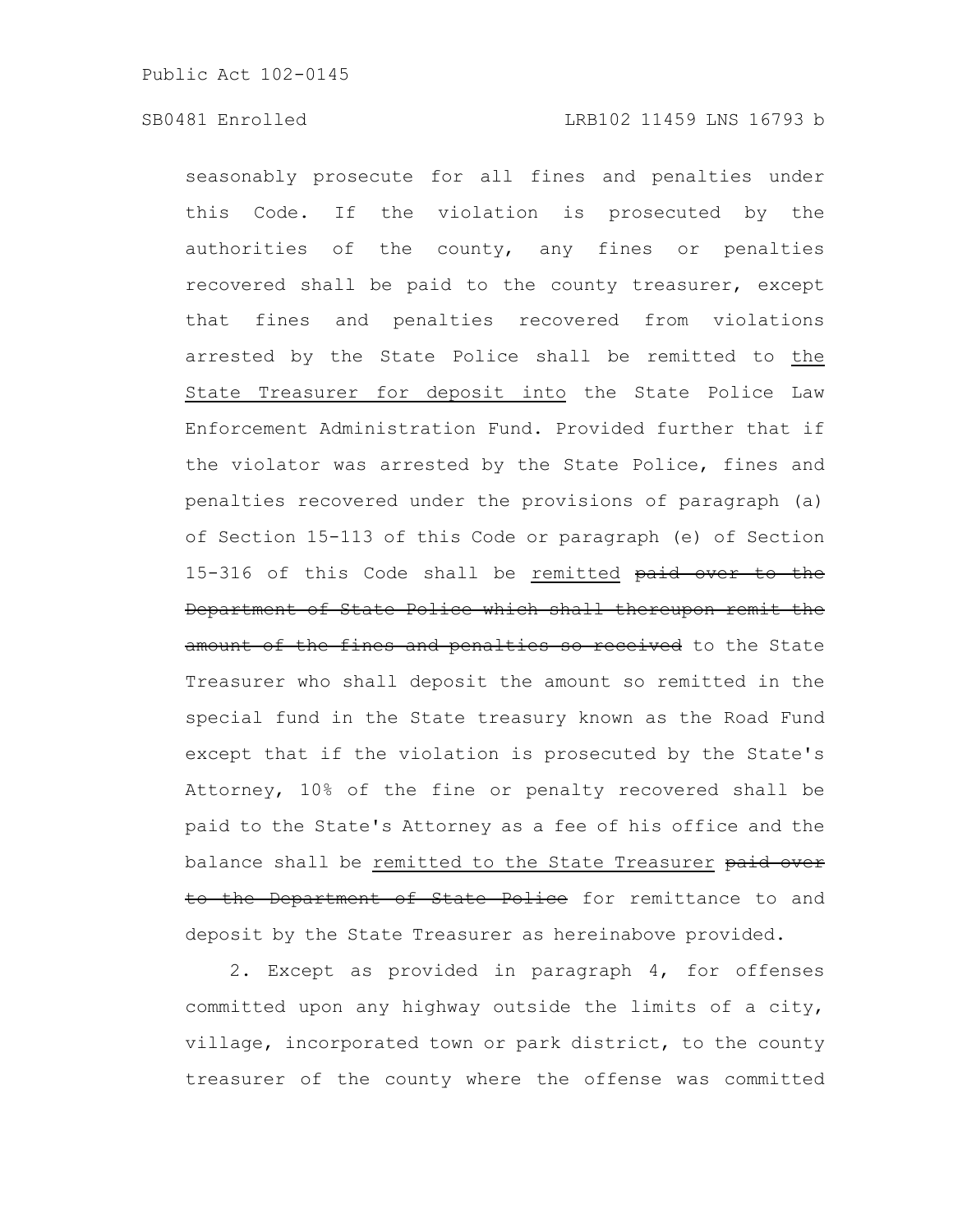seasonably prosecute for all fines and penalties under this Code. If the violation is prosecuted by the authorities of the county, any fines or penalties recovered shall be paid to the county treasurer, except that fines and penalties recovered from violations arrested by the State Police shall be remitted to the State Treasurer for deposit into the State Police Law Enforcement Administration Fund. Provided further that if the violator was arrested by the State Police, fines and penalties recovered under the provisions of paragraph (a) of Section 15-113 of this Code or paragraph (e) of Section 15-316 of this Code shall be remitted paid over to the Department of State Police which shall thereupon remit the amount of the fines and penalties so received to the State Treasurer who shall deposit the amount so remitted in the special fund in the State treasury known as the Road Fund except that if the violation is prosecuted by the State's Attorney, 10% of the fine or penalty recovered shall be paid to the State's Attorney as a fee of his office and the balance shall be remitted to the State Treasurer paid over to the Department of State Police for remittance to and deposit by the State Treasurer as hereinabove provided.

2. Except as provided in paragraph 4, for offenses committed upon any highway outside the limits of a city, village, incorporated town or park district, to the county treasurer of the county where the offense was committed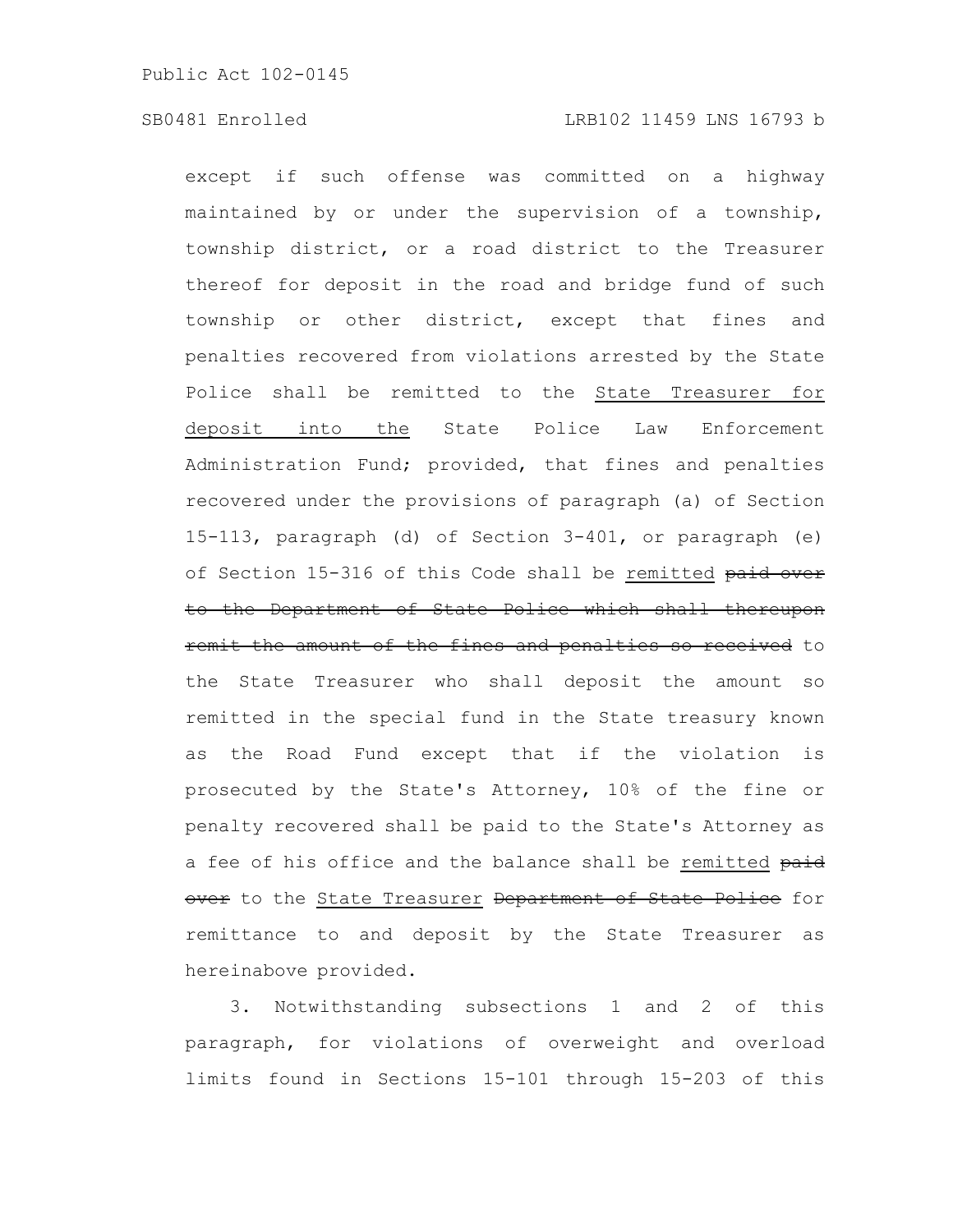# SB0481 Enrolled LRB102 11459 LNS 16793 b

except if such offense was committed on a highway maintained by or under the supervision of a township, township district, or a road district to the Treasurer thereof for deposit in the road and bridge fund of such township or other district, except that fines and penalties recovered from violations arrested by the State Police shall be remitted to the State Treasurer for deposit into the State Police Law Enforcement Administration Fund; provided, that fines and penalties recovered under the provisions of paragraph (a) of Section 15-113, paragraph (d) of Section 3-401, or paragraph (e) of Section 15-316 of this Code shall be remitted paid over to the Department of State Police which shall thereupon remit the amount of the fines and penalties so received to the State Treasurer who shall deposit the amount so remitted in the special fund in the State treasury known as the Road Fund except that if the violation is prosecuted by the State's Attorney, 10% of the fine or penalty recovered shall be paid to the State's Attorney as a fee of his office and the balance shall be remitted paid over to the State Treasurer Department of State Police for remittance to and deposit by the State Treasurer as hereinabove provided.

3. Notwithstanding subsections 1 and 2 of this paragraph, for violations of overweight and overload limits found in Sections 15-101 through 15-203 of this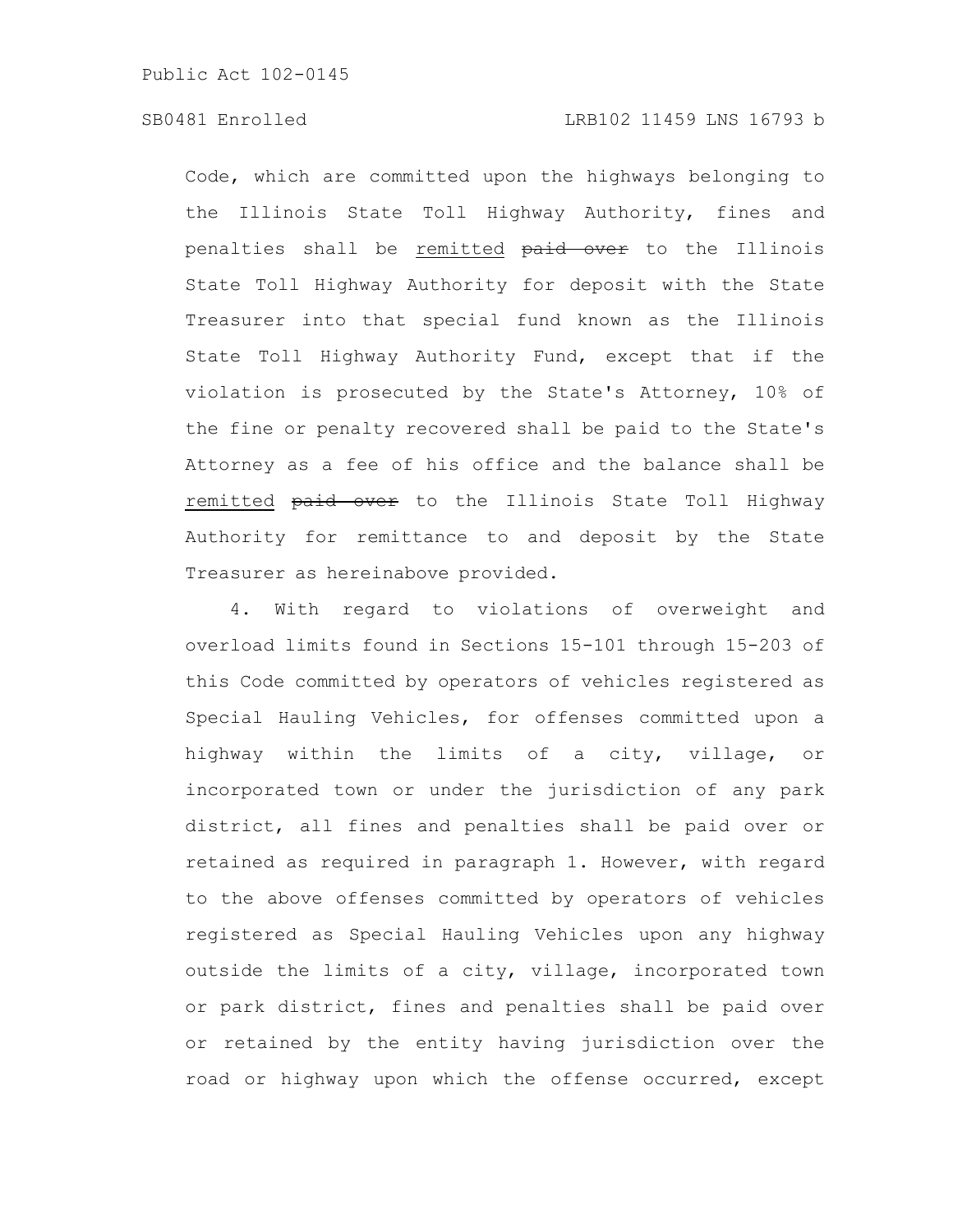Code, which are committed upon the highways belonging to the Illinois State Toll Highway Authority, fines and penalties shall be remitted paid over to the Illinois State Toll Highway Authority for deposit with the State Treasurer into that special fund known as the Illinois State Toll Highway Authority Fund, except that if the violation is prosecuted by the State's Attorney, 10% of the fine or penalty recovered shall be paid to the State's Attorney as a fee of his office and the balance shall be remitted **paid over** to the Illinois State Toll Highway Authority for remittance to and deposit by the State Treasurer as hereinabove provided.

4. With regard to violations of overweight and overload limits found in Sections 15-101 through 15-203 of this Code committed by operators of vehicles registered as Special Hauling Vehicles, for offenses committed upon a highway within the limits of a city, village, or incorporated town or under the jurisdiction of any park district, all fines and penalties shall be paid over or retained as required in paragraph 1. However, with regard to the above offenses committed by operators of vehicles registered as Special Hauling Vehicles upon any highway outside the limits of a city, village, incorporated town or park district, fines and penalties shall be paid over or retained by the entity having jurisdiction over the road or highway upon which the offense occurred, except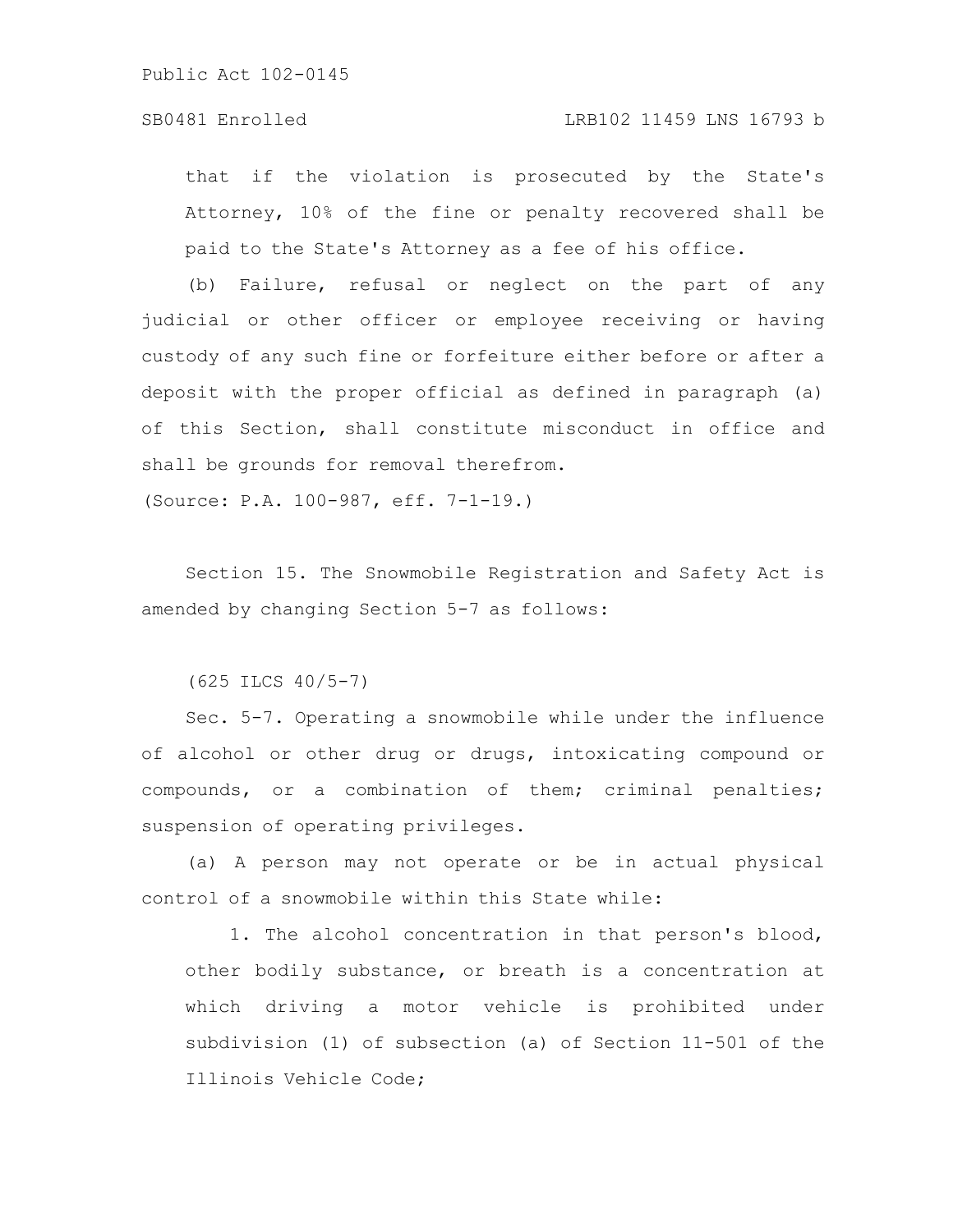### SB0481 Enrolled LRB102 11459 LNS 16793 b

that if the violation is prosecuted by the State's Attorney, 10% of the fine or penalty recovered shall be paid to the State's Attorney as a fee of his office.

(b) Failure, refusal or neglect on the part of any judicial or other officer or employee receiving or having custody of any such fine or forfeiture either before or after a deposit with the proper official as defined in paragraph (a) of this Section, shall constitute misconduct in office and shall be grounds for removal therefrom.

(Source: P.A. 100-987, eff. 7-1-19.)

Section 15. The Snowmobile Registration and Safety Act is amended by changing Section 5-7 as follows:

(625 ILCS 40/5-7)

Sec. 5-7. Operating a snowmobile while under the influence of alcohol or other drug or drugs, intoxicating compound or compounds, or a combination of them; criminal penalties; suspension of operating privileges.

(a) A person may not operate or be in actual physical control of a snowmobile within this State while:

1. The alcohol concentration in that person's blood, other bodily substance, or breath is a concentration at which driving a motor vehicle is prohibited under subdivision (1) of subsection (a) of Section 11-501 of the Illinois Vehicle Code;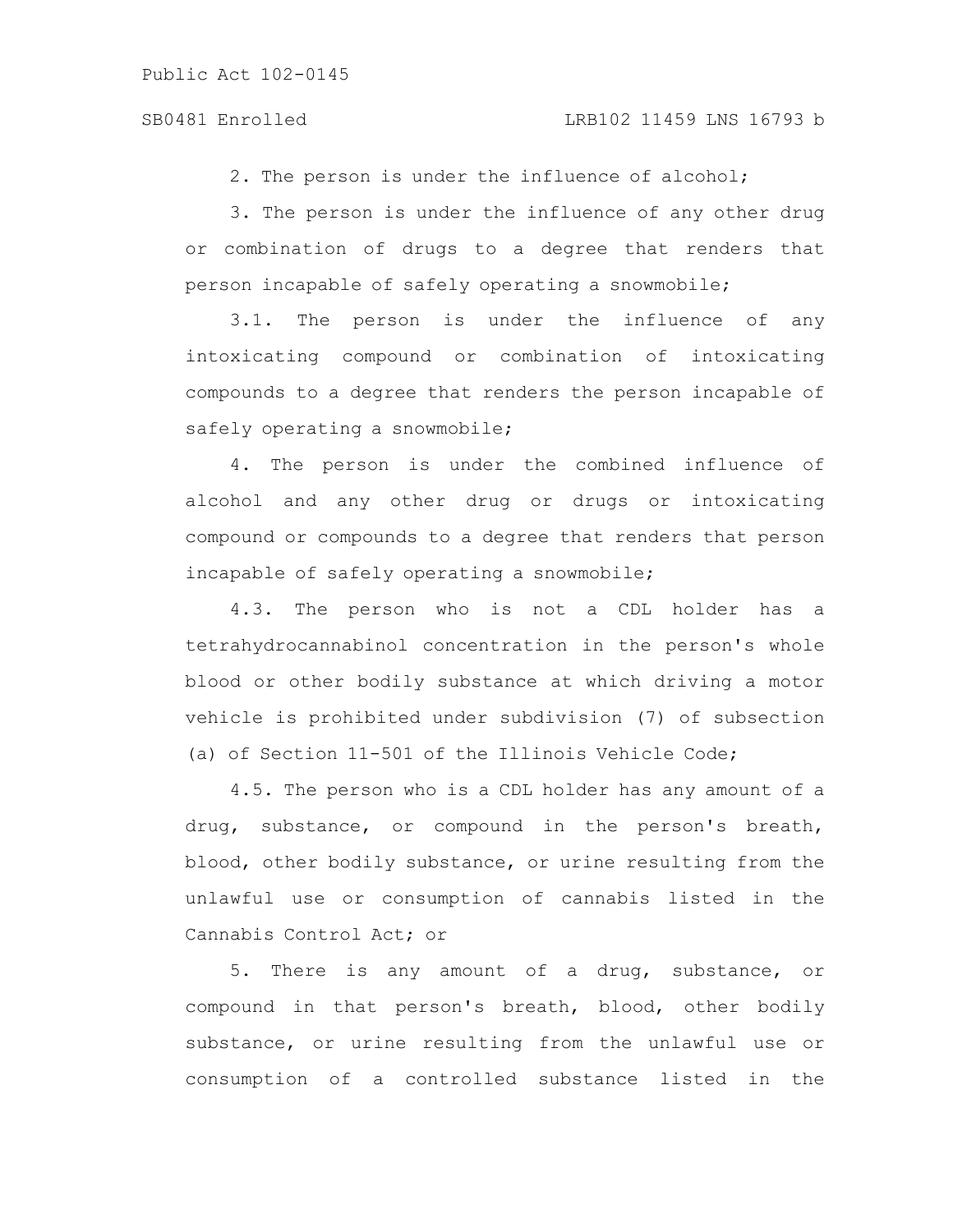2. The person is under the influence of alcohol;

3. The person is under the influence of any other drug or combination of drugs to a degree that renders that person incapable of safely operating a snowmobile;

3.1. The person is under the influence of any intoxicating compound or combination of intoxicating compounds to a degree that renders the person incapable of safely operating a snowmobile;

4. The person is under the combined influence of alcohol and any other drug or drugs or intoxicating compound or compounds to a degree that renders that person incapable of safely operating a snowmobile;

4.3. The person who is not a CDL holder has a tetrahydrocannabinol concentration in the person's whole blood or other bodily substance at which driving a motor vehicle is prohibited under subdivision (7) of subsection (a) of Section 11-501 of the Illinois Vehicle Code;

4.5. The person who is a CDL holder has any amount of a drug, substance, or compound in the person's breath, blood, other bodily substance, or urine resulting from the unlawful use or consumption of cannabis listed in the Cannabis Control Act; or

5. There is any amount of a drug, substance, or compound in that person's breath, blood, other bodily substance, or urine resulting from the unlawful use or consumption of a controlled substance listed in the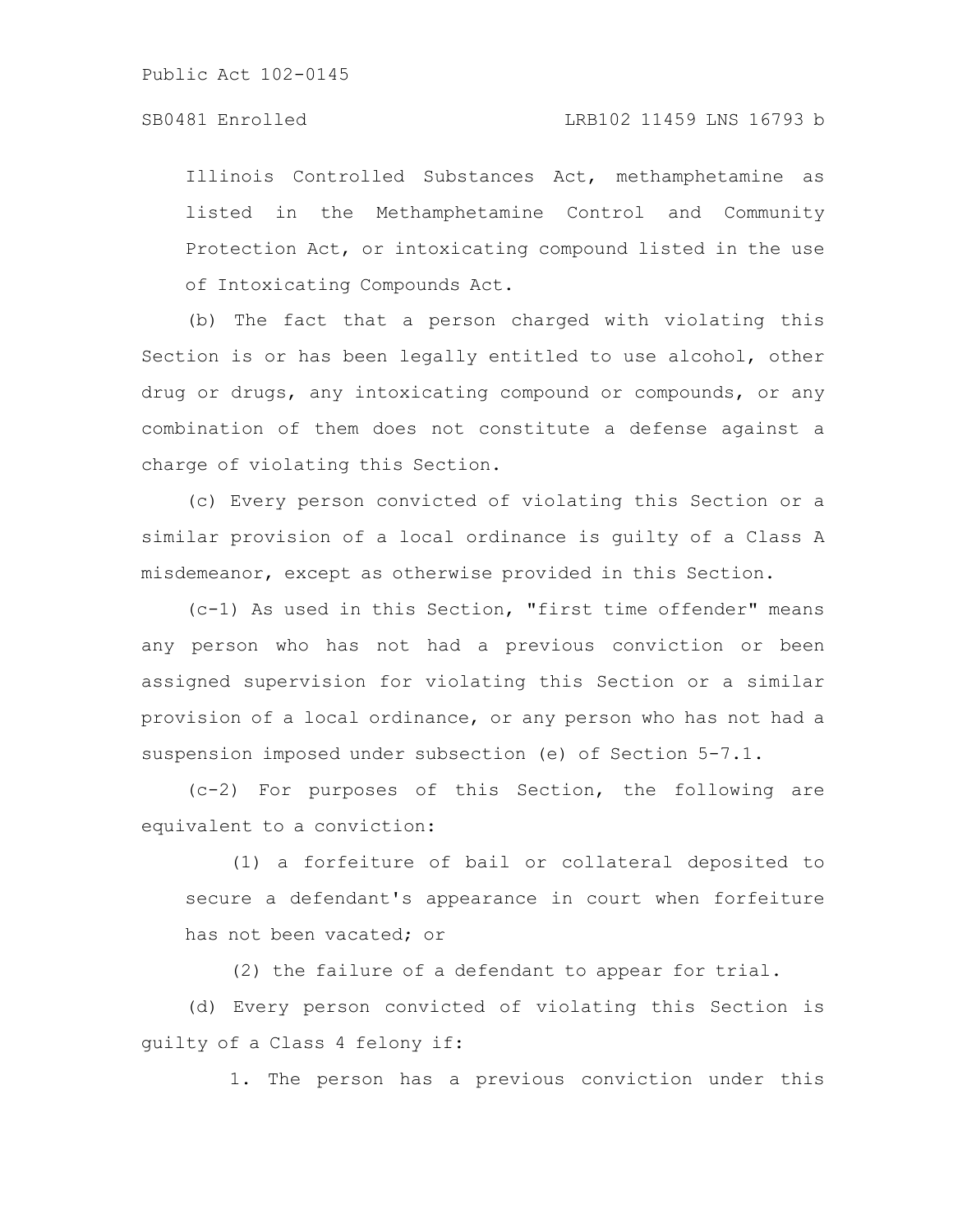Illinois Controlled Substances Act, methamphetamine as listed in the Methamphetamine Control and Community Protection Act, or intoxicating compound listed in the use of Intoxicating Compounds Act.

(b) The fact that a person charged with violating this Section is or has been legally entitled to use alcohol, other drug or drugs, any intoxicating compound or compounds, or any combination of them does not constitute a defense against a charge of violating this Section.

(c) Every person convicted of violating this Section or a similar provision of a local ordinance is guilty of a Class A misdemeanor, except as otherwise provided in this Section.

(c-1) As used in this Section, "first time offender" means any person who has not had a previous conviction or been assigned supervision for violating this Section or a similar provision of a local ordinance, or any person who has not had a suspension imposed under subsection (e) of Section 5-7.1.

(c-2) For purposes of this Section, the following are equivalent to a conviction:

(1) a forfeiture of bail or collateral deposited to secure a defendant's appearance in court when forfeiture has not been vacated; or

(2) the failure of a defendant to appear for trial.

(d) Every person convicted of violating this Section is guilty of a Class 4 felony if:

1. The person has a previous conviction under this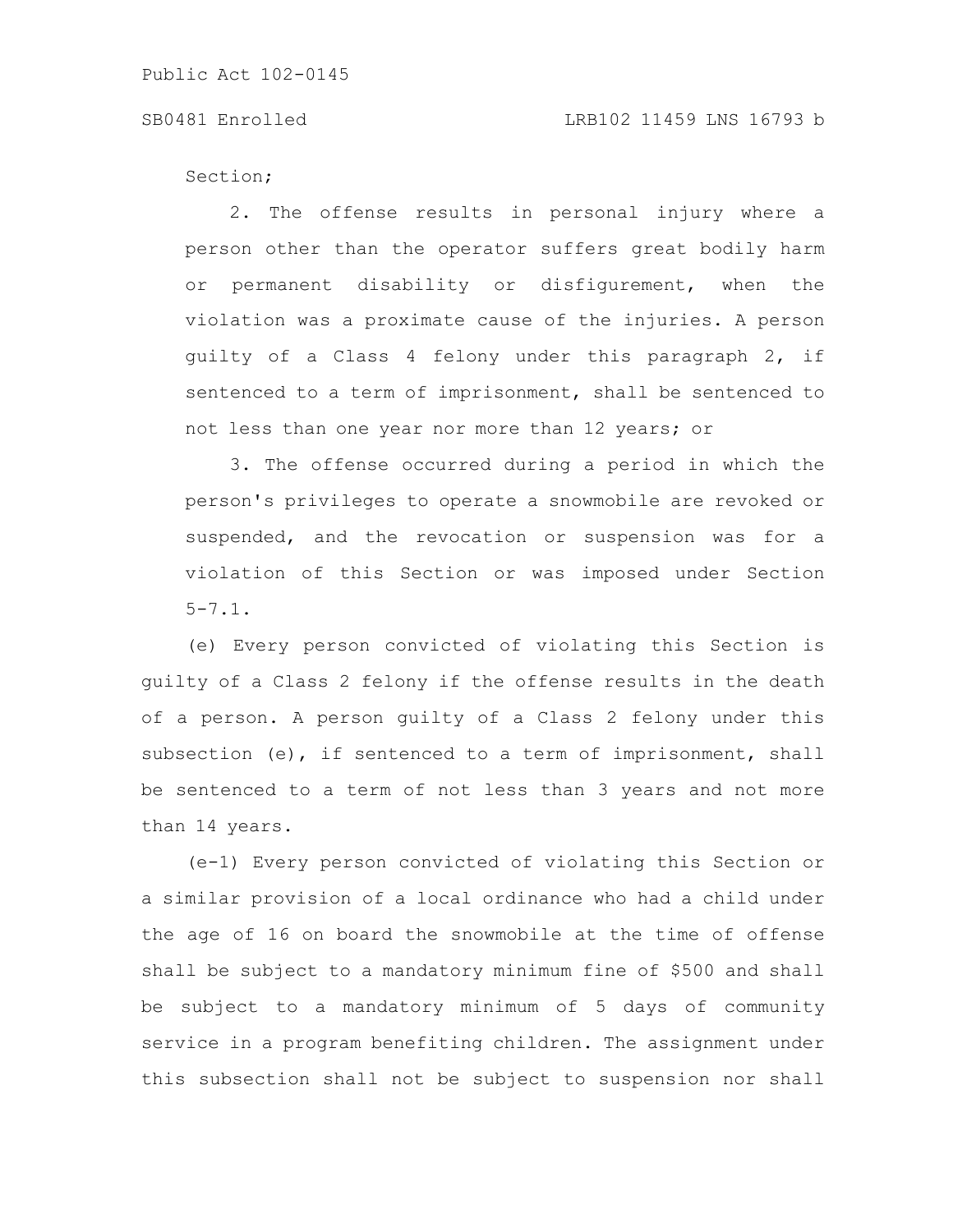Section;

2. The offense results in personal injury where a person other than the operator suffers great bodily harm or permanent disability or disfigurement, when the violation was a proximate cause of the injuries. A person guilty of a Class 4 felony under this paragraph 2, if sentenced to a term of imprisonment, shall be sentenced to not less than one year nor more than 12 years; or

3. The offense occurred during a period in which the person's privileges to operate a snowmobile are revoked or suspended, and the revocation or suspension was for a violation of this Section or was imposed under Section 5-7.1.

(e) Every person convicted of violating this Section is guilty of a Class 2 felony if the offense results in the death of a person. A person guilty of a Class 2 felony under this subsection (e), if sentenced to a term of imprisonment, shall be sentenced to a term of not less than 3 years and not more than 14 years.

(e-1) Every person convicted of violating this Section or a similar provision of a local ordinance who had a child under the age of 16 on board the snowmobile at the time of offense shall be subject to a mandatory minimum fine of \$500 and shall be subject to a mandatory minimum of 5 days of community service in a program benefiting children. The assignment under this subsection shall not be subject to suspension nor shall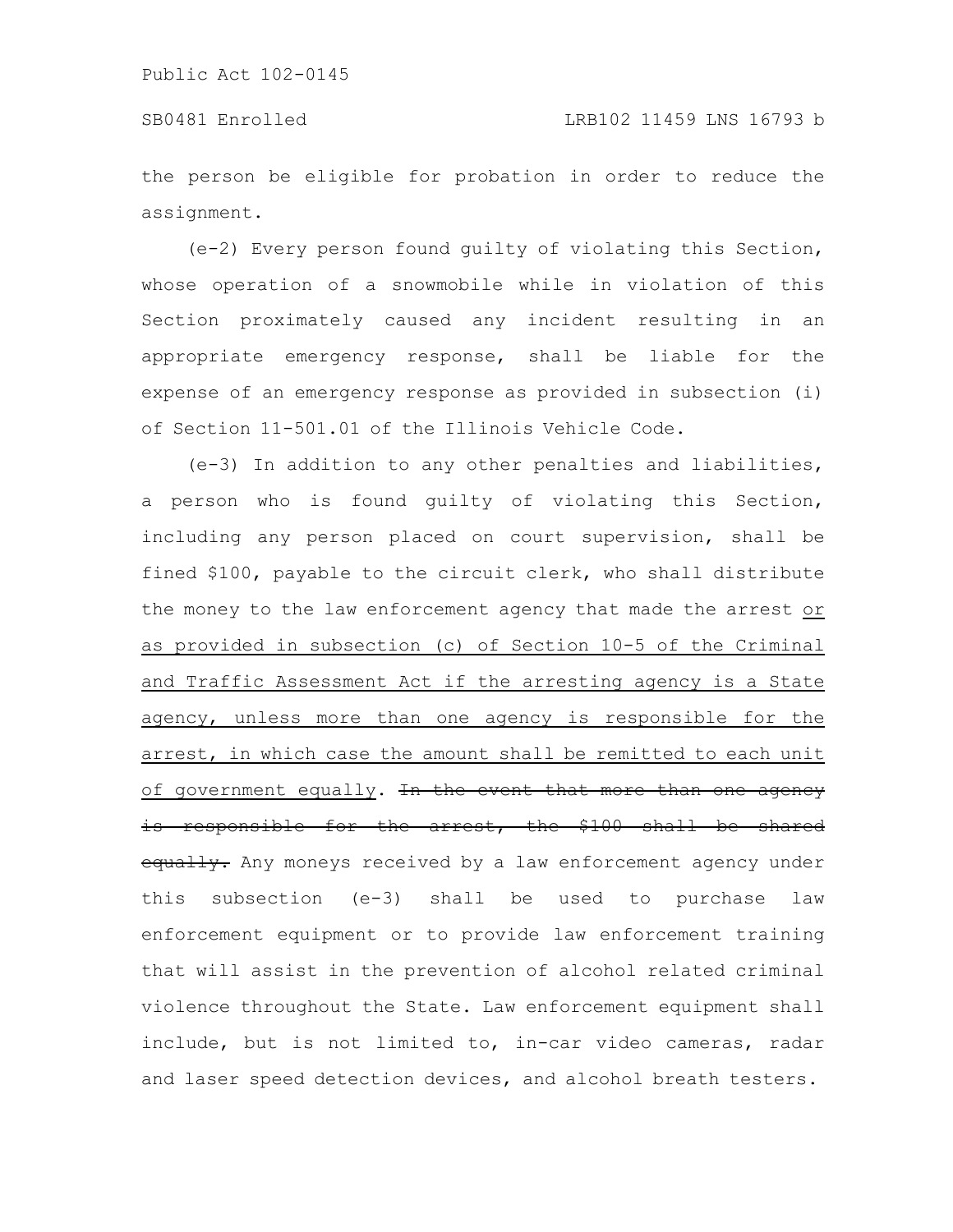the person be eligible for probation in order to reduce the assignment.

(e-2) Every person found guilty of violating this Section, whose operation of a snowmobile while in violation of this Section proximately caused any incident resulting in an appropriate emergency response, shall be liable for the expense of an emergency response as provided in subsection (i) of Section 11-501.01 of the Illinois Vehicle Code.

(e-3) In addition to any other penalties and liabilities, a person who is found guilty of violating this Section, including any person placed on court supervision, shall be fined \$100, payable to the circuit clerk, who shall distribute the money to the law enforcement agency that made the arrest or as provided in subsection (c) of Section 10-5 of the Criminal and Traffic Assessment Act if the arresting agency is a State agency, unless more than one agency is responsible for the arrest, in which case the amount shall be remitted to each unit of government equally. In the event that more than one agency is responsible for the arrest, the \$100 shall be shared equally. Any moneys received by a law enforcement agency under this subsection (e-3) shall be used to purchase law enforcement equipment or to provide law enforcement training that will assist in the prevention of alcohol related criminal violence throughout the State. Law enforcement equipment shall include, but is not limited to, in-car video cameras, radar and laser speed detection devices, and alcohol breath testers.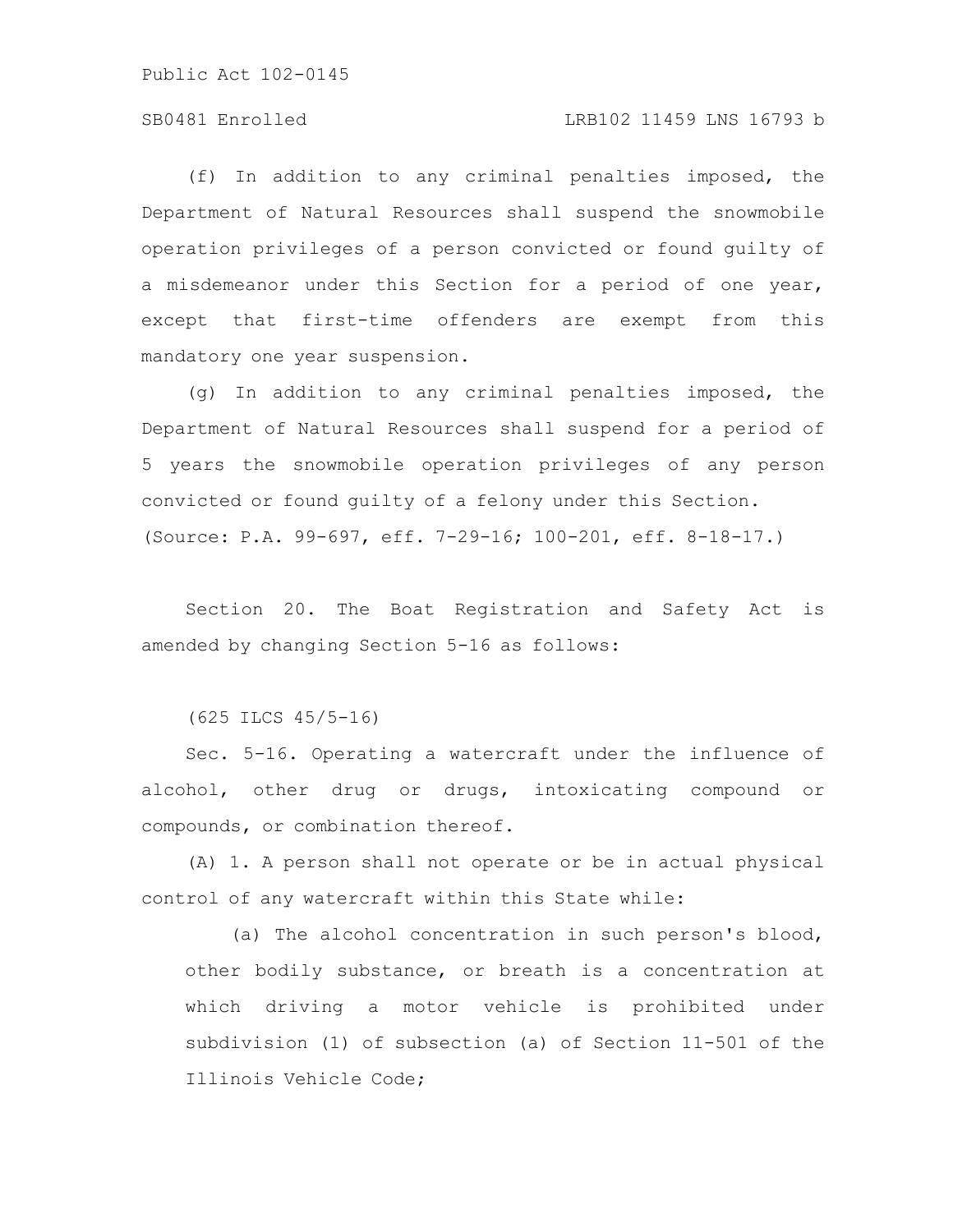# SB0481 Enrolled LRB102 11459 LNS 16793 b

(f) In addition to any criminal penalties imposed, the Department of Natural Resources shall suspend the snowmobile operation privileges of a person convicted or found guilty of a misdemeanor under this Section for a period of one year, except that first-time offenders are exempt from this mandatory one year suspension.

(g) In addition to any criminal penalties imposed, the Department of Natural Resources shall suspend for a period of 5 years the snowmobile operation privileges of any person convicted or found guilty of a felony under this Section. (Source: P.A. 99-697, eff. 7-29-16; 100-201, eff. 8-18-17.)

Section 20. The Boat Registration and Safety Act is amended by changing Section 5-16 as follows:

(625 ILCS 45/5-16)

Sec. 5-16. Operating a watercraft under the influence of alcohol, other drug or drugs, intoxicating compound or compounds, or combination thereof.

(A) 1. A person shall not operate or be in actual physical control of any watercraft within this State while:

(a) The alcohol concentration in such person's blood, other bodily substance, or breath is a concentration at which driving a motor vehicle is prohibited under subdivision (1) of subsection (a) of Section 11-501 of the Illinois Vehicle Code;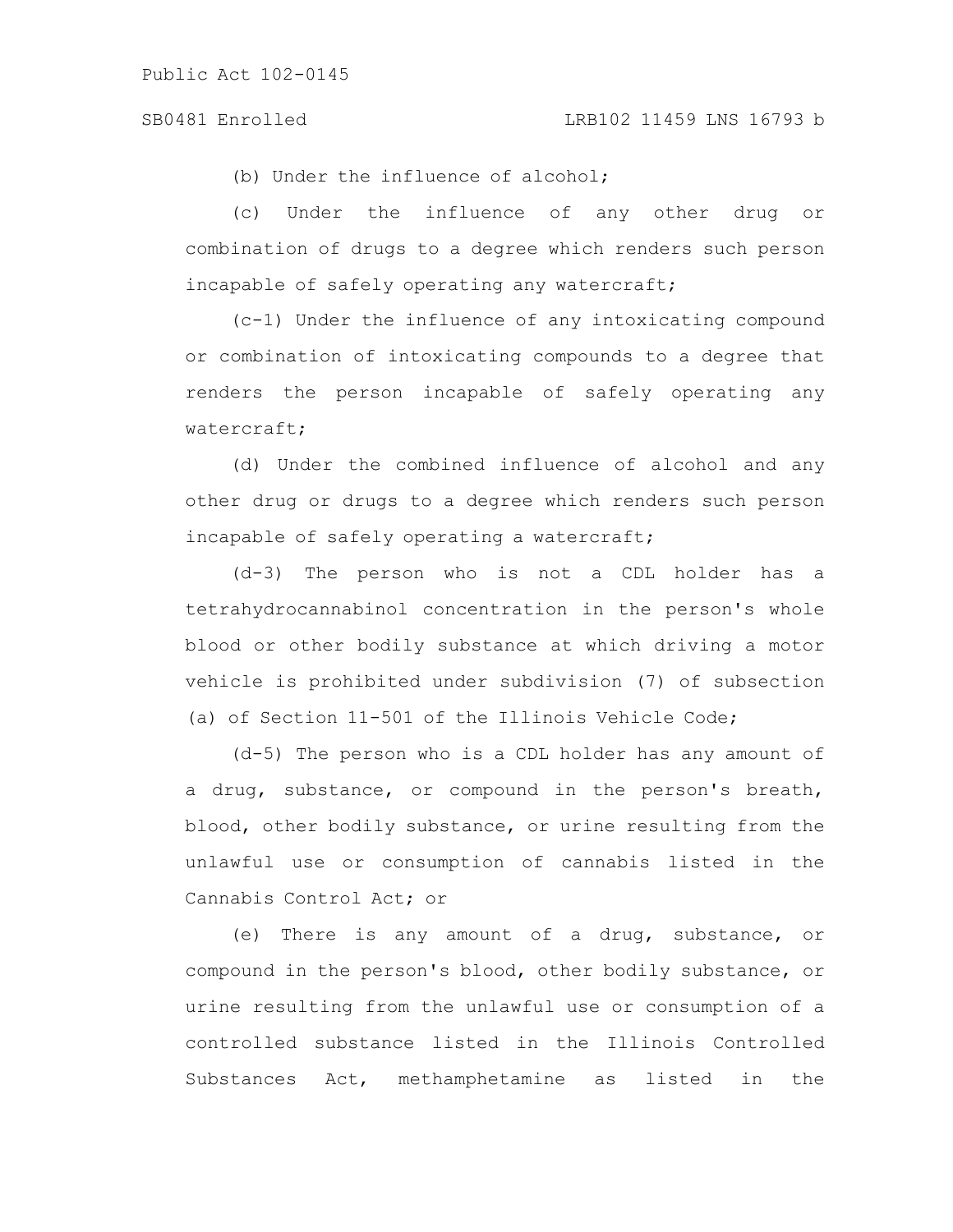(b) Under the influence of alcohol;

(c) Under the influence of any other drug or combination of drugs to a degree which renders such person incapable of safely operating any watercraft;

(c-1) Under the influence of any intoxicating compound or combination of intoxicating compounds to a degree that renders the person incapable of safely operating any watercraft;

(d) Under the combined influence of alcohol and any other drug or drugs to a degree which renders such person incapable of safely operating a watercraft;

(d-3) The person who is not a CDL holder has a tetrahydrocannabinol concentration in the person's whole blood or other bodily substance at which driving a motor vehicle is prohibited under subdivision (7) of subsection (a) of Section 11-501 of the Illinois Vehicle Code;

(d-5) The person who is a CDL holder has any amount of a drug, substance, or compound in the person's breath, blood, other bodily substance, or urine resulting from the unlawful use or consumption of cannabis listed in the Cannabis Control Act; or

(e) There is any amount of a drug, substance, or compound in the person's blood, other bodily substance, or urine resulting from the unlawful use or consumption of a controlled substance listed in the Illinois Controlled Substances Act, methamphetamine as listed in the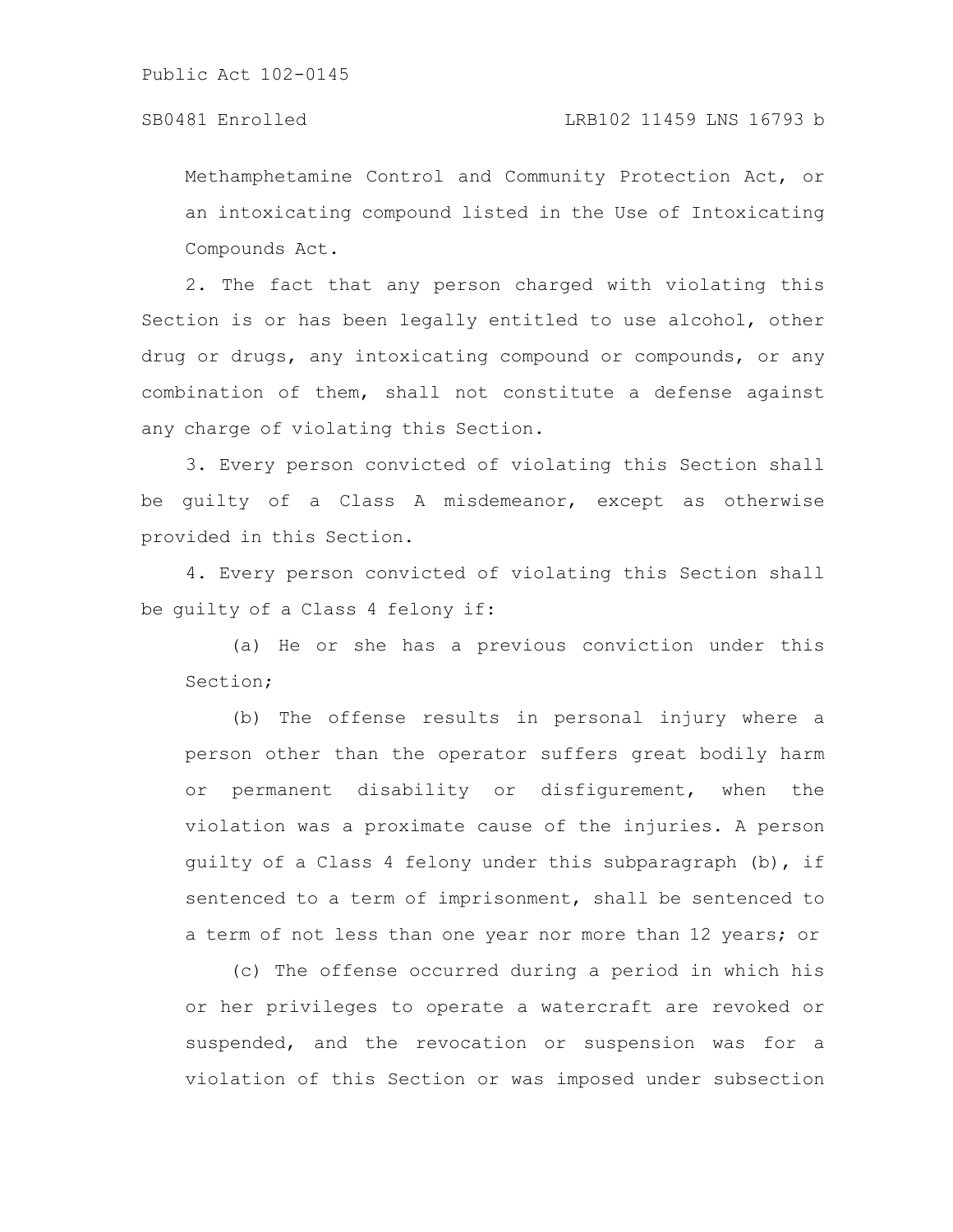Methamphetamine Control and Community Protection Act, or an intoxicating compound listed in the Use of Intoxicating Compounds Act.

2. The fact that any person charged with violating this Section is or has been legally entitled to use alcohol, other drug or drugs, any intoxicating compound or compounds, or any combination of them, shall not constitute a defense against any charge of violating this Section.

3. Every person convicted of violating this Section shall be guilty of a Class A misdemeanor, except as otherwise provided in this Section.

4. Every person convicted of violating this Section shall be guilty of a Class 4 felony if:

(a) He or she has a previous conviction under this Section;

(b) The offense results in personal injury where a person other than the operator suffers great bodily harm or permanent disability or disfigurement, when the violation was a proximate cause of the injuries. A person guilty of a Class 4 felony under this subparagraph (b), if sentenced to a term of imprisonment, shall be sentenced to a term of not less than one year nor more than 12 years; or

(c) The offense occurred during a period in which his or her privileges to operate a watercraft are revoked or suspended, and the revocation or suspension was for a violation of this Section or was imposed under subsection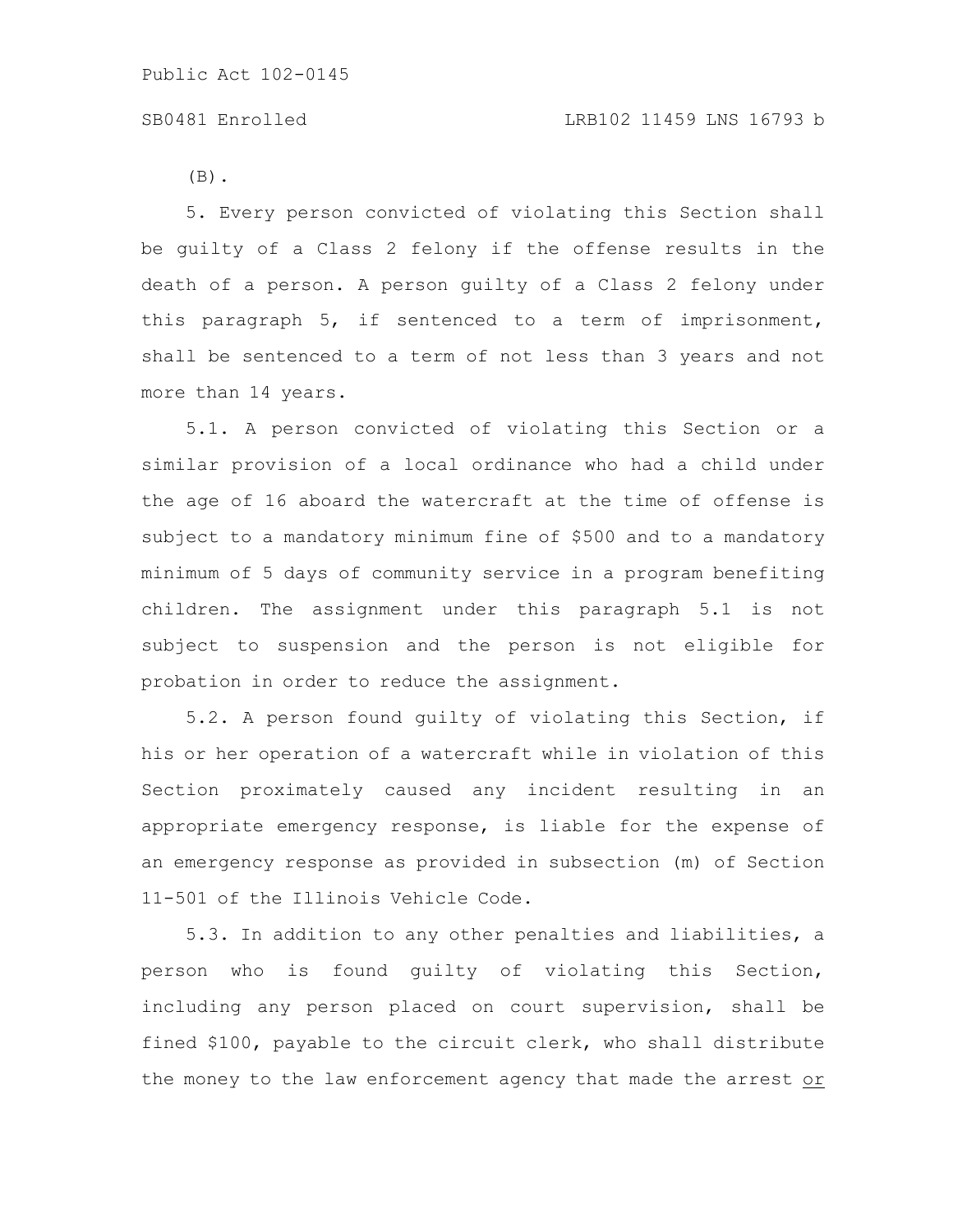$(B)$ .

5. Every person convicted of violating this Section shall be guilty of a Class 2 felony if the offense results in the death of a person. A person guilty of a Class 2 felony under this paragraph 5, if sentenced to a term of imprisonment, shall be sentenced to a term of not less than 3 years and not more than 14 years.

5.1. A person convicted of violating this Section or a similar provision of a local ordinance who had a child under the age of 16 aboard the watercraft at the time of offense is subject to a mandatory minimum fine of \$500 and to a mandatory minimum of 5 days of community service in a program benefiting children. The assignment under this paragraph 5.1 is not subject to suspension and the person is not eligible for probation in order to reduce the assignment.

5.2. A person found guilty of violating this Section, if his or her operation of a watercraft while in violation of this Section proximately caused any incident resulting in an appropriate emergency response, is liable for the expense of an emergency response as provided in subsection (m) of Section 11-501 of the Illinois Vehicle Code.

5.3. In addition to any other penalties and liabilities, a person who is found guilty of violating this Section, including any person placed on court supervision, shall be fined \$100, payable to the circuit clerk, who shall distribute the money to the law enforcement agency that made the arrest or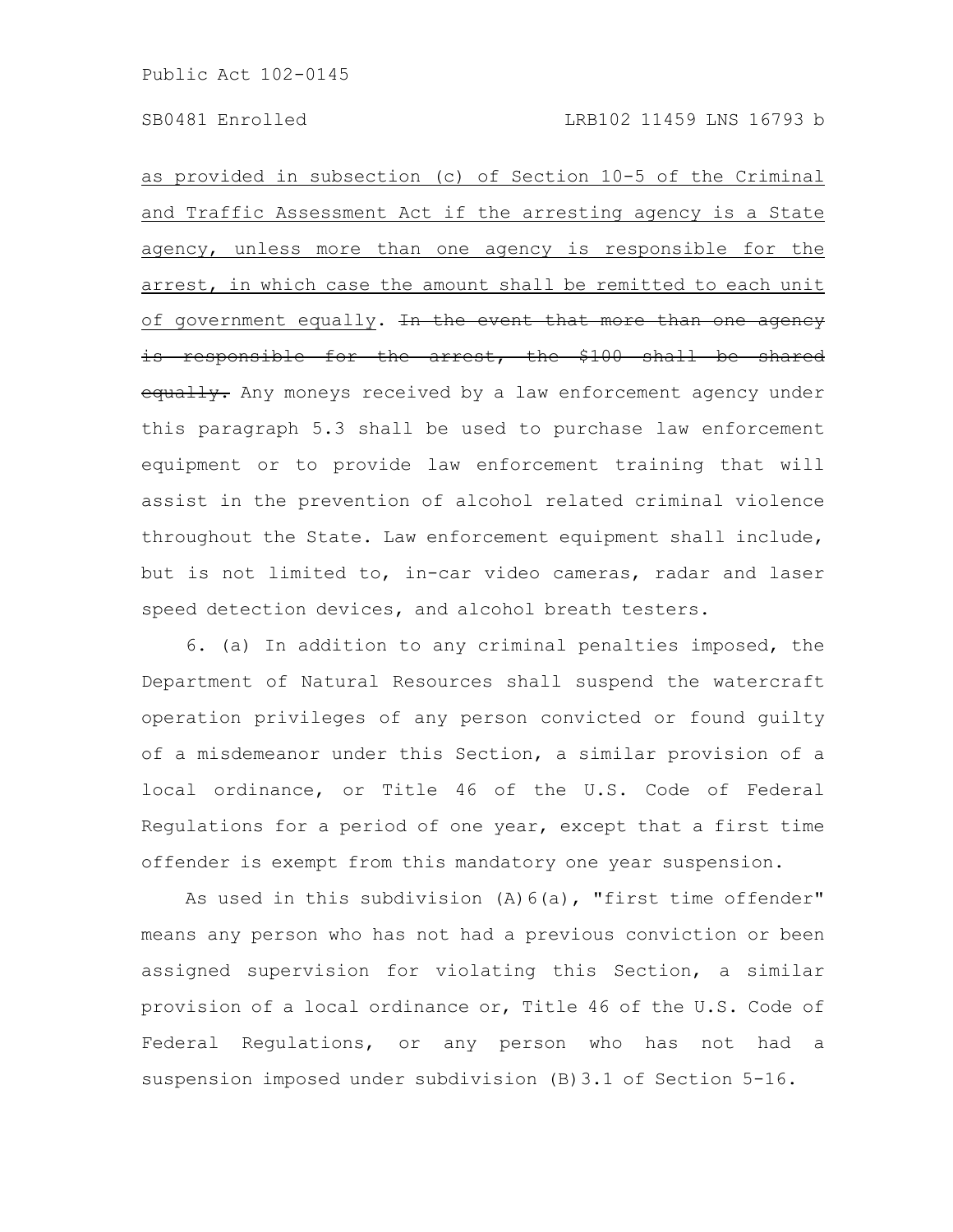as provided in subsection (c) of Section 10-5 of the Criminal and Traffic Assessment Act if the arresting agency is a State agency, unless more than one agency is responsible for the arrest, in which case the amount shall be remitted to each unit of government equally. In the event that more than one agency is responsible for the arrest, the \$100 shall be shared equally. Any moneys received by a law enforcement agency under this paragraph 5.3 shall be used to purchase law enforcement equipment or to provide law enforcement training that will assist in the prevention of alcohol related criminal violence throughout the State. Law enforcement equipment shall include, but is not limited to, in-car video cameras, radar and laser speed detection devices, and alcohol breath testers.

6. (a) In addition to any criminal penalties imposed, the Department of Natural Resources shall suspend the watercraft operation privileges of any person convicted or found guilty of a misdemeanor under this Section, a similar provision of a local ordinance, or Title 46 of the U.S. Code of Federal Regulations for a period of one year, except that a first time offender is exempt from this mandatory one year suspension.

As used in this subdivision (A) 6(a), "first time offender" means any person who has not had a previous conviction or been assigned supervision for violating this Section, a similar provision of a local ordinance or, Title 46 of the U.S. Code of Federal Regulations, or any person who has not had a suspension imposed under subdivision (B)3.1 of Section 5-16.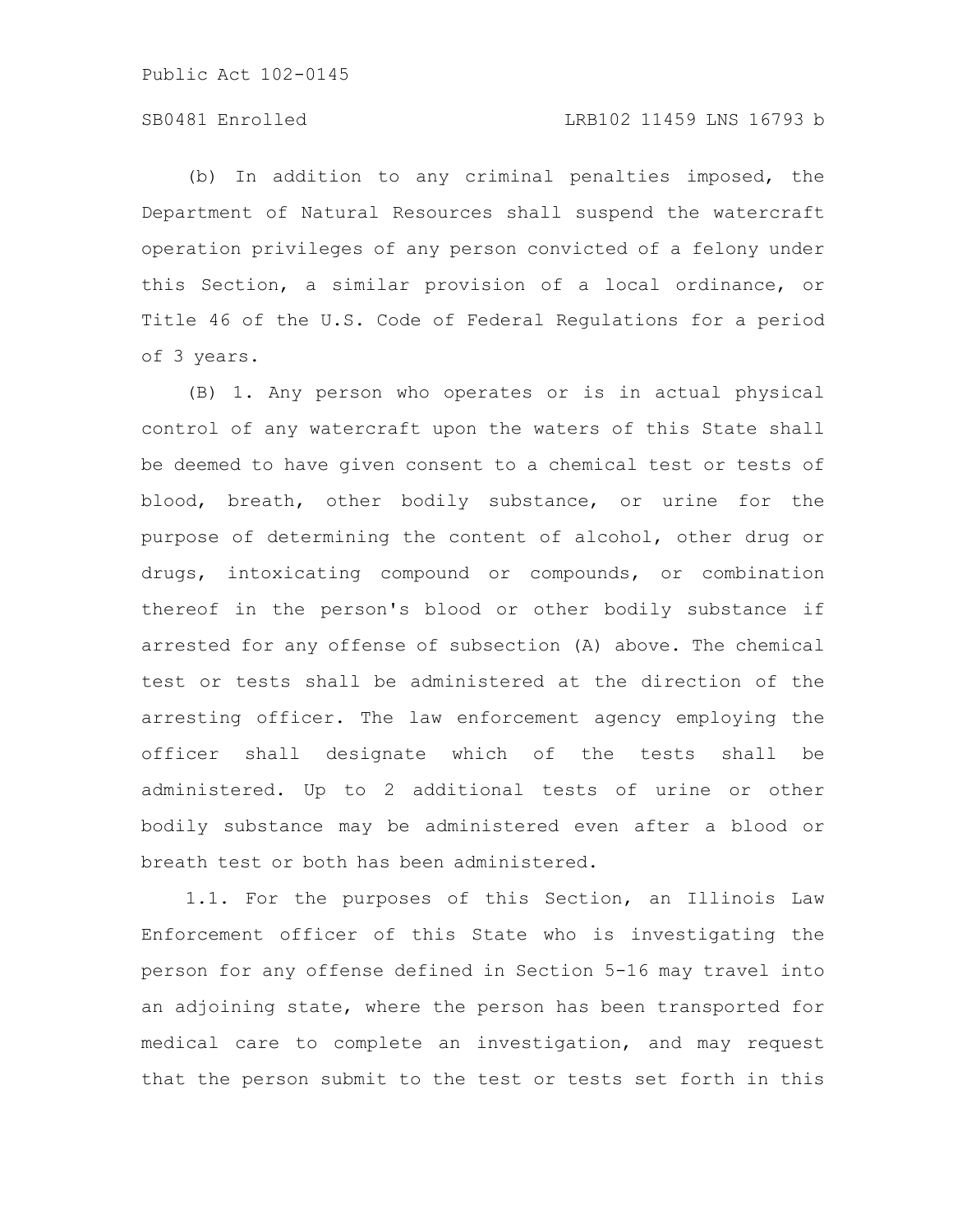# SB0481 Enrolled LRB102 11459 LNS 16793 b

(b) In addition to any criminal penalties imposed, the Department of Natural Resources shall suspend the watercraft operation privileges of any person convicted of a felony under this Section, a similar provision of a local ordinance, or Title 46 of the U.S. Code of Federal Regulations for a period of 3 years.

(B) 1. Any person who operates or is in actual physical control of any watercraft upon the waters of this State shall be deemed to have given consent to a chemical test or tests of blood, breath, other bodily substance, or urine for the purpose of determining the content of alcohol, other drug or drugs, intoxicating compound or compounds, or combination thereof in the person's blood or other bodily substance if arrested for any offense of subsection (A) above. The chemical test or tests shall be administered at the direction of the arresting officer. The law enforcement agency employing the officer shall designate which of the tests shall be administered. Up to 2 additional tests of urine or other bodily substance may be administered even after a blood or breath test or both has been administered.

1.1. For the purposes of this Section, an Illinois Law Enforcement officer of this State who is investigating the person for any offense defined in Section 5-16 may travel into an adjoining state, where the person has been transported for medical care to complete an investigation, and may request that the person submit to the test or tests set forth in this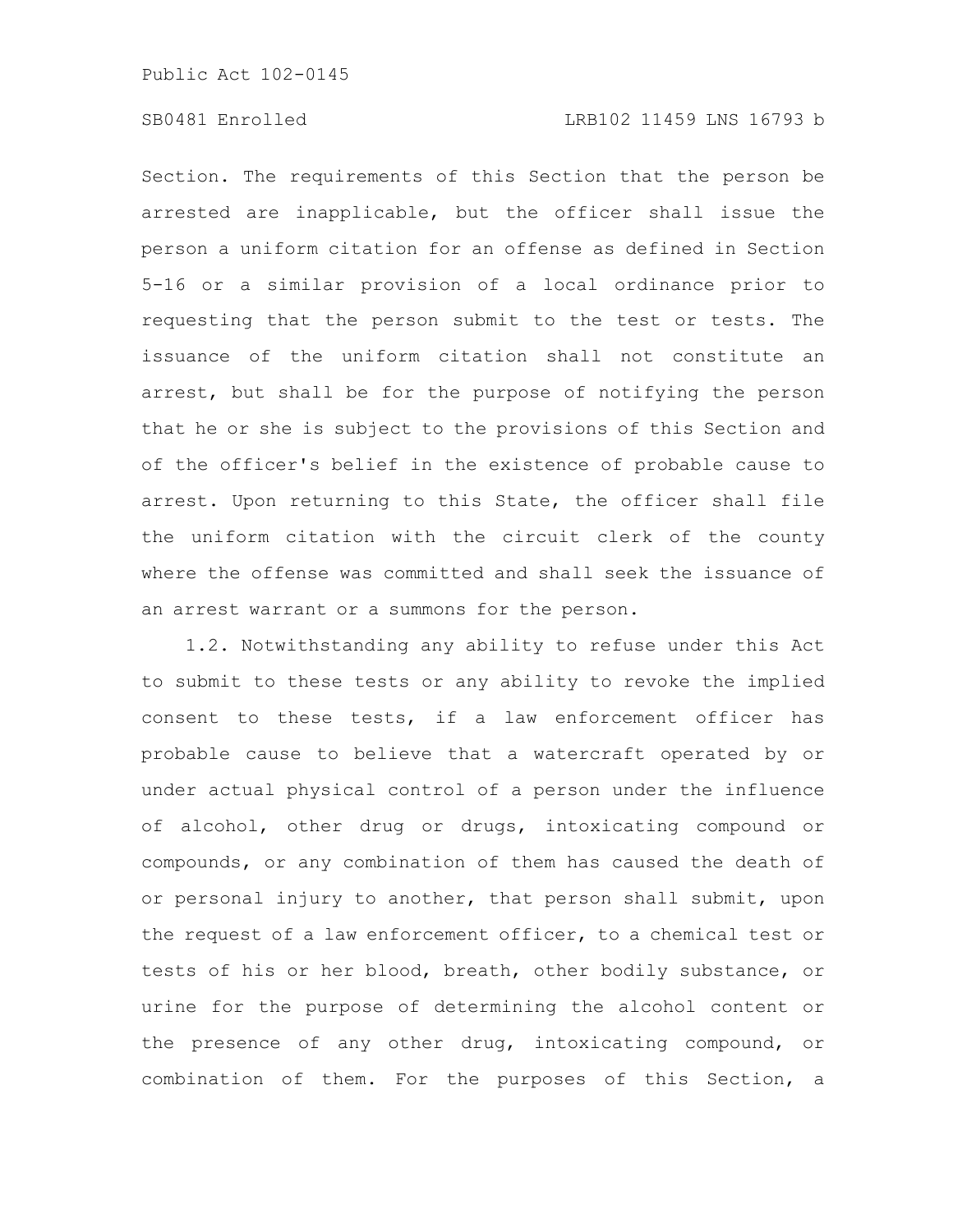# SB0481 Enrolled LRB102 11459 LNS 16793 b

Section. The requirements of this Section that the person be arrested are inapplicable, but the officer shall issue the person a uniform citation for an offense as defined in Section 5-16 or a similar provision of a local ordinance prior to requesting that the person submit to the test or tests. The issuance of the uniform citation shall not constitute an arrest, but shall be for the purpose of notifying the person that he or she is subject to the provisions of this Section and of the officer's belief in the existence of probable cause to arrest. Upon returning to this State, the officer shall file the uniform citation with the circuit clerk of the county where the offense was committed and shall seek the issuance of an arrest warrant or a summons for the person.

1.2. Notwithstanding any ability to refuse under this Act to submit to these tests or any ability to revoke the implied consent to these tests, if a law enforcement officer has probable cause to believe that a watercraft operated by or under actual physical control of a person under the influence of alcohol, other drug or drugs, intoxicating compound or compounds, or any combination of them has caused the death of or personal injury to another, that person shall submit, upon the request of a law enforcement officer, to a chemical test or tests of his or her blood, breath, other bodily substance, or urine for the purpose of determining the alcohol content or the presence of any other drug, intoxicating compound, or combination of them. For the purposes of this Section, a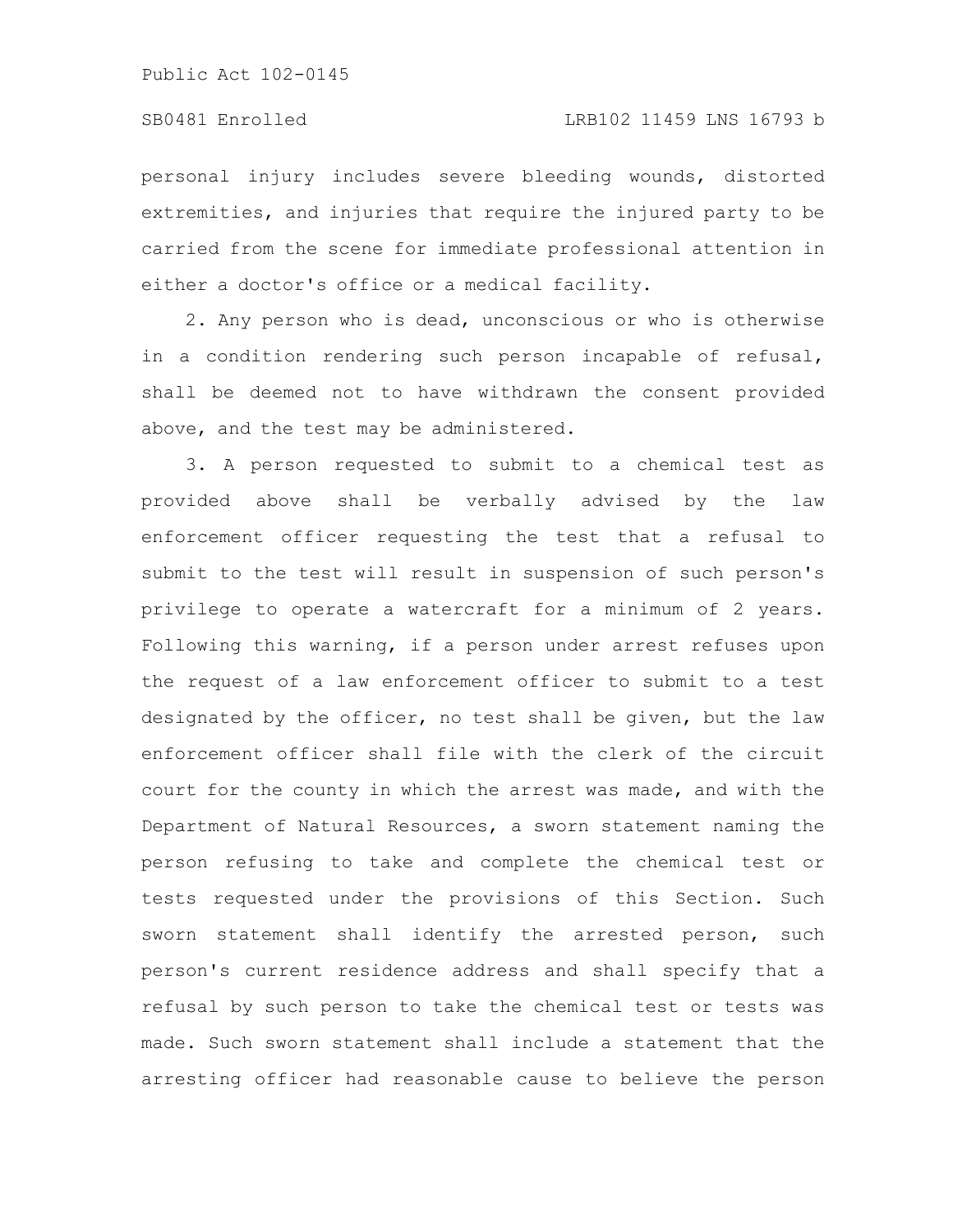personal injury includes severe bleeding wounds, distorted extremities, and injuries that require the injured party to be carried from the scene for immediate professional attention in either a doctor's office or a medical facility.

2. Any person who is dead, unconscious or who is otherwise in a condition rendering such person incapable of refusal, shall be deemed not to have withdrawn the consent provided above, and the test may be administered.

3. A person requested to submit to a chemical test as provided above shall be verbally advised by the law enforcement officer requesting the test that a refusal to submit to the test will result in suspension of such person's privilege to operate a watercraft for a minimum of 2 years. Following this warning, if a person under arrest refuses upon the request of a law enforcement officer to submit to a test designated by the officer, no test shall be given, but the law enforcement officer shall file with the clerk of the circuit court for the county in which the arrest was made, and with the Department of Natural Resources, a sworn statement naming the person refusing to take and complete the chemical test or tests requested under the provisions of this Section. Such sworn statement shall identify the arrested person, such person's current residence address and shall specify that a refusal by such person to take the chemical test or tests was made. Such sworn statement shall include a statement that the arresting officer had reasonable cause to believe the person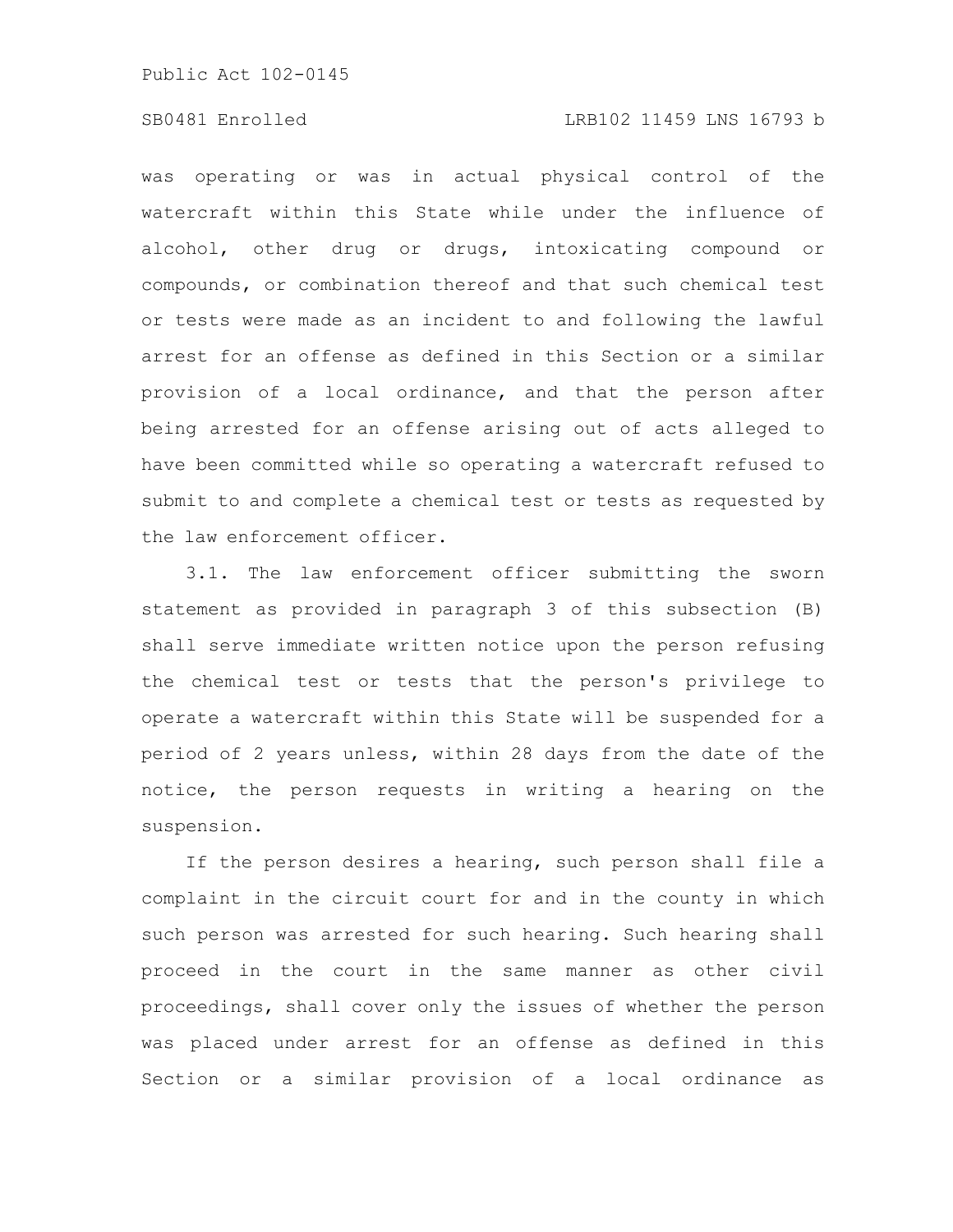# SB0481 Enrolled LRB102 11459 LNS 16793 b

was operating or was in actual physical control of the watercraft within this State while under the influence of alcohol, other drug or drugs, intoxicating compound or compounds, or combination thereof and that such chemical test or tests were made as an incident to and following the lawful arrest for an offense as defined in this Section or a similar provision of a local ordinance, and that the person after being arrested for an offense arising out of acts alleged to have been committed while so operating a watercraft refused to submit to and complete a chemical test or tests as requested by the law enforcement officer.

3.1. The law enforcement officer submitting the sworn statement as provided in paragraph 3 of this subsection (B) shall serve immediate written notice upon the person refusing the chemical test or tests that the person's privilege to operate a watercraft within this State will be suspended for a period of 2 years unless, within 28 days from the date of the notice, the person requests in writing a hearing on the suspension.

If the person desires a hearing, such person shall file a complaint in the circuit court for and in the county in which such person was arrested for such hearing. Such hearing shall proceed in the court in the same manner as other civil proceedings, shall cover only the issues of whether the person was placed under arrest for an offense as defined in this Section or a similar provision of a local ordinance as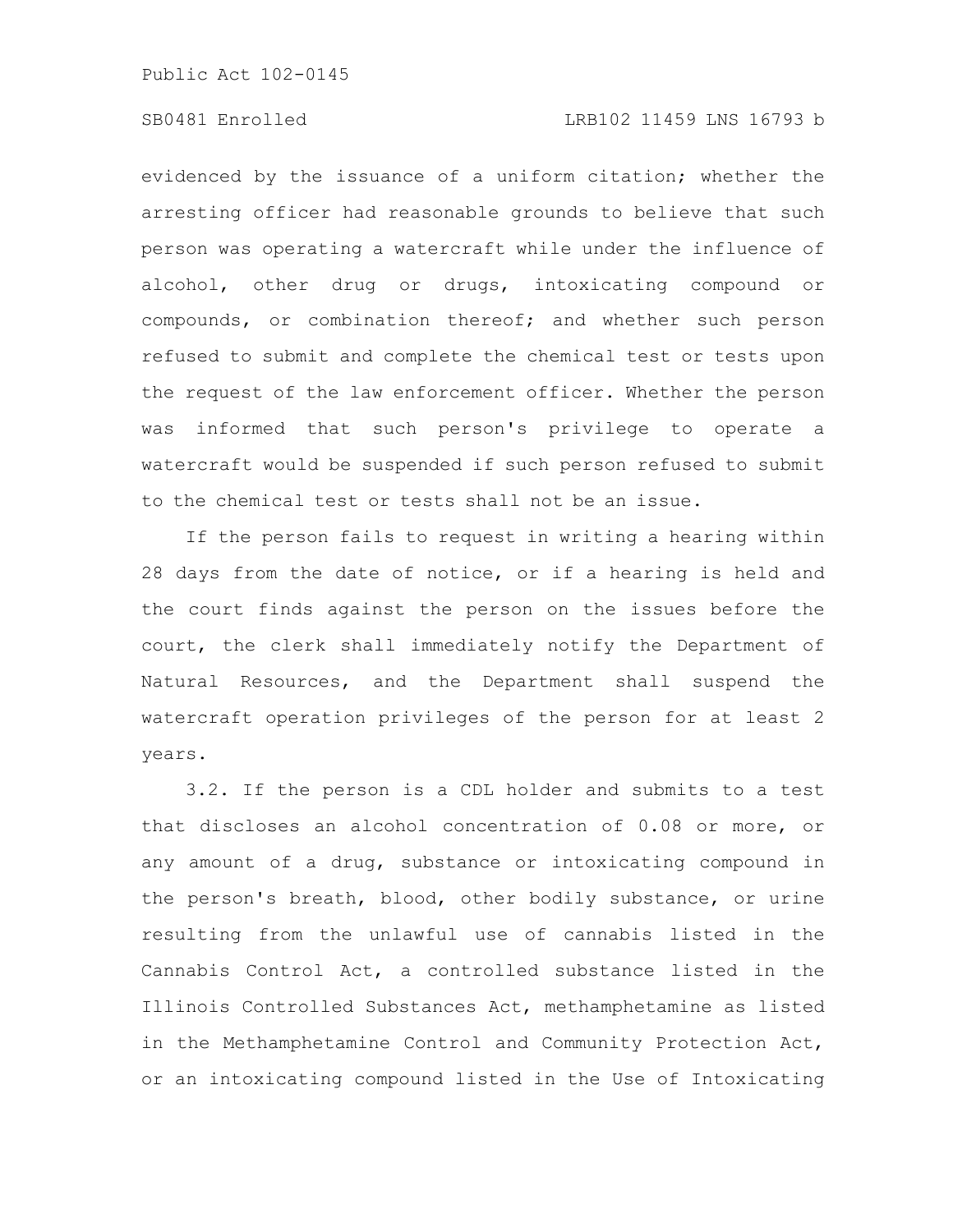# SB0481 Enrolled LRB102 11459 LNS 16793 b

evidenced by the issuance of a uniform citation; whether the arresting officer had reasonable grounds to believe that such person was operating a watercraft while under the influence of alcohol, other drug or drugs, intoxicating compound or compounds, or combination thereof; and whether such person refused to submit and complete the chemical test or tests upon the request of the law enforcement officer. Whether the person was informed that such person's privilege to operate a watercraft would be suspended if such person refused to submit to the chemical test or tests shall not be an issue.

If the person fails to request in writing a hearing within 28 days from the date of notice, or if a hearing is held and the court finds against the person on the issues before the court, the clerk shall immediately notify the Department of Natural Resources, and the Department shall suspend the watercraft operation privileges of the person for at least 2 years.

3.2. If the person is a CDL holder and submits to a test that discloses an alcohol concentration of 0.08 or more, or any amount of a drug, substance or intoxicating compound in the person's breath, blood, other bodily substance, or urine resulting from the unlawful use of cannabis listed in the Cannabis Control Act, a controlled substance listed in the Illinois Controlled Substances Act, methamphetamine as listed in the Methamphetamine Control and Community Protection Act, or an intoxicating compound listed in the Use of Intoxicating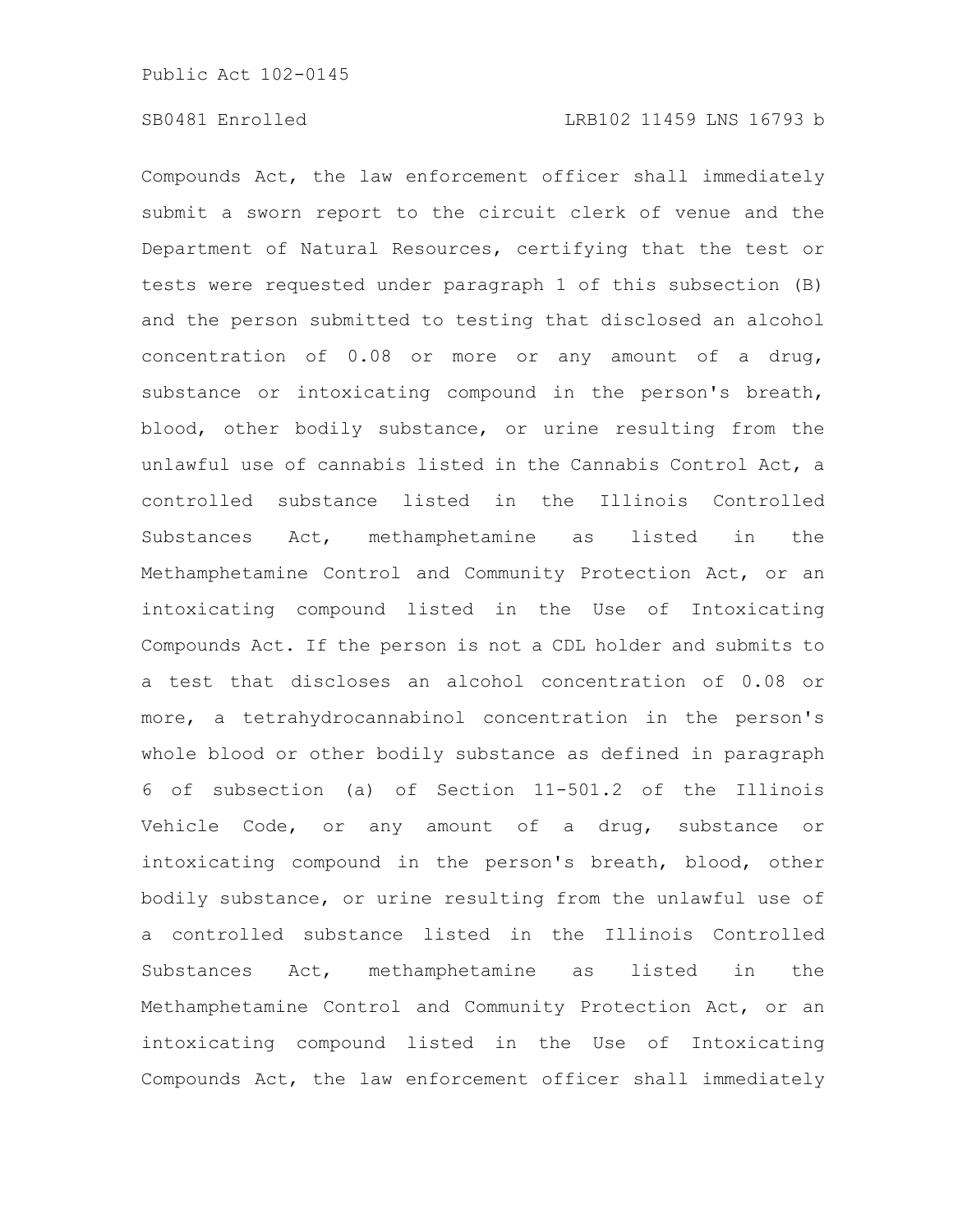Compounds Act, the law enforcement officer shall immediately submit a sworn report to the circuit clerk of venue and the Department of Natural Resources, certifying that the test or tests were requested under paragraph 1 of this subsection (B) and the person submitted to testing that disclosed an alcohol concentration of 0.08 or more or any amount of a drug, substance or intoxicating compound in the person's breath, blood, other bodily substance, or urine resulting from the unlawful use of cannabis listed in the Cannabis Control Act, a controlled substance listed in the Illinois Controlled Substances Act, methamphetamine as listed in the Methamphetamine Control and Community Protection Act, or an intoxicating compound listed in the Use of Intoxicating Compounds Act. If the person is not a CDL holder and submits to a test that discloses an alcohol concentration of 0.08 or more, a tetrahydrocannabinol concentration in the person's whole blood or other bodily substance as defined in paragraph 6 of subsection (a) of Section 11-501.2 of the Illinois Vehicle Code, or any amount of a drug, substance or intoxicating compound in the person's breath, blood, other bodily substance, or urine resulting from the unlawful use of a controlled substance listed in the Illinois Controlled Substances Act, methamphetamine as listed in the Methamphetamine Control and Community Protection Act, or an intoxicating compound listed in the Use of Intoxicating Compounds Act, the law enforcement officer shall immediately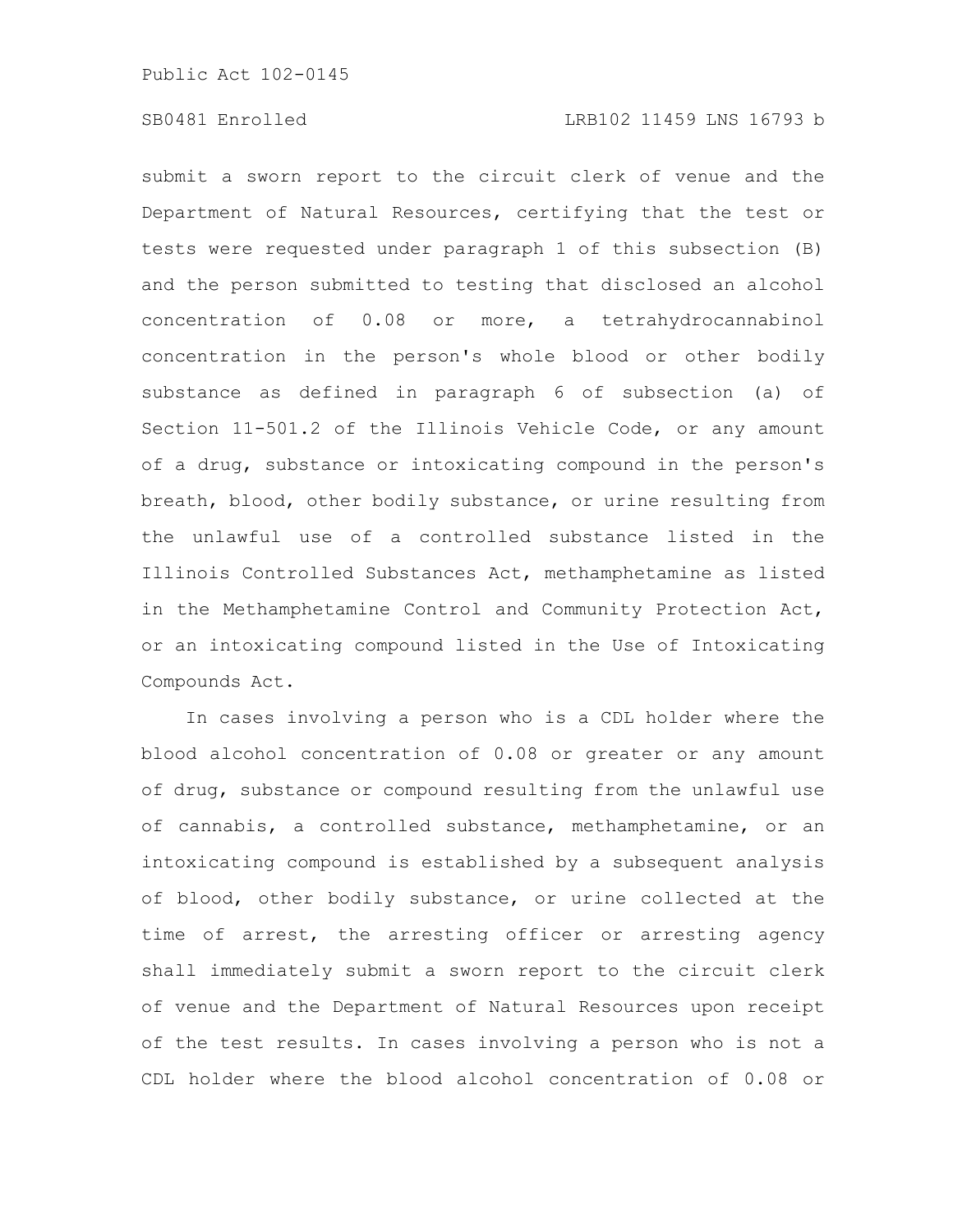submit a sworn report to the circuit clerk of venue and the Department of Natural Resources, certifying that the test or tests were requested under paragraph 1 of this subsection (B) and the person submitted to testing that disclosed an alcohol concentration of 0.08 or more, a tetrahydrocannabinol concentration in the person's whole blood or other bodily substance as defined in paragraph 6 of subsection (a) of Section 11-501.2 of the Illinois Vehicle Code, or any amount of a drug, substance or intoxicating compound in the person's breath, blood, other bodily substance, or urine resulting from the unlawful use of a controlled substance listed in the Illinois Controlled Substances Act, methamphetamine as listed in the Methamphetamine Control and Community Protection Act, or an intoxicating compound listed in the Use of Intoxicating Compounds Act.

In cases involving a person who is a CDL holder where the blood alcohol concentration of 0.08 or greater or any amount of drug, substance or compound resulting from the unlawful use of cannabis, a controlled substance, methamphetamine, or an intoxicating compound is established by a subsequent analysis of blood, other bodily substance, or urine collected at the time of arrest, the arresting officer or arresting agency shall immediately submit a sworn report to the circuit clerk of venue and the Department of Natural Resources upon receipt of the test results. In cases involving a person who is not a CDL holder where the blood alcohol concentration of 0.08 or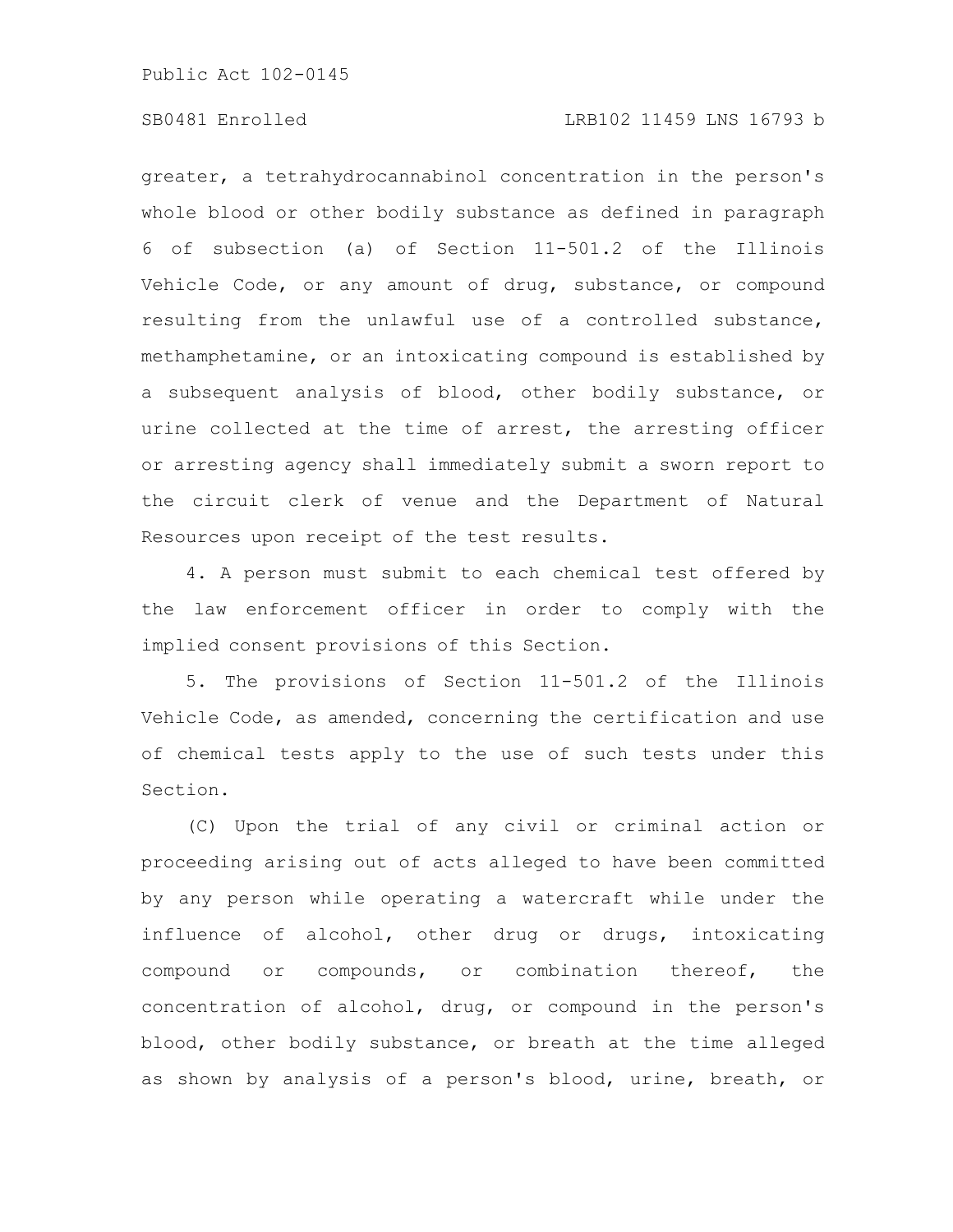# SB0481 Enrolled LRB102 11459 LNS 16793 b

greater, a tetrahydrocannabinol concentration in the person's whole blood or other bodily substance as defined in paragraph 6 of subsection (a) of Section 11-501.2 of the Illinois Vehicle Code, or any amount of drug, substance, or compound resulting from the unlawful use of a controlled substance, methamphetamine, or an intoxicating compound is established by a subsequent analysis of blood, other bodily substance, or urine collected at the time of arrest, the arresting officer or arresting agency shall immediately submit a sworn report to the circuit clerk of venue and the Department of Natural Resources upon receipt of the test results.

4. A person must submit to each chemical test offered by the law enforcement officer in order to comply with the implied consent provisions of this Section.

5. The provisions of Section 11-501.2 of the Illinois Vehicle Code, as amended, concerning the certification and use of chemical tests apply to the use of such tests under this Section.

(C) Upon the trial of any civil or criminal action or proceeding arising out of acts alleged to have been committed by any person while operating a watercraft while under the influence of alcohol, other drug or drugs, intoxicating compound or compounds, or combination thereof, the concentration of alcohol, drug, or compound in the person's blood, other bodily substance, or breath at the time alleged as shown by analysis of a person's blood, urine, breath, or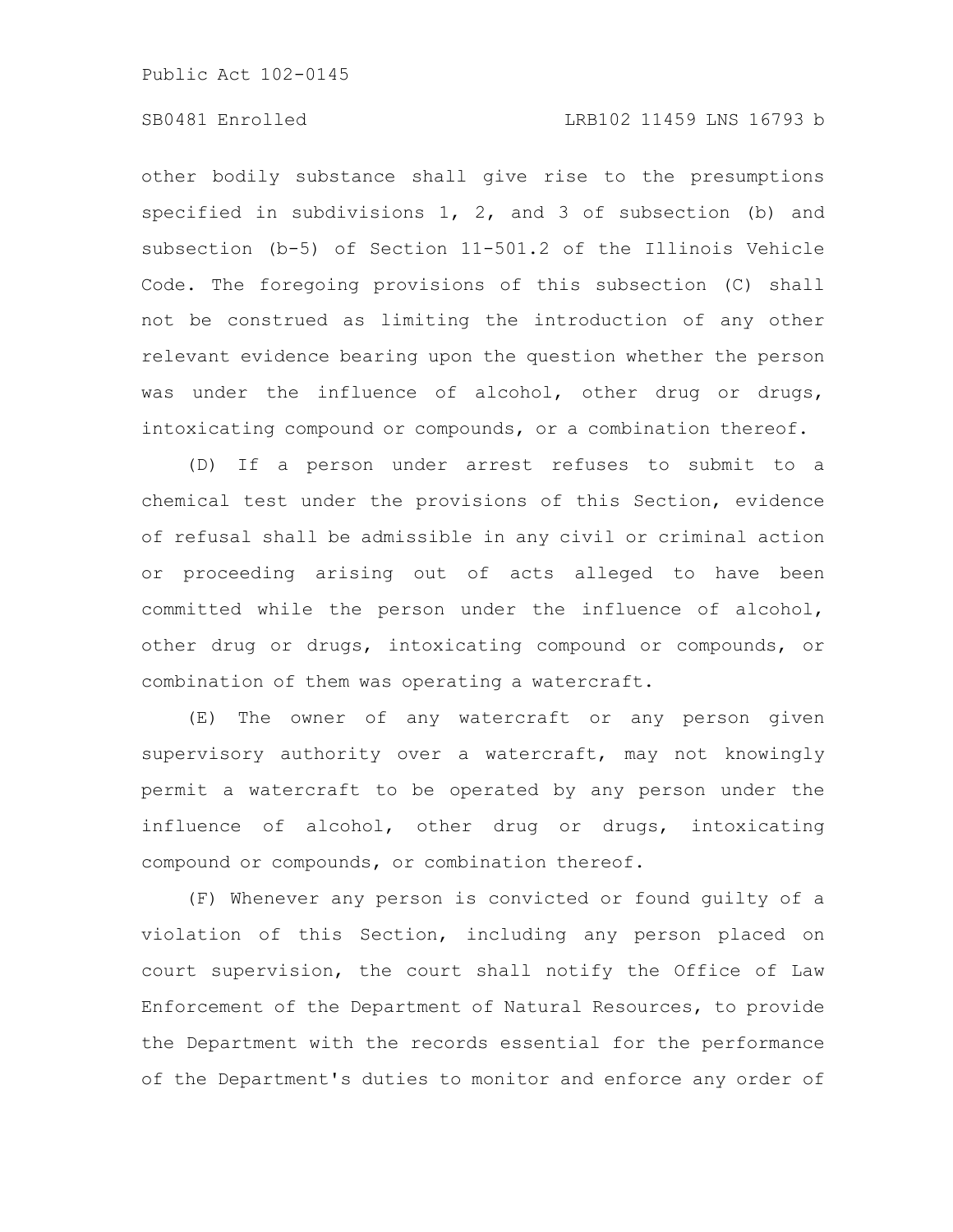# SB0481 Enrolled LRB102 11459 LNS 16793 b

other bodily substance shall give rise to the presumptions specified in subdivisions 1, 2, and 3 of subsection (b) and subsection (b-5) of Section 11-501.2 of the Illinois Vehicle Code. The foregoing provisions of this subsection (C) shall not be construed as limiting the introduction of any other relevant evidence bearing upon the question whether the person was under the influence of alcohol, other drug or drugs, intoxicating compound or compounds, or a combination thereof.

(D) If a person under arrest refuses to submit to a chemical test under the provisions of this Section, evidence of refusal shall be admissible in any civil or criminal action or proceeding arising out of acts alleged to have been committed while the person under the influence of alcohol, other drug or drugs, intoxicating compound or compounds, or combination of them was operating a watercraft.

(E) The owner of any watercraft or any person given supervisory authority over a watercraft, may not knowingly permit a watercraft to be operated by any person under the influence of alcohol, other drug or drugs, intoxicating compound or compounds, or combination thereof.

(F) Whenever any person is convicted or found guilty of a violation of this Section, including any person placed on court supervision, the court shall notify the Office of Law Enforcement of the Department of Natural Resources, to provide the Department with the records essential for the performance of the Department's duties to monitor and enforce any order of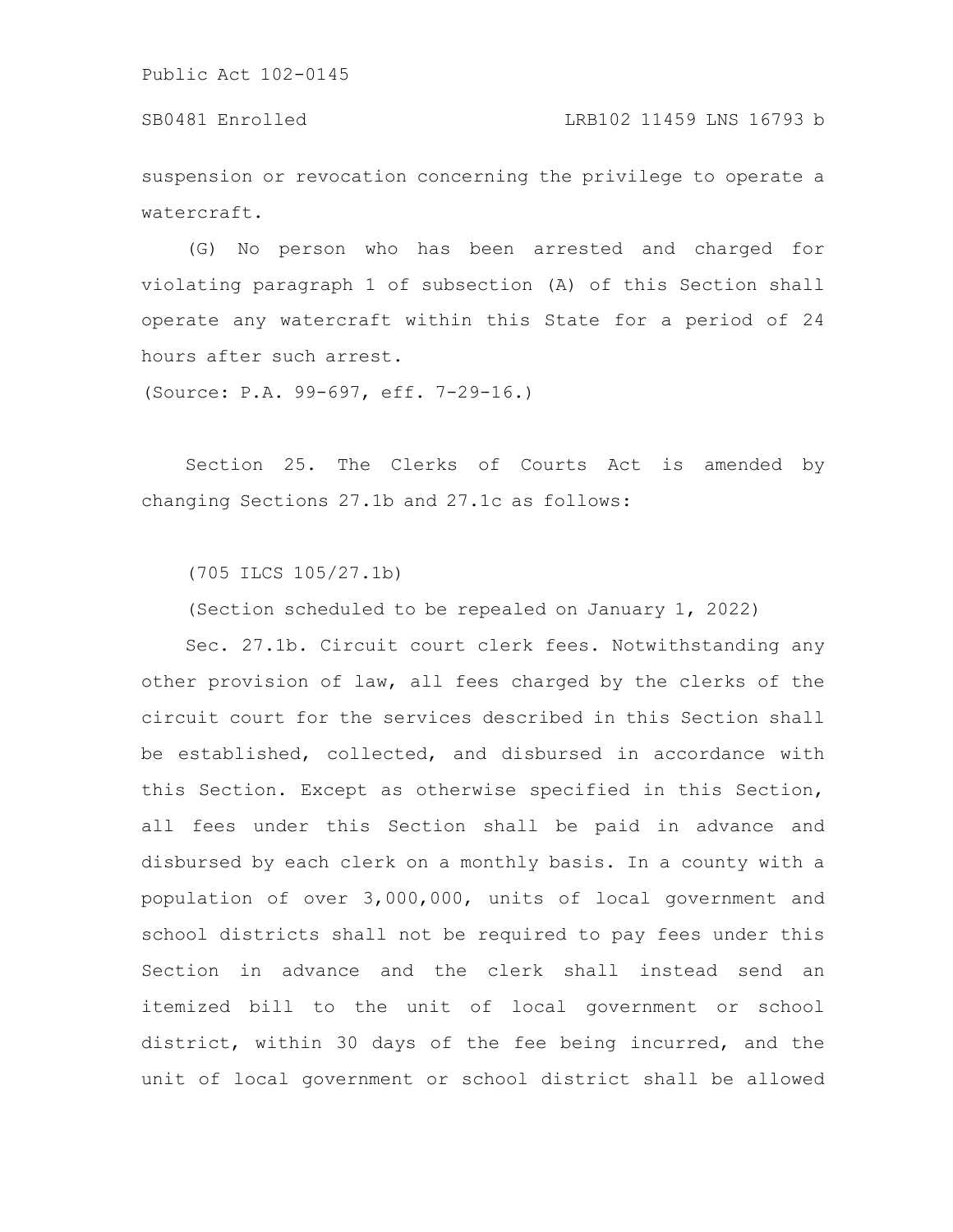SB0481 Enrolled LRB102 11459 LNS 16793 b

suspension or revocation concerning the privilege to operate a watercraft.

(G) No person who has been arrested and charged for violating paragraph 1 of subsection (A) of this Section shall operate any watercraft within this State for a period of 24 hours after such arrest.

(Source: P.A. 99-697, eff. 7-29-16.)

Section 25. The Clerks of Courts Act is amended by changing Sections 27.1b and 27.1c as follows:

(705 ILCS 105/27.1b)

(Section scheduled to be repealed on January 1, 2022)

Sec. 27.1b. Circuit court clerk fees. Notwithstanding any other provision of law, all fees charged by the clerks of the circuit court for the services described in this Section shall be established, collected, and disbursed in accordance with this Section. Except as otherwise specified in this Section, all fees under this Section shall be paid in advance and disbursed by each clerk on a monthly basis. In a county with a population of over 3,000,000, units of local government and school districts shall not be required to pay fees under this Section in advance and the clerk shall instead send an itemized bill to the unit of local government or school district, within 30 days of the fee being incurred, and the unit of local government or school district shall be allowed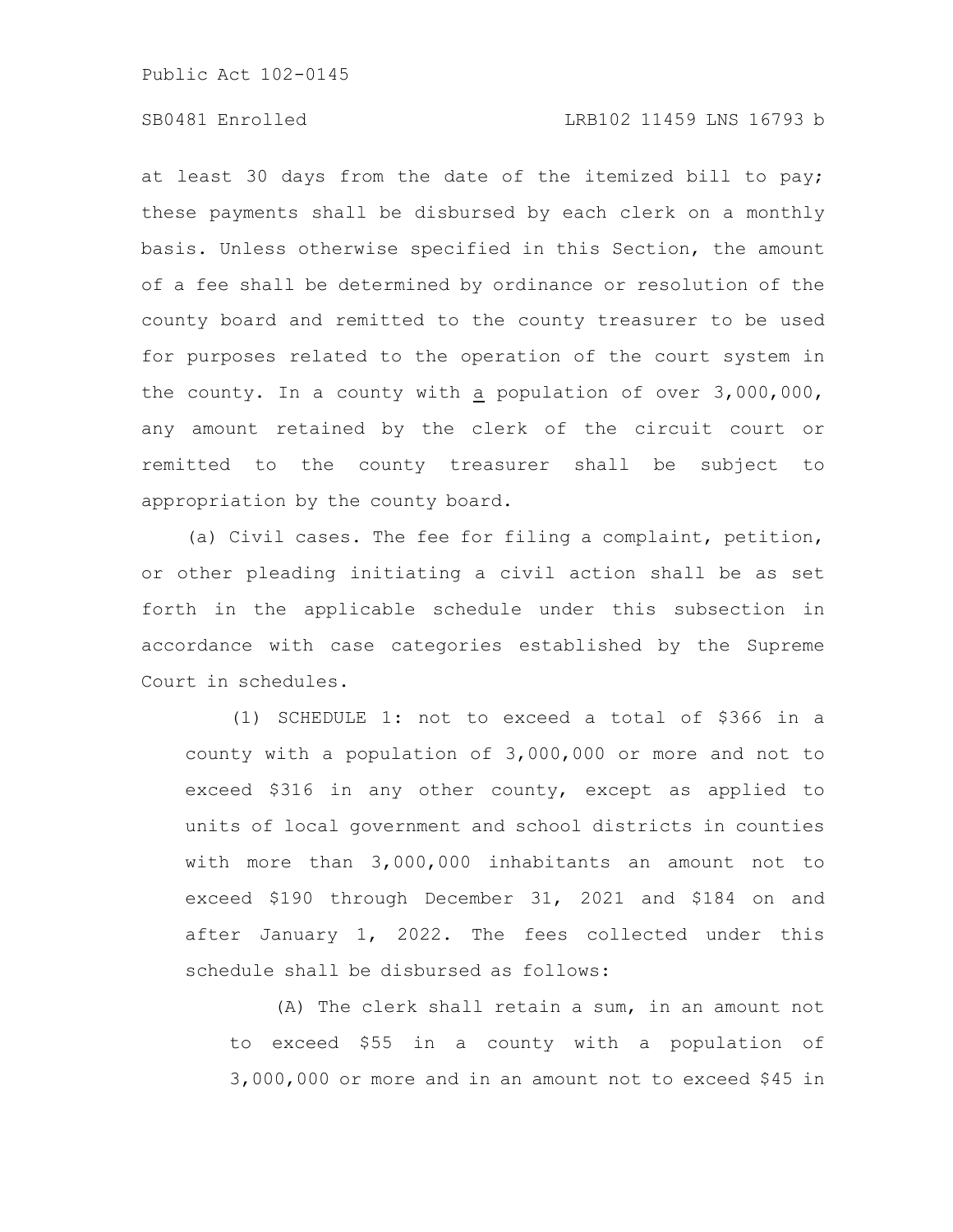# SB0481 Enrolled LRB102 11459 LNS 16793 b

at least 30 days from the date of the itemized bill to pay; these payments shall be disbursed by each clerk on a monthly basis. Unless otherwise specified in this Section, the amount of a fee shall be determined by ordinance or resolution of the county board and remitted to the county treasurer to be used for purposes related to the operation of the court system in the county. In a county with  $a$  population of over  $3,000,000$ , any amount retained by the clerk of the circuit court or remitted to the county treasurer shall be subject to appropriation by the county board.

(a) Civil cases. The fee for filing a complaint, petition, or other pleading initiating a civil action shall be as set forth in the applicable schedule under this subsection in accordance with case categories established by the Supreme Court in schedules.

(1) SCHEDULE 1: not to exceed a total of \$366 in a county with a population of 3,000,000 or more and not to exceed \$316 in any other county, except as applied to units of local government and school districts in counties with more than 3,000,000 inhabitants an amount not to exceed \$190 through December 31, 2021 and \$184 on and after January 1, 2022. The fees collected under this schedule shall be disbursed as follows:

(A) The clerk shall retain a sum, in an amount not to exceed \$55 in a county with a population of 3,000,000 or more and in an amount not to exceed \$45 in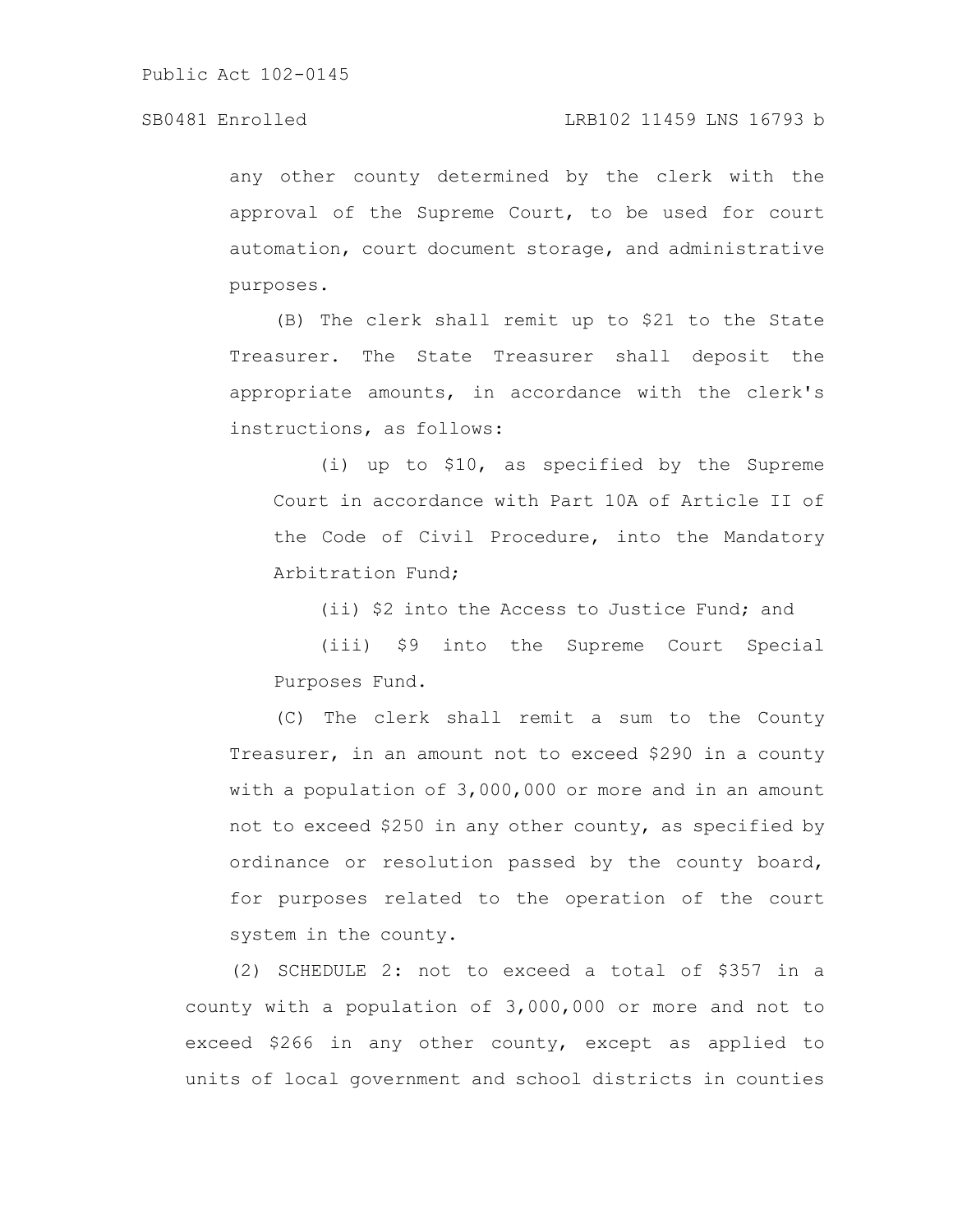any other county determined by the clerk with the approval of the Supreme Court, to be used for court automation, court document storage, and administrative purposes.

(B) The clerk shall remit up to \$21 to the State Treasurer. The State Treasurer shall deposit the appropriate amounts, in accordance with the clerk's instructions, as follows:

(i) up to \$10, as specified by the Supreme Court in accordance with Part 10A of Article II of the Code of Civil Procedure, into the Mandatory Arbitration Fund;

(ii) \$2 into the Access to Justice Fund; and

(iii) \$9 into the Supreme Court Special Purposes Fund.

(C) The clerk shall remit a sum to the County Treasurer, in an amount not to exceed \$290 in a county with a population of 3,000,000 or more and in an amount not to exceed \$250 in any other county, as specified by ordinance or resolution passed by the county board, for purposes related to the operation of the court system in the county.

(2) SCHEDULE 2: not to exceed a total of \$357 in a county with a population of 3,000,000 or more and not to exceed \$266 in any other county, except as applied to units of local government and school districts in counties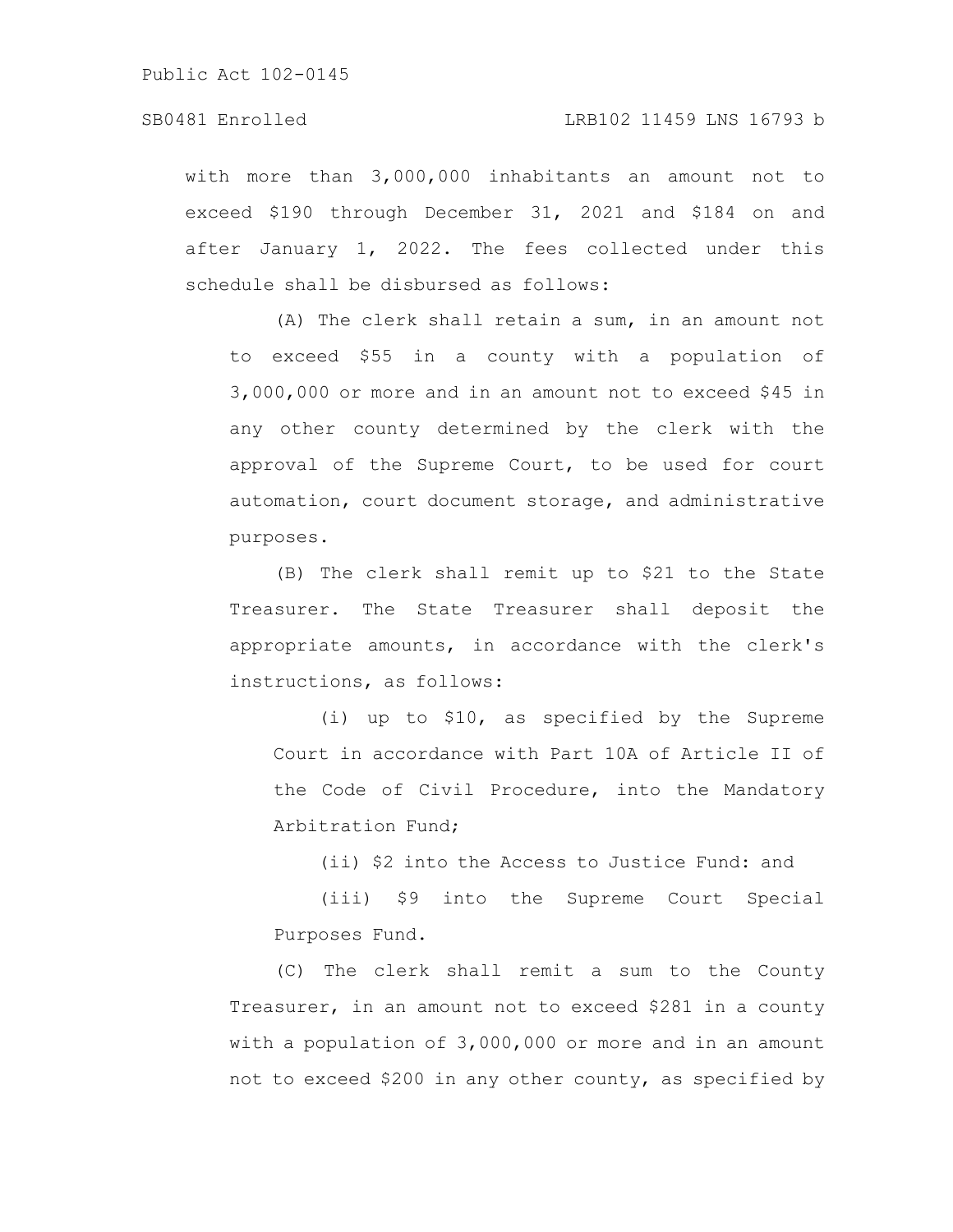with more than 3,000,000 inhabitants an amount not to exceed \$190 through December 31, 2021 and \$184 on and after January 1, 2022. The fees collected under this schedule shall be disbursed as follows:

(A) The clerk shall retain a sum, in an amount not to exceed \$55 in a county with a population of 3,000,000 or more and in an amount not to exceed \$45 in any other county determined by the clerk with the approval of the Supreme Court, to be used for court automation, court document storage, and administrative purposes.

(B) The clerk shall remit up to \$21 to the State Treasurer. The State Treasurer shall deposit the appropriate amounts, in accordance with the clerk's instructions, as follows:

(i) up to \$10, as specified by the Supreme Court in accordance with Part 10A of Article II of the Code of Civil Procedure, into the Mandatory Arbitration Fund;

(ii) \$2 into the Access to Justice Fund: and

(iii) \$9 into the Supreme Court Special Purposes Fund.

(C) The clerk shall remit a sum to the County Treasurer, in an amount not to exceed \$281 in a county with a population of 3,000,000 or more and in an amount not to exceed \$200 in any other county, as specified by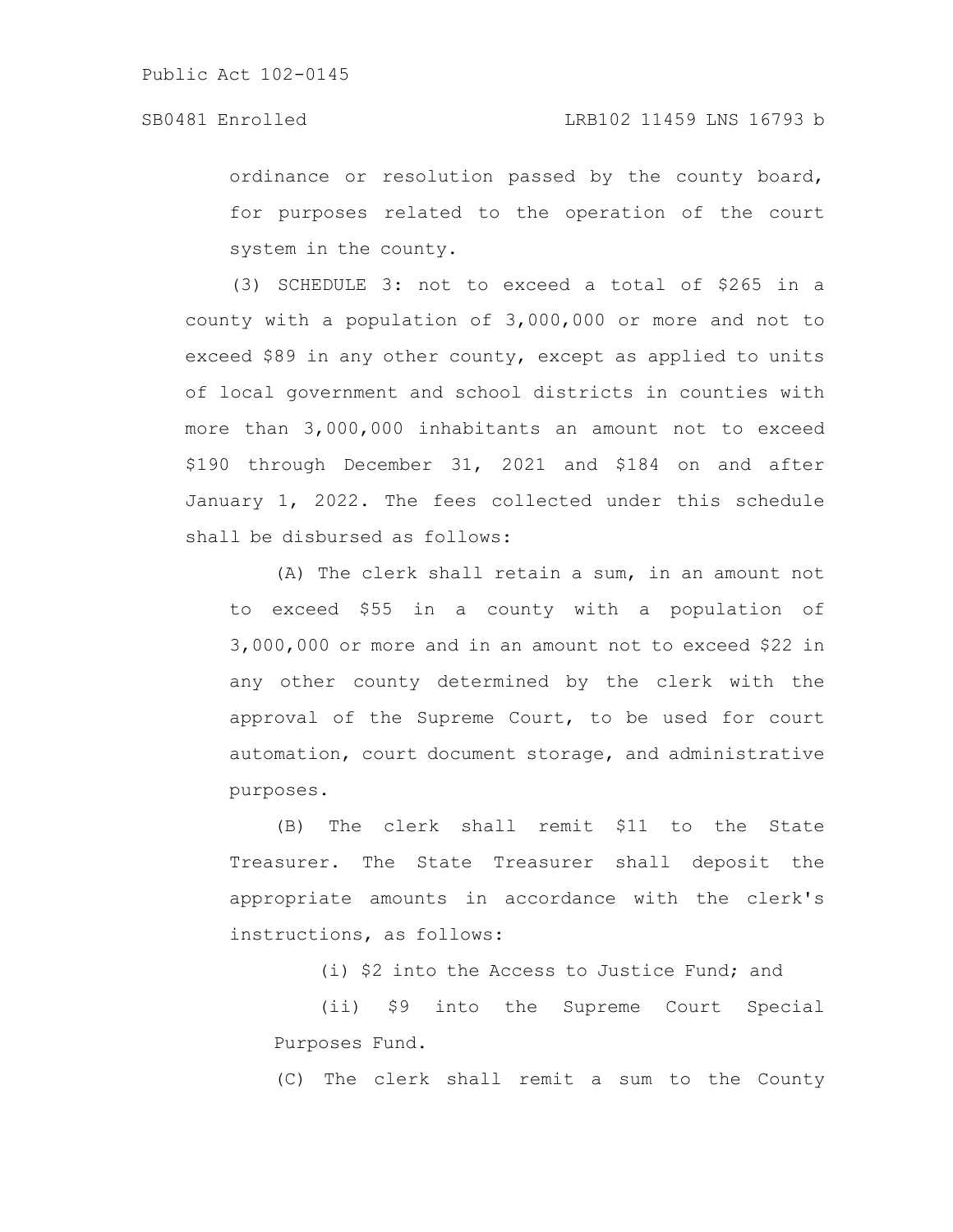ordinance or resolution passed by the county board, for purposes related to the operation of the court system in the county.

(3) SCHEDULE 3: not to exceed a total of \$265 in a county with a population of 3,000,000 or more and not to exceed \$89 in any other county, except as applied to units of local government and school districts in counties with more than 3,000,000 inhabitants an amount not to exceed \$190 through December 31, 2021 and \$184 on and after January 1, 2022. The fees collected under this schedule shall be disbursed as follows:

(A) The clerk shall retain a sum, in an amount not to exceed \$55 in a county with a population of 3,000,000 or more and in an amount not to exceed \$22 in any other county determined by the clerk with the approval of the Supreme Court, to be used for court automation, court document storage, and administrative purposes.

(B) The clerk shall remit \$11 to the State Treasurer. The State Treasurer shall deposit the appropriate amounts in accordance with the clerk's instructions, as follows:

(i) \$2 into the Access to Justice Fund; and

(ii) \$9 into the Supreme Court Special Purposes Fund.

(C) The clerk shall remit a sum to the County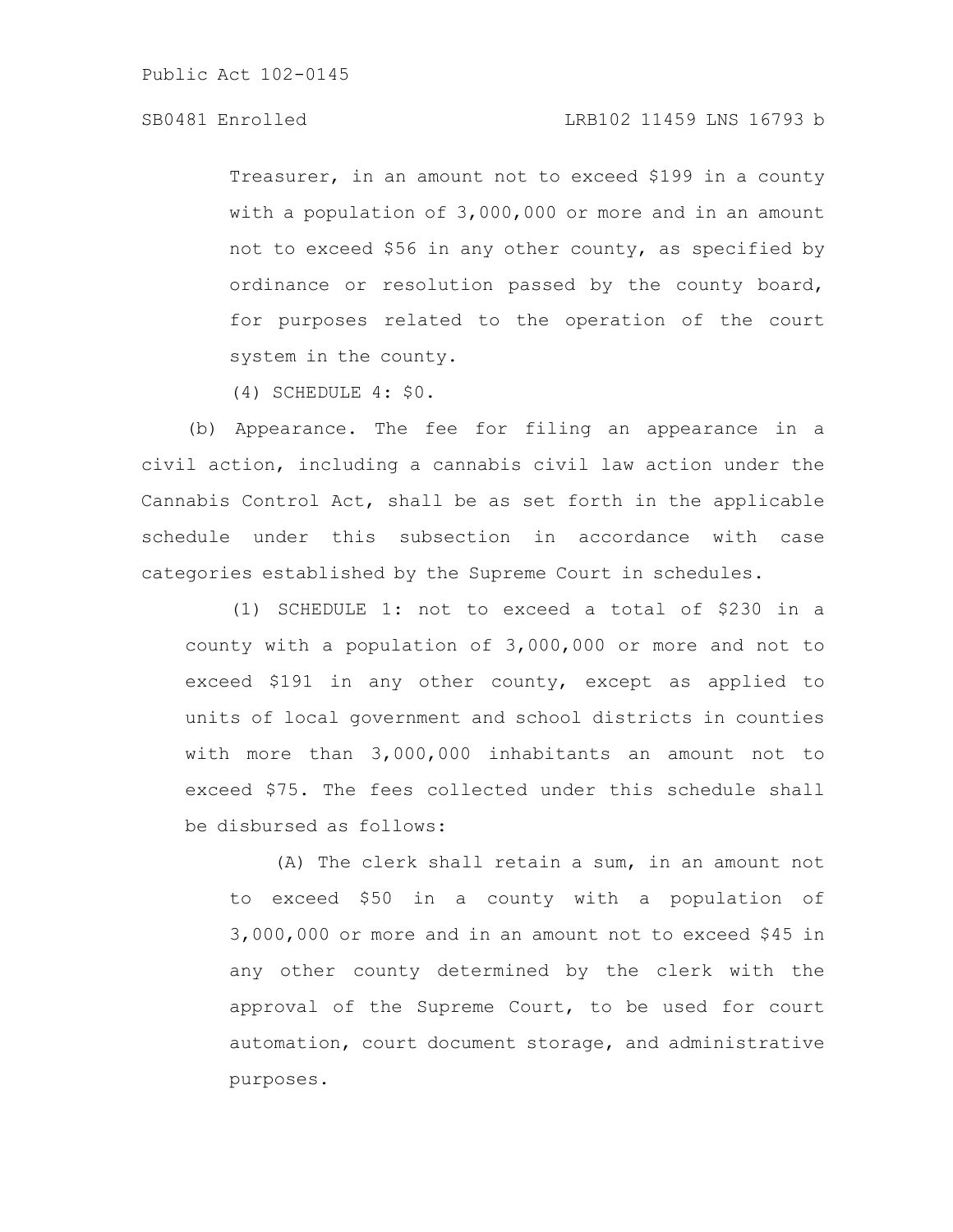# SB0481 Enrolled LRB102 11459 LNS 16793 b

Treasurer, in an amount not to exceed \$199 in a county with a population of 3,000,000 or more and in an amount not to exceed \$56 in any other county, as specified by ordinance or resolution passed by the county board, for purposes related to the operation of the court system in the county.

(4) SCHEDULE 4: \$0.

(b) Appearance. The fee for filing an appearance in a civil action, including a cannabis civil law action under the Cannabis Control Act, shall be as set forth in the applicable schedule under this subsection in accordance with case categories established by the Supreme Court in schedules.

(1) SCHEDULE 1: not to exceed a total of \$230 in a county with a population of 3,000,000 or more and not to exceed \$191 in any other county, except as applied to units of local government and school districts in counties with more than 3,000,000 inhabitants an amount not to exceed \$75. The fees collected under this schedule shall be disbursed as follows:

(A) The clerk shall retain a sum, in an amount not to exceed \$50 in a county with a population of 3,000,000 or more and in an amount not to exceed \$45 in any other county determined by the clerk with the approval of the Supreme Court, to be used for court automation, court document storage, and administrative purposes.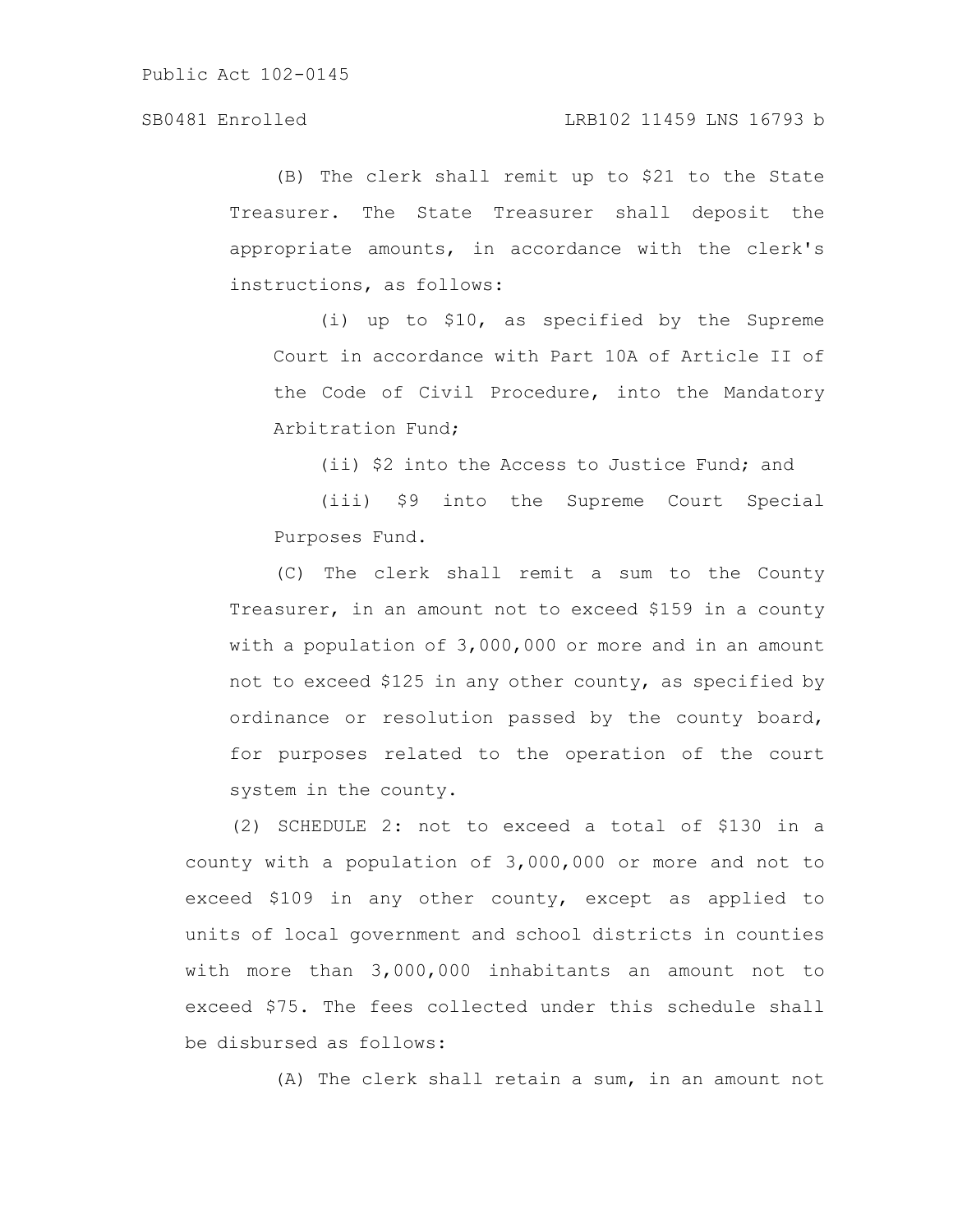(B) The clerk shall remit up to \$21 to the State Treasurer. The State Treasurer shall deposit the appropriate amounts, in accordance with the clerk's instructions, as follows:

(i) up to \$10, as specified by the Supreme Court in accordance with Part 10A of Article II of the Code of Civil Procedure, into the Mandatory Arbitration Fund;

(ii) \$2 into the Access to Justice Fund; and

(iii) \$9 into the Supreme Court Special Purposes Fund.

(C) The clerk shall remit a sum to the County Treasurer, in an amount not to exceed \$159 in a county with a population of 3,000,000 or more and in an amount not to exceed \$125 in any other county, as specified by ordinance or resolution passed by the county board, for purposes related to the operation of the court system in the county.

(2) SCHEDULE 2: not to exceed a total of \$130 in a county with a population of 3,000,000 or more and not to exceed \$109 in any other county, except as applied to units of local government and school districts in counties with more than 3,000,000 inhabitants an amount not to exceed \$75. The fees collected under this schedule shall be disbursed as follows:

(A) The clerk shall retain a sum, in an amount not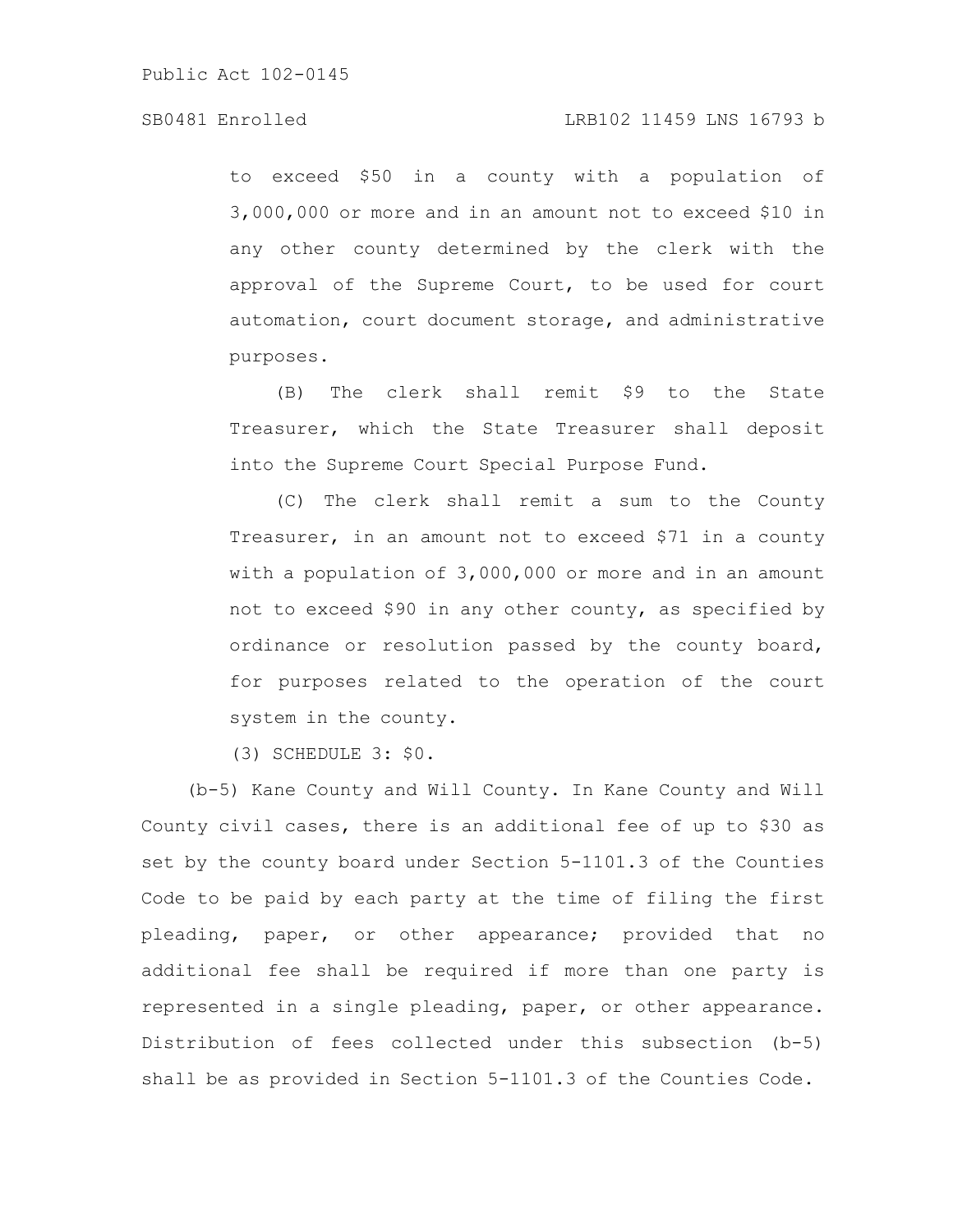## SB0481 Enrolled LRB102 11459 LNS 16793 b

to exceed \$50 in a county with a population of 3,000,000 or more and in an amount not to exceed \$10 in any other county determined by the clerk with the approval of the Supreme Court, to be used for court automation, court document storage, and administrative purposes.

(B) The clerk shall remit \$9 to the State Treasurer, which the State Treasurer shall deposit into the Supreme Court Special Purpose Fund.

(C) The clerk shall remit a sum to the County Treasurer, in an amount not to exceed \$71 in a county with a population of 3,000,000 or more and in an amount not to exceed \$90 in any other county, as specified by ordinance or resolution passed by the county board, for purposes related to the operation of the court system in the county.

(3) SCHEDULE 3: \$0.

(b-5) Kane County and Will County. In Kane County and Will County civil cases, there is an additional fee of up to \$30 as set by the county board under Section 5-1101.3 of the Counties Code to be paid by each party at the time of filing the first pleading, paper, or other appearance; provided that no additional fee shall be required if more than one party is represented in a single pleading, paper, or other appearance. Distribution of fees collected under this subsection (b-5) shall be as provided in Section 5-1101.3 of the Counties Code.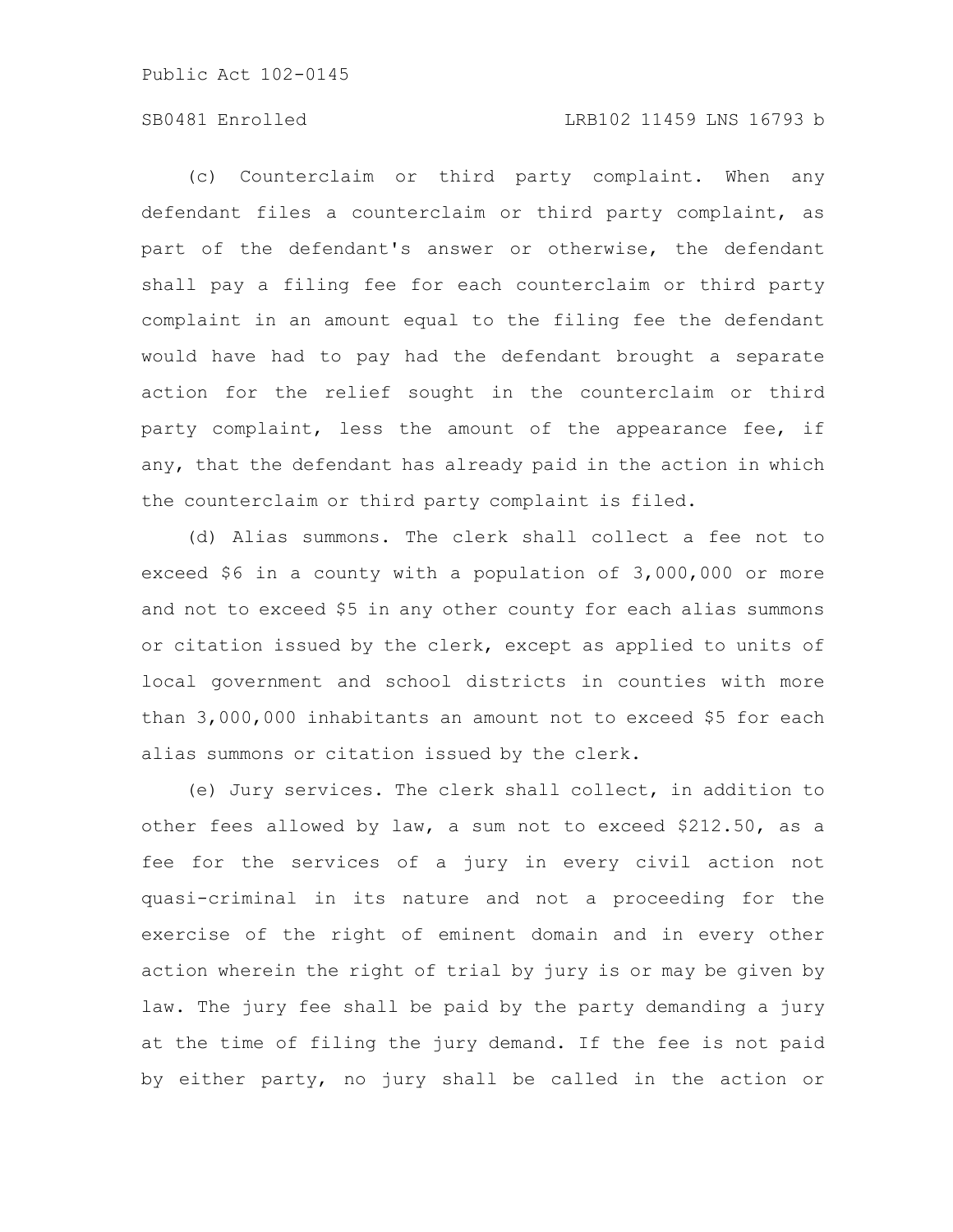## SB0481 Enrolled LRB102 11459 LNS 16793 b

(c) Counterclaim or third party complaint. When any defendant files a counterclaim or third party complaint, as part of the defendant's answer or otherwise, the defendant shall pay a filing fee for each counterclaim or third party complaint in an amount equal to the filing fee the defendant would have had to pay had the defendant brought a separate action for the relief sought in the counterclaim or third party complaint, less the amount of the appearance fee, if any, that the defendant has already paid in the action in which the counterclaim or third party complaint is filed.

(d) Alias summons. The clerk shall collect a fee not to exceed \$6 in a county with a population of 3,000,000 or more and not to exceed \$5 in any other county for each alias summons or citation issued by the clerk, except as applied to units of local government and school districts in counties with more than 3,000,000 inhabitants an amount not to exceed \$5 for each alias summons or citation issued by the clerk.

(e) Jury services. The clerk shall collect, in addition to other fees allowed by law, a sum not to exceed \$212.50, as a fee for the services of a jury in every civil action not quasi-criminal in its nature and not a proceeding for the exercise of the right of eminent domain and in every other action wherein the right of trial by jury is or may be given by law. The jury fee shall be paid by the party demanding a jury at the time of filing the jury demand. If the fee is not paid by either party, no jury shall be called in the action or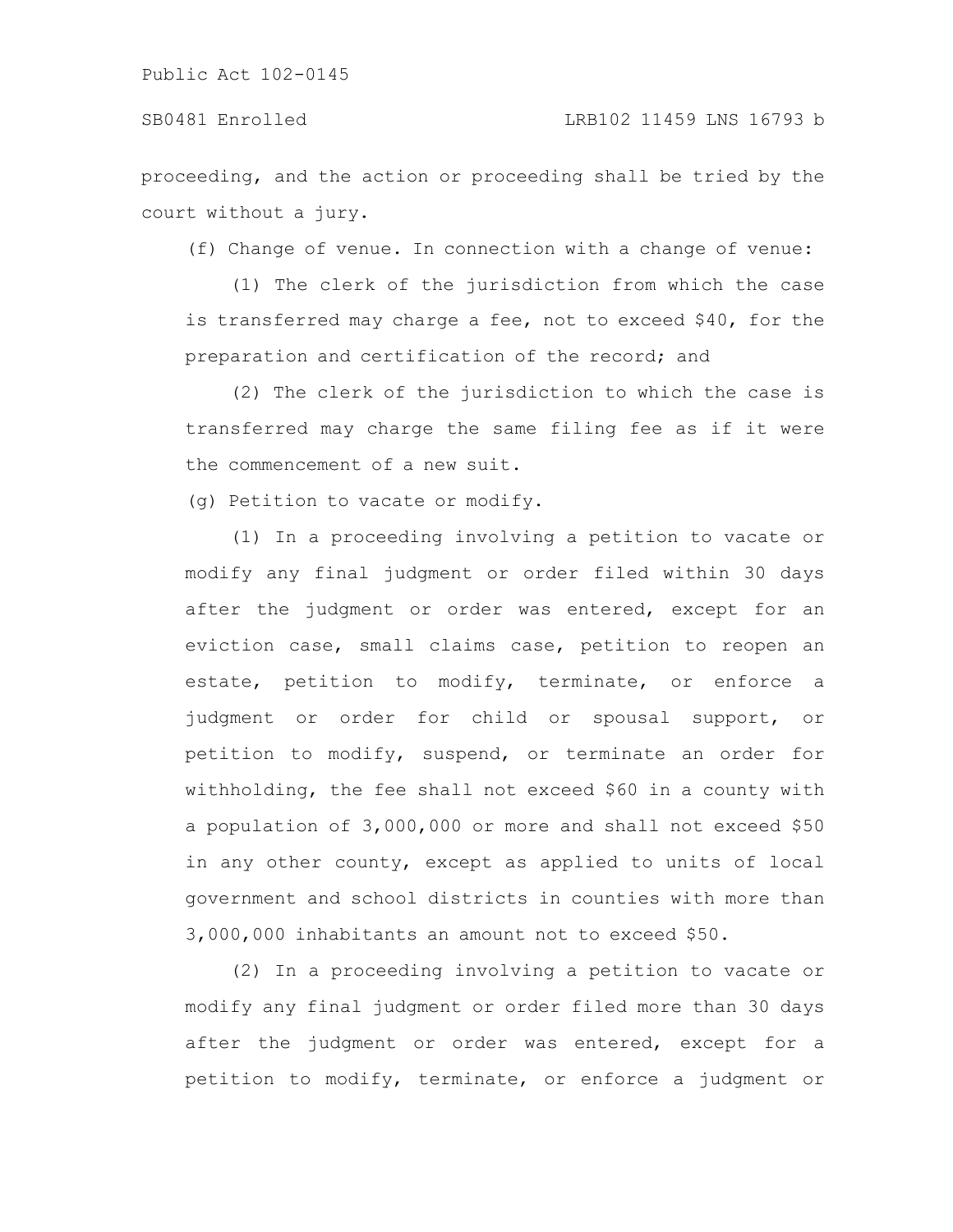proceeding, and the action or proceeding shall be tried by the court without a jury.

(f) Change of venue. In connection with a change of venue:

(1) The clerk of the jurisdiction from which the case is transferred may charge a fee, not to exceed \$40, for the preparation and certification of the record; and

(2) The clerk of the jurisdiction to which the case is transferred may charge the same filing fee as if it were the commencement of a new suit.

(g) Petition to vacate or modify.

(1) In a proceeding involving a petition to vacate or modify any final judgment or order filed within 30 days after the judgment or order was entered, except for an eviction case, small claims case, petition to reopen an estate, petition to modify, terminate, or enforce a judgment or order for child or spousal support, or petition to modify, suspend, or terminate an order for withholding, the fee shall not exceed \$60 in a county with a population of 3,000,000 or more and shall not exceed \$50 in any other county, except as applied to units of local government and school districts in counties with more than 3,000,000 inhabitants an amount not to exceed \$50.

(2) In a proceeding involving a petition to vacate or modify any final judgment or order filed more than 30 days after the judgment or order was entered, except for a petition to modify, terminate, or enforce a judgment or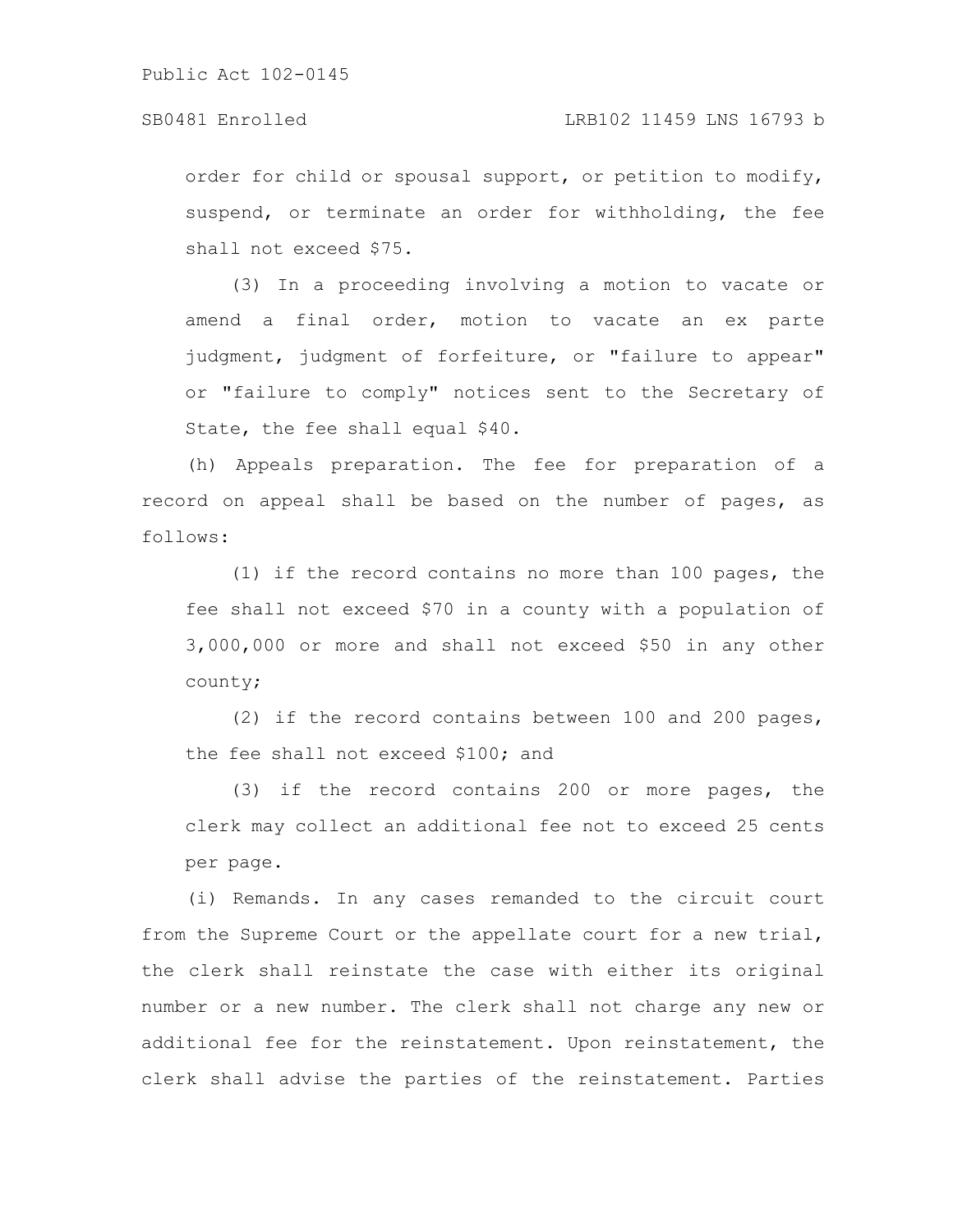order for child or spousal support, or petition to modify, suspend, or terminate an order for withholding, the fee shall not exceed \$75.

(3) In a proceeding involving a motion to vacate or amend a final order, motion to vacate an ex parte judgment, judgment of forfeiture, or "failure to appear" or "failure to comply" notices sent to the Secretary of State, the fee shall equal \$40.

(h) Appeals preparation. The fee for preparation of a record on appeal shall be based on the number of pages, as follows:

(1) if the record contains no more than 100 pages, the fee shall not exceed \$70 in a county with a population of 3,000,000 or more and shall not exceed \$50 in any other county;

(2) if the record contains between 100 and 200 pages, the fee shall not exceed \$100; and

(3) if the record contains 200 or more pages, the clerk may collect an additional fee not to exceed 25 cents per page.

(i) Remands. In any cases remanded to the circuit court from the Supreme Court or the appellate court for a new trial, the clerk shall reinstate the case with either its original number or a new number. The clerk shall not charge any new or additional fee for the reinstatement. Upon reinstatement, the clerk shall advise the parties of the reinstatement. Parties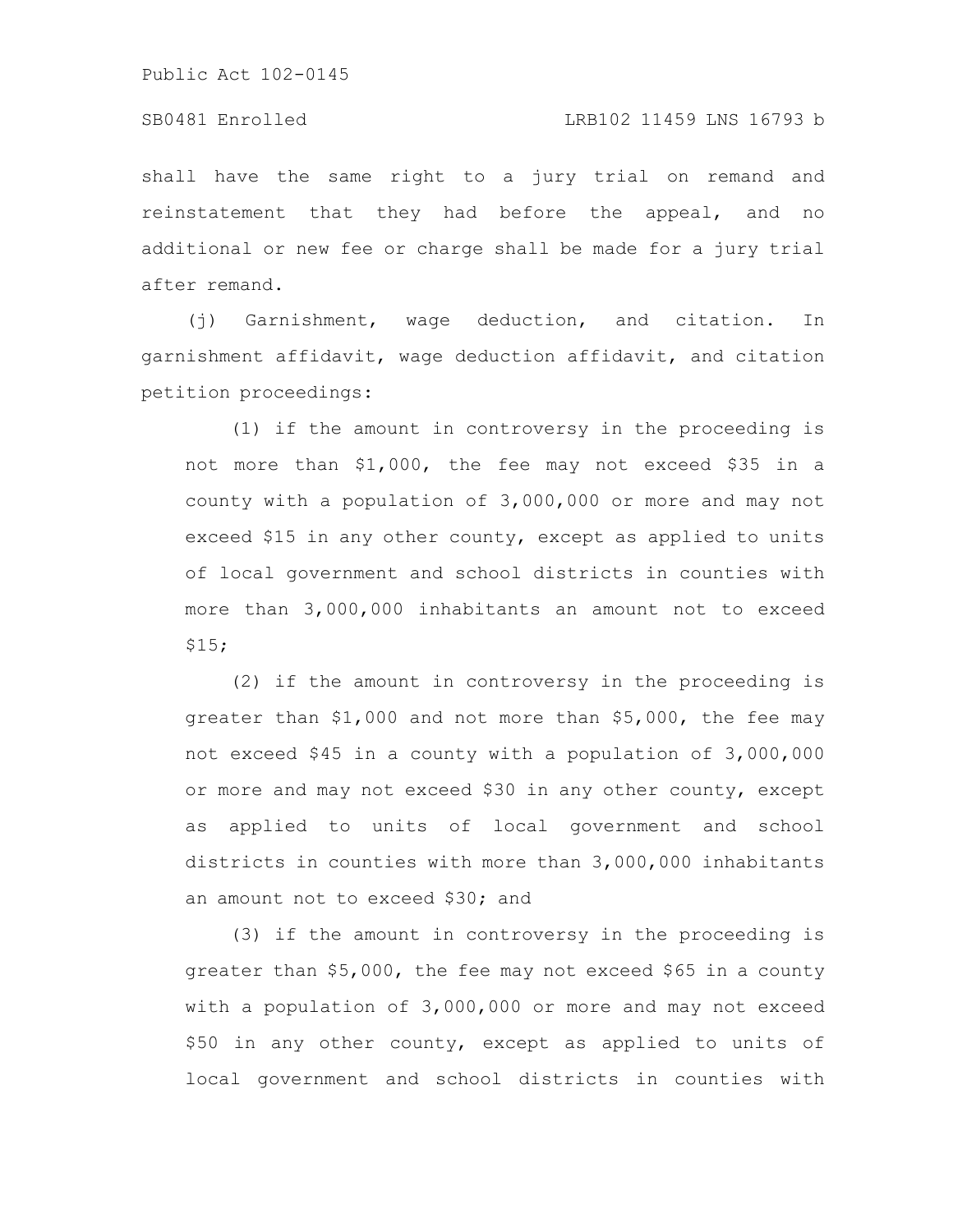## SB0481 Enrolled LRB102 11459 LNS 16793 b

shall have the same right to a jury trial on remand and reinstatement that they had before the appeal, and no additional or new fee or charge shall be made for a jury trial after remand.

(j) Garnishment, wage deduction, and citation. In garnishment affidavit, wage deduction affidavit, and citation petition proceedings:

(1) if the amount in controversy in the proceeding is not more than \$1,000, the fee may not exceed \$35 in a county with a population of 3,000,000 or more and may not exceed \$15 in any other county, except as applied to units of local government and school districts in counties with more than 3,000,000 inhabitants an amount not to exceed \$15;

(2) if the amount in controversy in the proceeding is greater than \$1,000 and not more than \$5,000, the fee may not exceed \$45 in a county with a population of 3,000,000 or more and may not exceed \$30 in any other county, except as applied to units of local government and school districts in counties with more than 3,000,000 inhabitants an amount not to exceed \$30; and

(3) if the amount in controversy in the proceeding is greater than \$5,000, the fee may not exceed \$65 in a county with a population of 3,000,000 or more and may not exceed \$50 in any other county, except as applied to units of local government and school districts in counties with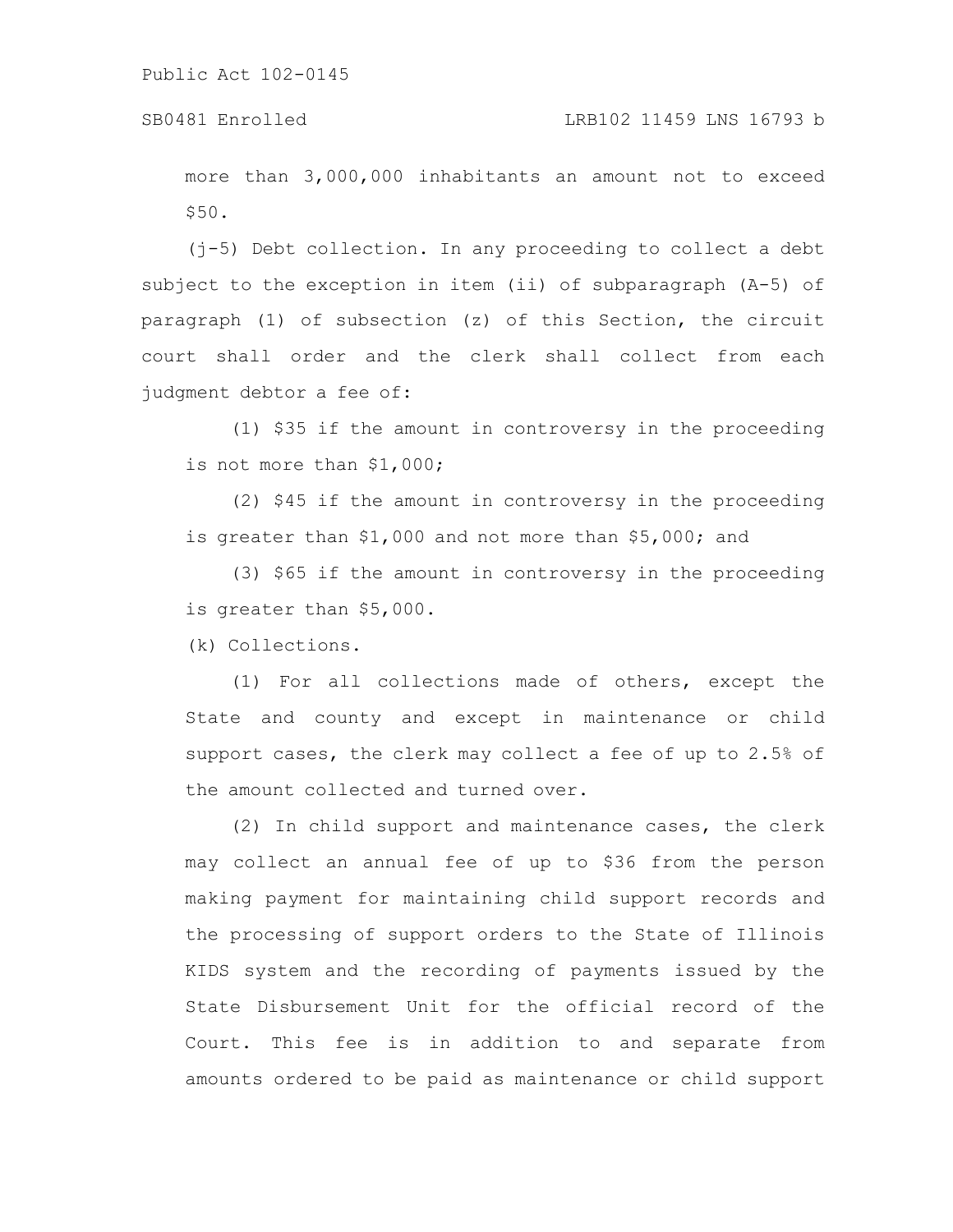## SB0481 Enrolled LRB102 11459 LNS 16793 b

more than 3,000,000 inhabitants an amount not to exceed \$50.

(j-5) Debt collection. In any proceeding to collect a debt subject to the exception in item (ii) of subparagraph (A-5) of paragraph (1) of subsection (z) of this Section, the circuit court shall order and the clerk shall collect from each judgment debtor a fee of:

(1) \$35 if the amount in controversy in the proceeding is not more than \$1,000;

(2) \$45 if the amount in controversy in the proceeding is greater than \$1,000 and not more than \$5,000; and

(3) \$65 if the amount in controversy in the proceeding is greater than \$5,000.

(k) Collections.

(1) For all collections made of others, except the State and county and except in maintenance or child support cases, the clerk may collect a fee of up to 2.5% of the amount collected and turned over.

(2) In child support and maintenance cases, the clerk may collect an annual fee of up to \$36 from the person making payment for maintaining child support records and the processing of support orders to the State of Illinois KIDS system and the recording of payments issued by the State Disbursement Unit for the official record of the Court. This fee is in addition to and separate from amounts ordered to be paid as maintenance or child support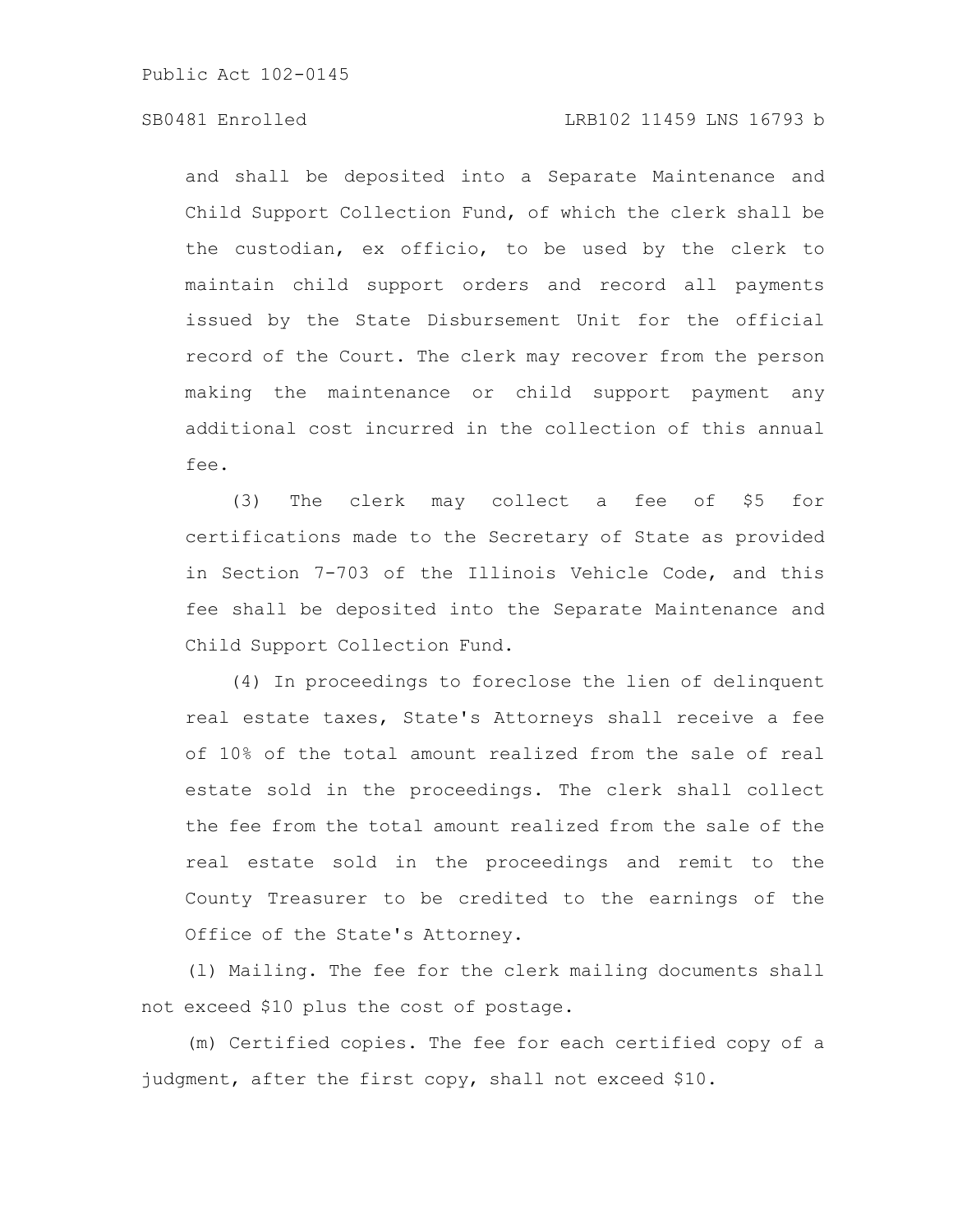# SB0481 Enrolled LRB102 11459 LNS 16793 b

and shall be deposited into a Separate Maintenance and Child Support Collection Fund, of which the clerk shall be the custodian, ex officio, to be used by the clerk to maintain child support orders and record all payments issued by the State Disbursement Unit for the official record of the Court. The clerk may recover from the person making the maintenance or child support payment any additional cost incurred in the collection of this annual fee.

(3) The clerk may collect a fee of \$5 for certifications made to the Secretary of State as provided in Section 7-703 of the Illinois Vehicle Code, and this fee shall be deposited into the Separate Maintenance and Child Support Collection Fund.

(4) In proceedings to foreclose the lien of delinquent real estate taxes, State's Attorneys shall receive a fee of 10% of the total amount realized from the sale of real estate sold in the proceedings. The clerk shall collect the fee from the total amount realized from the sale of the real estate sold in the proceedings and remit to the County Treasurer to be credited to the earnings of the Office of the State's Attorney.

(l) Mailing. The fee for the clerk mailing documents shall not exceed \$10 plus the cost of postage.

(m) Certified copies. The fee for each certified copy of a judgment, after the first copy, shall not exceed \$10.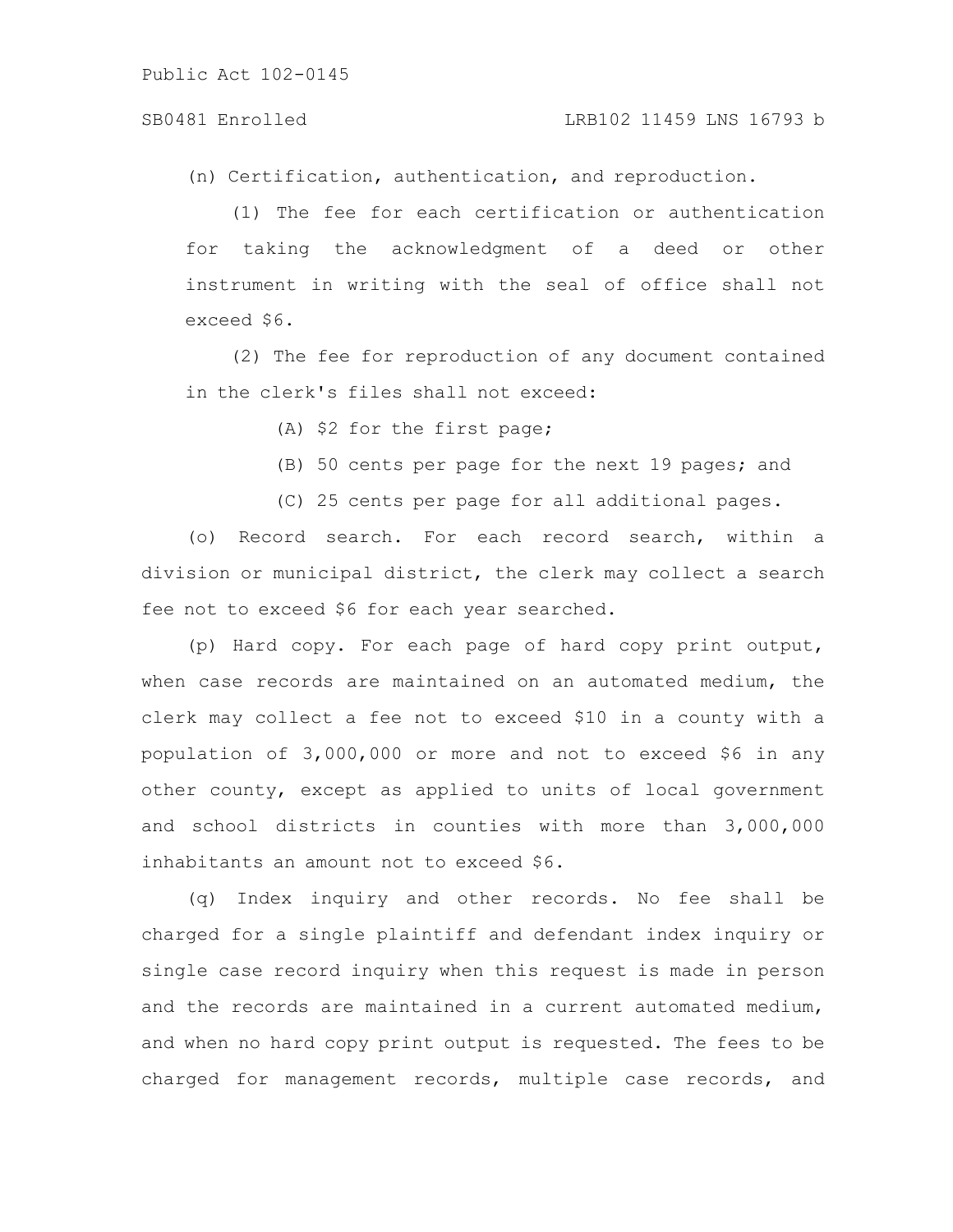#### SB0481 Enrolled LRB102 11459 LNS 16793 b

(n) Certification, authentication, and reproduction.

(1) The fee for each certification or authentication for taking the acknowledgment of a deed or other instrument in writing with the seal of office shall not exceed \$6.

(2) The fee for reproduction of any document contained in the clerk's files shall not exceed:

(A) \$2 for the first page;

- (B) 50 cents per page for the next 19 pages; and
- (C) 25 cents per page for all additional pages.

(o) Record search. For each record search, within a division or municipal district, the clerk may collect a search fee not to exceed \$6 for each year searched.

(p) Hard copy. For each page of hard copy print output, when case records are maintained on an automated medium, the clerk may collect a fee not to exceed \$10 in a county with a population of 3,000,000 or more and not to exceed \$6 in any other county, except as applied to units of local government and school districts in counties with more than 3,000,000 inhabitants an amount not to exceed \$6.

(q) Index inquiry and other records. No fee shall be charged for a single plaintiff and defendant index inquiry or single case record inquiry when this request is made in person and the records are maintained in a current automated medium, and when no hard copy print output is requested. The fees to be charged for management records, multiple case records, and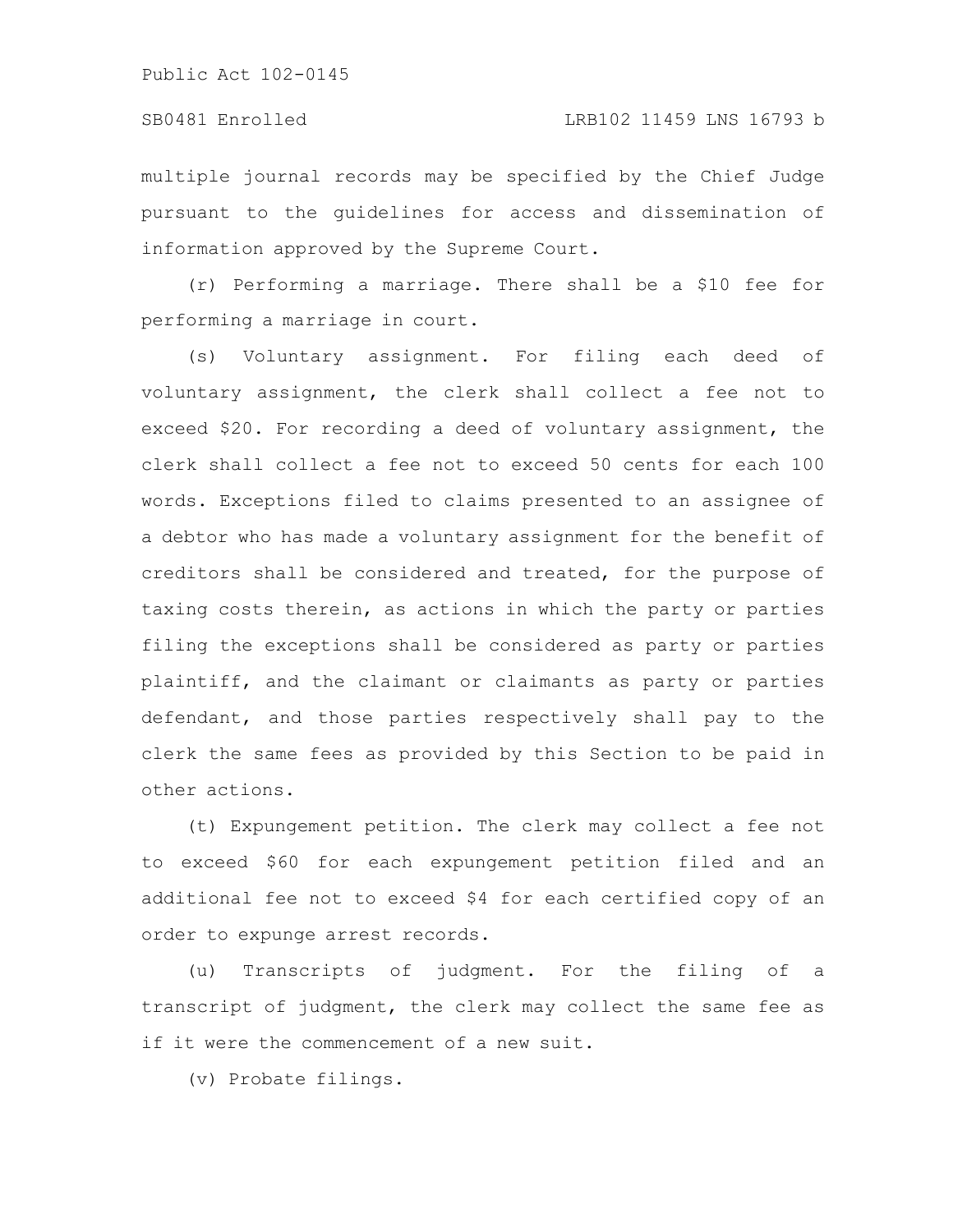multiple journal records may be specified by the Chief Judge pursuant to the guidelines for access and dissemination of information approved by the Supreme Court.

(r) Performing a marriage. There shall be a \$10 fee for performing a marriage in court.

(s) Voluntary assignment. For filing each deed of voluntary assignment, the clerk shall collect a fee not to exceed \$20. For recording a deed of voluntary assignment, the clerk shall collect a fee not to exceed 50 cents for each 100 words. Exceptions filed to claims presented to an assignee of a debtor who has made a voluntary assignment for the benefit of creditors shall be considered and treated, for the purpose of taxing costs therein, as actions in which the party or parties filing the exceptions shall be considered as party or parties plaintiff, and the claimant or claimants as party or parties defendant, and those parties respectively shall pay to the clerk the same fees as provided by this Section to be paid in other actions.

(t) Expungement petition. The clerk may collect a fee not to exceed \$60 for each expungement petition filed and an additional fee not to exceed \$4 for each certified copy of an order to expunge arrest records.

(u) Transcripts of judgment. For the filing of a transcript of judgment, the clerk may collect the same fee as if it were the commencement of a new suit.

(v) Probate filings.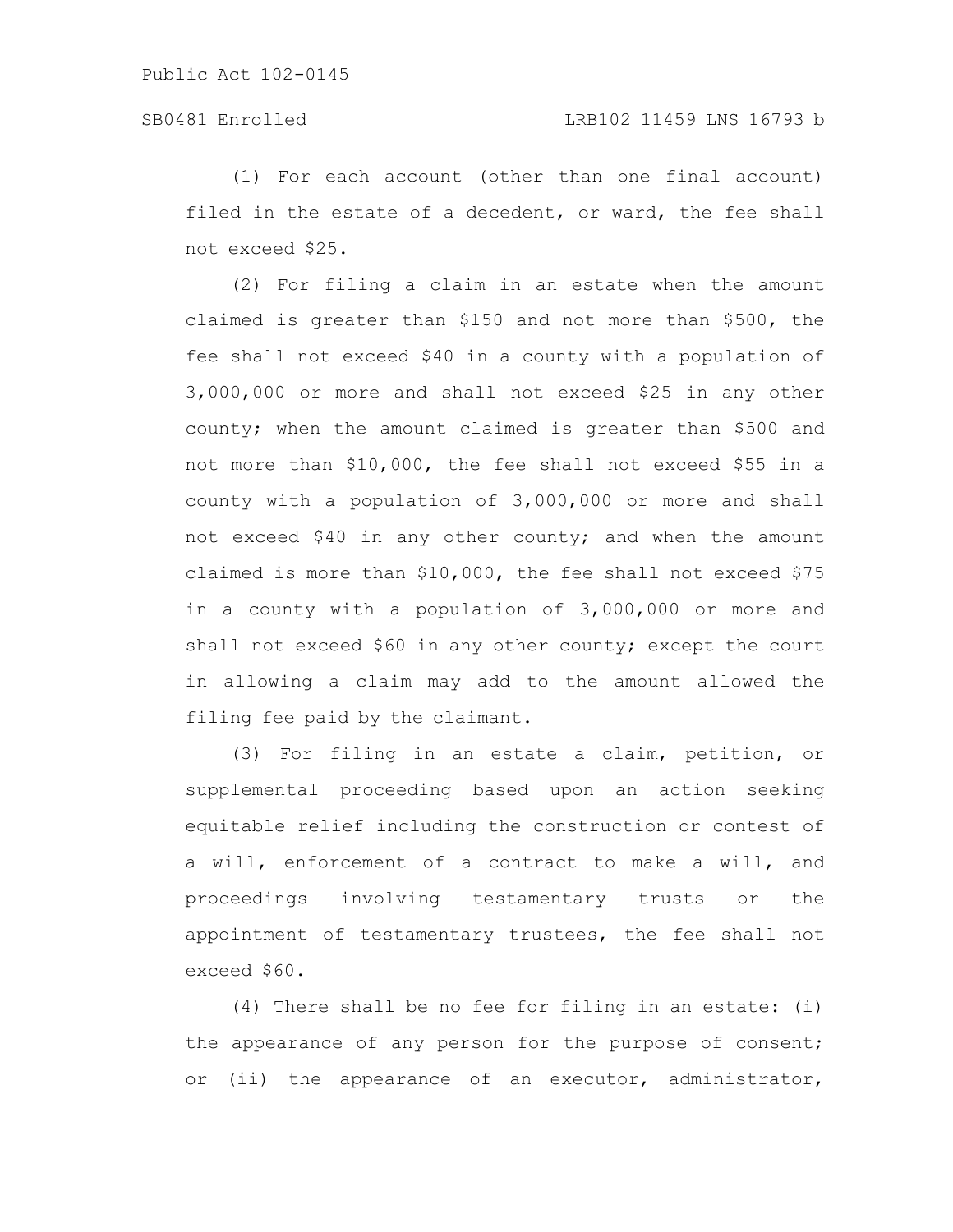(1) For each account (other than one final account) filed in the estate of a decedent, or ward, the fee shall not exceed \$25.

(2) For filing a claim in an estate when the amount claimed is greater than \$150 and not more than \$500, the fee shall not exceed \$40 in a county with a population of 3,000,000 or more and shall not exceed \$25 in any other county; when the amount claimed is greater than \$500 and not more than \$10,000, the fee shall not exceed \$55 in a county with a population of 3,000,000 or more and shall not exceed \$40 in any other county; and when the amount claimed is more than \$10,000, the fee shall not exceed \$75 in a county with a population of 3,000,000 or more and shall not exceed \$60 in any other county; except the court in allowing a claim may add to the amount allowed the filing fee paid by the claimant.

(3) For filing in an estate a claim, petition, or supplemental proceeding based upon an action seeking equitable relief including the construction or contest of a will, enforcement of a contract to make a will, and proceedings involving testamentary trusts or the appointment of testamentary trustees, the fee shall not exceed \$60.

(4) There shall be no fee for filing in an estate: (i) the appearance of any person for the purpose of consent; or (ii) the appearance of an executor, administrator,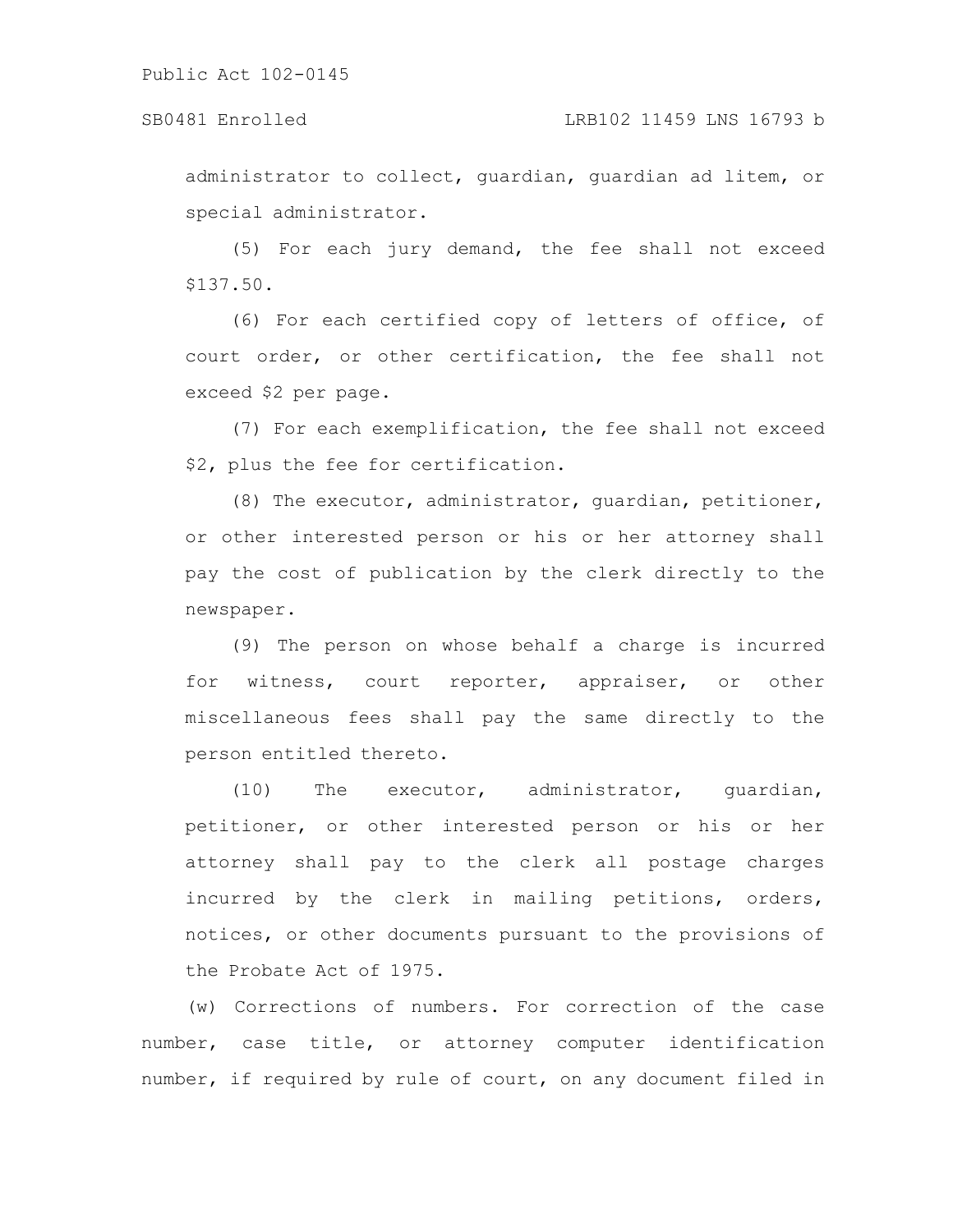## SB0481 Enrolled LRB102 11459 LNS 16793 b

administrator to collect, guardian, guardian ad litem, or special administrator.

(5) For each jury demand, the fee shall not exceed \$137.50.

(6) For each certified copy of letters of office, of court order, or other certification, the fee shall not exceed \$2 per page.

(7) For each exemplification, the fee shall not exceed \$2, plus the fee for certification.

(8) The executor, administrator, guardian, petitioner, or other interested person or his or her attorney shall pay the cost of publication by the clerk directly to the newspaper.

(9) The person on whose behalf a charge is incurred for witness, court reporter, appraiser, or other miscellaneous fees shall pay the same directly to the person entitled thereto.

(10) The executor, administrator, guardian, petitioner, or other interested person or his or her attorney shall pay to the clerk all postage charges incurred by the clerk in mailing petitions, orders, notices, or other documents pursuant to the provisions of the Probate Act of 1975.

(w) Corrections of numbers. For correction of the case number, case title, or attorney computer identification number, if required by rule of court, on any document filed in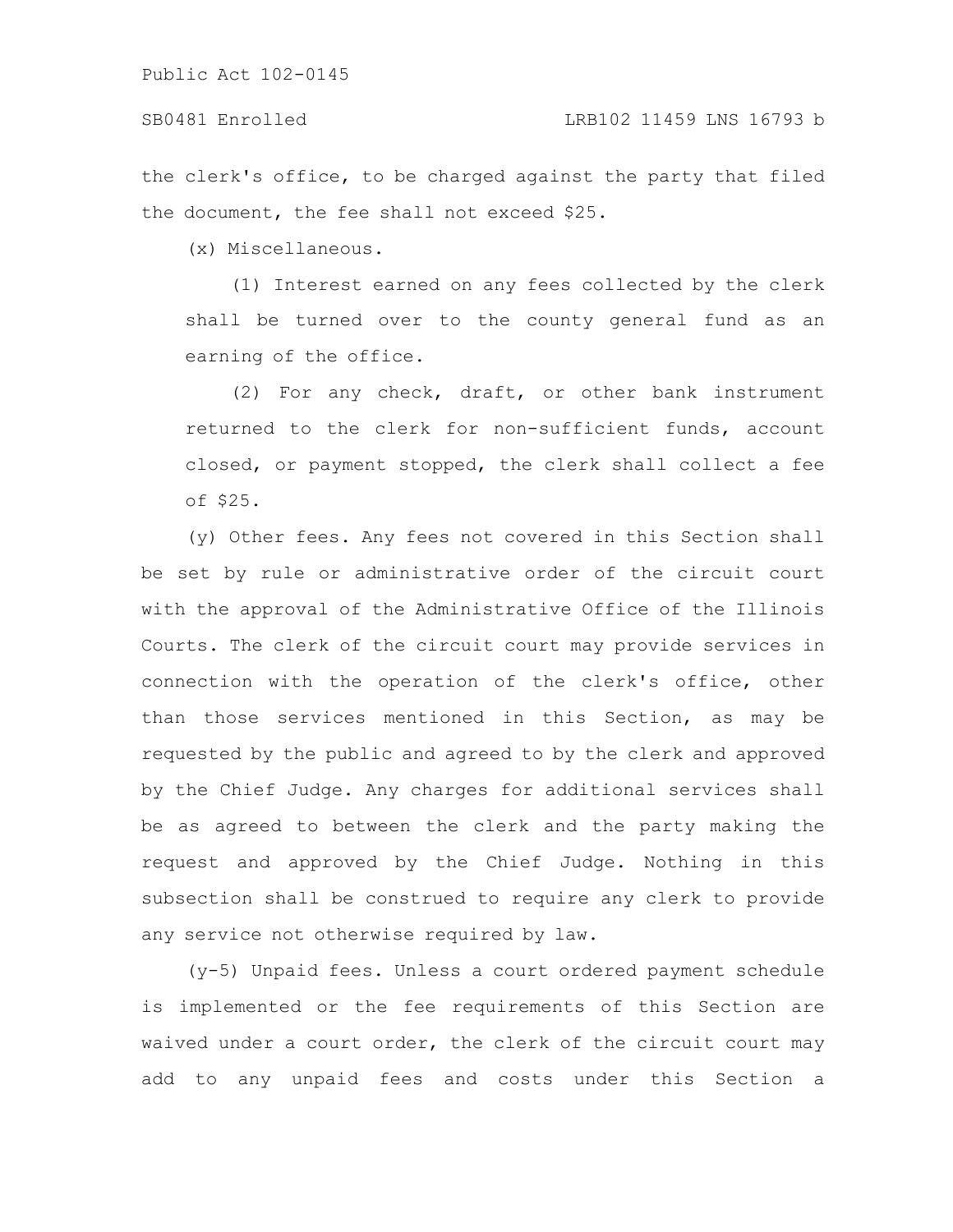the clerk's office, to be charged against the party that filed the document, the fee shall not exceed \$25.

(x) Miscellaneous.

(1) Interest earned on any fees collected by the clerk shall be turned over to the county general fund as an earning of the office.

(2) For any check, draft, or other bank instrument returned to the clerk for non-sufficient funds, account closed, or payment stopped, the clerk shall collect a fee of \$25.

(y) Other fees. Any fees not covered in this Section shall be set by rule or administrative order of the circuit court with the approval of the Administrative Office of the Illinois Courts. The clerk of the circuit court may provide services in connection with the operation of the clerk's office, other than those services mentioned in this Section, as may be requested by the public and agreed to by the clerk and approved by the Chief Judge. Any charges for additional services shall be as agreed to between the clerk and the party making the request and approved by the Chief Judge. Nothing in this subsection shall be construed to require any clerk to provide any service not otherwise required by law.

(y-5) Unpaid fees. Unless a court ordered payment schedule is implemented or the fee requirements of this Section are waived under a court order, the clerk of the circuit court may add to any unpaid fees and costs under this Section a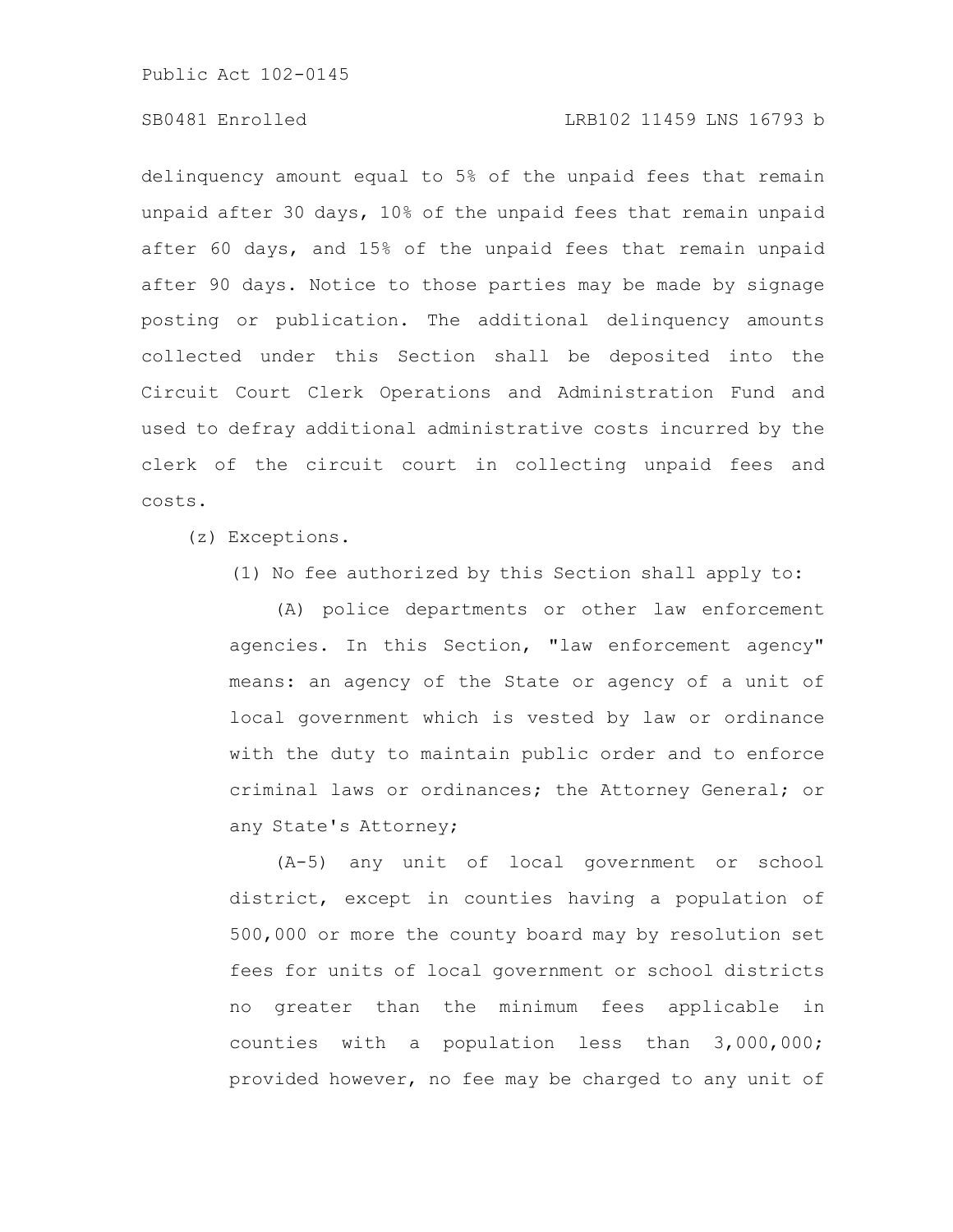# SB0481 Enrolled LRB102 11459 LNS 16793 b

delinquency amount equal to 5% of the unpaid fees that remain unpaid after 30 days, 10% of the unpaid fees that remain unpaid after 60 days, and 15% of the unpaid fees that remain unpaid after 90 days. Notice to those parties may be made by signage posting or publication. The additional delinquency amounts collected under this Section shall be deposited into the Circuit Court Clerk Operations and Administration Fund and used to defray additional administrative costs incurred by the clerk of the circuit court in collecting unpaid fees and costs.

(z) Exceptions.

(1) No fee authorized by this Section shall apply to:

(A) police departments or other law enforcement agencies. In this Section, "law enforcement agency" means: an agency of the State or agency of a unit of local government which is vested by law or ordinance with the duty to maintain public order and to enforce criminal laws or ordinances; the Attorney General; or any State's Attorney;

(A-5) any unit of local government or school district, except in counties having a population of 500,000 or more the county board may by resolution set fees for units of local government or school districts no greater than the minimum fees applicable in counties with a population less than 3,000,000; provided however, no fee may be charged to any unit of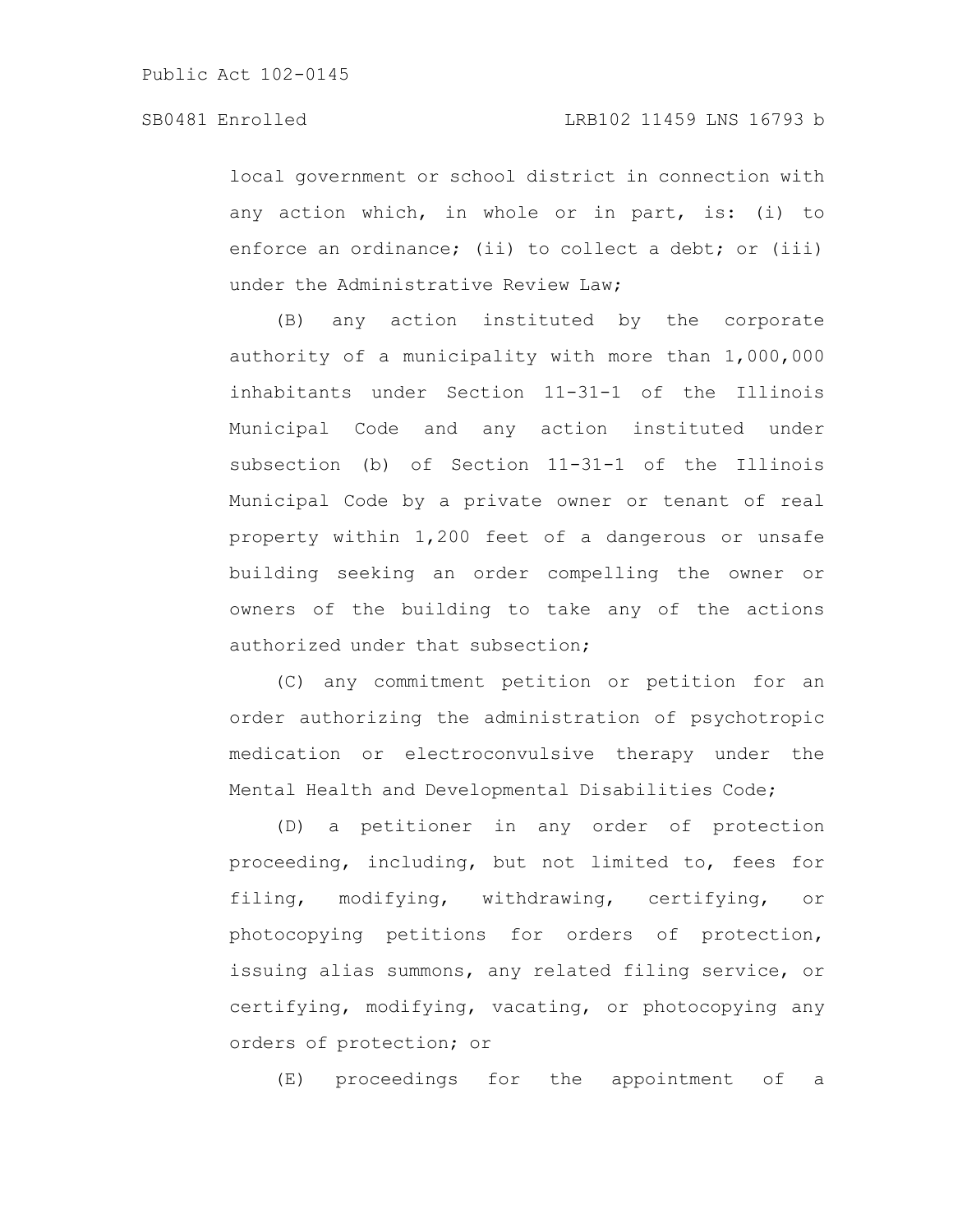local government or school district in connection with any action which, in whole or in part, is: (i) to enforce an ordinance; (ii) to collect a debt; or (iii) under the Administrative Review Law;

(B) any action instituted by the corporate authority of a municipality with more than 1,000,000 inhabitants under Section 11-31-1 of the Illinois Municipal Code and any action instituted under subsection (b) of Section 11-31-1 of the Illinois Municipal Code by a private owner or tenant of real property within 1,200 feet of a dangerous or unsafe building seeking an order compelling the owner or owners of the building to take any of the actions authorized under that subsection;

(C) any commitment petition or petition for an order authorizing the administration of psychotropic medication or electroconvulsive therapy under the Mental Health and Developmental Disabilities Code;

(D) a petitioner in any order of protection proceeding, including, but not limited to, fees for filing, modifying, withdrawing, certifying, or photocopying petitions for orders of protection, issuing alias summons, any related filing service, or certifying, modifying, vacating, or photocopying any orders of protection; or

(E) proceedings for the appointment of a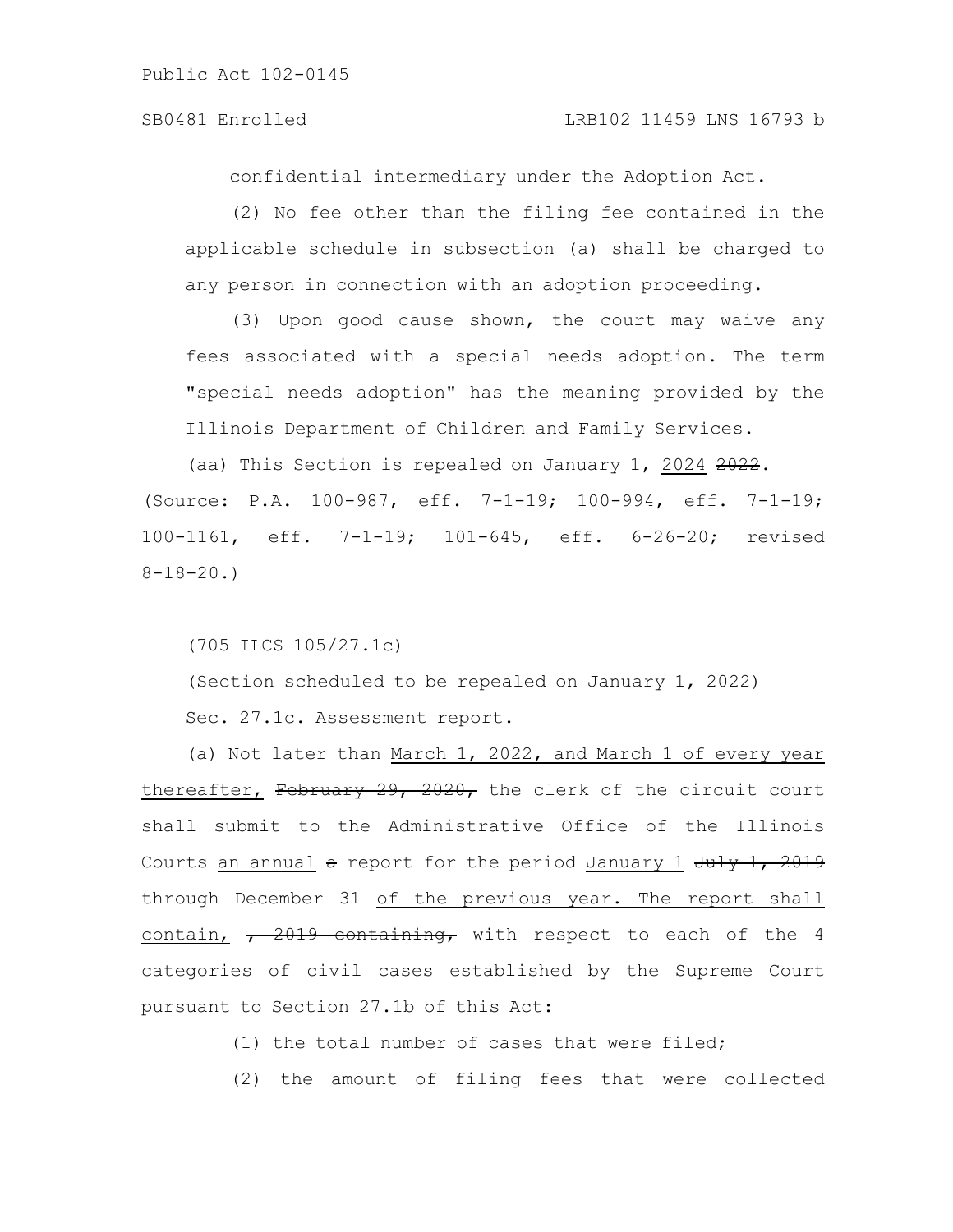### SB0481 Enrolled LRB102 11459 LNS 16793 b

confidential intermediary under the Adoption Act.

(2) No fee other than the filing fee contained in the applicable schedule in subsection (a) shall be charged to any person in connection with an adoption proceeding.

(3) Upon good cause shown, the court may waive any fees associated with a special needs adoption. The term "special needs adoption" has the meaning provided by the Illinois Department of Children and Family Services.

(aa) This Section is repealed on January 1, 2024 2022. (Source: P.A. 100-987, eff. 7-1-19; 100-994, eff. 7-1-19; 100-1161, eff. 7-1-19; 101-645, eff. 6-26-20; revised  $8 - 18 - 20.$ 

(705 ILCS 105/27.1c)

(Section scheduled to be repealed on January 1, 2022)

Sec. 27.1c. Assessment report.

(a) Not later than March 1, 2022, and March 1 of every year thereafter, February  $29$ ,  $2020$ , the clerk of the circuit court shall submit to the Administrative Office of the Illinois Courts an annual  $a$  report for the period January 1 July 1, 2019 through December 31 of the previous year. The report shall contain,  $\frac{1}{2019}$  containing, with respect to each of the 4 categories of civil cases established by the Supreme Court pursuant to Section 27.1b of this Act:

(1) the total number of cases that were filed;

(2) the amount of filing fees that were collected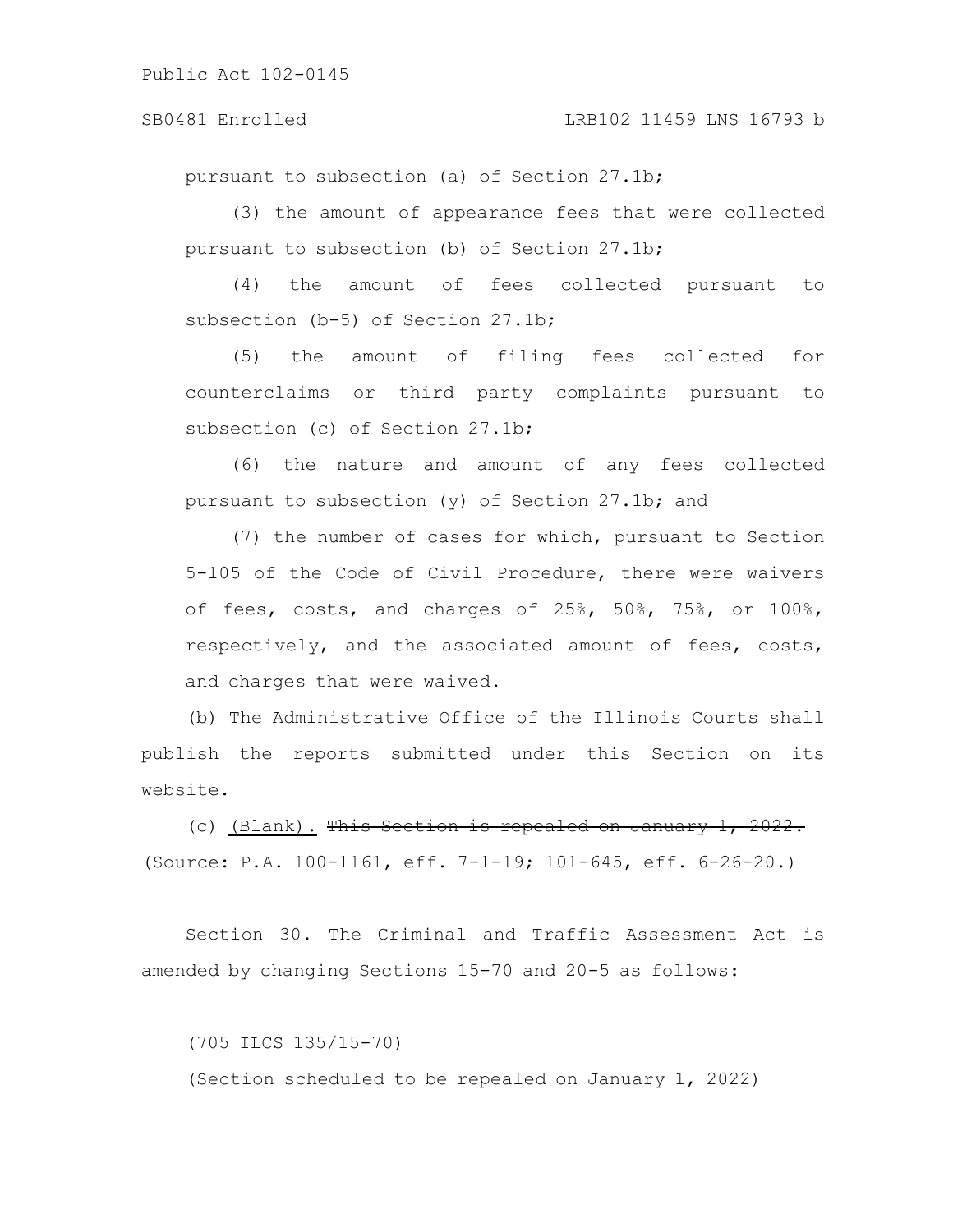#### SB0481 Enrolled LRB102 11459 LNS 16793 b

pursuant to subsection (a) of Section 27.1b;

(3) the amount of appearance fees that were collected pursuant to subsection (b) of Section 27.1b;

(4) the amount of fees collected pursuant to subsection (b-5) of Section 27.1b;

(5) the amount of filing fees collected for counterclaims or third party complaints pursuant to subsection (c) of Section 27.1b;

(6) the nature and amount of any fees collected pursuant to subsection (y) of Section 27.1b; and

(7) the number of cases for which, pursuant to Section 5-105 of the Code of Civil Procedure, there were waivers of fees, costs, and charges of 25%, 50%, 75%, or 100%, respectively, and the associated amount of fees, costs, and charges that were waived.

(b) The Administrative Office of the Illinois Courts shall publish the reports submitted under this Section on its website.

(c) (Blank). This Section is repealed on January 1, 2022. (Source: P.A. 100-1161, eff. 7-1-19; 101-645, eff. 6-26-20.)

Section 30. The Criminal and Traffic Assessment Act is amended by changing Sections 15-70 and 20-5 as follows:

(705 ILCS 135/15-70)

(Section scheduled to be repealed on January 1, 2022)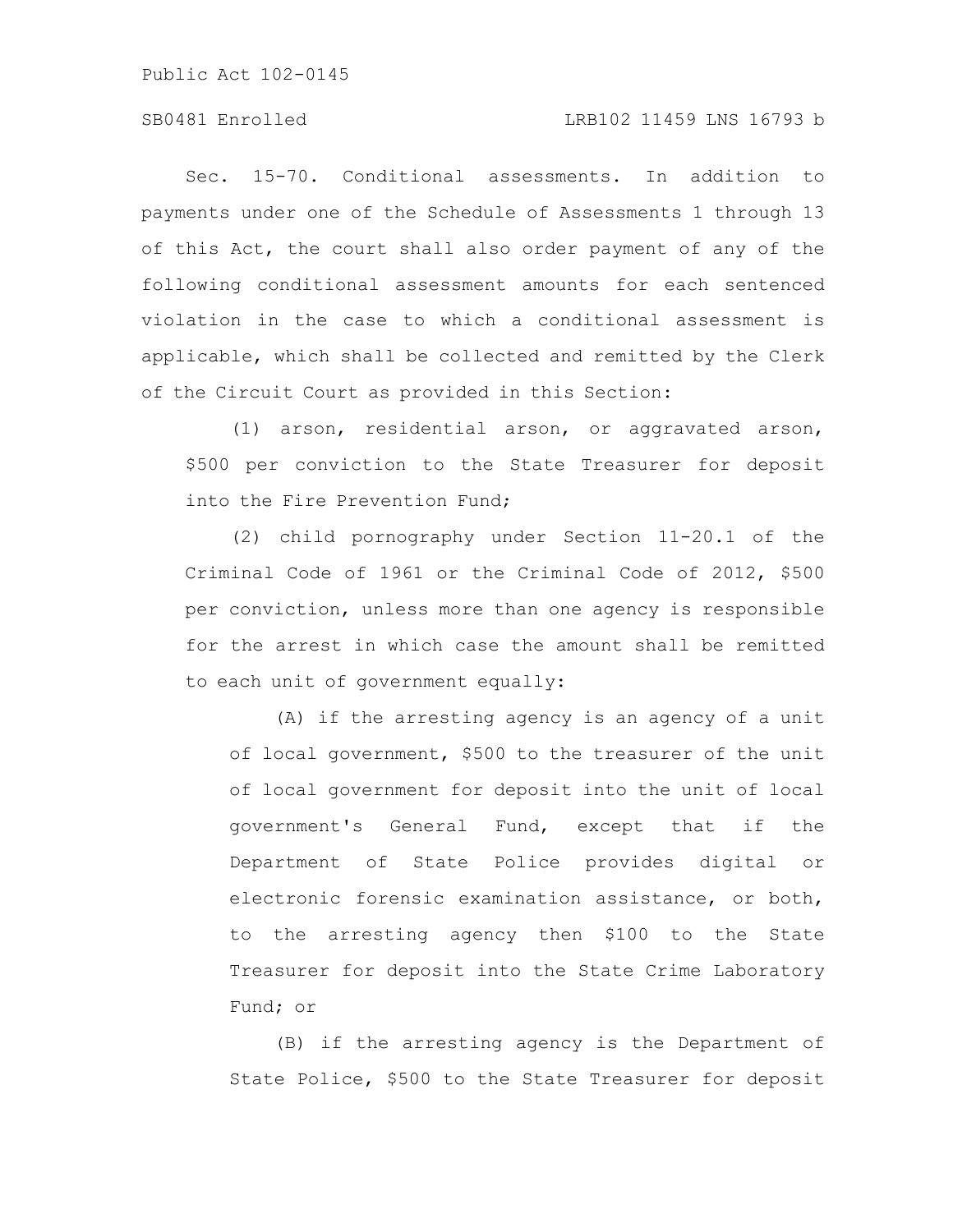# SB0481 Enrolled LRB102 11459 LNS 16793 b

Sec. 15-70. Conditional assessments. In addition to payments under one of the Schedule of Assessments 1 through 13 of this Act, the court shall also order payment of any of the following conditional assessment amounts for each sentenced violation in the case to which a conditional assessment is applicable, which shall be collected and remitted by the Clerk of the Circuit Court as provided in this Section:

(1) arson, residential arson, or aggravated arson, \$500 per conviction to the State Treasurer for deposit into the Fire Prevention Fund;

(2) child pornography under Section 11-20.1 of the Criminal Code of 1961 or the Criminal Code of 2012, \$500 per conviction, unless more than one agency is responsible for the arrest in which case the amount shall be remitted to each unit of government equally:

(A) if the arresting agency is an agency of a unit of local government, \$500 to the treasurer of the unit of local government for deposit into the unit of local government's General Fund, except that if the Department of State Police provides digital or electronic forensic examination assistance, or both, to the arresting agency then \$100 to the State Treasurer for deposit into the State Crime Laboratory Fund; or

(B) if the arresting agency is the Department of State Police, \$500 to the State Treasurer for deposit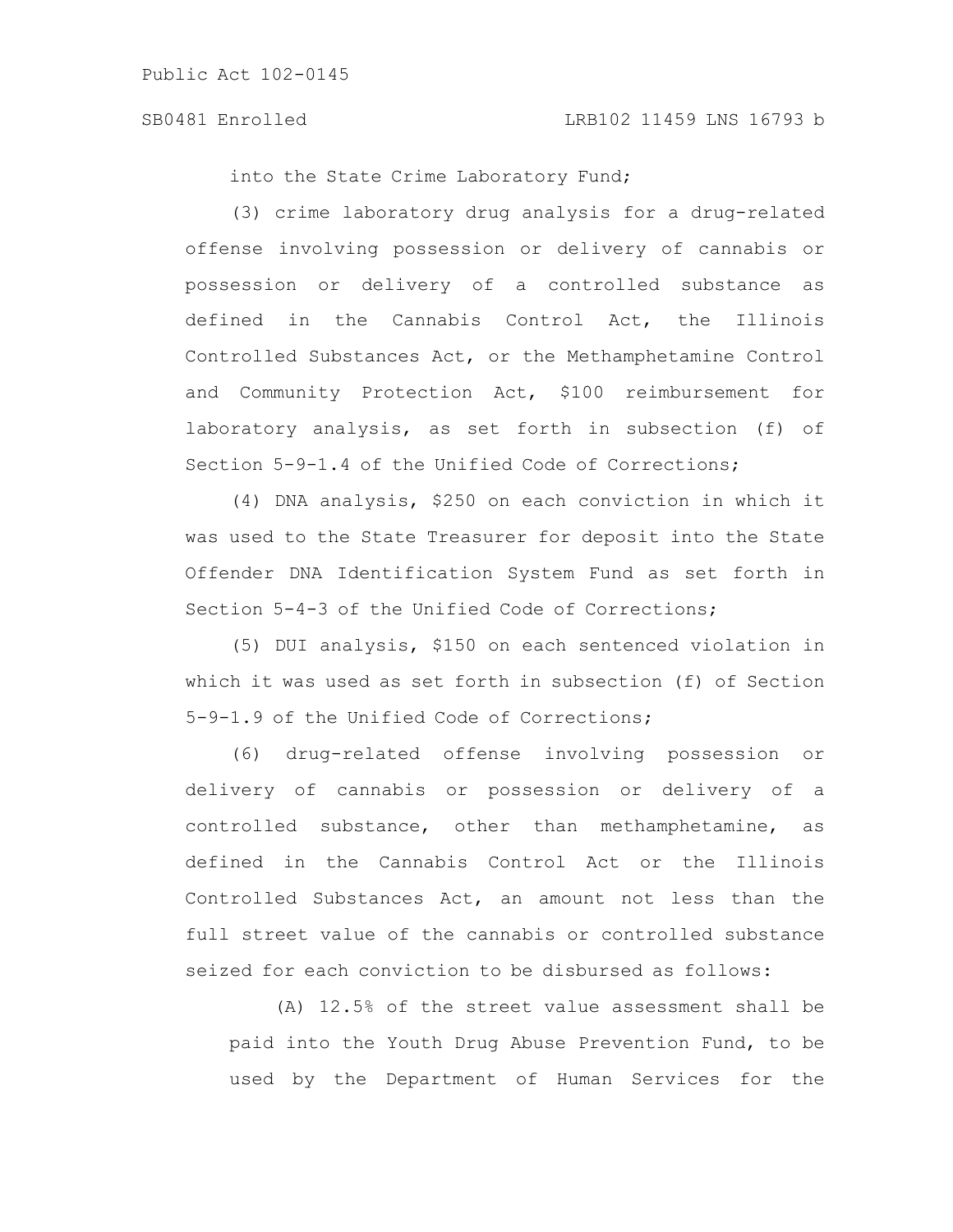into the State Crime Laboratory Fund;

(3) crime laboratory drug analysis for a drug-related offense involving possession or delivery of cannabis or possession or delivery of a controlled substance as defined in the Cannabis Control Act, the Illinois Controlled Substances Act, or the Methamphetamine Control and Community Protection Act, \$100 reimbursement for laboratory analysis, as set forth in subsection (f) of Section 5-9-1.4 of the Unified Code of Corrections;

(4) DNA analysis, \$250 on each conviction in which it was used to the State Treasurer for deposit into the State Offender DNA Identification System Fund as set forth in Section 5-4-3 of the Unified Code of Corrections;

(5) DUI analysis, \$150 on each sentenced violation in which it was used as set forth in subsection (f) of Section 5-9-1.9 of the Unified Code of Corrections;

(6) drug-related offense involving possession or delivery of cannabis or possession or delivery of a controlled substance, other than methamphetamine, as defined in the Cannabis Control Act or the Illinois Controlled Substances Act, an amount not less than the full street value of the cannabis or controlled substance seized for each conviction to be disbursed as follows:

(A) 12.5% of the street value assessment shall be paid into the Youth Drug Abuse Prevention Fund, to be used by the Department of Human Services for the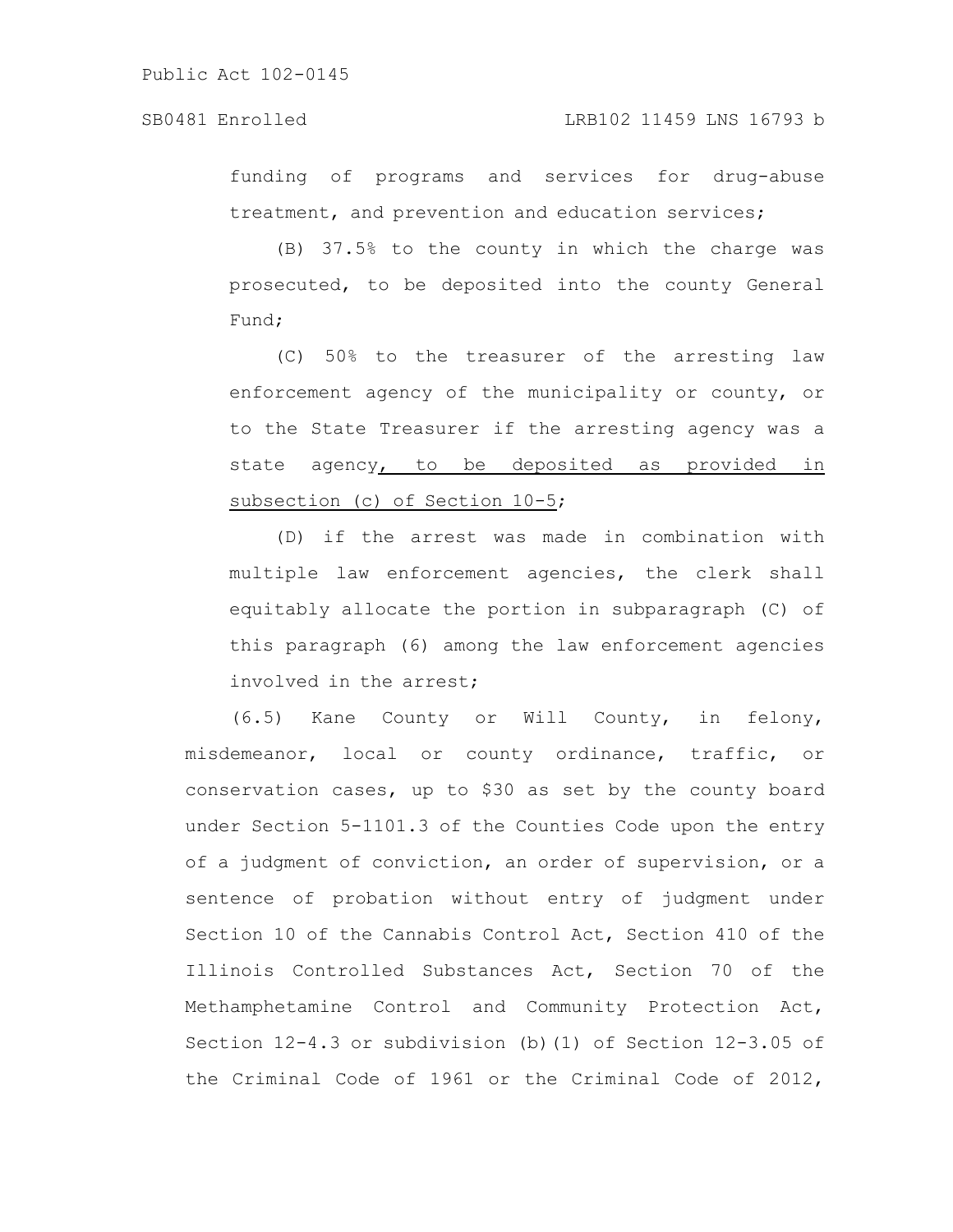### SB0481 Enrolled LRB102 11459 LNS 16793 b

funding of programs and services for drug-abuse treatment, and prevention and education services;

(B) 37.5% to the county in which the charge was prosecuted, to be deposited into the county General Fund;

(C) 50% to the treasurer of the arresting law enforcement agency of the municipality or county, or to the State Treasurer if the arresting agency was a state agency, to be deposited as provided in subsection (c) of Section 10-5;

(D) if the arrest was made in combination with multiple law enforcement agencies, the clerk shall equitably allocate the portion in subparagraph (C) of this paragraph (6) among the law enforcement agencies involved in the arrest;

(6.5) Kane County or Will County, in felony, misdemeanor, local or county ordinance, traffic, or conservation cases, up to \$30 as set by the county board under Section 5-1101.3 of the Counties Code upon the entry of a judgment of conviction, an order of supervision, or a sentence of probation without entry of judgment under Section 10 of the Cannabis Control Act, Section 410 of the Illinois Controlled Substances Act, Section 70 of the Methamphetamine Control and Community Protection Act, Section 12-4.3 or subdivision (b)(1) of Section 12-3.05 of the Criminal Code of 1961 or the Criminal Code of 2012,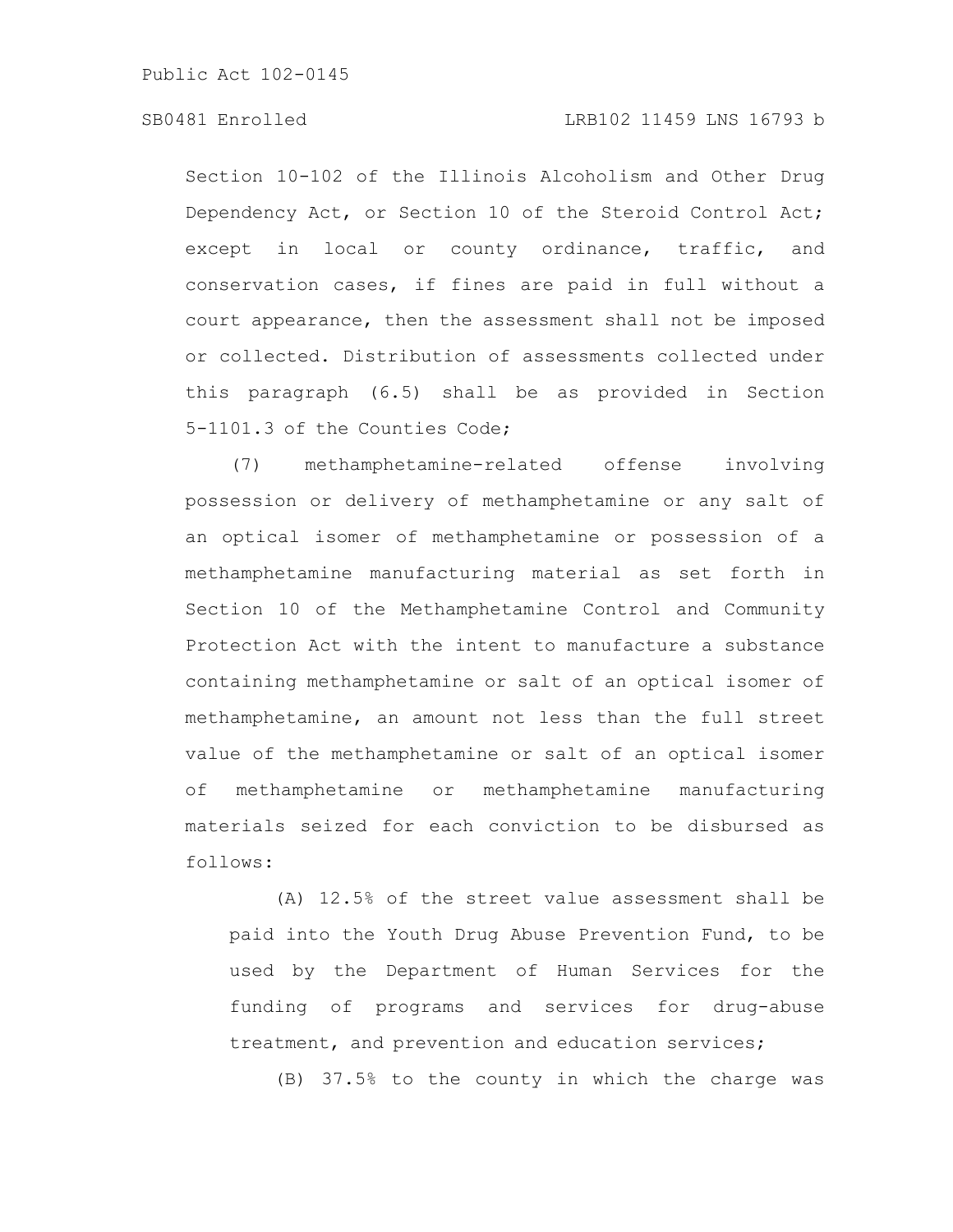# SB0481 Enrolled LRB102 11459 LNS 16793 b

Section 10-102 of the Illinois Alcoholism and Other Drug Dependency Act, or Section 10 of the Steroid Control Act; except in local or county ordinance, traffic, and conservation cases, if fines are paid in full without a court appearance, then the assessment shall not be imposed or collected. Distribution of assessments collected under this paragraph (6.5) shall be as provided in Section 5-1101.3 of the Counties Code;

(7) methamphetamine-related offense involving possession or delivery of methamphetamine or any salt of an optical isomer of methamphetamine or possession of a methamphetamine manufacturing material as set forth in Section 10 of the Methamphetamine Control and Community Protection Act with the intent to manufacture a substance containing methamphetamine or salt of an optical isomer of methamphetamine, an amount not less than the full street value of the methamphetamine or salt of an optical isomer of methamphetamine or methamphetamine manufacturing materials seized for each conviction to be disbursed as follows:

(A) 12.5% of the street value assessment shall be paid into the Youth Drug Abuse Prevention Fund, to be used by the Department of Human Services for the funding of programs and services for drug-abuse treatment, and prevention and education services;

(B) 37.5% to the county in which the charge was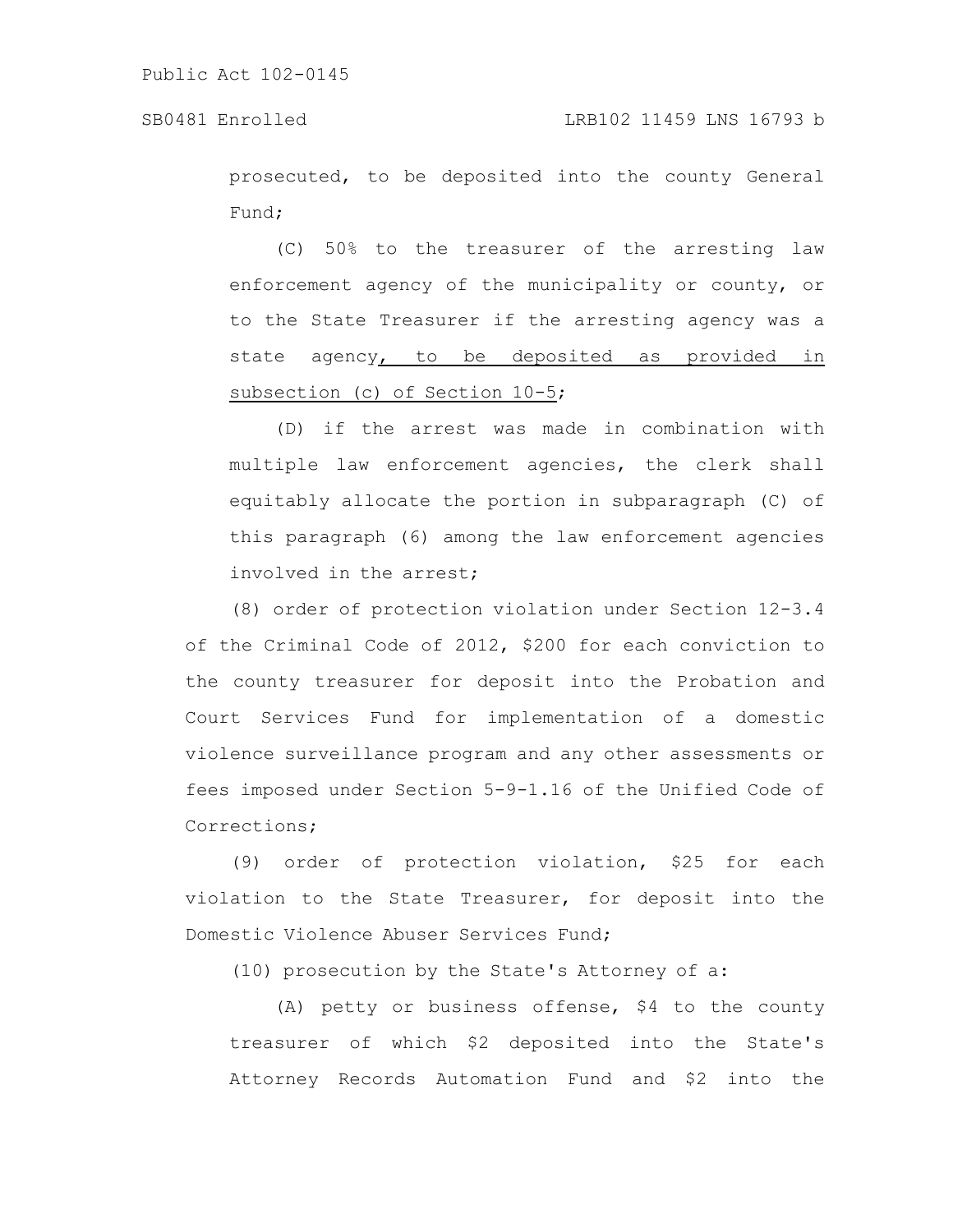prosecuted, to be deposited into the county General Fund;

(C) 50% to the treasurer of the arresting law enforcement agency of the municipality or county, or to the State Treasurer if the arresting agency was a state agency, to be deposited as provided in subsection (c) of Section 10-5;

(D) if the arrest was made in combination with multiple law enforcement agencies, the clerk shall equitably allocate the portion in subparagraph (C) of this paragraph (6) among the law enforcement agencies involved in the arrest;

(8) order of protection violation under Section 12-3.4 of the Criminal Code of 2012, \$200 for each conviction to the county treasurer for deposit into the Probation and Court Services Fund for implementation of a domestic violence surveillance program and any other assessments or fees imposed under Section 5-9-1.16 of the Unified Code of Corrections;

(9) order of protection violation, \$25 for each violation to the State Treasurer, for deposit into the Domestic Violence Abuser Services Fund;

(10) prosecution by the State's Attorney of a:

(A) petty or business offense, \$4 to the county treasurer of which \$2 deposited into the State's Attorney Records Automation Fund and \$2 into the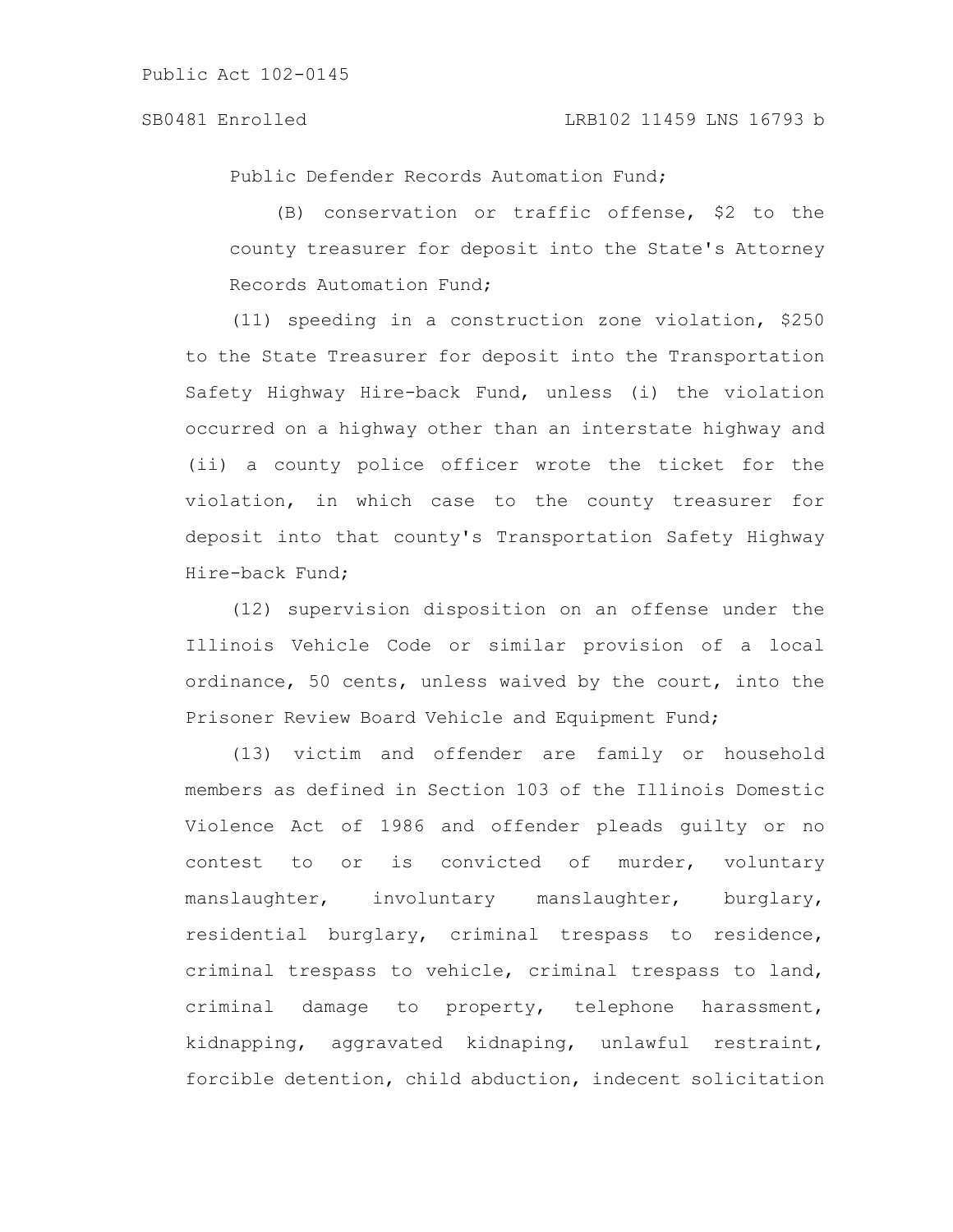Public Defender Records Automation Fund;

(B) conservation or traffic offense, \$2 to the county treasurer for deposit into the State's Attorney Records Automation Fund;

(11) speeding in a construction zone violation, \$250 to the State Treasurer for deposit into the Transportation Safety Highway Hire-back Fund, unless (i) the violation occurred on a highway other than an interstate highway and (ii) a county police officer wrote the ticket for the violation, in which case to the county treasurer for deposit into that county's Transportation Safety Highway Hire-back Fund;

(12) supervision disposition on an offense under the Illinois Vehicle Code or similar provision of a local ordinance, 50 cents, unless waived by the court, into the Prisoner Review Board Vehicle and Equipment Fund;

(13) victim and offender are family or household members as defined in Section 103 of the Illinois Domestic Violence Act of 1986 and offender pleads guilty or no contest to or is convicted of murder, voluntary manslaughter, involuntary manslaughter, burglary, residential burglary, criminal trespass to residence, criminal trespass to vehicle, criminal trespass to land, criminal damage to property, telephone harassment, kidnapping, aggravated kidnaping, unlawful restraint, forcible detention, child abduction, indecent solicitation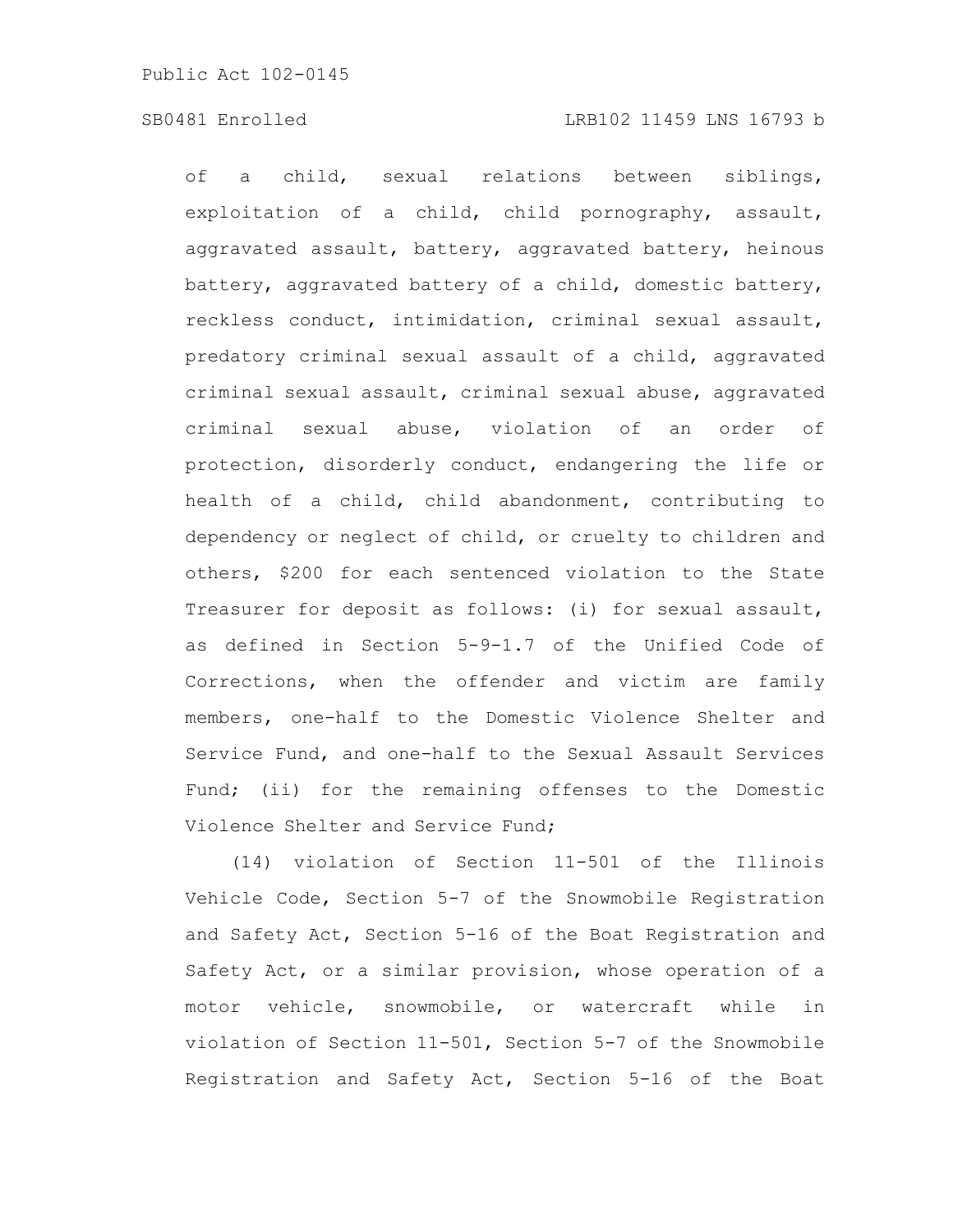of a child, sexual relations between siblings, exploitation of a child, child pornography, assault, aggravated assault, battery, aggravated battery, heinous battery, aggravated battery of a child, domestic battery, reckless conduct, intimidation, criminal sexual assault, predatory criminal sexual assault of a child, aggravated criminal sexual assault, criminal sexual abuse, aggravated criminal sexual abuse, violation of an order of protection, disorderly conduct, endangering the life or health of a child, child abandonment, contributing to dependency or neglect of child, or cruelty to children and others, \$200 for each sentenced violation to the State Treasurer for deposit as follows: (i) for sexual assault, as defined in Section 5-9-1.7 of the Unified Code of Corrections, when the offender and victim are family members, one-half to the Domestic Violence Shelter and Service Fund, and one-half to the Sexual Assault Services Fund; (ii) for the remaining offenses to the Domestic Violence Shelter and Service Fund;

(14) violation of Section 11-501 of the Illinois Vehicle Code, Section 5-7 of the Snowmobile Registration and Safety Act, Section 5-16 of the Boat Registration and Safety Act, or a similar provision, whose operation of a motor vehicle, snowmobile, or watercraft while in violation of Section 11-501, Section 5-7 of the Snowmobile Registration and Safety Act, Section 5-16 of the Boat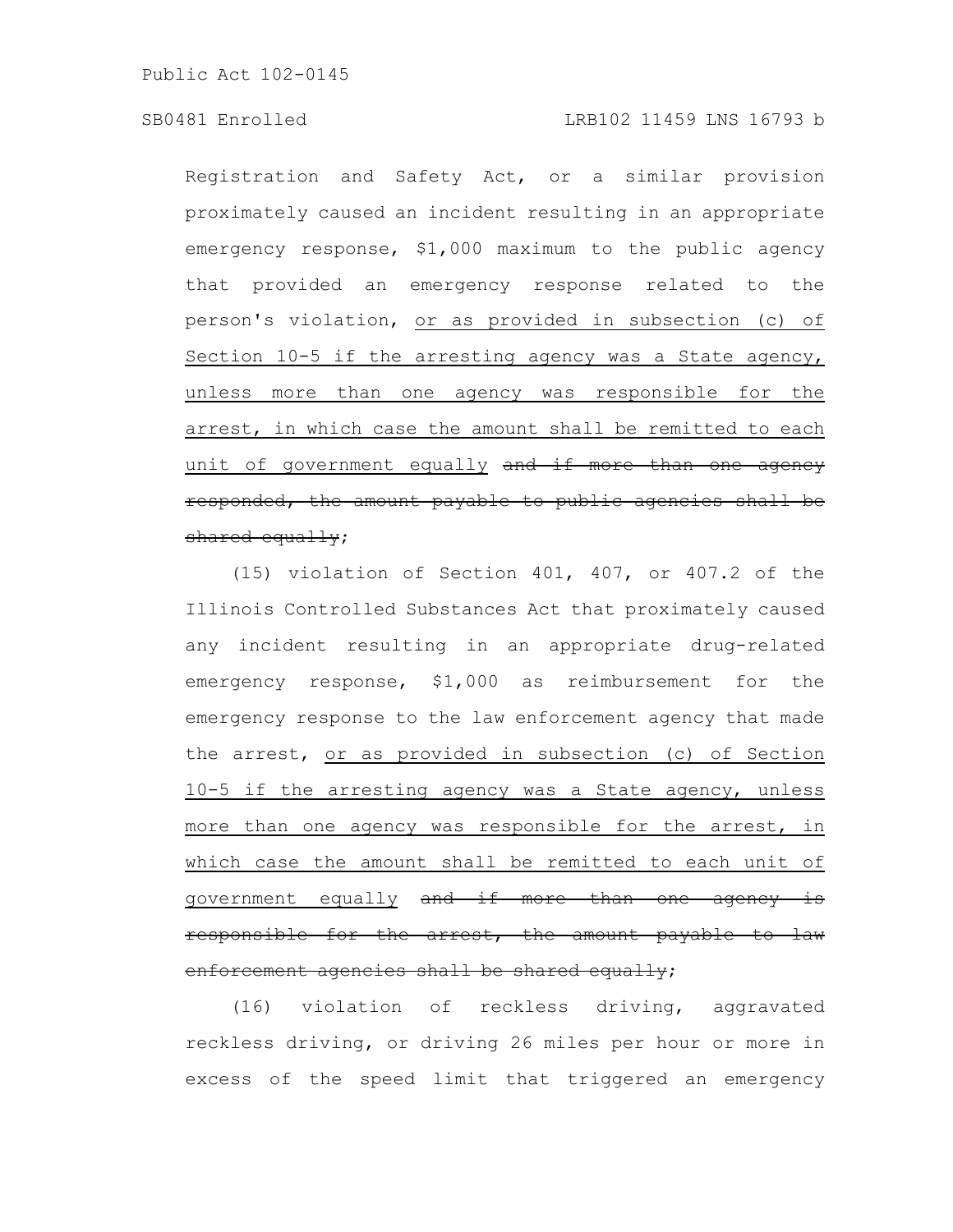Registration and Safety Act, or a similar provision proximately caused an incident resulting in an appropriate emergency response, \$1,000 maximum to the public agency that provided an emergency response related to the person's violation, or as provided in subsection (c) of Section 10-5 if the arresting agency was a State agency, unless more than one agency was responsible for the arrest, in which case the amount shall be remitted to each unit of government equally and if more than one agency responded, the amount payable to public agencies shall be shared equally;

(15) violation of Section 401, 407, or 407.2 of the Illinois Controlled Substances Act that proximately caused any incident resulting in an appropriate drug-related emergency response, \$1,000 as reimbursement for the emergency response to the law enforcement agency that made the arrest, or as provided in subsection (c) of Section 10-5 if the arresting agency was a State agency, unless more than one agency was responsible for the arrest, in which case the amount shall be remitted to each unit of government equally and if more than one agency responsible for the arrest, the amount payable to law enforcement agencies shall be shared equally;

(16) violation of reckless driving, aggravated reckless driving, or driving 26 miles per hour or more in excess of the speed limit that triggered an emergency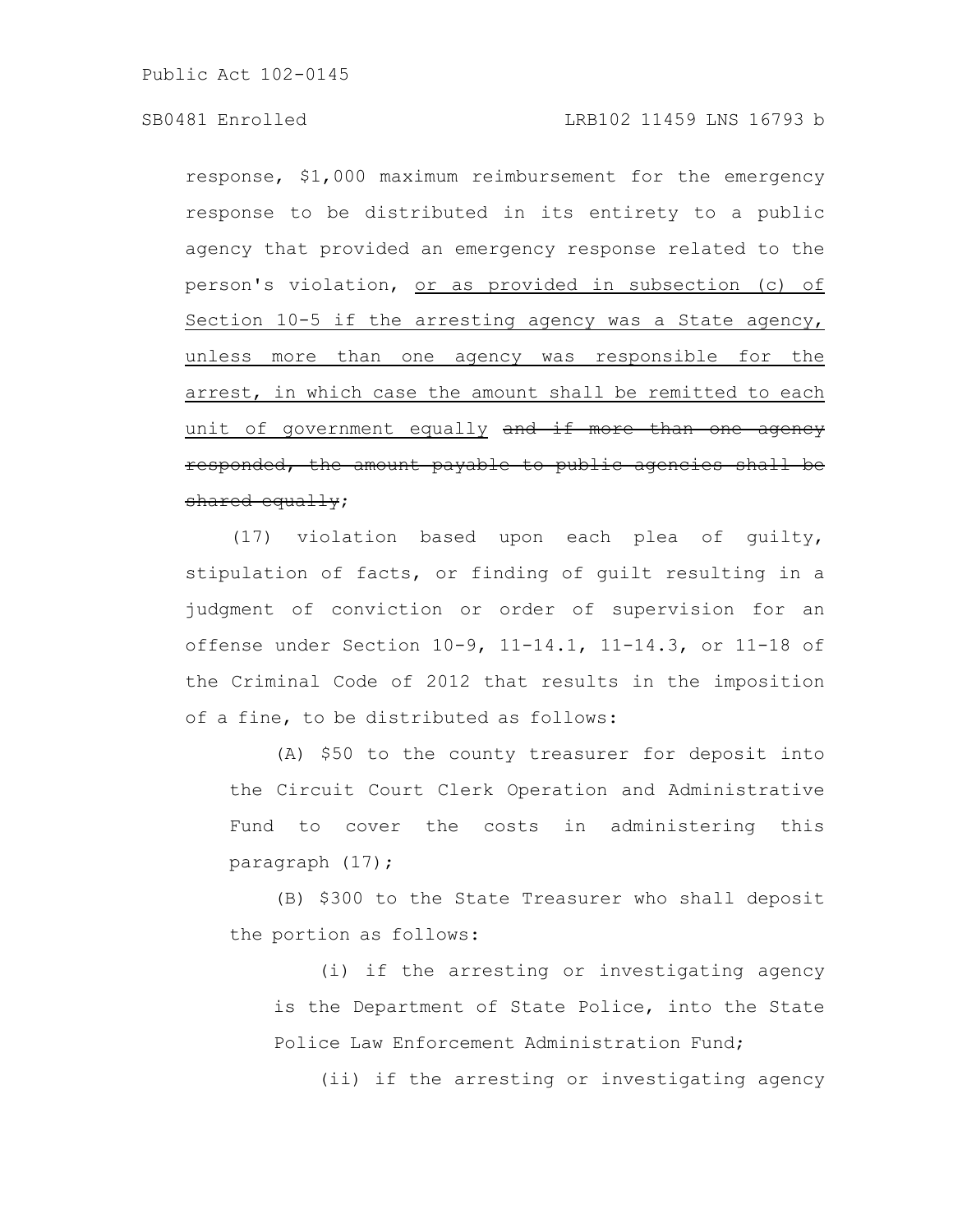SB0481 Enrolled LRB102 11459 LNS 16793 b

response, \$1,000 maximum reimbursement for the emergency response to be distributed in its entirety to a public agency that provided an emergency response related to the person's violation, or as provided in subsection (c) of Section 10-5 if the arresting agency was a State agency, unless more than one agency was responsible for the arrest, in which case the amount shall be remitted to each unit of government equally and if more than one agency responded, the amount payable to public agencies shall be shared equally;

(17) violation based upon each plea of guilty, stipulation of facts, or finding of guilt resulting in a judgment of conviction or order of supervision for an offense under Section 10-9, 11-14.1, 11-14.3, or 11-18 of the Criminal Code of 2012 that results in the imposition of a fine, to be distributed as follows:

(A) \$50 to the county treasurer for deposit into the Circuit Court Clerk Operation and Administrative Fund to cover the costs in administering this paragraph (17);

(B) \$300 to the State Treasurer who shall deposit the portion as follows:

(i) if the arresting or investigating agency is the Department of State Police, into the State Police Law Enforcement Administration Fund;

(ii) if the arresting or investigating agency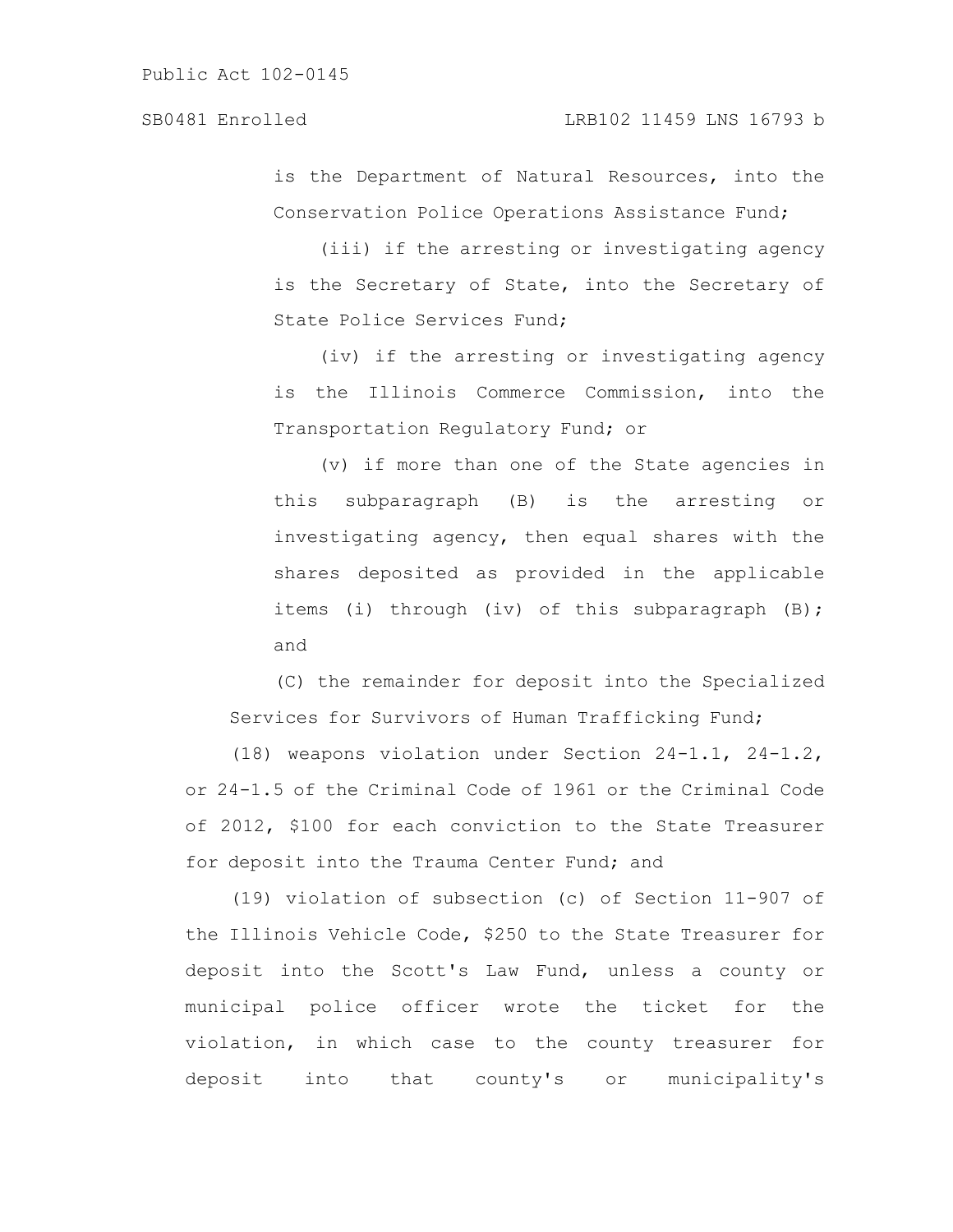is the Department of Natural Resources, into the Conservation Police Operations Assistance Fund;

(iii) if the arresting or investigating agency is the Secretary of State, into the Secretary of State Police Services Fund;

(iv) if the arresting or investigating agency is the Illinois Commerce Commission, into the Transportation Regulatory Fund; or

(v) if more than one of the State agencies in this subparagraph (B) is the arresting or investigating agency, then equal shares with the shares deposited as provided in the applicable items (i) through (iv) of this subparagraph (B); and

(C) the remainder for deposit into the Specialized Services for Survivors of Human Trafficking Fund;

(18) weapons violation under Section 24-1.1, 24-1.2, or 24-1.5 of the Criminal Code of 1961 or the Criminal Code of 2012, \$100 for each conviction to the State Treasurer for deposit into the Trauma Center Fund; and

(19) violation of subsection (c) of Section 11-907 of the Illinois Vehicle Code, \$250 to the State Treasurer for deposit into the Scott's Law Fund, unless a county or municipal police officer wrote the ticket for the violation, in which case to the county treasurer for deposit into that county's or municipality's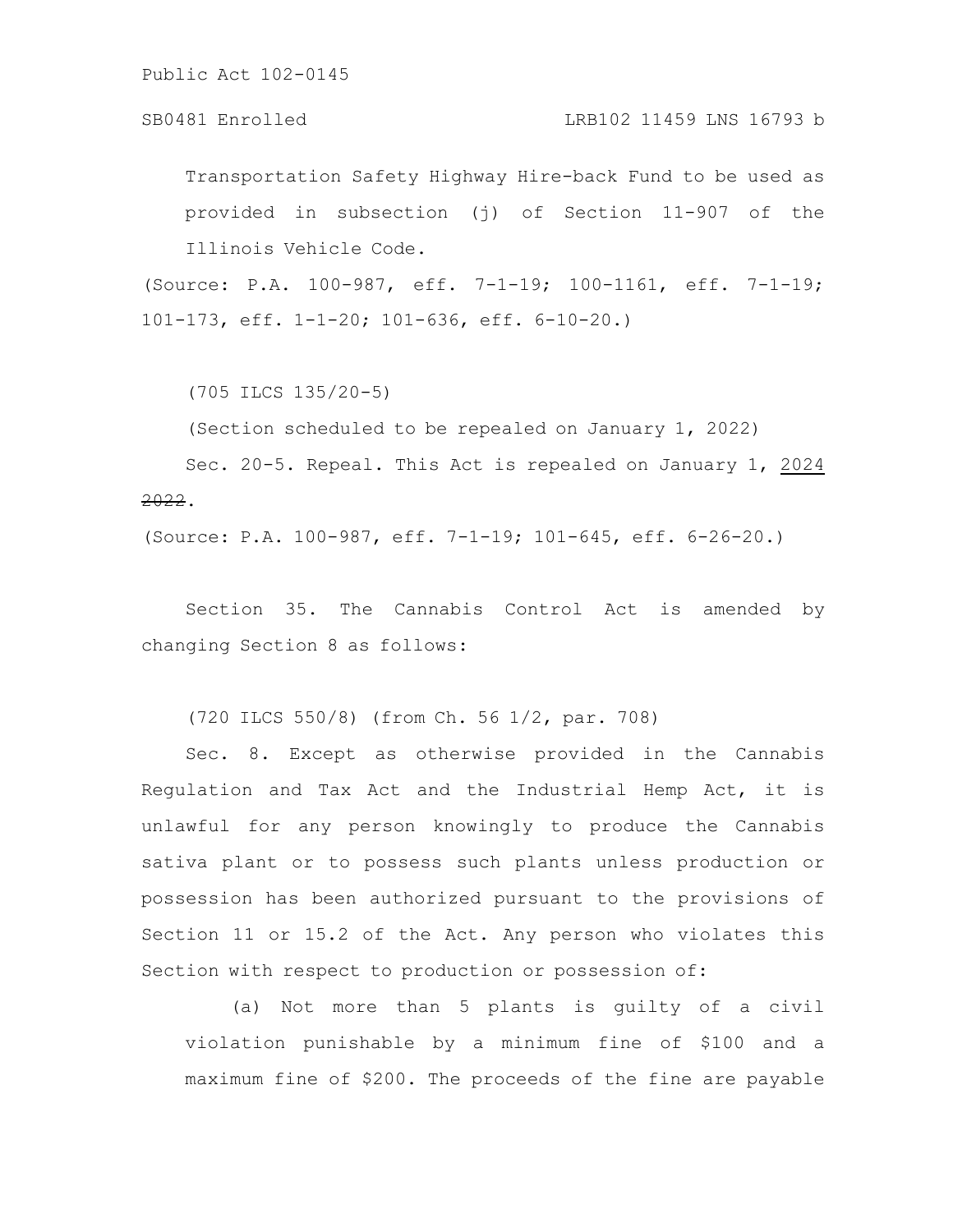### SB0481 Enrolled LRB102 11459 LNS 16793 b

Transportation Safety Highway Hire-back Fund to be used as provided in subsection (j) of Section 11-907 of the Illinois Vehicle Code.

(Source: P.A. 100-987, eff. 7-1-19; 100-1161, eff. 7-1-19; 101-173, eff. 1-1-20; 101-636, eff. 6-10-20.)

(705 ILCS 135/20-5)

(Section scheduled to be repealed on January 1, 2022)

Sec. 20-5. Repeal. This Act is repealed on January 1, 2024 2022.

(Source: P.A. 100-987, eff. 7-1-19; 101-645, eff. 6-26-20.)

Section 35. The Cannabis Control Act is amended by changing Section 8 as follows:

(720 ILCS 550/8) (from Ch. 56 1/2, par. 708)

Sec. 8. Except as otherwise provided in the Cannabis Regulation and Tax Act and the Industrial Hemp Act, it is unlawful for any person knowingly to produce the Cannabis sativa plant or to possess such plants unless production or possession has been authorized pursuant to the provisions of Section 11 or 15.2 of the Act. Any person who violates this Section with respect to production or possession of:

(a) Not more than 5 plants is guilty of a civil violation punishable by a minimum fine of \$100 and a maximum fine of \$200. The proceeds of the fine are payable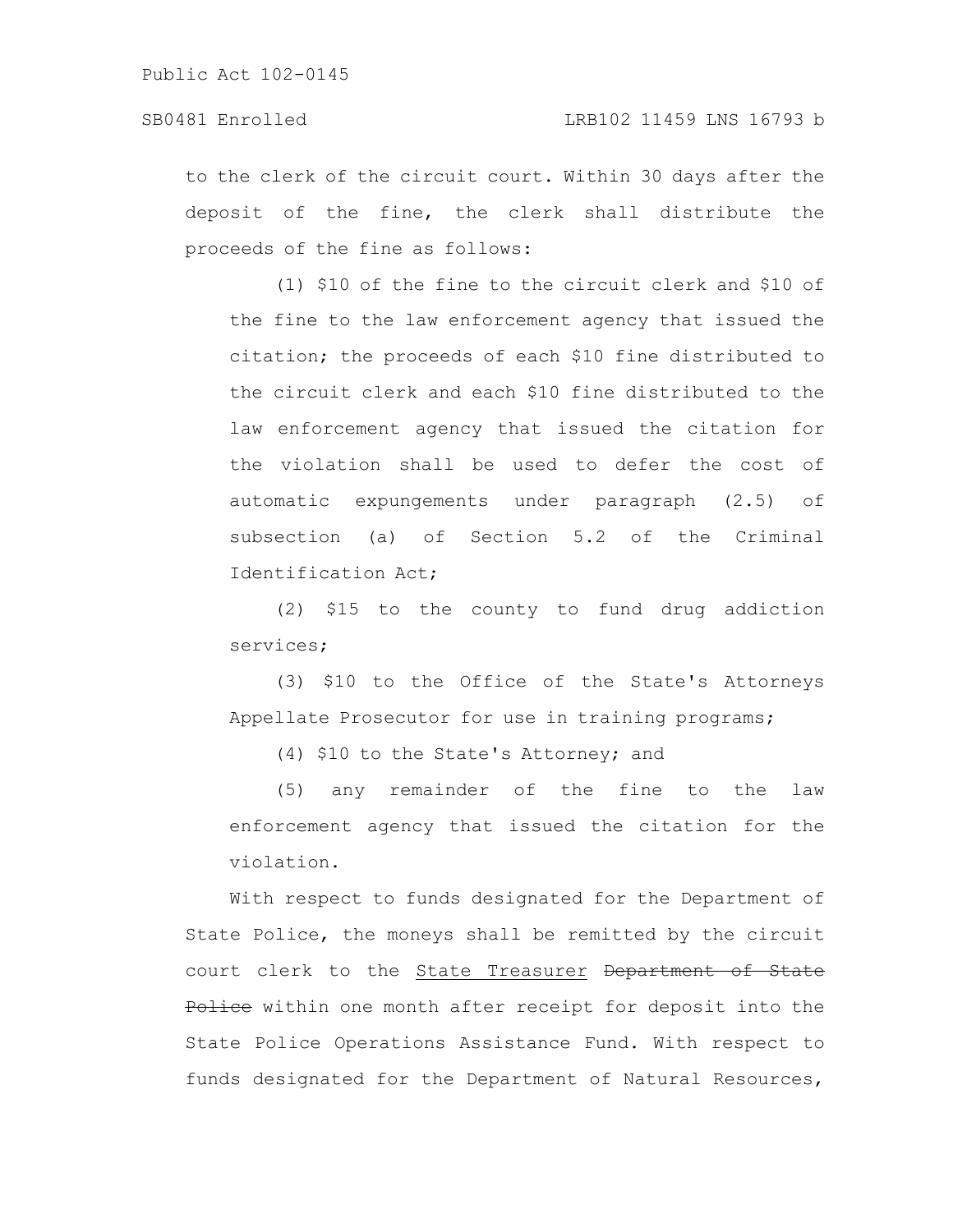to the clerk of the circuit court. Within 30 days after the deposit of the fine, the clerk shall distribute the proceeds of the fine as follows:

(1) \$10 of the fine to the circuit clerk and \$10 of the fine to the law enforcement agency that issued the citation; the proceeds of each \$10 fine distributed to the circuit clerk and each \$10 fine distributed to the law enforcement agency that issued the citation for the violation shall be used to defer the cost of automatic expungements under paragraph (2.5) of subsection (a) of Section 5.2 of the Criminal Identification Act;

(2) \$15 to the county to fund drug addiction services;

(3) \$10 to the Office of the State's Attorneys Appellate Prosecutor for use in training programs;

(4) \$10 to the State's Attorney; and

(5) any remainder of the fine to the law enforcement agency that issued the citation for the violation.

With respect to funds designated for the Department of State Police, the moneys shall be remitted by the circuit court clerk to the State Treasurer Department of State Police within one month after receipt for deposit into the State Police Operations Assistance Fund. With respect to funds designated for the Department of Natural Resources,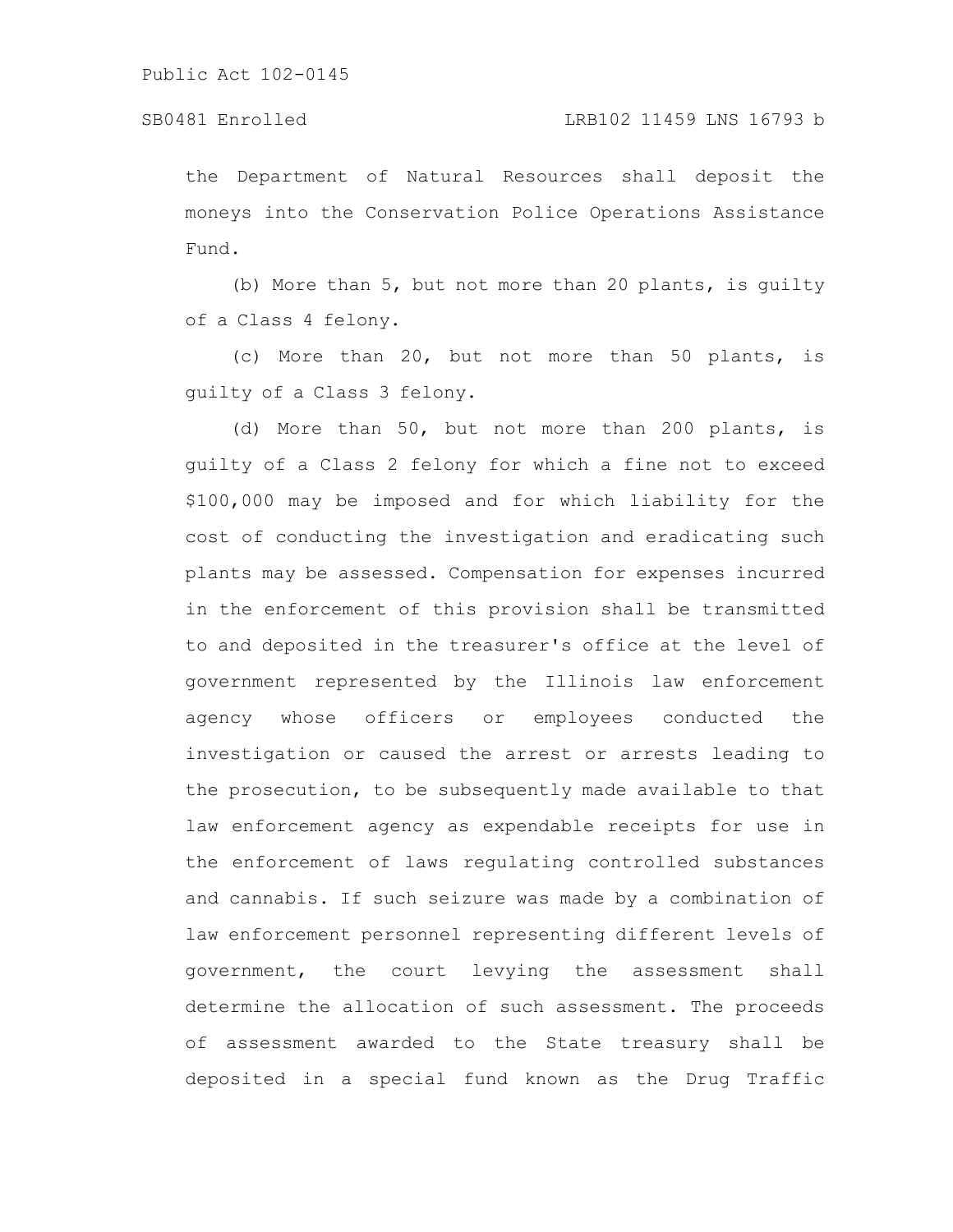#### SB0481 Enrolled LRB102 11459 LNS 16793 b

the Department of Natural Resources shall deposit the moneys into the Conservation Police Operations Assistance Fund.

(b) More than 5, but not more than 20 plants, is guilty of a Class 4 felony.

(c) More than 20, but not more than 50 plants, is guilty of a Class 3 felony.

(d) More than 50, but not more than 200 plants, is guilty of a Class 2 felony for which a fine not to exceed \$100,000 may be imposed and for which liability for the cost of conducting the investigation and eradicating such plants may be assessed. Compensation for expenses incurred in the enforcement of this provision shall be transmitted to and deposited in the treasurer's office at the level of government represented by the Illinois law enforcement agency whose officers or employees conducted the investigation or caused the arrest or arrests leading to the prosecution, to be subsequently made available to that law enforcement agency as expendable receipts for use in the enforcement of laws regulating controlled substances and cannabis. If such seizure was made by a combination of law enforcement personnel representing different levels of government, the court levying the assessment shall determine the allocation of such assessment. The proceeds of assessment awarded to the State treasury shall be deposited in a special fund known as the Drug Traffic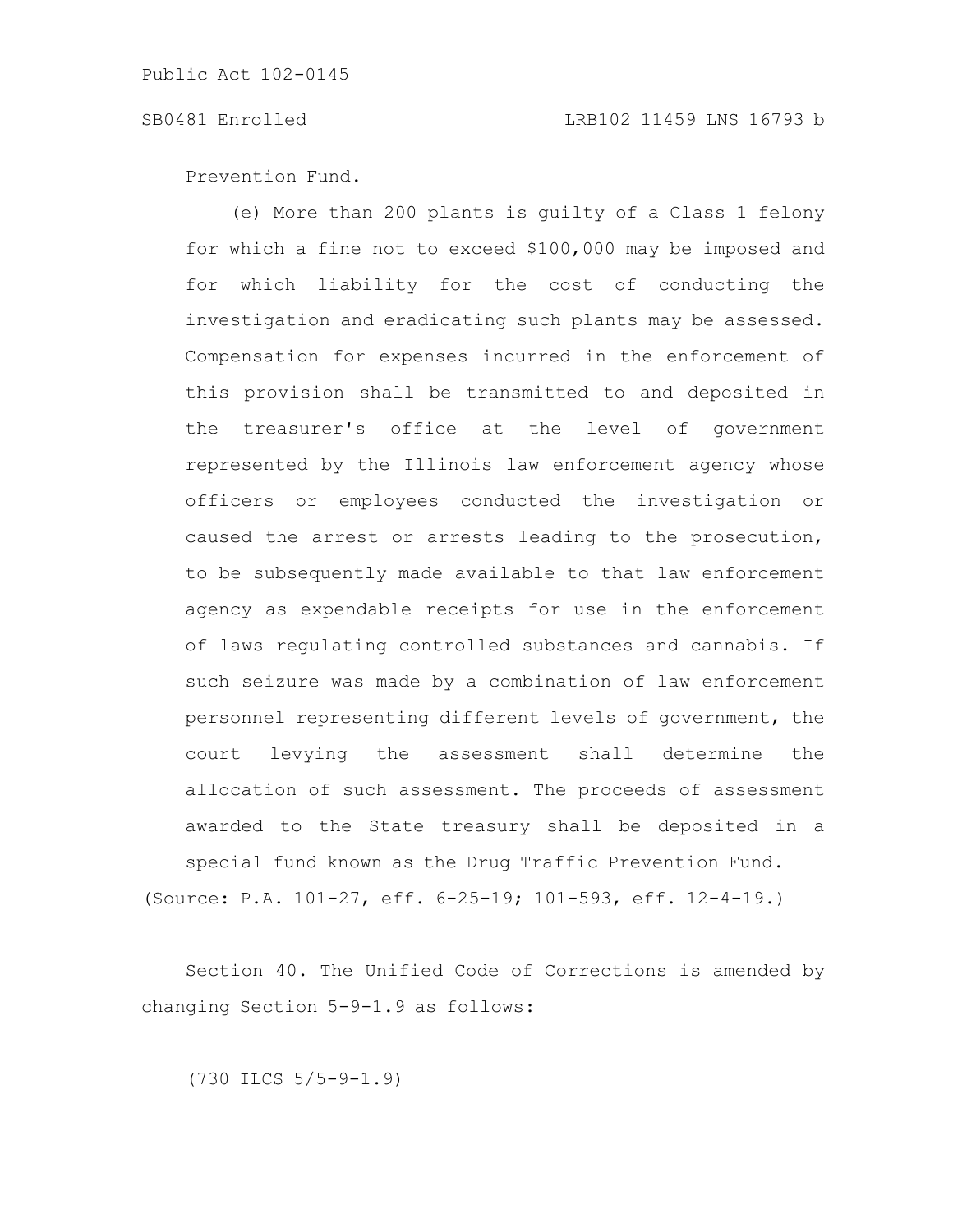## SB0481 Enrolled LRB102 11459 LNS 16793 b

Prevention Fund.

(e) More than 200 plants is guilty of a Class 1 felony for which a fine not to exceed \$100,000 may be imposed and for which liability for the cost of conducting the investigation and eradicating such plants may be assessed. Compensation for expenses incurred in the enforcement of this provision shall be transmitted to and deposited in the treasurer's office at the level of government represented by the Illinois law enforcement agency whose officers or employees conducted the investigation or caused the arrest or arrests leading to the prosecution, to be subsequently made available to that law enforcement agency as expendable receipts for use in the enforcement of laws regulating controlled substances and cannabis. If such seizure was made by a combination of law enforcement personnel representing different levels of government, the court levying the assessment shall determine the allocation of such assessment. The proceeds of assessment awarded to the State treasury shall be deposited in a special fund known as the Drug Traffic Prevention Fund.

(Source: P.A. 101-27, eff. 6-25-19; 101-593, eff. 12-4-19.)

Section 40. The Unified Code of Corrections is amended by changing Section 5-9-1.9 as follows:

(730 ILCS 5/5-9-1.9)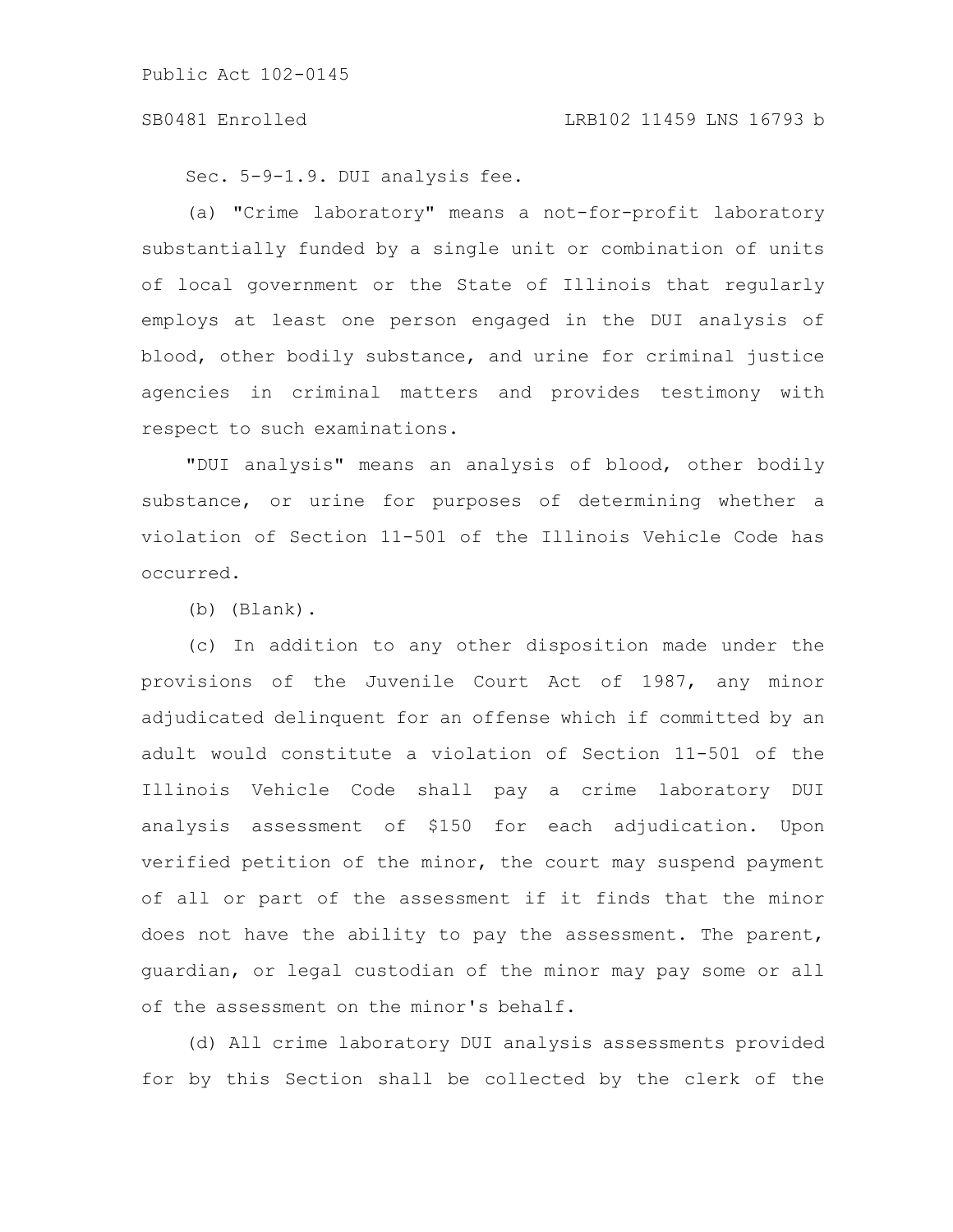Sec. 5-9-1.9. DUI analysis fee.

(a) "Crime laboratory" means a not-for-profit laboratory substantially funded by a single unit or combination of units of local government or the State of Illinois that regularly employs at least one person engaged in the DUI analysis of blood, other bodily substance, and urine for criminal justice agencies in criminal matters and provides testimony with respect to such examinations.

"DUI analysis" means an analysis of blood, other bodily substance, or urine for purposes of determining whether a violation of Section 11-501 of the Illinois Vehicle Code has occurred.

(b) (Blank).

(c) In addition to any other disposition made under the provisions of the Juvenile Court Act of 1987, any minor adjudicated delinquent for an offense which if committed by an adult would constitute a violation of Section 11-501 of the Illinois Vehicle Code shall pay a crime laboratory DUI analysis assessment of \$150 for each adjudication. Upon verified petition of the minor, the court may suspend payment of all or part of the assessment if it finds that the minor does not have the ability to pay the assessment. The parent, guardian, or legal custodian of the minor may pay some or all of the assessment on the minor's behalf.

(d) All crime laboratory DUI analysis assessments provided for by this Section shall be collected by the clerk of the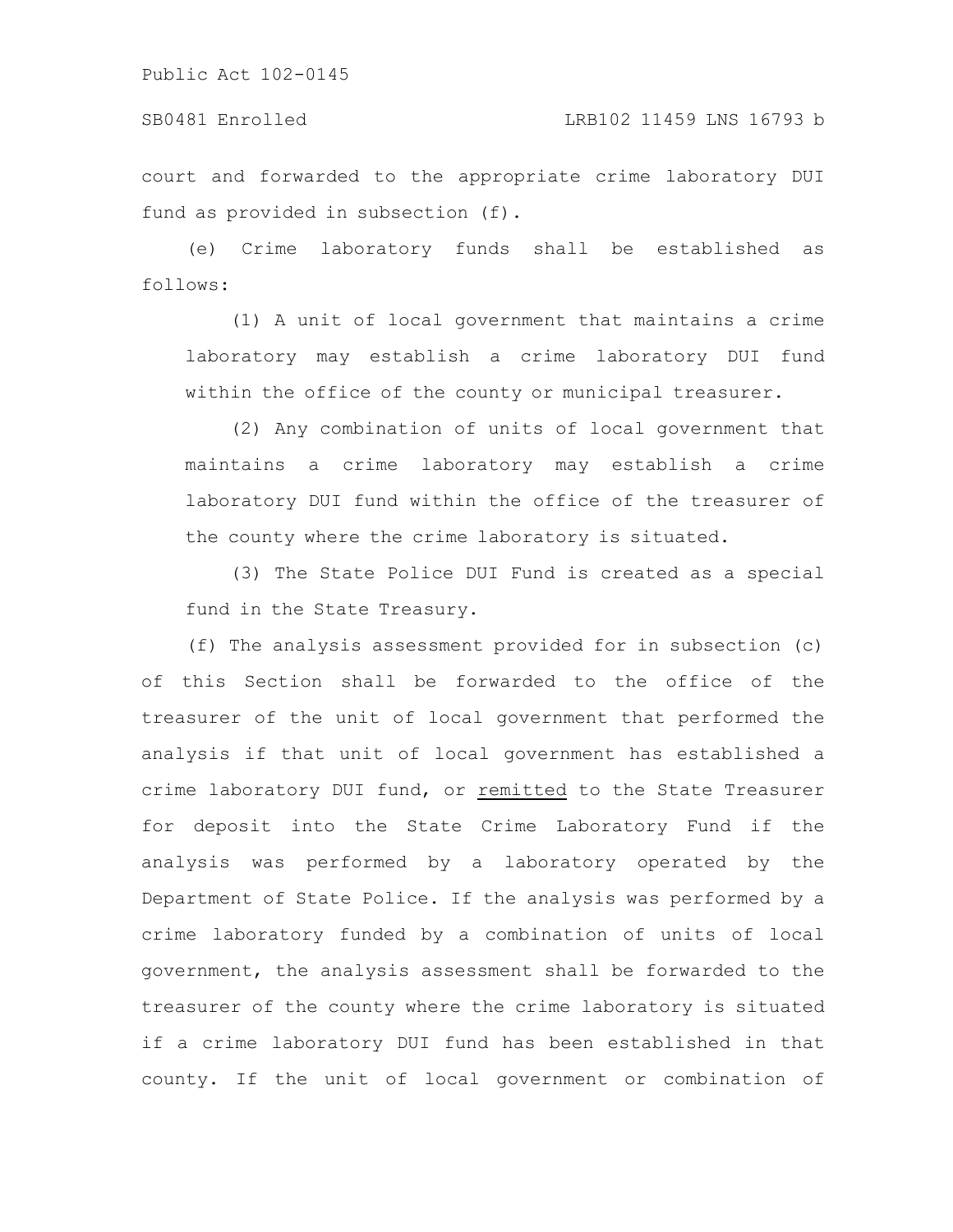Public Act 102-0145

## SB0481 Enrolled LRB102 11459 LNS 16793 b

court and forwarded to the appropriate crime laboratory DUI fund as provided in subsection (f).

(e) Crime laboratory funds shall be established as follows:

(1) A unit of local government that maintains a crime laboratory may establish a crime laboratory DUI fund within the office of the county or municipal treasurer.

(2) Any combination of units of local government that maintains a crime laboratory may establish a crime laboratory DUI fund within the office of the treasurer of the county where the crime laboratory is situated.

(3) The State Police DUI Fund is created as a special fund in the State Treasury.

(f) The analysis assessment provided for in subsection (c) of this Section shall be forwarded to the office of the treasurer of the unit of local government that performed the analysis if that unit of local government has established a crime laboratory DUI fund, or remitted to the State Treasurer for deposit into the State Crime Laboratory Fund if the analysis was performed by a laboratory operated by the Department of State Police. If the analysis was performed by a crime laboratory funded by a combination of units of local government, the analysis assessment shall be forwarded to the treasurer of the county where the crime laboratory is situated if a crime laboratory DUI fund has been established in that county. If the unit of local government or combination of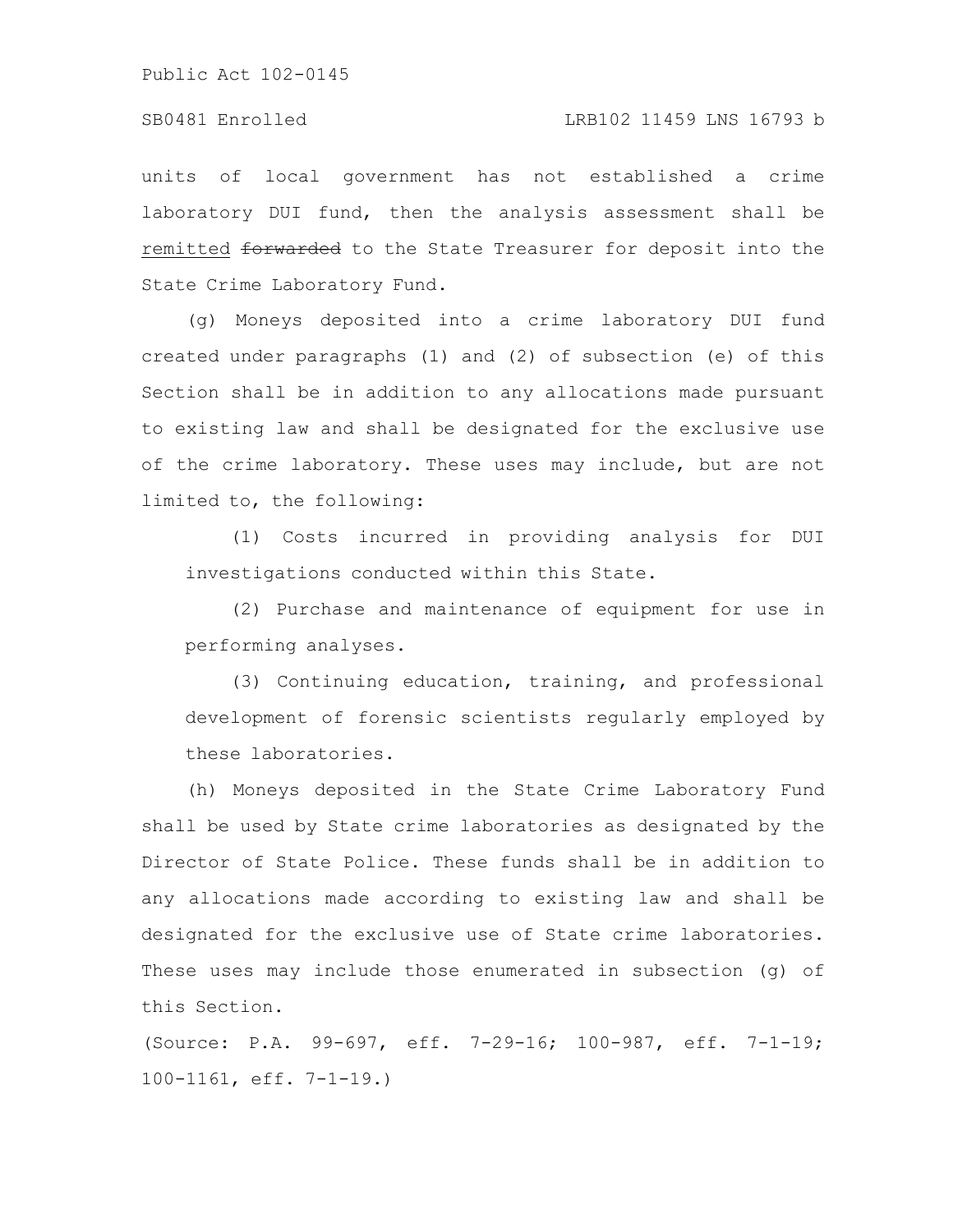Public Act 102-0145

units of local government has not established a crime laboratory DUI fund, then the analysis assessment shall be remitted forwarded to the State Treasurer for deposit into the State Crime Laboratory Fund.

(g) Moneys deposited into a crime laboratory DUI fund created under paragraphs (1) and (2) of subsection (e) of this Section shall be in addition to any allocations made pursuant to existing law and shall be designated for the exclusive use of the crime laboratory. These uses may include, but are not limited to, the following:

(1) Costs incurred in providing analysis for DUI investigations conducted within this State.

(2) Purchase and maintenance of equipment for use in performing analyses.

(3) Continuing education, training, and professional development of forensic scientists regularly employed by these laboratories.

(h) Moneys deposited in the State Crime Laboratory Fund shall be used by State crime laboratories as designated by the Director of State Police. These funds shall be in addition to any allocations made according to existing law and shall be designated for the exclusive use of State crime laboratories. These uses may include those enumerated in subsection (g) of this Section.

(Source: P.A. 99-697, eff. 7-29-16; 100-987, eff. 7-1-19; 100-1161, eff. 7-1-19.)